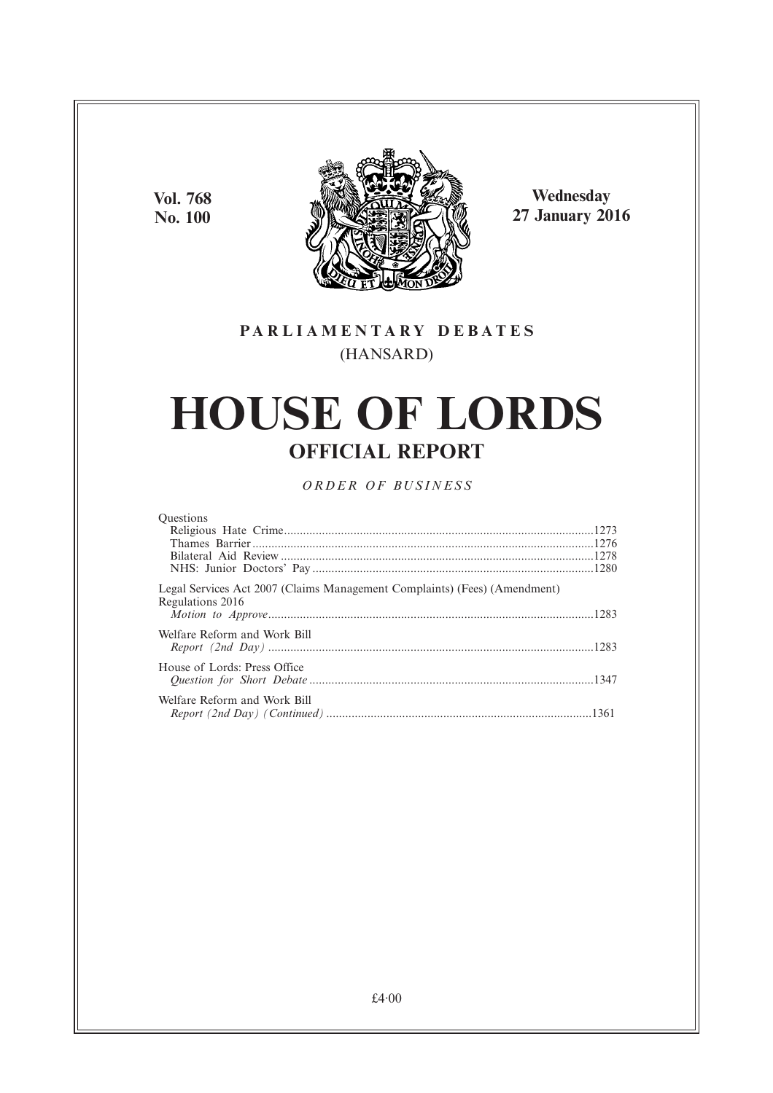**Vol. 768 No. 100**



**Wednesday 27 January 2016**

### **PARL IAMENTARY DEBATES** (HANSARD)

# **HOUSE OF LORDS OFFICIAL REPORT**

*ORDER OF BUSINESS*

| <b>Ouestions</b>                                                                              |  |
|-----------------------------------------------------------------------------------------------|--|
|                                                                                               |  |
|                                                                                               |  |
|                                                                                               |  |
|                                                                                               |  |
| Legal Services Act 2007 (Claims Management Complaints) (Fees) (Amendment)<br>Regulations 2016 |  |
| Welfare Reform and Work Bill                                                                  |  |
|                                                                                               |  |
| House of Lords: Press Office                                                                  |  |
| Welfare Reform and Work Bill                                                                  |  |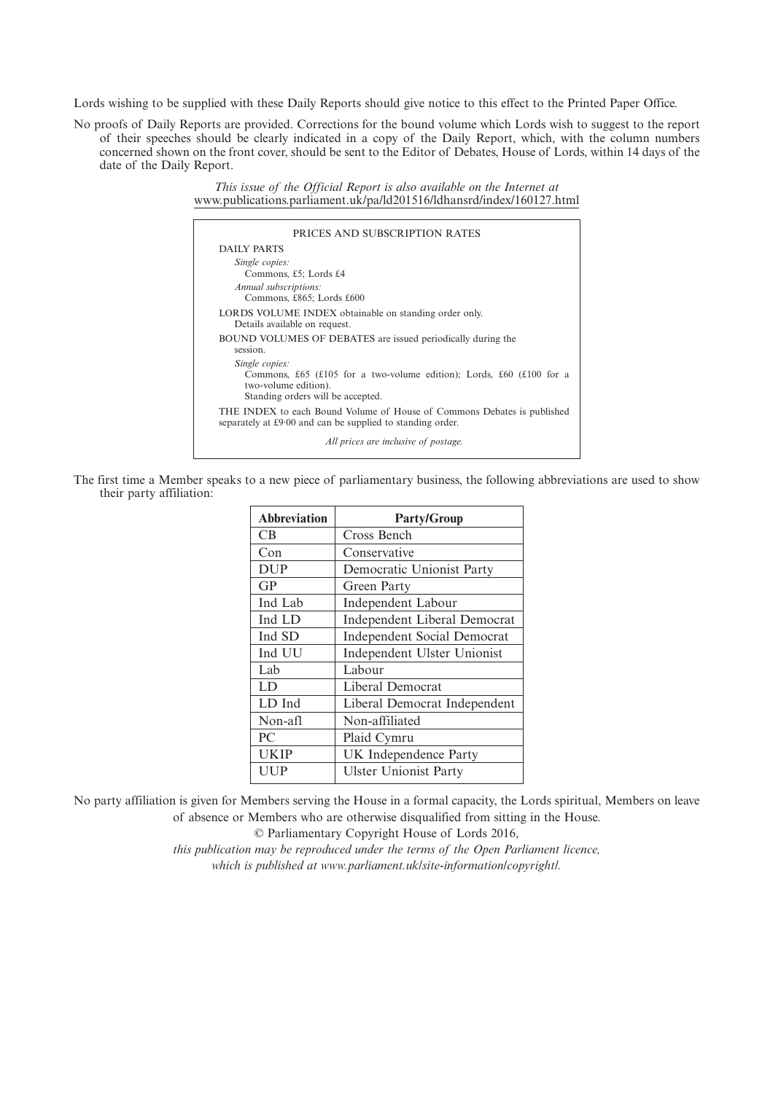Lords wishing to be supplied with these Daily Reports should give notice to this effect to the Printed Paper Office.

No proofs of Daily Reports are provided. Corrections for the bound volume which Lords wish to suggest to the report of their speeches should be clearly indicated in a copy of the Daily Report, which, with the column numbers concerned shown on the front cover, should be sent to the Editor of Debates, House of Lords, within 14 days of the date of the Daily Report.

> *This issue of the Official Report is also available on the Internet at* www.publications.parliament.uk/pa/ld201516/ldhansrd/index/160127.html

| DAILY PARTS                                                                                                                                         |
|-----------------------------------------------------------------------------------------------------------------------------------------------------|
|                                                                                                                                                     |
| Single copies:<br>Commons, £5; Lords £4<br>Annual subscriptions:                                                                                    |
| Commons, £865; Lords £600                                                                                                                           |
| LORDS VOLUME INDEX obtainable on standing order only.<br>Details available on request.                                                              |
| BOUND VOLUMES OF DEBATES are issued periodically during the<br>session.                                                                             |
| Single copies:<br>Commons, £65 (£105 for a two-volume edition); Lords, £60 (£100 for a<br>two-volume edition).<br>Standing orders will be accepted. |
| THE INDEX to each Bound Volume of House of Commons Debates is published<br>separately at £9.00 and can be supplied to standing order.               |
| All prices are inclusive of postage.                                                                                                                |

The first time a Member speaks to a new piece of parliamentary business, the following abbreviations are used to show their party affiliation:

| <b>Abbreviation</b> | <b>Party/Group</b>                  |
|---------------------|-------------------------------------|
| <b>CB</b>           | Cross Bench                         |
| Con                 | Conservative                        |
| <b>DUP</b>          | Democratic Unionist Party           |
| GP                  | Green Party                         |
| Ind Lab             | <b>Independent Labour</b>           |
| Ind LD              | <b>Independent Liberal Democrat</b> |
| Ind SD              | <b>Independent Social Democrat</b>  |
| Ind UU              | Independent Ulster Unionist         |
| Lab                 | Labour                              |
| LD                  | Liberal Democrat                    |
| LD Ind              | Liberal Democrat Independent        |
| Non-afl             | Non-affiliated                      |
| PC.                 | Plaid Cymru                         |
| <b>UKIP</b>         | UK Independence Party               |
| UUP                 | <b>Ulster Unionist Party</b>        |

No party affiliation is given for Members serving the House in a formal capacity, the Lords spiritual, Members on leave of absence or Members who are otherwise disqualified from sitting in the House.

© Parliamentary Copyright House of Lords 2016,

*this publication may be reproduced under the terms of the Open Parliament licence, which is published at www.parliament.uk/site-information/copyright/.*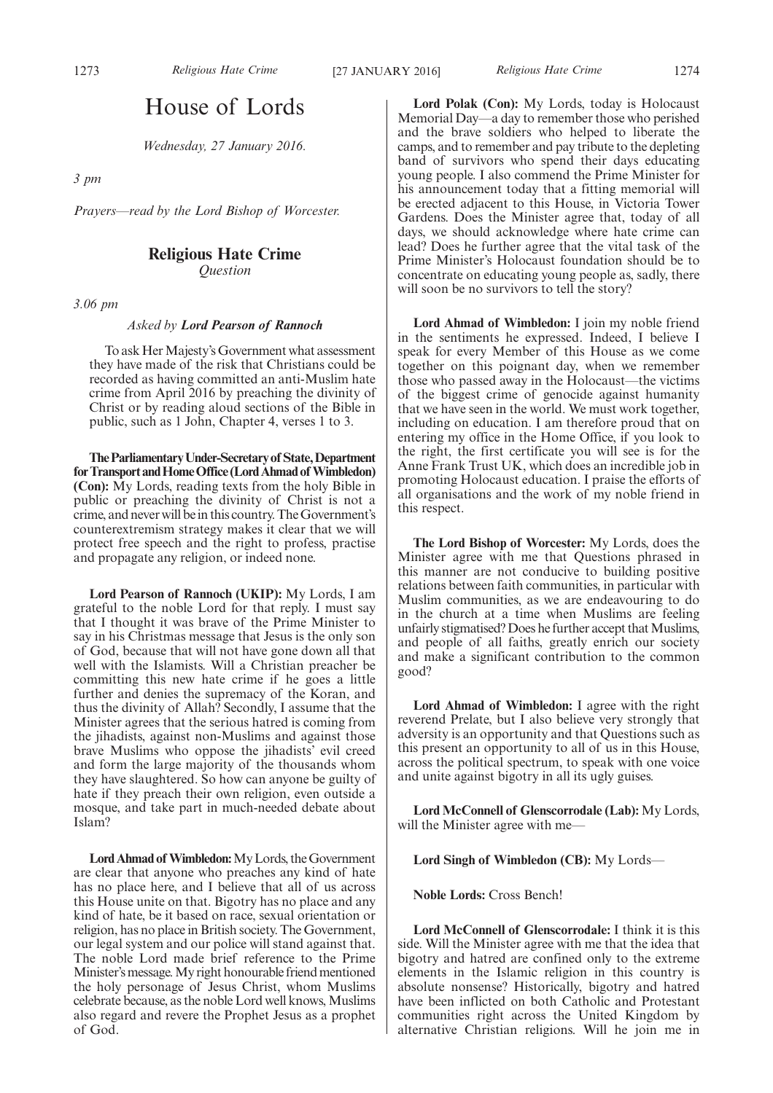### House of Lords

*Wednesday, 27 January 2016.*

*3 pm*

*Prayers—read by the Lord Bishop of Worcester.*

#### **Religious Hate Crime**

*Question*

*3.06 pm*

*Asked by Lord Pearson of Rannoch*

To ask Her Majesty's Government what assessment they have made of the risk that Christians could be recorded as having committed an anti-Muslim hate crime from April 2016 by preaching the divinity of Christ or by reading aloud sections of the Bible in public, such as 1 John, Chapter 4, verses 1 to 3.

**TheParliamentaryUnder-Secretaryof State,Department** for Transport and Home Office (Lord Ahmad of Wimbledon) **(Con):** My Lords, reading texts from the holy Bible in public or preaching the divinity of Christ is not a crime, and never will be in this country. The Government's counterextremism strategy makes it clear that we will protect free speech and the right to profess, practise and propagate any religion, or indeed none.

**Lord Pearson of Rannoch (UKIP):** My Lords, I am grateful to the noble Lord for that reply. I must say that I thought it was brave of the Prime Minister to say in his Christmas message that Jesus is the only son of God, because that will not have gone down all that well with the Islamists. Will a Christian preacher be committing this new hate crime if he goes a little further and denies the supremacy of the Koran, and thus the divinity of Allah? Secondly, I assume that the Minister agrees that the serious hatred is coming from the jihadists, against non-Muslims and against those brave Muslims who oppose the jihadists' evil creed and form the large majority of the thousands whom they have slaughtered. So how can anyone be guilty of hate if they preach their own religion, even outside a mosque, and take part in much-needed debate about Islam?

Lord Ahmad of Wimbledon: My Lords, the Government are clear that anyone who preaches any kind of hate has no place here, and I believe that all of us across this House unite on that. Bigotry has no place and any kind of hate, be it based on race, sexual orientation or religion, has no place in British society. The Government, our legal system and our police will stand against that. The noble Lord made brief reference to the Prime Minister's message. My right honourable friend mentioned the holy personage of Jesus Christ, whom Muslims celebrate because, as the noble Lord well knows, Muslims also regard and revere the Prophet Jesus as a prophet of God.

**Lord Polak (Con):** My Lords, today is Holocaust Memorial Day—a day to remember those who perished and the brave soldiers who helped to liberate the camps, and to remember and pay tribute to the depleting band of survivors who spend their days educating young people. I also commend the Prime Minister for his announcement today that a fitting memorial will be erected adjacent to this House, in Victoria Tower Gardens. Does the Minister agree that, today of all days, we should acknowledge where hate crime can lead? Does he further agree that the vital task of the Prime Minister's Holocaust foundation should be to concentrate on educating young people as, sadly, there will soon be no survivors to tell the story?

**Lord Ahmad of Wimbledon:** I join my noble friend in the sentiments he expressed. Indeed, I believe I speak for every Member of this House as we come together on this poignant day, when we remember those who passed away in the Holocaust—the victims of the biggest crime of genocide against humanity that we have seen in the world. We must work together, including on education. I am therefore proud that on entering my office in the Home Office, if you look to the right, the first certificate you will see is for the Anne Frank Trust UK, which does an incredible job in promoting Holocaust education. I praise the efforts of all organisations and the work of my noble friend in this respect.

**The Lord Bishop of Worcester:** My Lords, does the Minister agree with me that Questions phrased in this manner are not conducive to building positive relations between faith communities, in particular with Muslim communities, as we are endeavouring to do in the church at a time when Muslims are feeling unfairly stigmatised? Does he further accept that Muslims, and people of all faiths, greatly enrich our society and make a significant contribution to the common good?

**Lord Ahmad of Wimbledon:** I agree with the right reverend Prelate, but I also believe very strongly that adversity is an opportunity and that Questions such as this present an opportunity to all of us in this House, across the political spectrum, to speak with one voice and unite against bigotry in all its ugly guises.

**Lord McConnell of Glenscorrodale (Lab):** My Lords, will the Minister agree with me—

**Lord Singh of Wimbledon (CB):** My Lords—

**Noble Lords:** Cross Bench!

**Lord McConnell of Glenscorrodale:** I think it is this side. Will the Minister agree with me that the idea that bigotry and hatred are confined only to the extreme elements in the Islamic religion in this country is absolute nonsense? Historically, bigotry and hatred have been inflicted on both Catholic and Protestant communities right across the United Kingdom by alternative Christian religions. Will he join me in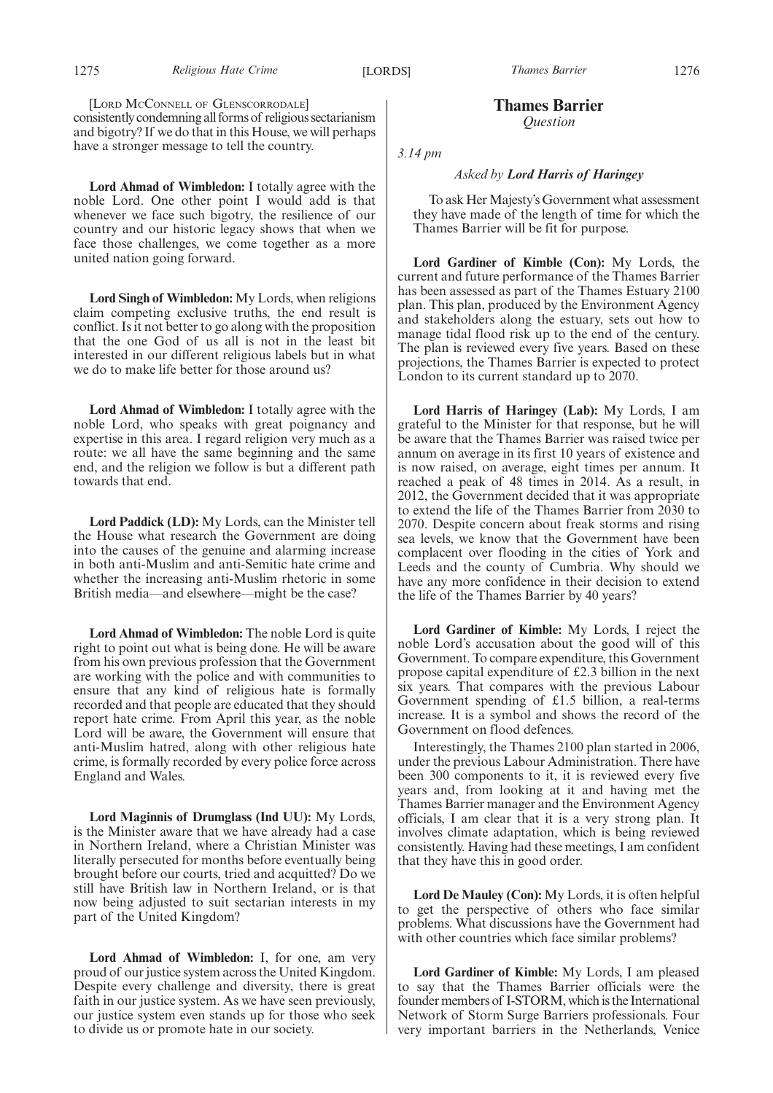**Lord Ahmad of Wimbledon:** I totally agree with the noble Lord. One other point I would add is that whenever we face such bigotry, the resilience of our country and our historic legacy shows that when we face those challenges, we come together as a more united nation going forward.

**Lord Singh of Wimbledon:** My Lords, when religions claim competing exclusive truths, the end result is conflict. Is it not better to go along with the proposition that the one God of us all is not in the least bit interested in our different religious labels but in what we do to make life better for those around us?

**Lord Ahmad of Wimbledon:** I totally agree with the noble Lord, who speaks with great poignancy and expertise in this area. I regard religion very much as a route: we all have the same beginning and the same end, and the religion we follow is but a different path towards that end.

**Lord Paddick (LD):** My Lords, can the Minister tell the House what research the Government are doing into the causes of the genuine and alarming increase in both anti-Muslim and anti-Semitic hate crime and whether the increasing anti-Muslim rhetoric in some British media—and elsewhere—might be the case?

**Lord Ahmad of Wimbledon:** The noble Lord is quite right to point out what is being done. He will be aware from his own previous profession that the Government are working with the police and with communities to ensure that any kind of religious hate is formally recorded and that people are educated that they should report hate crime. From April this year, as the noble Lord will be aware, the Government will ensure that anti-Muslim hatred, along with other religious hate crime, is formally recorded by every police force across England and Wales.

**Lord Maginnis of Drumglass (Ind UU):** My Lords, is the Minister aware that we have already had a case in Northern Ireland, where a Christian Minister was literally persecuted for months before eventually being brought before our courts, tried and acquitted? Do we still have British law in Northern Ireland, or is that now being adjusted to suit sectarian interests in my part of the United Kingdom?

**Lord Ahmad of Wimbledon:** I, for one, am very proud of our justice system across the United Kingdom. Despite every challenge and diversity, there is great faith in our justice system. As we have seen previously, our justice system even stands up for those who seek to divide us or promote hate in our society.

**Thames Barrier** *Question*

*3.14 pm*

#### *Asked by Lord Harris of Haringey*

To ask Her Majesty's Government what assessment they have made of the length of time for which the Thames Barrier will be fit for purpose.

**Lord Gardiner of Kimble (Con):** My Lords, the current and future performance of the Thames Barrier has been assessed as part of the Thames Estuary 2100 plan. This plan, produced by the Environment Agency and stakeholders along the estuary, sets out how to manage tidal flood risk up to the end of the century. The plan is reviewed every five years. Based on these projections, the Thames Barrier is expected to protect London to its current standard up to 2070.

**Lord Harris of Haringey (Lab):** My Lords, I am grateful to the Minister for that response, but he will be aware that the Thames Barrier was raised twice per annum on average in its first 10 years of existence and is now raised, on average, eight times per annum. It reached a peak of 48 times in 2014. As a result, in 2012, the Government decided that it was appropriate to extend the life of the Thames Barrier from 2030 to 2070. Despite concern about freak storms and rising sea levels, we know that the Government have been complacent over flooding in the cities of York and Leeds and the county of Cumbria. Why should we have any more confidence in their decision to extend the life of the Thames Barrier by 40 years?

**Lord Gardiner of Kimble:** My Lords, I reject the noble Lord's accusation about the good will of this Government. To compare expenditure, this Government propose capital expenditure of £2.3 billion in the next six years. That compares with the previous Labour Government spending of £1.5 billion, a real-terms increase. It is a symbol and shows the record of the Government on flood defences.

Interestingly, the Thames 2100 plan started in 2006, under the previous Labour Administration. There have been 300 components to it, it is reviewed every five years and, from looking at it and having met the Thames Barrier manager and the Environment Agency officials, I am clear that it is a very strong plan. It involves climate adaptation, which is being reviewed consistently. Having had these meetings, I am confident that they have this in good order.

**Lord De Mauley (Con):** My Lords, it is often helpful to get the perspective of others who face similar problems. What discussions have the Government had with other countries which face similar problems?

**Lord Gardiner of Kimble:** My Lords, I am pleased to say that the Thames Barrier officials were the founder members of I-STORM, which is the International Network of Storm Surge Barriers professionals. Four very important barriers in the Netherlands, Venice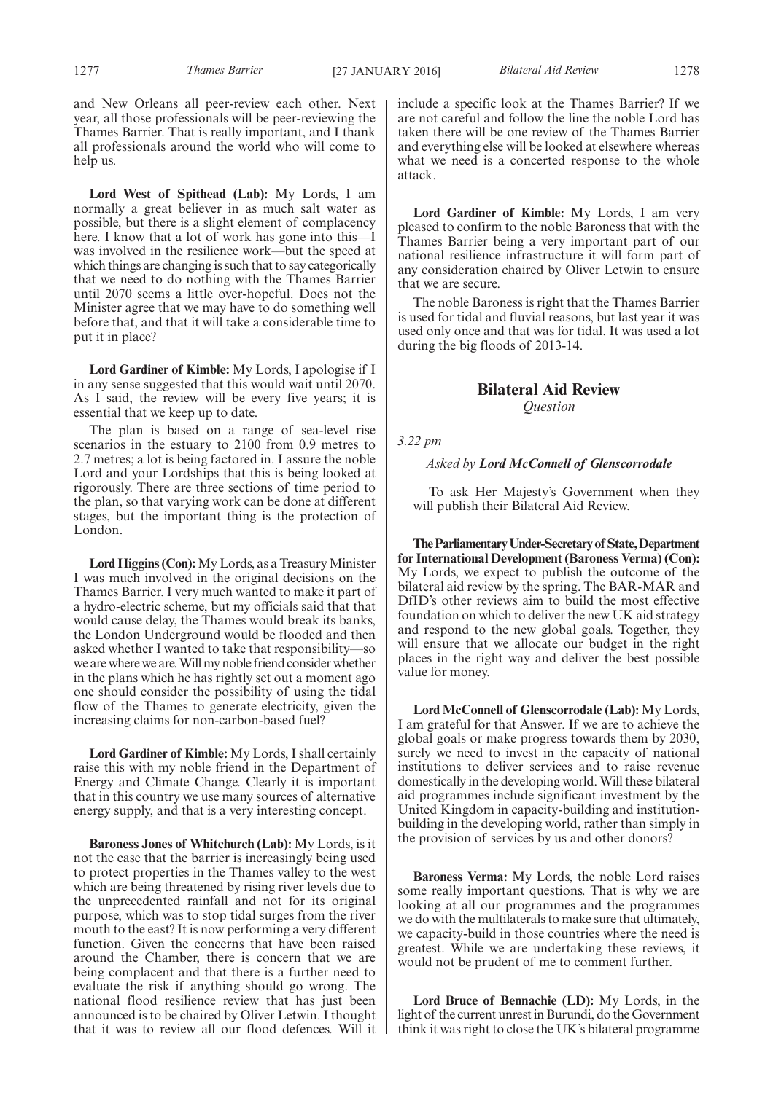and New Orleans all peer-review each other. Next year, all those professionals will be peer-reviewing the Thames Barrier. That is really important, and I thank all professionals around the world who will come to help us.

**Lord West of Spithead (Lab):** My Lords, I am normally a great believer in as much salt water as possible, but there is a slight element of complacency here. I know that a lot of work has gone into this—I was involved in the resilience work—but the speed at which things are changing is such that to say categorically that we need to do nothing with the Thames Barrier until 2070 seems a little over-hopeful. Does not the Minister agree that we may have to do something well before that, and that it will take a considerable time to put it in place?

**Lord Gardiner of Kimble:** My Lords, I apologise if I in any sense suggested that this would wait until 2070. As I said, the review will be every five years; it is essential that we keep up to date.

The plan is based on a range of sea-level rise scenarios in the estuary to 2100 from 0.9 metres to 2.7 metres; a lot is being factored in. I assure the noble Lord and your Lordships that this is being looked at rigorously. There are three sections of time period to the plan, so that varying work can be done at different stages, but the important thing is the protection of London.

Lord Higgins (Con): My Lords, as a Treasury Minister I was much involved in the original decisions on the Thames Barrier. I very much wanted to make it part of a hydro-electric scheme, but my officials said that that would cause delay, the Thames would break its banks, the London Underground would be flooded and then asked whether I wanted to take that responsibility—so we are where we are.Willmy noble friend consider whether in the plans which he has rightly set out a moment ago one should consider the possibility of using the tidal flow of the Thames to generate electricity, given the increasing claims for non-carbon-based fuel?

**Lord Gardiner of Kimble:** My Lords, I shall certainly raise this with my noble friend in the Department of Energy and Climate Change. Clearly it is important that in this country we use many sources of alternative energy supply, and that is a very interesting concept.

**Baroness Jones of Whitchurch (Lab):** My Lords, is it not the case that the barrier is increasingly being used to protect properties in the Thames valley to the west which are being threatened by rising river levels due to the unprecedented rainfall and not for its original purpose, which was to stop tidal surges from the river mouth to the east? It is now performing a very different function. Given the concerns that have been raised around the Chamber, there is concern that we are being complacent and that there is a further need to evaluate the risk if anything should go wrong. The national flood resilience review that has just been announced is to be chaired by Oliver Letwin. I thought that it was to review all our flood defences. Will it include a specific look at the Thames Barrier? If we are not careful and follow the line the noble Lord has taken there will be one review of the Thames Barrier and everything else will be looked at elsewhere whereas what we need is a concerted response to the whole attack.

**Lord Gardiner of Kimble:** My Lords, I am very pleased to confirm to the noble Baroness that with the Thames Barrier being a very important part of our national resilience infrastructure it will form part of any consideration chaired by Oliver Letwin to ensure that we are secure.

The noble Baroness is right that the Thames Barrier is used for tidal and fluvial reasons, but last year it was used only once and that was for tidal. It was used a lot during the big floods of 2013-14.

#### **Bilateral Aid Review**

*Question*

*3.22 pm*

#### *Asked by Lord McConnell of Glenscorrodale*

To ask Her Majesty's Government when they will publish their Bilateral Aid Review.

**TheParliamentaryUnder-Secretaryof State,Department for International Development (Baroness Verma) (Con):** My Lords, we expect to publish the outcome of the bilateral aid review by the spring. The BAR-MAR and DfID's other reviews aim to build the most effective foundation on which to deliver the new UK aid strategy and respond to the new global goals. Together, they will ensure that we allocate our budget in the right places in the right way and deliver the best possible value for money.

**Lord McConnell of Glenscorrodale (Lab):** My Lords, I am grateful for that Answer. If we are to achieve the global goals or make progress towards them by 2030, surely we need to invest in the capacity of national institutions to deliver services and to raise revenue domestically in the developing world. Will these bilateral aid programmes include significant investment by the United Kingdom in capacity-building and institutionbuilding in the developing world, rather than simply in the provision of services by us and other donors?

**Baroness Verma:** My Lords, the noble Lord raises some really important questions. That is why we are looking at all our programmes and the programmes we do with the multilaterals to make sure that ultimately, we capacity-build in those countries where the need is greatest. While we are undertaking these reviews, it would not be prudent of me to comment further.

**Lord Bruce of Bennachie (LD):** My Lords, in the light of the current unrest in Burundi, do the Government think it was right to close the UK's bilateral programme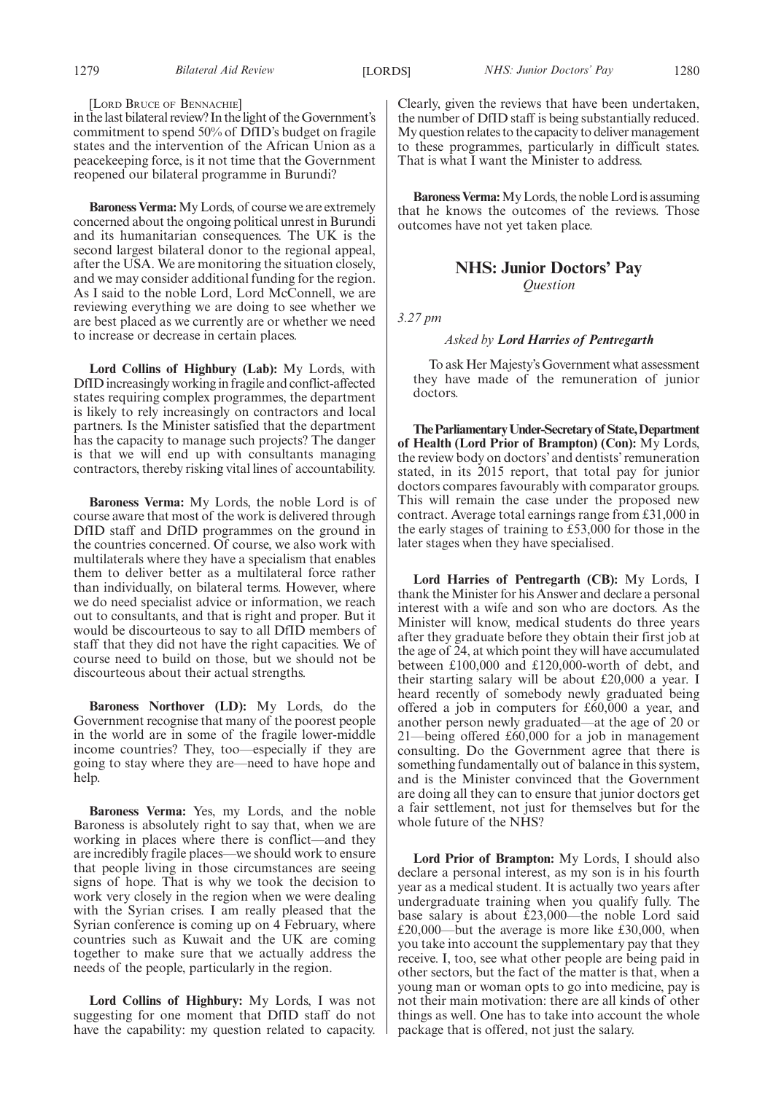#### 1279 *Bilateral Aid Review NHS: Junior Doctors' Pay* [LORDS] 1280

[LORD BRUCE OF BENNACHIE]

in the last bilateral review? In the light of the Government's commitment to spend 50% of DfID's budget on fragile states and the intervention of the African Union as a peacekeeping force, is it not time that the Government reopened our bilateral programme in Burundi?

**Baroness Verma:**My Lords, of course we are extremely concerned about the ongoing political unrest in Burundi and its humanitarian consequences. The UK is the second largest bilateral donor to the regional appeal, after the USA. We are monitoring the situation closely, and we may consider additional funding for the region. As I said to the noble Lord, Lord McConnell, we are reviewing everything we are doing to see whether we are best placed as we currently are or whether we need to increase or decrease in certain places.

**Lord Collins of Highbury (Lab):** My Lords, with DfID increasingly working in fragile and conflict-affected states requiring complex programmes, the department is likely to rely increasingly on contractors and local partners. Is the Minister satisfied that the department has the capacity to manage such projects? The danger is that we will end up with consultants managing contractors, thereby risking vital lines of accountability.

**Baroness Verma:** My Lords, the noble Lord is of course aware that most of the work is delivered through DfID staff and DfID programmes on the ground in the countries concerned. Of course, we also work with multilaterals where they have a specialism that enables them to deliver better as a multilateral force rather than individually, on bilateral terms. However, where we do need specialist advice or information, we reach out to consultants, and that is right and proper. But it would be discourteous to say to all DfID members of staff that they did not have the right capacities. We of course need to build on those, but we should not be discourteous about their actual strengths.

**Baroness Northover (LD):** My Lords, do the Government recognise that many of the poorest people in the world are in some of the fragile lower-middle income countries? They, too—especially if they are going to stay where they are—need to have hope and help.

**Baroness Verma:** Yes, my Lords, and the noble Baroness is absolutely right to say that, when we are working in places where there is conflict—and they are incredibly fragile places—we should work to ensure that people living in those circumstances are seeing signs of hope. That is why we took the decision to work very closely in the region when we were dealing with the Syrian crises. I am really pleased that the Syrian conference is coming up on 4 February, where countries such as Kuwait and the UK are coming together to make sure that we actually address the needs of the people, particularly in the region.

**Lord Collins of Highbury:** My Lords, I was not suggesting for one moment that DfID staff do not have the capability: my question related to capacity. Clearly, given the reviews that have been undertaken, the number of DfID staff is being substantially reduced. My question relates to the capacity to deliver management to these programmes, particularly in difficult states. That is what I want the Minister to address.

**Baroness Verma:**My Lords, the noble Lord is assuming that he knows the outcomes of the reviews. Those outcomes have not yet taken place.

#### **NHS: Junior Doctors' Pay** *Question*

*3.27 pm*

#### *Asked by Lord Harries of Pentregarth*

To ask Her Majesty's Government what assessment they have made of the remuneration of junior doctors.

**TheParliamentaryUnder-Secretaryof State,Department of Health (Lord Prior of Brampton) (Con):** My Lords, the review body on doctors' and dentists' remuneration stated, in its 2015 report, that total pay for junior doctors compares favourably with comparator groups. This will remain the case under the proposed new contract. Average total earnings range from £31,000 in the early stages of training to £53,000 for those in the later stages when they have specialised.

**Lord Harries of Pentregarth (CB):** My Lords, I thank the Minister for his Answer and declare a personal interest with a wife and son who are doctors. As the Minister will know, medical students do three years after they graduate before they obtain their first job at the age of 24, at which point they will have accumulated between £100,000 and £120,000-worth of debt, and their starting salary will be about £20,000 a year. I heard recently of somebody newly graduated being offered a job in computers for £60,000 a year, and another person newly graduated—at the age of 20 or 21—being offered £60,000 for a job in management consulting. Do the Government agree that there is something fundamentally out of balance in this system, and is the Minister convinced that the Government are doing all they can to ensure that junior doctors get a fair settlement, not just for themselves but for the whole future of the NHS?

**Lord Prior of Brampton:** My Lords, I should also declare a personal interest, as my son is in his fourth year as a medical student. It is actually two years after undergraduate training when you qualify fully. The base salary is about £23,000—the noble Lord said £20,000—but the average is more like £30,000, when you take into account the supplementary pay that they receive. I, too, see what other people are being paid in other sectors, but the fact of the matter is that, when a young man or woman opts to go into medicine, pay is not their main motivation: there are all kinds of other things as well. One has to take into account the whole package that is offered, not just the salary.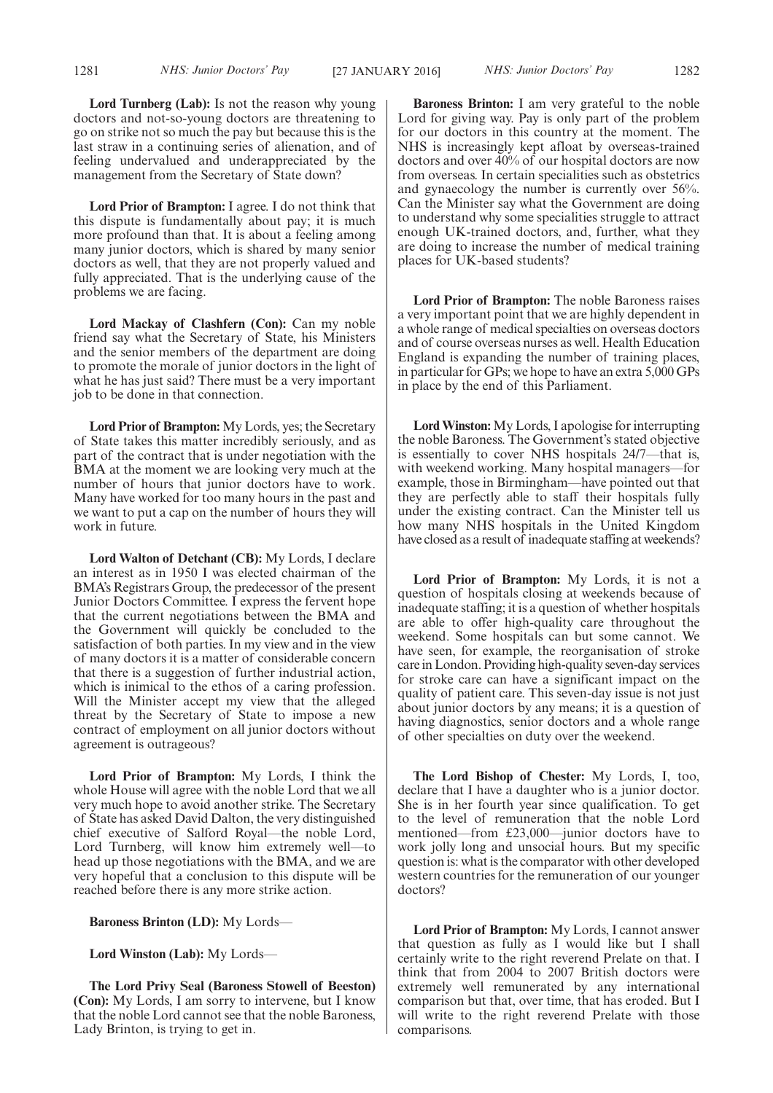**Lord Turnberg (Lab):** Is not the reason why young doctors and not-so-young doctors are threatening to go on strike not so much the pay but because this is the last straw in a continuing series of alienation, and of feeling undervalued and underappreciated by the management from the Secretary of State down?

**Lord Prior of Brampton:** I agree. I do not think that this dispute is fundamentally about pay; it is much more profound than that. It is about a feeling among many junior doctors, which is shared by many senior doctors as well, that they are not properly valued and fully appreciated. That is the underlying cause of the problems we are facing.

**Lord Mackay of Clashfern (Con):** Can my noble friend say what the Secretary of State, his Ministers and the senior members of the department are doing to promote the morale of junior doctors in the light of what he has just said? There must be a very important job to be done in that connection.

**Lord Prior of Brampton:** My Lords, yes; the Secretary of State takes this matter incredibly seriously, and as part of the contract that is under negotiation with the BMA at the moment we are looking very much at the number of hours that junior doctors have to work. Many have worked for too many hours in the past and we want to put a cap on the number of hours they will work in future.

**Lord Walton of Detchant (CB):** My Lords, I declare an interest as in 1950 I was elected chairman of the BMA's Registrars Group, the predecessor of the present Junior Doctors Committee. I express the fervent hope that the current negotiations between the BMA and the Government will quickly be concluded to the satisfaction of both parties. In my view and in the view of many doctors it is a matter of considerable concern that there is a suggestion of further industrial action, which is inimical to the ethos of a caring profession. Will the Minister accept my view that the alleged threat by the Secretary of State to impose a new contract of employment on all junior doctors without agreement is outrageous?

**Lord Prior of Brampton:** My Lords, I think the whole House will agree with the noble Lord that we all very much hope to avoid another strike. The Secretary of State has asked David Dalton, the very distinguished chief executive of Salford Royal—the noble Lord, Lord Turnberg, will know him extremely well—to head up those negotiations with the BMA, and we are very hopeful that a conclusion to this dispute will be reached before there is any more strike action.

**Baroness Brinton (LD):** My Lords—

**Lord Winston (Lab):** My Lords—

**The Lord Privy Seal (Baroness Stowell of Beeston) (Con):** My Lords, I am sorry to intervene, but I know that the noble Lord cannot see that the noble Baroness, Lady Brinton, is trying to get in.

**Baroness Brinton:** I am very grateful to the noble Lord for giving way. Pay is only part of the problem for our doctors in this country at the moment. The NHS is increasingly kept afloat by overseas-trained doctors and over 40% of our hospital doctors are now from overseas. In certain specialities such as obstetrics and gynaecology the number is currently over 56%. Can the Minister say what the Government are doing to understand why some specialities struggle to attract enough UK-trained doctors, and, further, what they are doing to increase the number of medical training places for UK-based students?

**Lord Prior of Brampton:** The noble Baroness raises a very important point that we are highly dependent in a whole range of medical specialties on overseas doctors and of course overseas nurses as well. Health Education England is expanding the number of training places, in particular for GPs; we hope to have an extra 5,000 GPs in place by the end of this Parliament.

**Lord Winston:** My Lords, I apologise for interrupting the noble Baroness. The Government's stated objective is essentially to cover NHS hospitals 24/7—that is, with weekend working. Many hospital managers—for example, those in Birmingham—have pointed out that they are perfectly able to staff their hospitals fully under the existing contract. Can the Minister tell us how many NHS hospitals in the United Kingdom have closed as a result of inadequate staffing at weekends?

**Lord Prior of Brampton:** My Lords, it is not a question of hospitals closing at weekends because of inadequate staffing; it is a question of whether hospitals are able to offer high-quality care throughout the weekend. Some hospitals can but some cannot. We have seen, for example, the reorganisation of stroke care in London. Providing high-quality seven-day services for stroke care can have a significant impact on the quality of patient care. This seven-day issue is not just about junior doctors by any means; it is a question of having diagnostics, senior doctors and a whole range of other specialties on duty over the weekend.

**The Lord Bishop of Chester:** My Lords, I, too, declare that I have a daughter who is a junior doctor. She is in her fourth year since qualification. To get to the level of remuneration that the noble Lord mentioned—from £23,000—junior doctors have to work jolly long and unsocial hours. But my specific question is: what is the comparator with other developed western countries for the remuneration of our younger doctors?

**Lord Prior of Brampton:** My Lords, I cannot answer that question as fully as I would like but I shall certainly write to the right reverend Prelate on that. I think that from 2004 to 2007 British doctors were extremely well remunerated by any international comparison but that, over time, that has eroded. But I will write to the right reverend Prelate with those comparisons.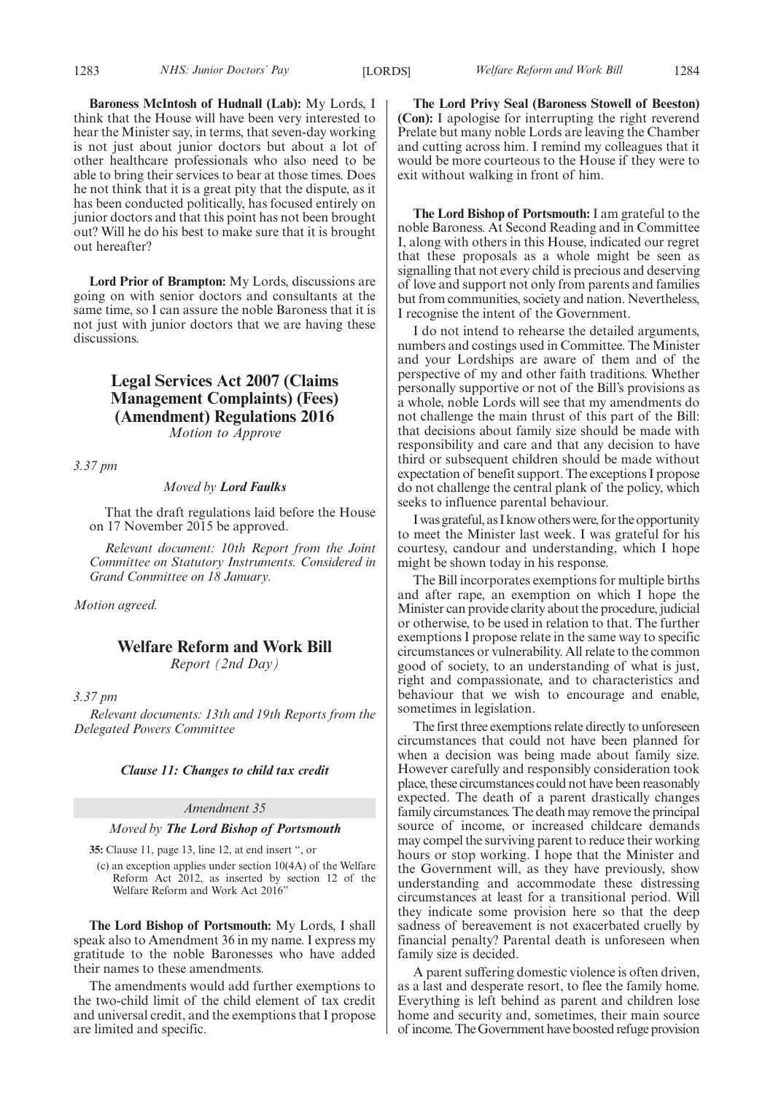**Baroness McIntosh of Hudnall (Lab):** My Lords, I think that the House will have been very interested to hear the Minister say, in terms, that seven-day working is not just about junior doctors but about a lot of other healthcare professionals who also need to be able to bring their services to bear at those times. Does he not think that it is a great pity that the dispute, as it has been conducted politically, has focused entirely on junior doctors and that this point has not been brought out? Will he do his best to make sure that it is brought out hereafter?

**Lord Prior of Brampton:** My Lords, discussions are going on with senior doctors and consultants at the same time, so I can assure the noble Baroness that it is not just with junior doctors that we are having these discussions.

### **Legal Services Act 2007 (Claims Management Complaints) (Fees) (Amendment) Regulations 2016**

*Motion to Approve*

*3.37 pm*

#### *Moved by Lord Faulks*

That the draft regulations laid before the House on 17 November 2015 be approved.

*Relevant document: 10th Report from the Joint Committee on Statutory Instruments. Considered in Grand Committee on 18 January.*

*Motion agreed.*

## **Welfare Reform and Work Bill**

*Report (2nd Day)*

*3.37 pm*

*Relevant documents: 13th and 19th Reports from the Delegated Powers Committee*

#### *Clause 11: Changes to child tax credit*

#### *Amendment 35*

#### *Moved by The Lord Bishop of Portsmouth*

**35:** Clause 11, page 13, line 12, at end insert ", or

(c) an exception applies under section 10(4A) of the Welfare Reform Act 2012, as inserted by section 12 of the Welfare Reform and Work Act 2016"

**The Lord Bishop of Portsmouth:** My Lords, I shall speak also to Amendment 36 in my name. I express my gratitude to the noble Baronesses who have added their names to these amendments.

The amendments would add further exemptions to the two-child limit of the child element of tax credit and universal credit, and the exemptions that I propose are limited and specific.

**The Lord Privy Seal (Baroness Stowell of Beeston) (Con):** I apologise for interrupting the right reverend Prelate but many noble Lords are leaving the Chamber and cutting across him. I remind my colleagues that it would be more courteous to the House if they were to exit without walking in front of him.

**The Lord Bishop of Portsmouth:** I am grateful to the noble Baroness. At Second Reading and in Committee I, along with others in this House, indicated our regret that these proposals as a whole might be seen as signalling that not every child is precious and deserving of love and support not only from parents and families but from communities, society and nation. Nevertheless, I recognise the intent of the Government.

I do not intend to rehearse the detailed arguments, numbers and costings used in Committee. The Minister and your Lordships are aware of them and of the perspective of my and other faith traditions. Whether personally supportive or not of the Bill's provisions as a whole, noble Lords will see that my amendments do not challenge the main thrust of this part of the Bill: that decisions about family size should be made with responsibility and care and that any decision to have third or subsequent children should be made without expectation of benefit support. The exceptions I propose do not challenge the central plank of the policy, which seeks to influence parental behaviour.

Iwas grateful, as I know otherswere, for the opportunity to meet the Minister last week. I was grateful for his courtesy, candour and understanding, which I hope might be shown today in his response.

The Bill incorporates exemptions for multiple births and after rape, an exemption on which I hope the Minister can provide clarity about the procedure, judicial or otherwise, to be used in relation to that. The further exemptions I propose relate in the same way to specific circumstances or vulnerability. All relate to the common good of society, to an understanding of what is just, right and compassionate, and to characteristics and behaviour that we wish to encourage and enable, sometimes in legislation.

The first three exemptions relate directly to unforeseen circumstances that could not have been planned for when a decision was being made about family size. However carefully and responsibly consideration took place, these circumstances could not have been reasonably expected. The death of a parent drastically changes family circumstances. The death may remove the principal source of income, or increased childcare demands may compel the surviving parent to reduce their working hours or stop working. I hope that the Minister and the Government will, as they have previously, show understanding and accommodate these distressing circumstances at least for a transitional period. Will they indicate some provision here so that the deep sadness of bereavement is not exacerbated cruelly by financial penalty? Parental death is unforeseen when family size is decided.

A parent suffering domestic violence is often driven, as a last and desperate resort, to flee the family home. Everything is left behind as parent and children lose home and security and, sometimes, their main source of income.TheGovernment have boosted refuge provision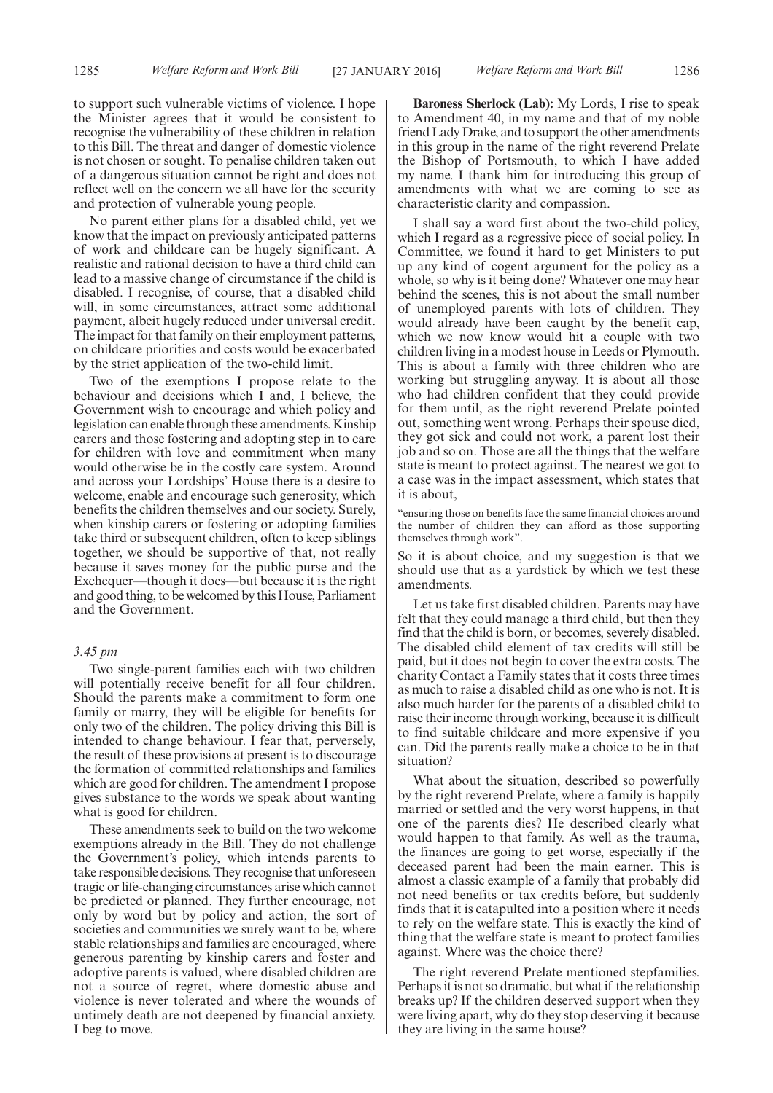to support such vulnerable victims of violence. I hope the Minister agrees that it would be consistent to recognise the vulnerability of these children in relation to this Bill. The threat and danger of domestic violence is not chosen or sought. To penalise children taken out of a dangerous situation cannot be right and does not reflect well on the concern we all have for the security and protection of vulnerable young people.

No parent either plans for a disabled child, yet we know that the impact on previously anticipated patterns of work and childcare can be hugely significant. A realistic and rational decision to have a third child can lead to a massive change of circumstance if the child is disabled. I recognise, of course, that a disabled child will, in some circumstances, attract some additional payment, albeit hugely reduced under universal credit. The impact for that family on their employment patterns, on childcare priorities and costs would be exacerbated by the strict application of the two-child limit.

Two of the exemptions I propose relate to the behaviour and decisions which I and, I believe, the Government wish to encourage and which policy and legislation can enable through these amendments. Kinship carers and those fostering and adopting step in to care for children with love and commitment when many would otherwise be in the costly care system. Around and across your Lordships' House there is a desire to welcome, enable and encourage such generosity, which benefits the children themselves and our society. Surely, when kinship carers or fostering or adopting families take third or subsequent children, often to keep siblings together, we should be supportive of that, not really because it saves money for the public purse and the Exchequer—though it does—but because it is the right and good thing, to be welcomed by this House, Parliament and the Government.

#### *3.45 pm*

Two single-parent families each with two children will potentially receive benefit for all four children. Should the parents make a commitment to form one family or marry, they will be eligible for benefits for only two of the children. The policy driving this Bill is intended to change behaviour. I fear that, perversely, the result of these provisions at present is to discourage the formation of committed relationships and families which are good for children. The amendment I propose gives substance to the words we speak about wanting what is good for children.

These amendments seek to build on the two welcome exemptions already in the Bill. They do not challenge the Government's policy, which intends parents to take responsible decisions. They recognise that unforeseen tragic or life-changing circumstances arise which cannot be predicted or planned. They further encourage, not only by word but by policy and action, the sort of societies and communities we surely want to be, where stable relationships and families are encouraged, where generous parenting by kinship carers and foster and adoptive parents is valued, where disabled children are not a source of regret, where domestic abuse and violence is never tolerated and where the wounds of untimely death are not deepened by financial anxiety. I beg to move.

**Baroness Sherlock (Lab):** My Lords, I rise to speak to Amendment 40, in my name and that of my noble friend Lady Drake, and to support the other amendments in this group in the name of the right reverend Prelate the Bishop of Portsmouth, to which I have added my name. I thank him for introducing this group of amendments with what we are coming to see as characteristic clarity and compassion.

I shall say a word first about the two-child policy, which I regard as a regressive piece of social policy. In Committee, we found it hard to get Ministers to put up any kind of cogent argument for the policy as a whole, so why is it being done? Whatever one may hear behind the scenes, this is not about the small number of unemployed parents with lots of children. They would already have been caught by the benefit cap, which we now know would hit a couple with two children living in a modest house in Leeds or Plymouth. This is about a family with three children who are working but struggling anyway. It is about all those who had children confident that they could provide for them until, as the right reverend Prelate pointed out, something went wrong. Perhaps their spouse died, they got sick and could not work, a parent lost their job and so on. Those are all the things that the welfare state is meant to protect against. The nearest we got to a case was in the impact assessment, which states that it is about,

"ensuring those on benefits face the same financial choices around the number of children they can afford as those supporting themselves through work".

So it is about choice, and my suggestion is that we should use that as a yardstick by which we test these amendments.

Let us take first disabled children. Parents may have felt that they could manage a third child, but then they find that the child is born, or becomes, severely disabled. The disabled child element of tax credits will still be paid, but it does not begin to cover the extra costs. The charity Contact a Family states that it costs three times as much to raise a disabled child as one who is not. It is also much harder for the parents of a disabled child to raise their income through working, because it is difficult to find suitable childcare and more expensive if you can. Did the parents really make a choice to be in that situation?

What about the situation, described so powerfully by the right reverend Prelate, where a family is happily married or settled and the very worst happens, in that one of the parents dies? He described clearly what would happen to that family. As well as the trauma, the finances are going to get worse, especially if the deceased parent had been the main earner. This is almost a classic example of a family that probably did not need benefits or tax credits before, but suddenly finds that it is catapulted into a position where it needs to rely on the welfare state. This is exactly the kind of thing that the welfare state is meant to protect families against. Where was the choice there?

The right reverend Prelate mentioned stepfamilies. Perhaps it is not so dramatic, but what if the relationship breaks up? If the children deserved support when they were living apart, why do they stop deserving it because they are living in the same house?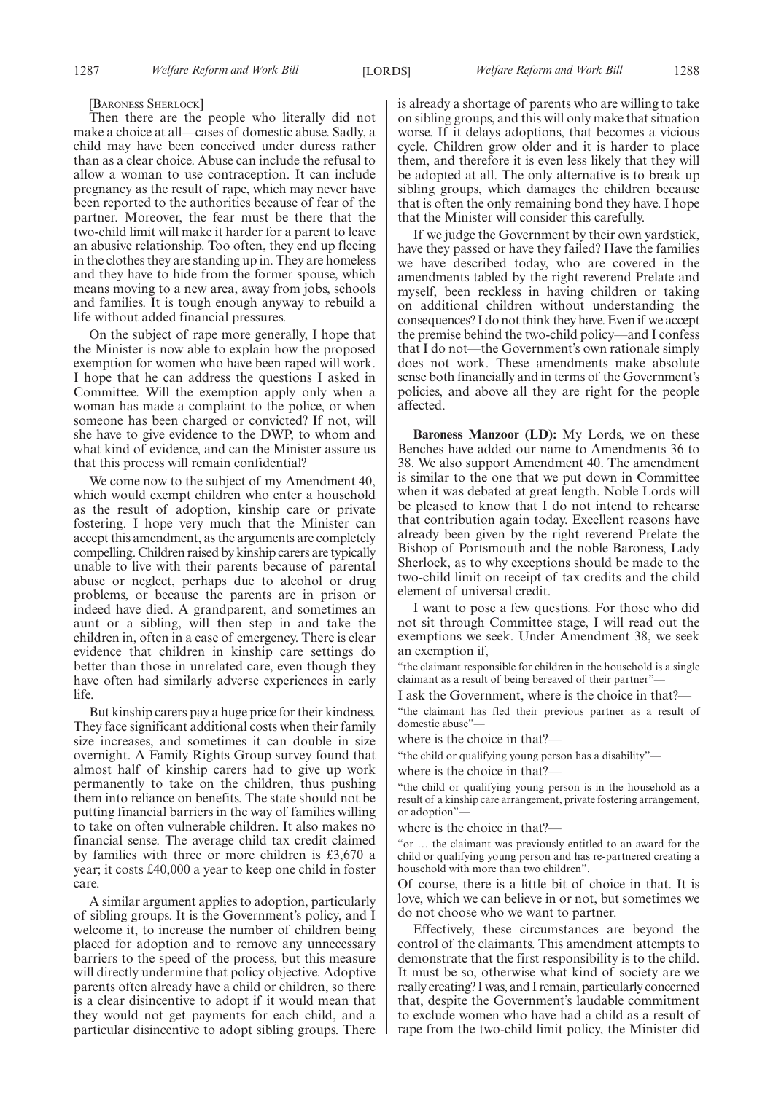[BARONESS SHERLOCK]

Then there are the people who literally did not make a choice at all—cases of domestic abuse. Sadly, a child may have been conceived under duress rather than as a clear choice. Abuse can include the refusal to allow a woman to use contraception. It can include pregnancy as the result of rape, which may never have been reported to the authorities because of fear of the partner. Moreover, the fear must be there that the two-child limit will make it harder for a parent to leave an abusive relationship. Too often, they end up fleeing in the clothes they are standing up in. They are homeless and they have to hide from the former spouse, which means moving to a new area, away from jobs, schools and families. It is tough enough anyway to rebuild a life without added financial pressures.

On the subject of rape more generally, I hope that the Minister is now able to explain how the proposed exemption for women who have been raped will work. I hope that he can address the questions I asked in Committee. Will the exemption apply only when a woman has made a complaint to the police, or when someone has been charged or convicted? If not, will she have to give evidence to the DWP, to whom and what kind of evidence, and can the Minister assure us that this process will remain confidential?

We come now to the subject of my Amendment 40, which would exempt children who enter a household as the result of adoption, kinship care or private fostering. I hope very much that the Minister can accept this amendment, as the arguments are completely compelling. Children raised by kinship carers are typically unable to live with their parents because of parental abuse or neglect, perhaps due to alcohol or drug problems, or because the parents are in prison or indeed have died. A grandparent, and sometimes an aunt or a sibling, will then step in and take the children in, often in a case of emergency. There is clear evidence that children in kinship care settings do better than those in unrelated care, even though they have often had similarly adverse experiences in early life.

But kinship carers pay a huge price for their kindness. They face significant additional costs when their family size increases, and sometimes it can double in size overnight. A Family Rights Group survey found that almost half of kinship carers had to give up work permanently to take on the children, thus pushing them into reliance on benefits. The state should not be putting financial barriers in the way of families willing to take on often vulnerable children. It also makes no financial sense. The average child tax credit claimed by families with three or more children is £3,670 a year; it costs £40,000 a year to keep one child in foster care.

A similar argument applies to adoption, particularly of sibling groups. It is the Government's policy, and I welcome it, to increase the number of children being placed for adoption and to remove any unnecessary barriers to the speed of the process, but this measure will directly undermine that policy objective. Adoptive parents often already have a child or children, so there is a clear disincentive to adopt if it would mean that they would not get payments for each child, and a particular disincentive to adopt sibling groups. There is already a shortage of parents who are willing to take on sibling groups, and this will only make that situation worse. If it delays adoptions, that becomes a vicious cycle. Children grow older and it is harder to place them, and therefore it is even less likely that they will be adopted at all. The only alternative is to break up sibling groups, which damages the children because that is often the only remaining bond they have. I hope that the Minister will consider this carefully.

If we judge the Government by their own yardstick, have they passed or have they failed? Have the families we have described today, who are covered in the amendments tabled by the right reverend Prelate and myself, been reckless in having children or taking on additional children without understanding the consequences? I do not think they have. Even if we accept the premise behind the two-child policy—and I confess that I do not—the Government's own rationale simply does not work. These amendments make absolute sense both financially and in terms of the Government's policies, and above all they are right for the people affected.

**Baroness Manzoor (LD):** My Lords, we on these Benches have added our name to Amendments 36 to 38. We also support Amendment 40. The amendment is similar to the one that we put down in Committee when it was debated at great length. Noble Lords will be pleased to know that I do not intend to rehearse that contribution again today. Excellent reasons have already been given by the right reverend Prelate the Bishop of Portsmouth and the noble Baroness, Lady Sherlock, as to why exceptions should be made to the two-child limit on receipt of tax credits and the child element of universal credit.

I want to pose a few questions. For those who did not sit through Committee stage, I will read out the exemptions we seek. Under Amendment 38, we seek an exemption if,

"the claimant responsible for children in the household is a single claimant as a result of being bereaved of their partner"—

I ask the Government, where is the choice in that?—

"the claimant has fled their previous partner as a result of domestic abuse"—

where is the choice in that?—

"the child or qualifying young person has a disability"—

where is the choice in that?-

"the child or qualifying young person is in the household as a result of a kinship care arrangement, private fostering arrangement, or adoption"

where is the choice in that?—

"or … the claimant was previously entitled to an award for the child or qualifying young person and has re-partnered creating a household with more than two children".

Of course, there is a little bit of choice in that. It is love, which we can believe in or not, but sometimes we do not choose who we want to partner.

Effectively, these circumstances are beyond the control of the claimants. This amendment attempts to demonstrate that the first responsibility is to the child. It must be so, otherwise what kind of society are we really creating? I was, and I remain, particularly concerned that, despite the Government's laudable commitment to exclude women who have had a child as a result of rape from the two-child limit policy, the Minister did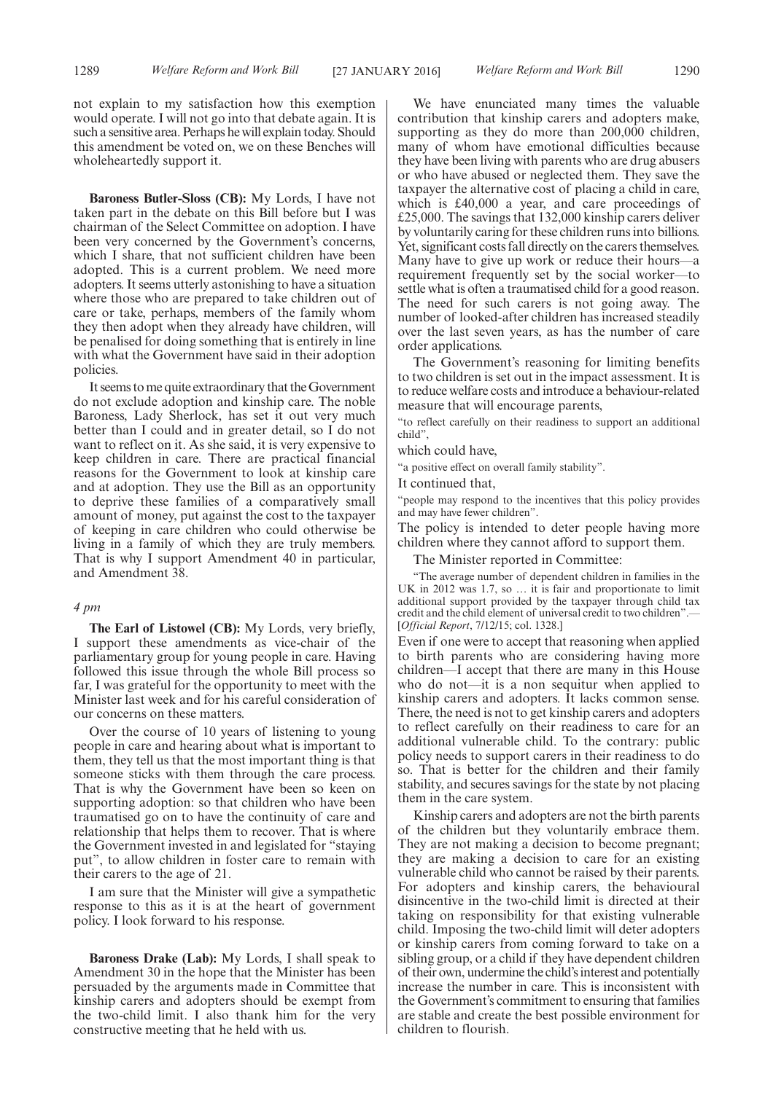not explain to my satisfaction how this exemption would operate. I will not go into that debate again. It is such a sensitive area. Perhaps he will explain today. Should this amendment be voted on, we on these Benches will wholeheartedly support it.

**Baroness Butler-Sloss (CB):** My Lords, I have not taken part in the debate on this Bill before but I was chairman of the Select Committee on adoption. I have been very concerned by the Government's concerns, which I share, that not sufficient children have been adopted. This is a current problem. We need more adopters. It seems utterly astonishing to have a situation where those who are prepared to take children out of care or take, perhaps, members of the family whom they then adopt when they already have children, will be penalised for doing something that is entirely in line with what the Government have said in their adoption policies.

It seems tome quite extraordinary that theGovernment do not exclude adoption and kinship care. The noble Baroness, Lady Sherlock, has set it out very much better than I could and in greater detail, so I do not want to reflect on it. As she said, it is very expensive to keep children in care. There are practical financial reasons for the Government to look at kinship care and at adoption. They use the Bill as an opportunity to deprive these families of a comparatively small amount of money, put against the cost to the taxpayer of keeping in care children who could otherwise be living in a family of which they are truly members. That is why I support Amendment 40 in particular, and Amendment 38.

#### *4 pm*

**The Earl of Listowel (CB):** My Lords, very briefly, I support these amendments as vice-chair of the parliamentary group for young people in care. Having followed this issue through the whole Bill process so far, I was grateful for the opportunity to meet with the Minister last week and for his careful consideration of our concerns on these matters.

Over the course of 10 years of listening to young people in care and hearing about what is important to them, they tell us that the most important thing is that someone sticks with them through the care process. That is why the Government have been so keen on supporting adoption: so that children who have been traumatised go on to have the continuity of care and relationship that helps them to recover. That is where the Government invested in and legislated for "staying put", to allow children in foster care to remain with their carers to the age of 21.

I am sure that the Minister will give a sympathetic response to this as it is at the heart of government policy. I look forward to his response.

**Baroness Drake (Lab):** My Lords, I shall speak to Amendment 30 in the hope that the Minister has been persuaded by the arguments made in Committee that kinship carers and adopters should be exempt from the two-child limit. I also thank him for the very constructive meeting that he held with us.

We have enunciated many times the valuable contribution that kinship carers and adopters make, supporting as they do more than 200,000 children, many of whom have emotional difficulties because they have been living with parents who are drug abusers or who have abused or neglected them. They save the taxpayer the alternative cost of placing a child in care, which is £40,000 a year, and care proceedings of £25,000. The savings that 132,000 kinship carers deliver by voluntarily caring for these children runs into billions. Yet, significant costs fall directly on the carers themselves. Many have to give up work or reduce their hours—a requirement frequently set by the social worker—to settle what is often a traumatised child for a good reason. The need for such carers is not going away. The number of looked-after children has increased steadily over the last seven years, as has the number of care order applications.

The Government's reasoning for limiting benefits to two children is set out in the impact assessment. It is to reduce welfare costs and introduce a behaviour-related measure that will encourage parents,

"to reflect carefully on their readiness to support an additional child",

which could have,

"a positive effect on overall family stability".

It continued that,

"people may respond to the incentives that this policy provides and may have fewer children".

The policy is intended to deter people having more children where they cannot afford to support them.

The Minister reported in Committee:

"The average number of dependent children in families in the UK in 2012 was 1.7, so … it is fair and proportionate to limit additional support provided by the taxpayer through child tax credit and the child element of universal credit to two children".— [*Official Report*, 7/12/15; col. 1328.]

Even if one were to accept that reasoning when applied to birth parents who are considering having more children—I accept that there are many in this House who do not—it is a non sequitur when applied to kinship carers and adopters. It lacks common sense. There, the need is not to get kinship carers and adopters to reflect carefully on their readiness to care for an additional vulnerable child. To the contrary: public policy needs to support carers in their readiness to do so. That is better for the children and their family stability, and secures savings for the state by not placing them in the care system.

Kinship carers and adopters are not the birth parents of the children but they voluntarily embrace them. They are not making a decision to become pregnant; they are making a decision to care for an existing vulnerable child who cannot be raised by their parents. For adopters and kinship carers, the behavioural disincentive in the two-child limit is directed at their taking on responsibility for that existing vulnerable child. Imposing the two-child limit will deter adopters or kinship carers from coming forward to take on a sibling group, or a child if they have dependent children of their own, undermine the child's interest and potentially increase the number in care. This is inconsistent with the Government's commitment to ensuring that families are stable and create the best possible environment for children to flourish.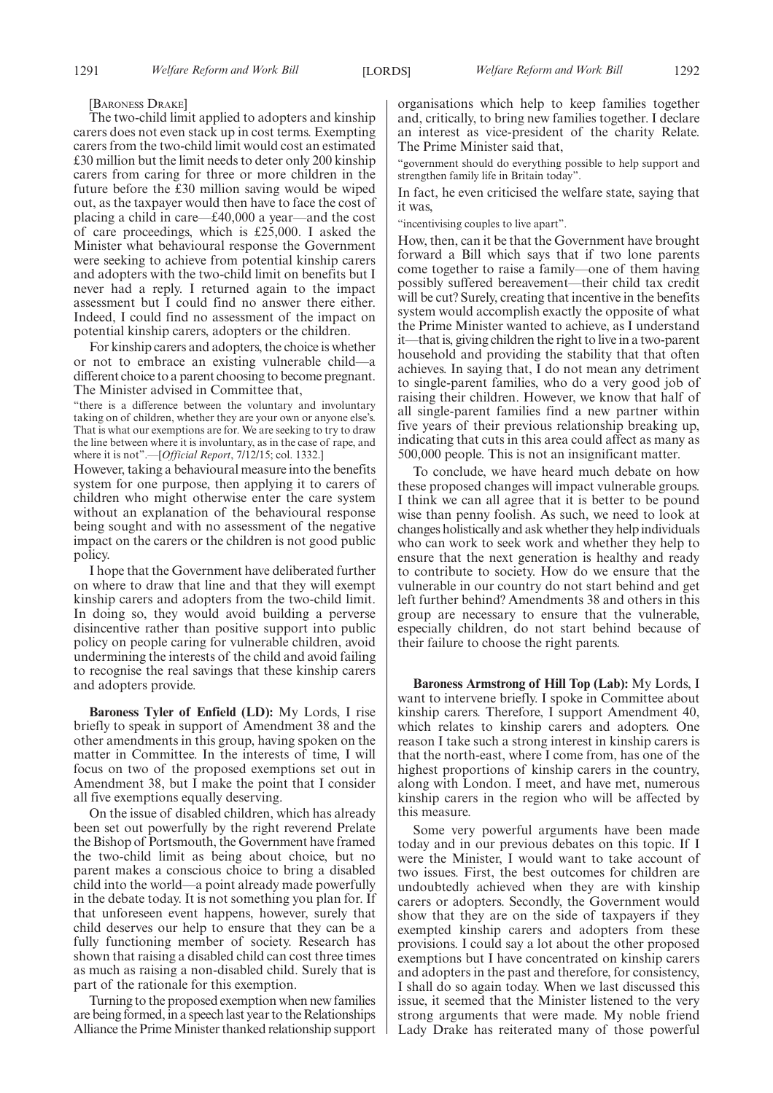[BARONESS DRAKE]

The two-child limit applied to adopters and kinship carers does not even stack up in cost terms. Exempting carers from the two-child limit would cost an estimated £30 million but the limit needs to deter only 200 kinship carers from caring for three or more children in the future before the £30 million saving would be wiped out, as the taxpayer would then have to face the cost of placing a child in care—£40,000 a year—and the cost of care proceedings, which is £25,000. I asked the Minister what behavioural response the Government were seeking to achieve from potential kinship carers and adopters with the two-child limit on benefits but I never had a reply. I returned again to the impact assessment but I could find no answer there either. Indeed, I could find no assessment of the impact on potential kinship carers, adopters or the children.

For kinship carers and adopters, the choice is whether or not to embrace an existing vulnerable child—a different choice to a parent choosing to become pregnant. The Minister advised in Committee that,

"there is a difference between the voluntary and involuntary taking on of children, whether they are your own or anyone else's. That is what our exemptions are for. We are seeking to try to draw the line between where it is involuntary, as in the case of rape, and where it is not".—[*Official Report*, 7/12/15; col. 1332.]

However, taking a behavioural measure into the benefits system for one purpose, then applying it to carers of children who might otherwise enter the care system without an explanation of the behavioural response being sought and with no assessment of the negative impact on the carers or the children is not good public policy.

I hope that the Government have deliberated further on where to draw that line and that they will exempt kinship carers and adopters from the two-child limit. In doing so, they would avoid building a perverse disincentive rather than positive support into public policy on people caring for vulnerable children, avoid undermining the interests of the child and avoid failing to recognise the real savings that these kinship carers and adopters provide.

**Baroness Tyler of Enfield (LD):** My Lords, I rise briefly to speak in support of Amendment 38 and the other amendments in this group, having spoken on the matter in Committee. In the interests of time, I will focus on two of the proposed exemptions set out in Amendment 38, but I make the point that I consider all five exemptions equally deserving.

On the issue of disabled children, which has already been set out powerfully by the right reverend Prelate the Bishop of Portsmouth, the Government have framed the two-child limit as being about choice, but no parent makes a conscious choice to bring a disabled child into the world—a point already made powerfully in the debate today. It is not something you plan for. If that unforeseen event happens, however, surely that child deserves our help to ensure that they can be a fully functioning member of society. Research has shown that raising a disabled child can cost three times as much as raising a non-disabled child. Surely that is part of the rationale for this exemption.

Turning to the proposed exemption when new families are being formed, in a speech last year to the Relationships Alliance the Prime Minister thanked relationship support organisations which help to keep families together and, critically, to bring new families together. I declare an interest as vice-president of the charity Relate. The Prime Minister said that,

"government should do everything possible to help support and strengthen family life in Britain today".

In fact, he even criticised the welfare state, saying that it was,

"incentivising couples to live apart".

How, then, can it be that the Government have brought forward a Bill which says that if two lone parents come together to raise a family—one of them having possibly suffered bereavement—their child tax credit will be cut? Surely, creating that incentive in the benefits system would accomplish exactly the opposite of what the Prime Minister wanted to achieve, as I understand it—that is, giving children the right to live in a two-parent household and providing the stability that that often achieves. In saying that, I do not mean any detriment to single-parent families, who do a very good job of raising their children. However, we know that half of all single-parent families find a new partner within five years of their previous relationship breaking up, indicating that cuts in this area could affect as many as 500,000 people. This is not an insignificant matter.

To conclude, we have heard much debate on how these proposed changes will impact vulnerable groups. I think we can all agree that it is better to be pound wise than penny foolish. As such, we need to look at changes holistically and ask whether they help individuals who can work to seek work and whether they help to ensure that the next generation is healthy and ready to contribute to society. How do we ensure that the vulnerable in our country do not start behind and get left further behind? Amendments 38 and others in this group are necessary to ensure that the vulnerable, especially children, do not start behind because of their failure to choose the right parents.

**Baroness Armstrong of Hill Top (Lab):** My Lords, I want to intervene briefly. I spoke in Committee about kinship carers. Therefore, I support Amendment 40, which relates to kinship carers and adopters. One reason I take such a strong interest in kinship carers is that the north-east, where I come from, has one of the highest proportions of kinship carers in the country, along with London. I meet, and have met, numerous kinship carers in the region who will be affected by this measure.

Some very powerful arguments have been made today and in our previous debates on this topic. If I were the Minister, I would want to take account of two issues. First, the best outcomes for children are undoubtedly achieved when they are with kinship carers or adopters. Secondly, the Government would show that they are on the side of taxpayers if they exempted kinship carers and adopters from these provisions. I could say a lot about the other proposed exemptions but I have concentrated on kinship carers and adopters in the past and therefore, for consistency, I shall do so again today. When we last discussed this issue, it seemed that the Minister listened to the very strong arguments that were made. My noble friend Lady Drake has reiterated many of those powerful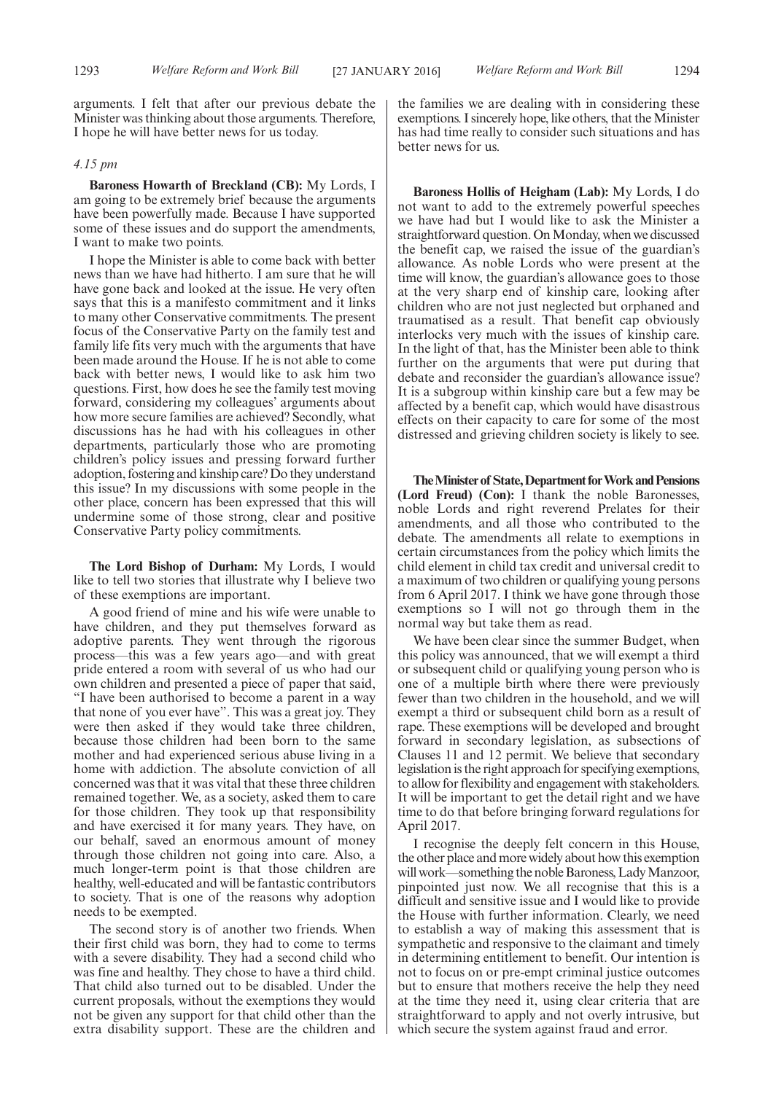arguments. I felt that after our previous debate the Minister was thinking about those arguments. Therefore, I hope he will have better news for us today.

#### *4.15 pm*

**Baroness Howarth of Breckland (CB):** My Lords, I am going to be extremely brief because the arguments have been powerfully made. Because I have supported some of these issues and do support the amendments, I want to make two points.

I hope the Minister is able to come back with better news than we have had hitherto. I am sure that he will have gone back and looked at the issue. He very often says that this is a manifesto commitment and it links to many other Conservative commitments. The present focus of the Conservative Party on the family test and family life fits very much with the arguments that have been made around the House. If he is not able to come back with better news, I would like to ask him two questions. First, how does he see the family test moving forward, considering my colleagues' arguments about how more secure families are achieved? Secondly, what discussions has he had with his colleagues in other departments, particularly those who are promoting children's policy issues and pressing forward further adoption, fostering and kinship care? Do they understand this issue? In my discussions with some people in the other place, concern has been expressed that this will undermine some of those strong, clear and positive Conservative Party policy commitments.

**The Lord Bishop of Durham:** My Lords, I would like to tell two stories that illustrate why I believe two of these exemptions are important.

A good friend of mine and his wife were unable to have children, and they put themselves forward as adoptive parents. They went through the rigorous process—this was a few years ago—and with great pride entered a room with several of us who had our own children and presented a piece of paper that said, "I have been authorised to become a parent in a way that none of you ever have". This was a great joy. They were then asked if they would take three children, because those children had been born to the same mother and had experienced serious abuse living in a home with addiction. The absolute conviction of all concerned was that it was vital that these three children remained together. We, as a society, asked them to care for those children. They took up that responsibility and have exercised it for many years. They have, on our behalf, saved an enormous amount of money through those children not going into care. Also, a much longer-term point is that those children are healthy, well-educated and will be fantastic contributors to society. That is one of the reasons why adoption needs to be exempted.

The second story is of another two friends. When their first child was born, they had to come to terms with a severe disability. They had a second child who was fine and healthy. They chose to have a third child. That child also turned out to be disabled. Under the current proposals, without the exemptions they would not be given any support for that child other than the extra disability support. These are the children and the families we are dealing with in considering these exemptions. I sincerely hope, like others, that the Minister has had time really to consider such situations and has better news for us.

**Baroness Hollis of Heigham (Lab):** My Lords, I do not want to add to the extremely powerful speeches we have had but I would like to ask the Minister a straightforward question. On Monday, when we discussed the benefit cap, we raised the issue of the guardian's allowance. As noble Lords who were present at the time will know, the guardian's allowance goes to those at the very sharp end of kinship care, looking after children who are not just neglected but orphaned and traumatised as a result. That benefit cap obviously interlocks very much with the issues of kinship care. In the light of that, has the Minister been able to think further on the arguments that were put during that debate and reconsider the guardian's allowance issue? It is a subgroup within kinship care but a few may be affected by a benefit cap, which would have disastrous effects on their capacity to care for some of the most distressed and grieving children society is likely to see.

**TheMinister of State,Department forWork andPensions (Lord Freud) (Con):** I thank the noble Baronesses, noble Lords and right reverend Prelates for their amendments, and all those who contributed to the debate. The amendments all relate to exemptions in certain circumstances from the policy which limits the child element in child tax credit and universal credit to a maximum of two children or qualifying young persons from 6 April 2017. I think we have gone through those exemptions so I will not go through them in the normal way but take them as read.

We have been clear since the summer Budget, when this policy was announced, that we will exempt a third or subsequent child or qualifying young person who is one of a multiple birth where there were previously fewer than two children in the household, and we will exempt a third or subsequent child born as a result of rape. These exemptions will be developed and brought forward in secondary legislation, as subsections of Clauses 11 and 12 permit. We believe that secondary legislation is the right approach for specifying exemptions, to allow for flexibility and engagement with stakeholders. It will be important to get the detail right and we have time to do that before bringing forward regulations for April 2017.

I recognise the deeply felt concern in this House, the other place and more widely about how this exemption will work—something the noble Baroness, Lady Manzoor, pinpointed just now. We all recognise that this is a difficult and sensitive issue and I would like to provide the House with further information. Clearly, we need to establish a way of making this assessment that is sympathetic and responsive to the claimant and timely in determining entitlement to benefit. Our intention is not to focus on or pre-empt criminal justice outcomes but to ensure that mothers receive the help they need at the time they need it, using clear criteria that are straightforward to apply and not overly intrusive, but which secure the system against fraud and error.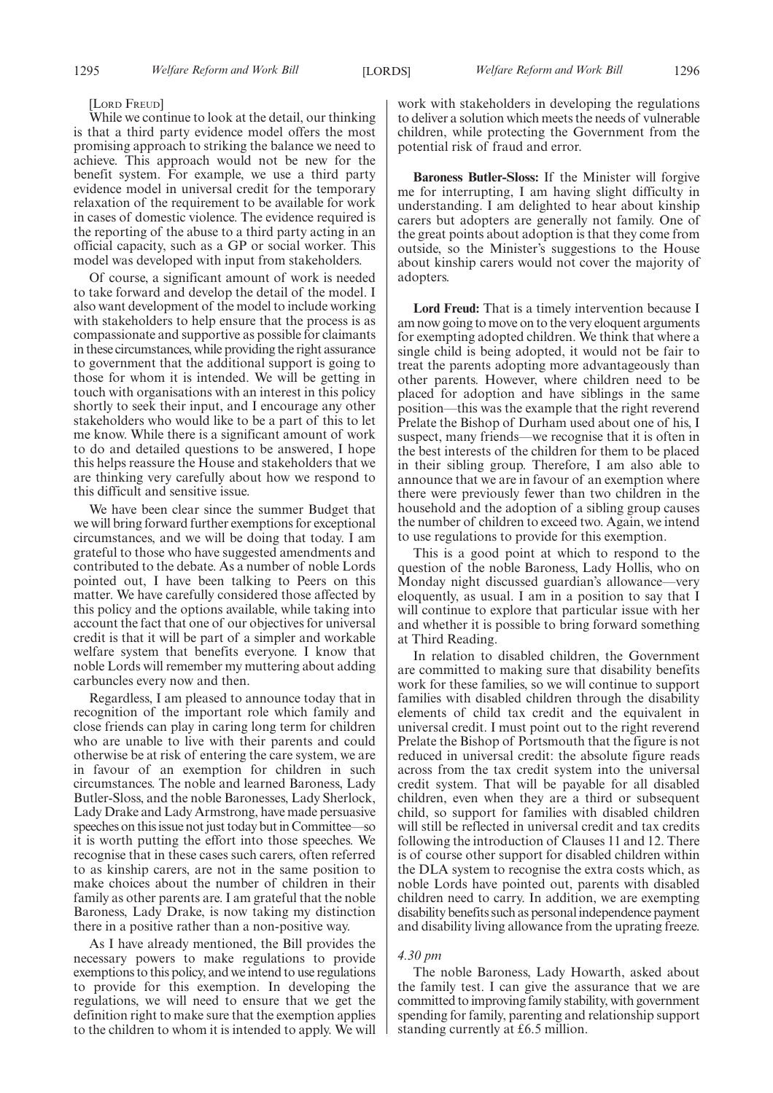#### [LORD FREUD]

While we continue to look at the detail, our thinking is that a third party evidence model offers the most promising approach to striking the balance we need to achieve. This approach would not be new for the benefit system. For example, we use a third party evidence model in universal credit for the temporary relaxation of the requirement to be available for work in cases of domestic violence. The evidence required is the reporting of the abuse to a third party acting in an official capacity, such as a GP or social worker. This model was developed with input from stakeholders.

Of course, a significant amount of work is needed to take forward and develop the detail of the model. I also want development of the model to include working with stakeholders to help ensure that the process is as compassionate and supportive as possible for claimants in these circumstances, while providing the right assurance to government that the additional support is going to those for whom it is intended. We will be getting in touch with organisations with an interest in this policy shortly to seek their input, and I encourage any other stakeholders who would like to be a part of this to let me know. While there is a significant amount of work to do and detailed questions to be answered, I hope this helps reassure the House and stakeholders that we are thinking very carefully about how we respond to this difficult and sensitive issue.

We have been clear since the summer Budget that we will bring forward further exemptions for exceptional circumstances, and we will be doing that today. I am grateful to those who have suggested amendments and contributed to the debate. As a number of noble Lords pointed out, I have been talking to Peers on this matter. We have carefully considered those affected by this policy and the options available, while taking into account the fact that one of our objectives for universal credit is that it will be part of a simpler and workable welfare system that benefits everyone. I know that noble Lords will remember my muttering about adding carbuncles every now and then.

Regardless, I am pleased to announce today that in recognition of the important role which family and close friends can play in caring long term for children who are unable to live with their parents and could otherwise be at risk of entering the care system, we are in favour of an exemption for children in such circumstances. The noble and learned Baroness, Lady Butler-Sloss, and the noble Baronesses, Lady Sherlock, Lady Drake and Lady Armstrong, have made persuasive speeches on this issue not just today but in Committee—so it is worth putting the effort into those speeches. We recognise that in these cases such carers, often referred to as kinship carers, are not in the same position to make choices about the number of children in their family as other parents are. I am grateful that the noble Baroness, Lady Drake, is now taking my distinction there in a positive rather than a non-positive way.

As I have already mentioned, the Bill provides the necessary powers to make regulations to provide exemptions to this policy, and we intend to use regulations to provide for this exemption. In developing the regulations, we will need to ensure that we get the definition right to make sure that the exemption applies to the children to whom it is intended to apply. We will work with stakeholders in developing the regulations to deliver a solution which meets the needs of vulnerable children, while protecting the Government from the potential risk of fraud and error.

**Baroness Butler-Sloss:** If the Minister will forgive me for interrupting, I am having slight difficulty in understanding. I am delighted to hear about kinship carers but adopters are generally not family. One of the great points about adoption is that they come from outside, so the Minister's suggestions to the House about kinship carers would not cover the majority of adopters.

**Lord Freud:** That is a timely intervention because I am now going to move on to the very eloquent arguments for exempting adopted children. We think that where a single child is being adopted, it would not be fair to treat the parents adopting more advantageously than other parents. However, where children need to be placed for adoption and have siblings in the same position—this was the example that the right reverend Prelate the Bishop of Durham used about one of his, I suspect, many friends—we recognise that it is often in the best interests of the children for them to be placed in their sibling group. Therefore, I am also able to announce that we are in favour of an exemption where there were previously fewer than two children in the household and the adoption of a sibling group causes the number of children to exceed two. Again, we intend to use regulations to provide for this exemption.

This is a good point at which to respond to the question of the noble Baroness, Lady Hollis, who on Monday night discussed guardian's allowance—very eloquently, as usual. I am in a position to say that I will continue to explore that particular issue with her and whether it is possible to bring forward something at Third Reading.

In relation to disabled children, the Government are committed to making sure that disability benefits work for these families, so we will continue to support families with disabled children through the disability elements of child tax credit and the equivalent in universal credit. I must point out to the right reverend Prelate the Bishop of Portsmouth that the figure is not reduced in universal credit: the absolute figure reads across from the tax credit system into the universal credit system. That will be payable for all disabled children, even when they are a third or subsequent child, so support for families with disabled children will still be reflected in universal credit and tax credits following the introduction of Clauses 11 and 12. There is of course other support for disabled children within the DLA system to recognise the extra costs which, as noble Lords have pointed out, parents with disabled children need to carry. In addition, we are exempting disability benefits such as personal independence payment and disability living allowance from the uprating freeze.

#### *4.30 pm*

The noble Baroness, Lady Howarth, asked about the family test. I can give the assurance that we are committed to improving family stability, with government spending for family, parenting and relationship support standing currently at £6.5 million.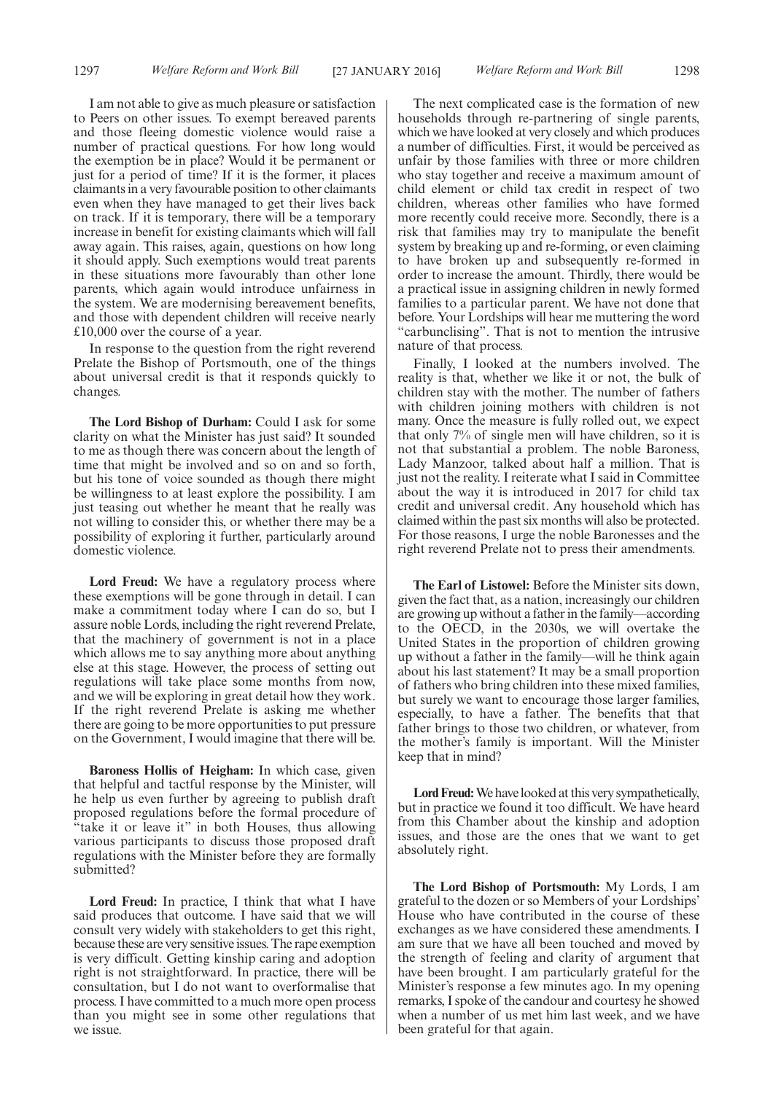I am not able to give as much pleasure or satisfaction to Peers on other issues. To exempt bereaved parents and those fleeing domestic violence would raise a number of practical questions. For how long would the exemption be in place? Would it be permanent or just for a period of time? If it is the former, it places claimants in a very favourable position to other claimants even when they have managed to get their lives back on track. If it is temporary, there will be a temporary increase in benefit for existing claimants which will fall away again. This raises, again, questions on how long it should apply. Such exemptions would treat parents in these situations more favourably than other lone parents, which again would introduce unfairness in the system. We are modernising bereavement benefits, and those with dependent children will receive nearly £10,000 over the course of a year.

In response to the question from the right reverend Prelate the Bishop of Portsmouth, one of the things about universal credit is that it responds quickly to changes.

**The Lord Bishop of Durham:** Could I ask for some clarity on what the Minister has just said? It sounded to me as though there was concern about the length of time that might be involved and so on and so forth, but his tone of voice sounded as though there might be willingness to at least explore the possibility. I am just teasing out whether he meant that he really was not willing to consider this, or whether there may be a possibility of exploring it further, particularly around domestic violence.

**Lord Freud:** We have a regulatory process where these exemptions will be gone through in detail. I can make a commitment today where I can do so, but I assure noble Lords, including the right reverend Prelate, that the machinery of government is not in a place which allows me to say anything more about anything else at this stage. However, the process of setting out regulations will take place some months from now, and we will be exploring in great detail how they work. If the right reverend Prelate is asking me whether there are going to be more opportunities to put pressure on the Government, I would imagine that there will be.

**Baroness Hollis of Heigham:** In which case, given that helpful and tactful response by the Minister, will he help us even further by agreeing to publish draft proposed regulations before the formal procedure of "take it or leave it" in both Houses, thus allowing various participants to discuss those proposed draft regulations with the Minister before they are formally submitted?

**Lord Freud:** In practice, I think that what I have said produces that outcome. I have said that we will consult very widely with stakeholders to get this right, because these are very sensitive issues. The rape exemption is very difficult. Getting kinship caring and adoption right is not straightforward. In practice, there will be consultation, but I do not want to overformalise that process. I have committed to a much more open process than you might see in some other regulations that we issue.

The next complicated case is the formation of new households through re-partnering of single parents, which we have looked at very closely and which produces a number of difficulties. First, it would be perceived as unfair by those families with three or more children who stay together and receive a maximum amount of child element or child tax credit in respect of two children, whereas other families who have formed more recently could receive more. Secondly, there is a risk that families may try to manipulate the benefit system by breaking up and re-forming, or even claiming to have broken up and subsequently re-formed in order to increase the amount. Thirdly, there would be a practical issue in assigning children in newly formed families to a particular parent. We have not done that before. Your Lordships will hear me muttering the word "carbunclising". That is not to mention the intrusive nature of that process.

Finally, I looked at the numbers involved. The reality is that, whether we like it or not, the bulk of children stay with the mother. The number of fathers with children joining mothers with children is not many. Once the measure is fully rolled out, we expect that only 7% of single men will have children, so it is not that substantial a problem. The noble Baroness, Lady Manzoor, talked about half a million. That is just not the reality. I reiterate what I said in Committee about the way it is introduced in 2017 for child tax credit and universal credit. Any household which has claimed within the past six months will also be protected. For those reasons, I urge the noble Baronesses and the right reverend Prelate not to press their amendments.

**The Earl of Listowel:** Before the Minister sits down, given the fact that, as a nation, increasingly our children are growing up without a father in the family—according to the OECD, in the 2030s, we will overtake the United States in the proportion of children growing up without a father in the family—will he think again about his last statement? It may be a small proportion of fathers who bring children into these mixed families, but surely we want to encourage those larger families, especially, to have a father. The benefits that that father brings to those two children, or whatever, from the mother's family is important. Will the Minister keep that in mind?

Lord Freud: We have looked at this very sympathetically, but in practice we found it too difficult. We have heard from this Chamber about the kinship and adoption issues, and those are the ones that we want to get absolutely right.

**The Lord Bishop of Portsmouth:** My Lords, I am grateful to the dozen or so Members of your Lordships' House who have contributed in the course of these exchanges as we have considered these amendments. I am sure that we have all been touched and moved by the strength of feeling and clarity of argument that have been brought. I am particularly grateful for the Minister's response a few minutes ago. In my opening remarks, I spoke of the candour and courtesy he showed when a number of us met him last week, and we have been grateful for that again.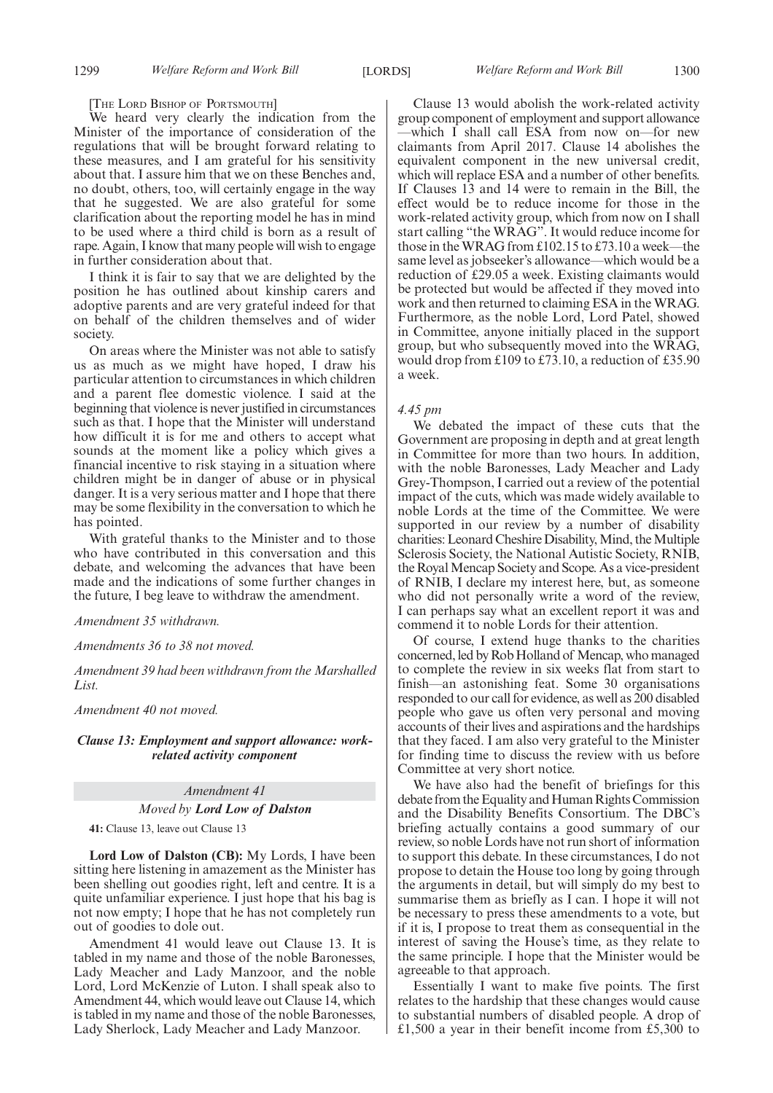[THE LORD BISHOP OF PORTSMOUTH]

We heard very clearly the indication from the Minister of the importance of consideration of the regulations that will be brought forward relating to these measures, and I am grateful for his sensitivity about that. I assure him that we on these Benches and, no doubt, others, too, will certainly engage in the way that he suggested. We are also grateful for some clarification about the reporting model he has in mind to be used where a third child is born as a result of rape. Again, I know that many people will wish to engage in further consideration about that.

I think it is fair to say that we are delighted by the position he has outlined about kinship carers and adoptive parents and are very grateful indeed for that on behalf of the children themselves and of wider society.

On areas where the Minister was not able to satisfy us as much as we might have hoped, I draw his particular attention to circumstances in which children and a parent flee domestic violence. I said at the beginning that violence is never justified in circumstances such as that. I hope that the Minister will understand how difficult it is for me and others to accept what sounds at the moment like a policy which gives a financial incentive to risk staying in a situation where children might be in danger of abuse or in physical danger. It is a very serious matter and I hope that there may be some flexibility in the conversation to which he has pointed.

With grateful thanks to the Minister and to those who have contributed in this conversation and this debate, and welcoming the advances that have been made and the indications of some further changes in the future, I beg leave to withdraw the amendment.

*Amendment 35 withdrawn.*

#### *Amendments 36 to 38 not moved.*

*Amendment 39 had been withdrawn from the Marshalled List.*

*Amendment 40 not moved.*

#### *Clause 13: Employment and support allowance: workrelated activity component*

#### *Amendment 41*

*Moved by Lord Low of Dalston*

**41:** Clause 13, leave out Clause 13

**Lord Low of Dalston (CB):** My Lords, I have been sitting here listening in amazement as the Minister has been shelling out goodies right, left and centre. It is a quite unfamiliar experience. I just hope that his bag is not now empty; I hope that he has not completely run out of goodies to dole out.

Amendment 41 would leave out Clause 13. It is tabled in my name and those of the noble Baronesses, Lady Meacher and Lady Manzoor, and the noble Lord, Lord McKenzie of Luton. I shall speak also to Amendment 44, which would leave out Clause 14, which is tabled in my name and those of the noble Baronesses, Lady Sherlock, Lady Meacher and Lady Manzoor.

Clause 13 would abolish the work-related activity group component of employment and support allowance —which I shall call ESA from now on—for new claimants from April 2017. Clause 14 abolishes the equivalent component in the new universal credit, which will replace ESA and a number of other benefits. If Clauses 13 and 14 were to remain in the Bill, the effect would be to reduce income for those in the work-related activity group, which from now on I shall start calling "the WRAG". It would reduce income for those in the WRAG from £102.15 to £73.10 a week—the same level as jobseeker's allowance—which would be a reduction of £29.05 a week. Existing claimants would be protected but would be affected if they moved into work and then returned to claiming ESA in the WRAG. Furthermore, as the noble Lord, Lord Patel, showed in Committee, anyone initially placed in the support group, but who subsequently moved into the WRAG, would drop from £109 to £73.10, a reduction of £35.90 a week.

#### *4.45 pm*

We debated the impact of these cuts that the Government are proposing in depth and at great length in Committee for more than two hours. In addition, with the noble Baronesses, Lady Meacher and Lady Grey-Thompson, I carried out a review of the potential impact of the cuts, which was made widely available to noble Lords at the time of the Committee. We were supported in our review by a number of disability charities: Leonard Cheshire Disability, Mind, the Multiple Sclerosis Society, the National Autistic Society, RNIB, the Royal Mencap Society and Scope. As a vice-president of RNIB, I declare my interest here, but, as someone who did not personally write a word of the review, I can perhaps say what an excellent report it was and commend it to noble Lords for their attention.

Of course, I extend huge thanks to the charities concerned, led by Rob Holland of Mencap, who managed to complete the review in six weeks flat from start to finish—an astonishing feat. Some 30 organisations responded to our call for evidence, as well as 200 disabled people who gave us often very personal and moving accounts of their lives and aspirations and the hardships that they faced. I am also very grateful to the Minister for finding time to discuss the review with us before Committee at very short notice.

We have also had the benefit of briefings for this debate from the Equality and Human Rights Commission and the Disability Benefits Consortium. The DBC's briefing actually contains a good summary of our review, so noble Lords have not run short of information to support this debate. In these circumstances, I do not propose to detain the House too long by going through the arguments in detail, but will simply do my best to summarise them as briefly as I can. I hope it will not be necessary to press these amendments to a vote, but if it is, I propose to treat them as consequential in the interest of saving the House's time, as they relate to the same principle. I hope that the Minister would be agreeable to that approach.

Essentially I want to make five points. The first relates to the hardship that these changes would cause to substantial numbers of disabled people. A drop of £1,500 a year in their benefit income from £5,300 to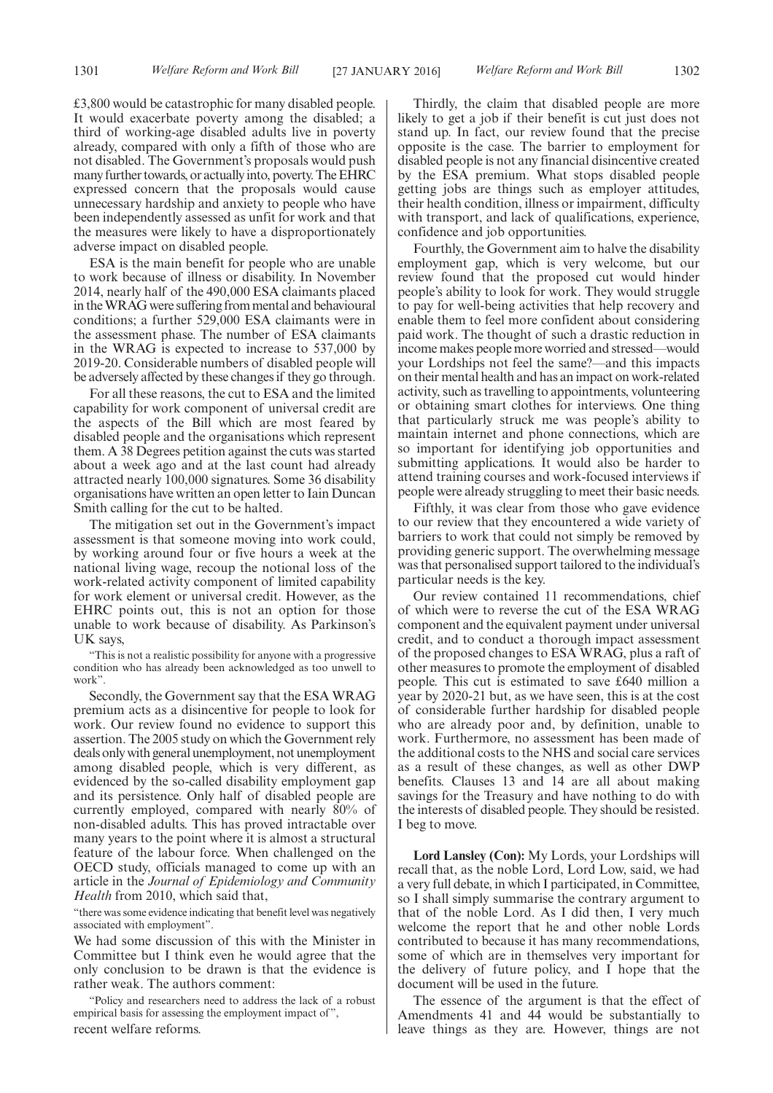£3,800 would be catastrophic for many disabled people. It would exacerbate poverty among the disabled; a third of working-age disabled adults live in poverty already, compared with only a fifth of those who are not disabled. The Government's proposals would push many further towards, or actually into, poverty. The EHRC expressed concern that the proposals would cause unnecessary hardship and anxiety to people who have been independently assessed as unfit for work and that the measures were likely to have a disproportionately adverse impact on disabled people.

ESA is the main benefit for people who are unable to work because of illness or disability. In November 2014, nearly half of the 490,000 ESA claimants placed in theWRAG were suffering from mental and behavioural conditions; a further 529,000 ESA claimants were in the assessment phase. The number of ESA claimants in the WRAG is expected to increase to 537,000 by 2019-20. Considerable numbers of disabled people will be adversely affected by these changes if they go through.

For all these reasons, the cut to ESA and the limited capability for work component of universal credit are the aspects of the Bill which are most feared by disabled people and the organisations which represent them. A 38 Degrees petition against the cuts was started about a week ago and at the last count had already attracted nearly 100,000 signatures. Some 36 disability organisations have written an open letter to Iain Duncan Smith calling for the cut to be halted.

The mitigation set out in the Government's impact assessment is that someone moving into work could, by working around four or five hours a week at the national living wage, recoup the notional loss of the work-related activity component of limited capability for work element or universal credit. However, as the EHRC points out, this is not an option for those unable to work because of disability. As Parkinson's UK says,

"This is not a realistic possibility for anyone with a progressive condition who has already been acknowledged as too unwell to work".

Secondly, the Government say that the ESA WRAG premium acts as a disincentive for people to look for work. Our review found no evidence to support this assertion. The 2005 study on which the Government rely deals only with general unemployment, not unemployment among disabled people, which is very different, as evidenced by the so-called disability employment gap and its persistence. Only half of disabled people are currently employed, compared with nearly 80% of non-disabled adults. This has proved intractable over many years to the point where it is almost a structural feature of the labour force. When challenged on the OECD study, officials managed to come up with an article in the *Journal of Epidemiology and Community Health* from 2010, which said that,

"there was some evidence indicating that benefit level was negatively associated with employment".

We had some discussion of this with the Minister in Committee but I think even he would agree that the only conclusion to be drawn is that the evidence is rather weak. The authors comment:

"Policy and researchers need to address the lack of a robust empirical basis for assessing the employment impact of ", recent welfare reforms.

Thirdly, the claim that disabled people are more likely to get a job if their benefit is cut just does not stand up. In fact, our review found that the precise opposite is the case. The barrier to employment for disabled people is not any financial disincentive created by the ESA premium. What stops disabled people getting jobs are things such as employer attitudes, their health condition, illness or impairment, difficulty with transport, and lack of qualifications, experience, confidence and job opportunities.

Fourthly, the Government aim to halve the disability employment gap, which is very welcome, but our review found that the proposed cut would hinder people's ability to look for work. They would struggle to pay for well-being activities that help recovery and enable them to feel more confident about considering paid work. The thought of such a drastic reduction in income makes people more worried and stressed—would your Lordships not feel the same?—and this impacts on their mental health and has an impact on work-related activity, such as travelling to appointments, volunteering or obtaining smart clothes for interviews. One thing that particularly struck me was people's ability to maintain internet and phone connections, which are so important for identifying job opportunities and submitting applications. It would also be harder to attend training courses and work-focused interviews if people were already struggling to meet their basic needs.

Fifthly, it was clear from those who gave evidence to our review that they encountered a wide variety of barriers to work that could not simply be removed by providing generic support. The overwhelming message was that personalised support tailored to the individual's particular needs is the key.

Our review contained 11 recommendations, chief of which were to reverse the cut of the ESA WRAG component and the equivalent payment under universal credit, and to conduct a thorough impact assessment of the proposed changes to ESA WRAG, plus a raft of other measures to promote the employment of disabled people. This cut is estimated to save £640 million a year by 2020-21 but, as we have seen, this is at the cost of considerable further hardship for disabled people who are already poor and, by definition, unable to work. Furthermore, no assessment has been made of the additional costs to the NHS and social care services as a result of these changes, as well as other DWP benefits. Clauses 13 and 14 are all about making savings for the Treasury and have nothing to do with the interests of disabled people. They should be resisted. I beg to move.

**Lord Lansley (Con):** My Lords, your Lordships will recall that, as the noble Lord, Lord Low, said, we had a very full debate, in which I participated, in Committee, so I shall simply summarise the contrary argument to that of the noble Lord. As I did then, I very much welcome the report that he and other noble Lords contributed to because it has many recommendations, some of which are in themselves very important for the delivery of future policy, and I hope that the document will be used in the future.

The essence of the argument is that the effect of Amendments 41 and 44 would be substantially to leave things as they are. However, things are not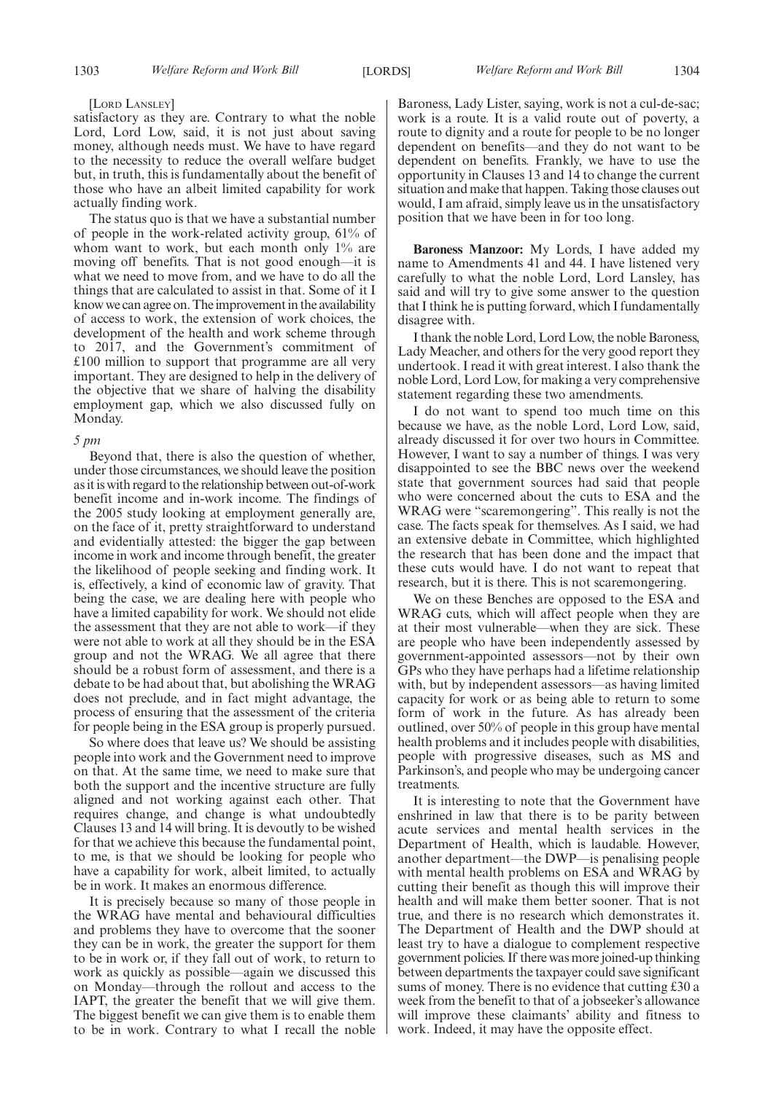#### [LORD LANSLEY]

satisfactory as they are. Contrary to what the noble Lord, Lord Low, said, it is not just about saving money, although needs must. We have to have regard to the necessity to reduce the overall welfare budget but, in truth, this is fundamentally about the benefit of those who have an albeit limited capability for work actually finding work.

The status quo is that we have a substantial number of people in the work-related activity group, 61% of whom want to work, but each month only 1% are moving off benefits. That is not good enough—it is what we need to move from, and we have to do all the things that are calculated to assist in that. Some of it I know we can agree on. The improvement in the availability of access to work, the extension of work choices, the development of the health and work scheme through to 2017, and the Government's commitment of £100 million to support that programme are all very important. They are designed to help in the delivery of the objective that we share of halving the disability employment gap, which we also discussed fully on Monday.

#### *5 pm*

Beyond that, there is also the question of whether, under those circumstances, we should leave the position as it is with regard to the relationship between out-of-work benefit income and in-work income. The findings of the 2005 study looking at employment generally are, on the face of it, pretty straightforward to understand and evidentially attested: the bigger the gap between income in work and income through benefit, the greater the likelihood of people seeking and finding work. It is, effectively, a kind of economic law of gravity. That being the case, we are dealing here with people who have a limited capability for work. We should not elide the assessment that they are not able to work—if they were not able to work at all they should be in the ESA group and not the WRAG. We all agree that there should be a robust form of assessment, and there is a debate to be had about that, but abolishing the WRAG does not preclude, and in fact might advantage, the process of ensuring that the assessment of the criteria for people being in the ESA group is properly pursued.

So where does that leave us? We should be assisting people into work and the Government need to improve on that. At the same time, we need to make sure that both the support and the incentive structure are fully aligned and not working against each other. That requires change, and change is what undoubtedly Clauses 13 and 14 will bring. It is devoutly to be wished for that we achieve this because the fundamental point, to me, is that we should be looking for people who have a capability for work, albeit limited, to actually be in work. It makes an enormous difference.

It is precisely because so many of those people in the WRAG have mental and behavioural difficulties and problems they have to overcome that the sooner they can be in work, the greater the support for them to be in work or, if they fall out of work, to return to work as quickly as possible—again we discussed this on Monday—through the rollout and access to the IAPT, the greater the benefit that we will give them. The biggest benefit we can give them is to enable them to be in work. Contrary to what I recall the noble Baroness, Lady Lister, saying, work is not a cul-de-sac; work is a route. It is a valid route out of poverty, a route to dignity and a route for people to be no longer dependent on benefits—and they do not want to be dependent on benefits. Frankly, we have to use the opportunity in Clauses 13 and 14 to change the current situation and make that happen. Taking those clauses out would, I am afraid, simply leave us in the unsatisfactory position that we have been in for too long.

**Baroness Manzoor:** My Lords, I have added my name to Amendments 41 and 44. I have listened very carefully to what the noble Lord, Lord Lansley, has said and will try to give some answer to the question that I think he is putting forward, which I fundamentally disagree with.

I thank the noble Lord, Lord Low, the noble Baroness, Lady Meacher, and others for the very good report they undertook. I read it with great interest. I also thank the noble Lord, Lord Low, for making a very comprehensive statement regarding these two amendments.

I do not want to spend too much time on this because we have, as the noble Lord, Lord Low, said, already discussed it for over two hours in Committee. However, I want to say a number of things. I was very disappointed to see the BBC news over the weekend state that government sources had said that people who were concerned about the cuts to ESA and the WRAG were "scaremongering". This really is not the case. The facts speak for themselves. As I said, we had an extensive debate in Committee, which highlighted the research that has been done and the impact that these cuts would have. I do not want to repeat that research, but it is there. This is not scaremongering.

We on these Benches are opposed to the ESA and WRAG cuts, which will affect people when they are at their most vulnerable—when they are sick. These are people who have been independently assessed by government-appointed assessors—not by their own GPs who they have perhaps had a lifetime relationship with, but by independent assessors—as having limited capacity for work or as being able to return to some form of work in the future. As has already been outlined, over 50% of people in this group have mental health problems and it includes people with disabilities, people with progressive diseases, such as MS and Parkinson's, and people who may be undergoing cancer treatments.

It is interesting to note that the Government have enshrined in law that there is to be parity between acute services and mental health services in the Department of Health, which is laudable. However, another department—the DWP—is penalising people with mental health problems on ESA and WRAG by cutting their benefit as though this will improve their health and will make them better sooner. That is not true, and there is no research which demonstrates it. The Department of Health and the DWP should at least try to have a dialogue to complement respective government policies. If there was more joined-up thinking between departments the taxpayer could save significant sums of money. There is no evidence that cutting £30 a week from the benefit to that of a jobseeker's allowance will improve these claimants' ability and fitness to work. Indeed, it may have the opposite effect.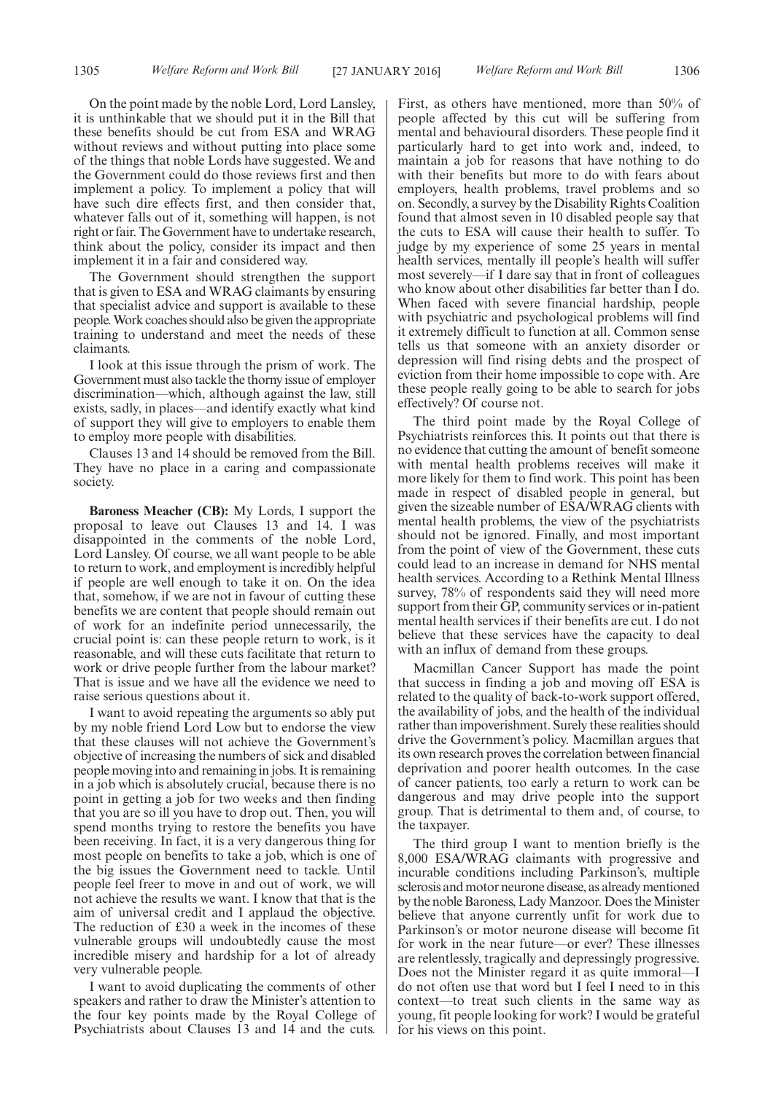On the point made by the noble Lord, Lord Lansley, it is unthinkable that we should put it in the Bill that these benefits should be cut from ESA and WRAG without reviews and without putting into place some of the things that noble Lords have suggested. We and the Government could do those reviews first and then implement a policy. To implement a policy that will have such dire effects first, and then consider that, whatever falls out of it, something will happen, is not right or fair. The Government have to undertake research, think about the policy, consider its impact and then implement it in a fair and considered way.

The Government should strengthen the support that is given to ESA and WRAG claimants by ensuring that specialist advice and support is available to these people.Work coaches should also be given the appropriate training to understand and meet the needs of these claimants.

I look at this issue through the prism of work. The Government must also tackle the thorny issue of employer discrimination—which, although against the law, still exists, sadly, in places—and identify exactly what kind of support they will give to employers to enable them to employ more people with disabilities.

Clauses 13 and 14 should be removed from the Bill. They have no place in a caring and compassionate society.

**Baroness Meacher (CB):** My Lords, I support the proposal to leave out Clauses 13 and 14. I was disappointed in the comments of the noble Lord, Lord Lansley. Of course, we all want people to be able to return to work, and employment is incredibly helpful if people are well enough to take it on. On the idea that, somehow, if we are not in favour of cutting these benefits we are content that people should remain out of work for an indefinite period unnecessarily, the crucial point is: can these people return to work, is it reasonable, and will these cuts facilitate that return to work or drive people further from the labour market? That is issue and we have all the evidence we need to raise serious questions about it.

I want to avoid repeating the arguments so ably put by my noble friend Lord Low but to endorse the view that these clauses will not achieve the Government's objective of increasing the numbers of sick and disabled people moving into and remaining in jobs. It is remaining in a job which is absolutely crucial, because there is no point in getting a job for two weeks and then finding that you are so ill you have to drop out. Then, you will spend months trying to restore the benefits you have been receiving. In fact, it is a very dangerous thing for most people on benefits to take a job, which is one of the big issues the Government need to tackle. Until people feel freer to move in and out of work, we will not achieve the results we want. I know that that is the aim of universal credit and I applaud the objective. The reduction of £30 a week in the incomes of these vulnerable groups will undoubtedly cause the most incredible misery and hardship for a lot of already very vulnerable people.

I want to avoid duplicating the comments of other speakers and rather to draw the Minister's attention to the four key points made by the Royal College of Psychiatrists about Clauses 13 and 14 and the cuts. First, as others have mentioned, more than 50% of people affected by this cut will be suffering from mental and behavioural disorders. These people find it particularly hard to get into work and, indeed, to maintain a job for reasons that have nothing to do with their benefits but more to do with fears about employers, health problems, travel problems and so on. Secondly, a survey by the Disability Rights Coalition found that almost seven in 10 disabled people say that the cuts to ESA will cause their health to suffer. To judge by my experience of some 25 years in mental health services, mentally ill people's health will suffer most severely—if I dare say that in front of colleagues who know about other disabilities far better than I do. When faced with severe financial hardship, people with psychiatric and psychological problems will find it extremely difficult to function at all. Common sense tells us that someone with an anxiety disorder or depression will find rising debts and the prospect of eviction from their home impossible to cope with. Are these people really going to be able to search for jobs effectively? Of course not.

The third point made by the Royal College of Psychiatrists reinforces this. It points out that there is no evidence that cutting the amount of benefit someone with mental health problems receives will make it more likely for them to find work. This point has been made in respect of disabled people in general, but given the sizeable number of ESA/WRAG clients with mental health problems, the view of the psychiatrists should not be ignored. Finally, and most important from the point of view of the Government, these cuts could lead to an increase in demand for NHS mental health services. According to a Rethink Mental Illness survey, 78% of respondents said they will need more support from their GP, community services or in-patient mental health services if their benefits are cut. I do not believe that these services have the capacity to deal with an influx of demand from these groups.

Macmillan Cancer Support has made the point that success in finding a job and moving off ESA is related to the quality of back-to-work support offered, the availability of jobs, and the health of the individual rather than impoverishment. Surely these realities should drive the Government's policy. Macmillan argues that its own research proves the correlation between financial deprivation and poorer health outcomes. In the case of cancer patients, too early a return to work can be dangerous and may drive people into the support group. That is detrimental to them and, of course, to the taxpayer.

The third group I want to mention briefly is the 8,000 ESA/WRAG claimants with progressive and incurable conditions including Parkinson's, multiple sclerosis and motor neurone disease, as already mentioned by the noble Baroness, Lady Manzoor. Does the Minister believe that anyone currently unfit for work due to Parkinson's or motor neurone disease will become fit for work in the near future—or ever? These illnesses are relentlessly, tragically and depressingly progressive. Does not the Minister regard it as quite immoral—I do not often use that word but I feel I need to in this context—to treat such clients in the same way as young, fit people looking for work? I would be grateful for his views on this point.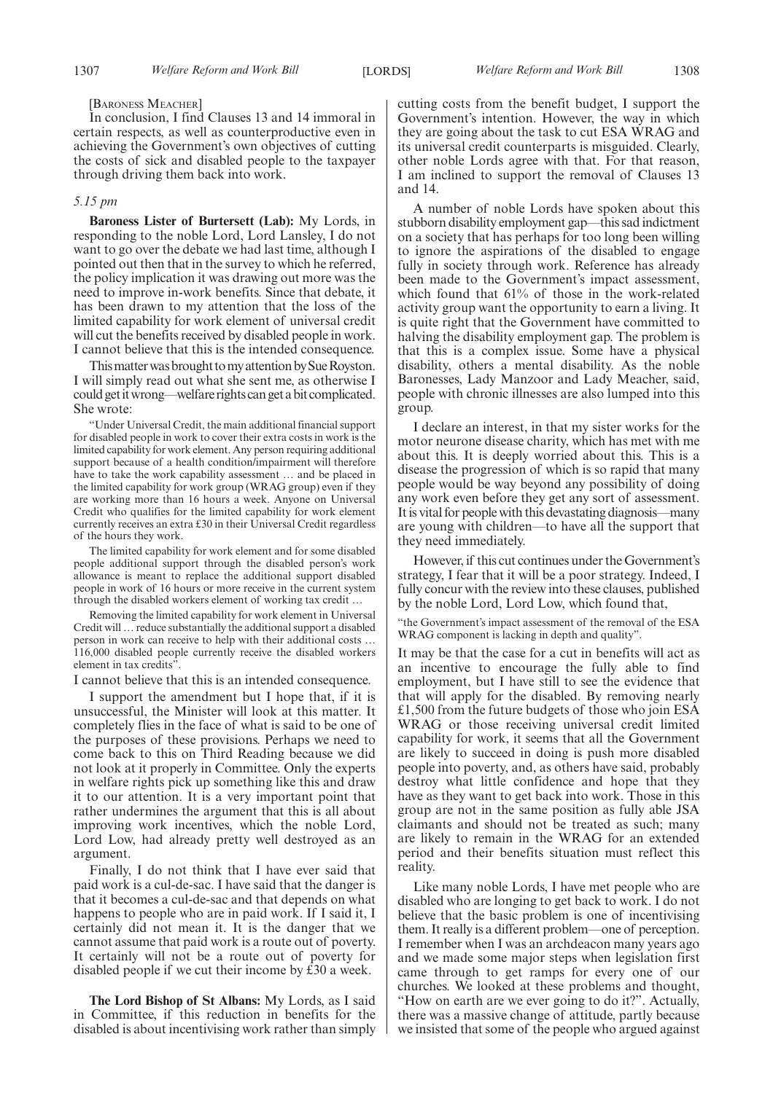[BARONESS MEACHER]

In conclusion, I find Clauses 13 and 14 immoral in certain respects, as well as counterproductive even in achieving the Government's own objectives of cutting the costs of sick and disabled people to the taxpayer through driving them back into work.

#### *5.15 pm*

**Baroness Lister of Burtersett (Lab):** My Lords, in responding to the noble Lord, Lord Lansley, I do not want to go over the debate we had last time, although I pointed out then that in the survey to which he referred, the policy implication it was drawing out more was the need to improve in-work benefits. Since that debate, it has been drawn to my attention that the loss of the limited capability for work element of universal credit will cut the benefits received by disabled people in work. I cannot believe that this is the intended consequence.

This matter was brought to my attention by Sue Royston. I will simply read out what she sent me, as otherwise I could getitwrong—welfare rightscan get abitcomplicated. She wrote:

"Under Universal Credit, the main additional financial support for disabled people in work to cover their extra costs in work is the limited capability for work element. Any person requiring additional support because of a health condition/impairment will therefore have to take the work capability assessment ... and be placed in the limited capability for work group (WRAG group) even if they are working more than 16 hours a week. Anyone on Universal Credit who qualifies for the limited capability for work element currently receives an extra £30 in their Universal Credit regardless of the hours they work.

The limited capability for work element and for some disabled people additional support through the disabled person's work allowance is meant to replace the additional support disabled people in work of 16 hours or more receive in the current system through the disabled workers element of working tax credit …

Removing the limited capability for work element in Universal Credit will … reduce substantially the additional support a disabled person in work can receive to help with their additional costs … 116,000 disabled people currently receive the disabled workers element in tax credits".

I cannot believe that this is an intended consequence.

I support the amendment but I hope that, if it is unsuccessful, the Minister will look at this matter. It completely flies in the face of what is said to be one of the purposes of these provisions. Perhaps we need to come back to this on Third Reading because we did not look at it properly in Committee. Only the experts in welfare rights pick up something like this and draw it to our attention. It is a very important point that rather undermines the argument that this is all about improving work incentives, which the noble Lord, Lord Low, had already pretty well destroyed as an argument.

Finally, I do not think that I have ever said that paid work is a cul-de-sac. I have said that the danger is that it becomes a cul-de-sac and that depends on what happens to people who are in paid work. If I said it, I certainly did not mean it. It is the danger that we cannot assume that paid work is a route out of poverty. It certainly will not be a route out of poverty for disabled people if we cut their income by £30 a week.

**The Lord Bishop of St Albans:** My Lords, as I said in Committee, if this reduction in benefits for the disabled is about incentivising work rather than simply cutting costs from the benefit budget, I support the Government's intention. However, the way in which they are going about the task to cut ESA WRAG and its universal credit counterparts is misguided. Clearly, other noble Lords agree with that. For that reason, I am inclined to support the removal of Clauses 13 and 14.

A number of noble Lords have spoken about this stubborn disability employment gap—this sad indictment on a society that has perhaps for too long been willing to ignore the aspirations of the disabled to engage fully in society through work. Reference has already been made to the Government's impact assessment, which found that 61% of those in the work-related activity group want the opportunity to earn a living. It is quite right that the Government have committed to halving the disability employment gap. The problem is that this is a complex issue. Some have a physical disability, others a mental disability. As the noble Baronesses, Lady Manzoor and Lady Meacher, said, people with chronic illnesses are also lumped into this group.

I declare an interest, in that my sister works for the motor neurone disease charity, which has met with me about this. It is deeply worried about this. This is a disease the progression of which is so rapid that many people would be way beyond any possibility of doing any work even before they get any sort of assessment. It is vital for people with this devastating diagnosis—many are young with children—to have all the support that they need immediately.

However, if this cut continues under the Government's strategy, I fear that it will be a poor strategy. Indeed, I fully concur with the review into these clauses, published by the noble Lord, Lord Low, which found that,

"the Government's impact assessment of the removal of the ESA WRAG component is lacking in depth and quality".

It may be that the case for a cut in benefits will act as an incentive to encourage the fully able to find employment, but I have still to see the evidence that that will apply for the disabled. By removing nearly £1,500 from the future budgets of those who join ESA WRAG or those receiving universal credit limited capability for work, it seems that all the Government are likely to succeed in doing is push more disabled people into poverty, and, as others have said, probably destroy what little confidence and hope that they have as they want to get back into work. Those in this group are not in the same position as fully able JSA claimants and should not be treated as such; many are likely to remain in the WRAG for an extended period and their benefits situation must reflect this reality.

Like many noble Lords, I have met people who are disabled who are longing to get back to work. I do not believe that the basic problem is one of incentivising them. It really is a different problem—one of perception. I remember when I was an archdeacon many years ago and we made some major steps when legislation first came through to get ramps for every one of our churches. We looked at these problems and thought, "How on earth are we ever going to do it?". Actually, there was a massive change of attitude, partly because we insisted that some of the people who argued against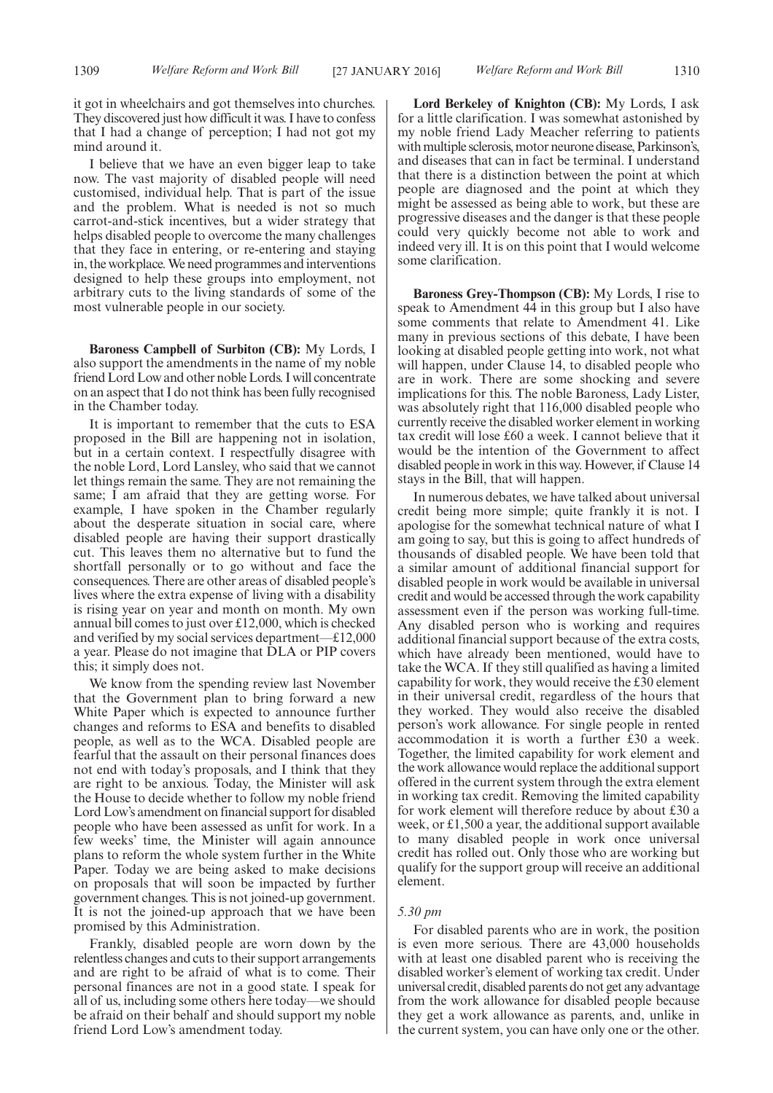it got in wheelchairs and got themselves into churches. They discovered just how difficult it was. I have to confess that I had a change of perception; I had not got my mind around it.

I believe that we have an even bigger leap to take now. The vast majority of disabled people will need customised, individual help. That is part of the issue and the problem. What is needed is not so much carrot-and-stick incentives, but a wider strategy that helps disabled people to overcome the many challenges that they face in entering, or re-entering and staying in, the workplace.We need programmes and interventions designed to help these groups into employment, not arbitrary cuts to the living standards of some of the most vulnerable people in our society.

**Baroness Campbell of Surbiton (CB):** My Lords, I also support the amendments in the name of my noble friend Lord Low and other noble Lords. I will concentrate on an aspect that I do not think has been fully recognised in the Chamber today.

It is important to remember that the cuts to ESA proposed in the Bill are happening not in isolation, but in a certain context. I respectfully disagree with the noble Lord, Lord Lansley, who said that we cannot let things remain the same. They are not remaining the same;  $\overline{I}$  am afraid that they are getting worse. For example, I have spoken in the Chamber regularly about the desperate situation in social care, where disabled people are having their support drastically cut. This leaves them no alternative but to fund the shortfall personally or to go without and face the consequences. There are other areas of disabled people's lives where the extra expense of living with a disability is rising year on year and month on month. My own annual bill comes to just over £12,000, which is checked and verified by my social services department—£12,000 a year. Please do not imagine that DLA or PIP covers this; it simply does not.

We know from the spending review last November that the Government plan to bring forward a new White Paper which is expected to announce further changes and reforms to ESA and benefits to disabled people, as well as to the WCA. Disabled people are fearful that the assault on their personal finances does not end with today's proposals, and I think that they are right to be anxious. Today, the Minister will ask the House to decide whether to follow my noble friend Lord Low's amendment on financial support for disabled people who have been assessed as unfit for work. In a few weeks' time, the Minister will again announce plans to reform the whole system further in the White Paper. Today we are being asked to make decisions on proposals that will soon be impacted by further government changes. This is not joined-up government. It is not the joined-up approach that we have been promised by this Administration.

Frankly, disabled people are worn down by the relentless changes and cuts to their support arrangements and are right to be afraid of what is to come. Their personal finances are not in a good state. I speak for all of us, including some others here today—we should be afraid on their behalf and should support my noble friend Lord Low's amendment today.

**Lord Berkeley of Knighton (CB):** My Lords, I ask for a little clarification. I was somewhat astonished by my noble friend Lady Meacher referring to patients with multiple sclerosis, motor neurone disease, Parkinson's, and diseases that can in fact be terminal. I understand that there is a distinction between the point at which people are diagnosed and the point at which they might be assessed as being able to work, but these are progressive diseases and the danger is that these people could very quickly become not able to work and indeed very ill. It is on this point that I would welcome some clarification.

**Baroness Grey-Thompson (CB):** My Lords, I rise to speak to Amendment 44 in this group but I also have some comments that relate to Amendment 41. Like many in previous sections of this debate, I have been looking at disabled people getting into work, not what will happen, under Clause 14, to disabled people who are in work. There are some shocking and severe implications for this. The noble Baroness, Lady Lister, was absolutely right that 116,000 disabled people who currently receive the disabled worker element in working tax credit will lose £60 a week. I cannot believe that it would be the intention of the Government to affect disabled people in work in this way. However, if Clause 14 stays in the Bill, that will happen.

In numerous debates, we have talked about universal credit being more simple; quite frankly it is not. I apologise for the somewhat technical nature of what I am going to say, but this is going to affect hundreds of thousands of disabled people. We have been told that a similar amount of additional financial support for disabled people in work would be available in universal credit and would be accessed through the work capability assessment even if the person was working full-time. Any disabled person who is working and requires additional financial support because of the extra costs, which have already been mentioned, would have to take the WCA. If they still qualified as having a limited capability for work, they would receive the £30 element in their universal credit, regardless of the hours that they worked. They would also receive the disabled person's work allowance. For single people in rented accommodation it is worth a further £30 a week. Together, the limited capability for work element and the work allowance would replace the additional support offered in the current system through the extra element in working tax credit. Removing the limited capability for work element will therefore reduce by about £30 a week, or £1,500 a year, the additional support available to many disabled people in work once universal credit has rolled out. Only those who are working but qualify for the support group will receive an additional element.

#### *5.30 pm*

For disabled parents who are in work, the position is even more serious. There are 43,000 households with at least one disabled parent who is receiving the disabled worker's element of working tax credit. Under universal credit, disabled parents do not get any advantage from the work allowance for disabled people because they get a work allowance as parents, and, unlike in the current system, you can have only one or the other.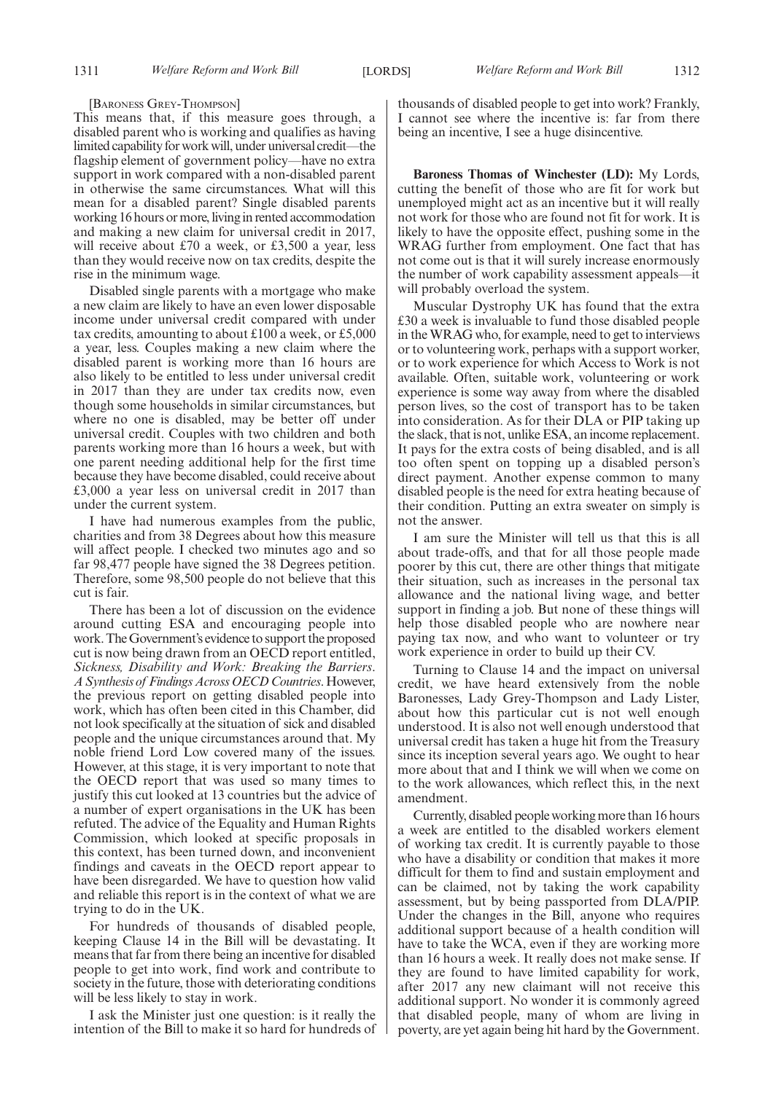#### [BARONESS GREY-THOMPSON]

This means that, if this measure goes through, a disabled parent who is working and qualifies as having limited capability for work will, under universal credit—the flagship element of government policy—have no extra support in work compared with a non-disabled parent in otherwise the same circumstances. What will this mean for a disabled parent? Single disabled parents working 16 hours or more, living in rented accommodation and making a new claim for universal credit in 2017, will receive about £70 a week, or £3,500 a year, less than they would receive now on tax credits, despite the rise in the minimum wage.

Disabled single parents with a mortgage who make a new claim are likely to have an even lower disposable income under universal credit compared with under tax credits, amounting to about £100 a week, or £5,000 a year, less. Couples making a new claim where the disabled parent is working more than 16 hours are also likely to be entitled to less under universal credit in 2017 than they are under tax credits now, even though some households in similar circumstances, but where no one is disabled, may be better off under universal credit. Couples with two children and both parents working more than 16 hours a week, but with one parent needing additional help for the first time because they have become disabled, could receive about £3,000 a year less on universal credit in 2017 than under the current system.

I have had numerous examples from the public, charities and from 38 Degrees about how this measure will affect people. I checked two minutes ago and so far 98,477 people have signed the 38 Degrees petition. Therefore, some 98,500 people do not believe that this cut is fair.

There has been a lot of discussion on the evidence around cutting ESA and encouraging people into work. The Government's evidence to support the proposed cut is now being drawn from an OECD report entitled, *Sickness, Disability and Work: Breaking the Barriers*. *A Synthesis of Findings Across OECD Countries*.However, the previous report on getting disabled people into work, which has often been cited in this Chamber, did not look specifically at the situation of sick and disabled people and the unique circumstances around that. My noble friend Lord Low covered many of the issues. However, at this stage, it is very important to note that the OECD report that was used so many times to justify this cut looked at 13 countries but the advice of a number of expert organisations in the UK has been refuted. The advice of the Equality and Human Rights Commission, which looked at specific proposals in this context, has been turned down, and inconvenient findings and caveats in the OECD report appear to have been disregarded. We have to question how valid and reliable this report is in the context of what we are trying to do in the UK.

For hundreds of thousands of disabled people, keeping Clause 14 in the Bill will be devastating. It means that far from there being an incentive for disabled people to get into work, find work and contribute to society in the future, those with deteriorating conditions will be less likely to stay in work.

I ask the Minister just one question: is it really the intention of the Bill to make it so hard for hundreds of thousands of disabled people to get into work? Frankly, I cannot see where the incentive is: far from there being an incentive, I see a huge disincentive.

**Baroness Thomas of Winchester (LD):** My Lords, cutting the benefit of those who are fit for work but unemployed might act as an incentive but it will really not work for those who are found not fit for work. It is likely to have the opposite effect, pushing some in the WRAG further from employment. One fact that has not come out is that it will surely increase enormously the number of work capability assessment appeals—it will probably overload the system.

Muscular Dystrophy UK has found that the extra £30 a week is invaluable to fund those disabled people in theWRAG who, for example, need to get to interviews or to volunteering work, perhaps with a support worker, or to work experience for which Access to Work is not available. Often, suitable work, volunteering or work experience is some way away from where the disabled person lives, so the cost of transport has to be taken into consideration. As for their DLA or PIP taking up the slack, that is not, unlike ESA, an income replacement. It pays for the extra costs of being disabled, and is all too often spent on topping up a disabled person's direct payment. Another expense common to many disabled people is the need for extra heating because of their condition. Putting an extra sweater on simply is not the answer.

I am sure the Minister will tell us that this is all about trade-offs, and that for all those people made poorer by this cut, there are other things that mitigate their situation, such as increases in the personal tax allowance and the national living wage, and better support in finding a job. But none of these things will help those disabled people who are nowhere near paying tax now, and who want to volunteer or try work experience in order to build up their CV.

Turning to Clause 14 and the impact on universal credit, we have heard extensively from the noble Baronesses, Lady Grey-Thompson and Lady Lister, about how this particular cut is not well enough understood. It is also not well enough understood that universal credit has taken a huge hit from the Treasury since its inception several years ago. We ought to hear more about that and I think we will when we come on to the work allowances, which reflect this, in the next amendment.

Currently, disabled people working more than 16 hours a week are entitled to the disabled workers element of working tax credit. It is currently payable to those who have a disability or condition that makes it more difficult for them to find and sustain employment and can be claimed, not by taking the work capability assessment, but by being passported from DLA/PIP. Under the changes in the Bill, anyone who requires additional support because of a health condition will have to take the WCA, even if they are working more than 16 hours a week. It really does not make sense. If they are found to have limited capability for work, after 2017 any new claimant will not receive this additional support. No wonder it is commonly agreed that disabled people, many of whom are living in poverty, are yet again being hit hard by the Government.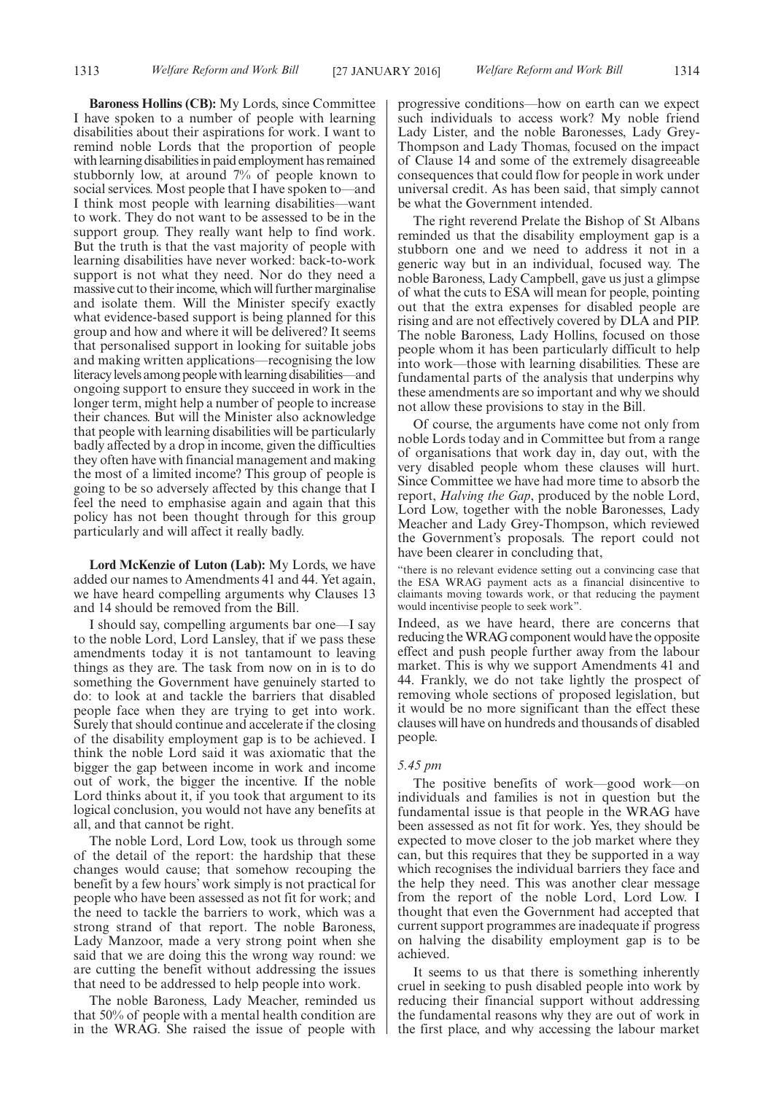**Baroness Hollins (CB):** My Lords, since Committee I have spoken to a number of people with learning disabilities about their aspirations for work. I want to remind noble Lords that the proportion of people with learning disabilities in paid employment has remained stubbornly low, at around 7% of people known to social services. Most people that I have spoken to—and I think most people with learning disabilities—want to work. They do not want to be assessed to be in the support group. They really want help to find work. But the truth is that the vast majority of people with learning disabilities have never worked: back-to-work support is not what they need. Nor do they need a massive cut to their income, which will further marginalise and isolate them. Will the Minister specify exactly what evidence-based support is being planned for this group and how and where it will be delivered? It seems that personalised support in looking for suitable jobs and making written applications—recognising the low literacylevels among people withlearning disabilities—and ongoing support to ensure they succeed in work in the longer term, might help a number of people to increase their chances. But will the Minister also acknowledge that people with learning disabilities will be particularly badly affected by a drop in income, given the difficulties they often have with financial management and making the most of a limited income? This group of people is going to be so adversely affected by this change that I feel the need to emphasise again and again that this policy has not been thought through for this group particularly and will affect it really badly.

**Lord McKenzie of Luton (Lab):** My Lords, we have added our names to Amendments 41 and 44. Yet again, we have heard compelling arguments why Clauses 13 and 14 should be removed from the Bill.

I should say, compelling arguments bar one—I say to the noble Lord, Lord Lansley, that if we pass these amendments today it is not tantamount to leaving things as they are. The task from now on in is to do something the Government have genuinely started to do: to look at and tackle the barriers that disabled people face when they are trying to get into work. Surely that should continue and accelerate if the closing of the disability employment gap is to be achieved. I think the noble Lord said it was axiomatic that the bigger the gap between income in work and income out of work, the bigger the incentive. If the noble Lord thinks about it, if you took that argument to its logical conclusion, you would not have any benefits at all, and that cannot be right.

The noble Lord, Lord Low, took us through some of the detail of the report: the hardship that these changes would cause; that somehow recouping the benefit by a few hours' work simply is not practical for people who have been assessed as not fit for work; and the need to tackle the barriers to work, which was a strong strand of that report. The noble Baroness, Lady Manzoor, made a very strong point when she said that we are doing this the wrong way round: we are cutting the benefit without addressing the issues that need to be addressed to help people into work.

The noble Baroness, Lady Meacher, reminded us that 50% of people with a mental health condition are in the WRAG. She raised the issue of people with progressive conditions—how on earth can we expect such individuals to access work? My noble friend Lady Lister, and the noble Baronesses, Lady Grey-Thompson and Lady Thomas, focused on the impact of Clause 14 and some of the extremely disagreeable consequences that could flow for people in work under universal credit. As has been said, that simply cannot be what the Government intended.

The right reverend Prelate the Bishop of St Albans reminded us that the disability employment gap is a stubborn one and we need to address it not in a generic way but in an individual, focused way. The noble Baroness, Lady Campbell, gave us just a glimpse of what the cuts to ESA will mean for people, pointing out that the extra expenses for disabled people are rising and are not effectively covered by DLA and PIP. The noble Baroness, Lady Hollins, focused on those people whom it has been particularly difficult to help into work—those with learning disabilities. These are fundamental parts of the analysis that underpins why these amendments are so important and why we should not allow these provisions to stay in the Bill.

Of course, the arguments have come not only from noble Lords today and in Committee but from a range of organisations that work day in, day out, with the very disabled people whom these clauses will hurt. Since Committee we have had more time to absorb the report, *Halving the Gap*, produced by the noble Lord, Lord Low, together with the noble Baronesses, Lady Meacher and Lady Grey-Thompson, which reviewed the Government's proposals. The report could not have been clearer in concluding that,

"there is no relevant evidence setting out a convincing case that the ESA WRAG payment acts as a financial disincentive to claimants moving towards work, or that reducing the payment would incentivise people to seek work".

Indeed, as we have heard, there are concerns that reducing theWRAG component would have the opposite effect and push people further away from the labour market. This is why we support Amendments 41 and 44. Frankly, we do not take lightly the prospect of removing whole sections of proposed legislation, but it would be no more significant than the effect these clauses will have on hundreds and thousands of disabled people.

#### *5.45 pm*

The positive benefits of work—good work—on individuals and families is not in question but the fundamental issue is that people in the WRAG have been assessed as not fit for work. Yes, they should be expected to move closer to the job market where they can, but this requires that they be supported in a way which recognises the individual barriers they face and the help they need. This was another clear message from the report of the noble Lord, Lord Low. I thought that even the Government had accepted that current support programmes are inadequate if progress on halving the disability employment gap is to be achieved.

It seems to us that there is something inherently cruel in seeking to push disabled people into work by reducing their financial support without addressing the fundamental reasons why they are out of work in the first place, and why accessing the labour market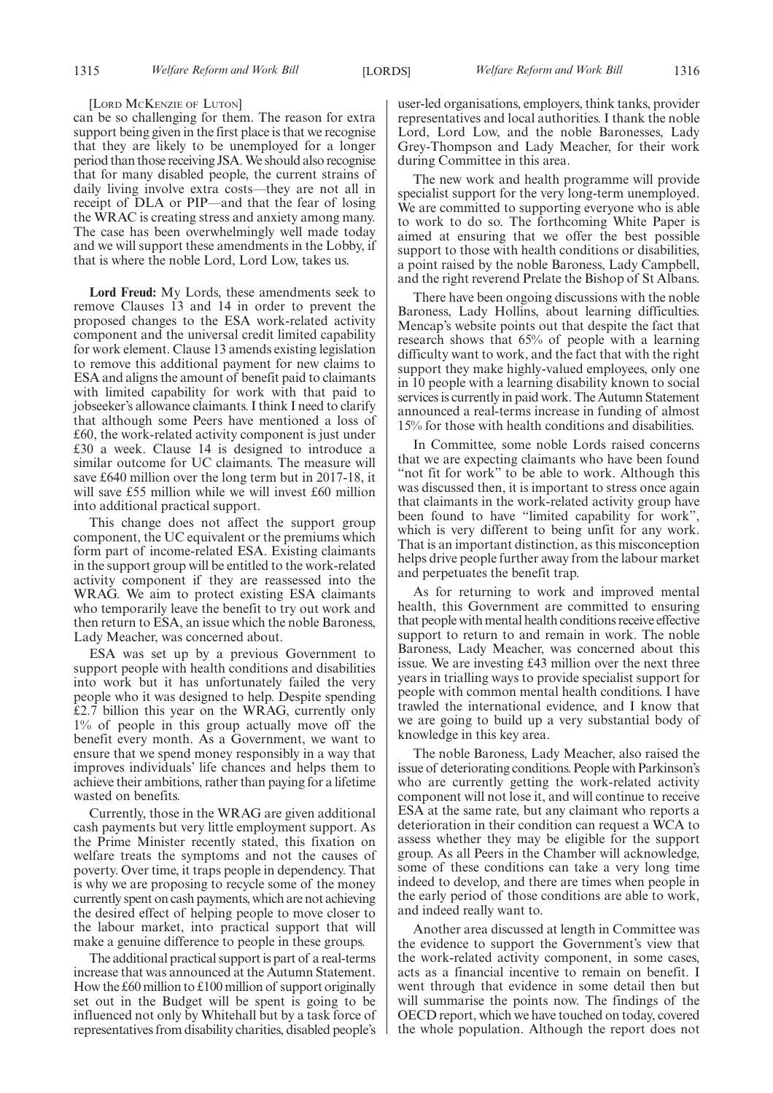#### [LORD MCKENZIE OF LUTON]

can be so challenging for them. The reason for extra support being given in the first place is that we recognise that they are likely to be unemployed for a longer period than those receiving JSA.We should also recognise that for many disabled people, the current strains of daily living involve extra costs—they are not all in receipt of DLA or PIP—and that the fear of losing the WRAC is creating stress and anxiety among many. The case has been overwhelmingly well made today and we will support these amendments in the Lobby, if that is where the noble Lord, Lord Low, takes us.

**Lord Freud:** My Lords, these amendments seek to remove Clauses 13 and 14 in order to prevent the proposed changes to the ESA work-related activity component and the universal credit limited capability for work element. Clause 13 amends existing legislation to remove this additional payment for new claims to ESA and aligns the amount of benefit paid to claimants with limited capability for work with that paid to jobseeker's allowance claimants. I think I need to clarify that although some Peers have mentioned a loss of £60, the work-related activity component is just under £30 a week. Clause 14 is designed to introduce a similar outcome for UC claimants. The measure will save £640 million over the long term but in 2017-18, it will save £55 million while we will invest £60 million into additional practical support.

This change does not affect the support group component, the UC equivalent or the premiums which form part of income-related ESA. Existing claimants in the support group will be entitled to the work-related activity component if they are reassessed into the WRAG. We aim to protect existing ESA claimants who temporarily leave the benefit to try out work and then return to ESA, an issue which the noble Baroness, Lady Meacher, was concerned about.

ESA was set up by a previous Government to support people with health conditions and disabilities into work but it has unfortunately failed the very people who it was designed to help. Despite spending £2.7 billion this year on the WRAG, currently only 1% of people in this group actually move off the benefit every month. As a Government, we want to ensure that we spend money responsibly in a way that improves individuals' life chances and helps them to achieve their ambitions, rather than paying for a lifetime wasted on benefits.

Currently, those in the WRAG are given additional cash payments but very little employment support. As the Prime Minister recently stated, this fixation on welfare treats the symptoms and not the causes of poverty. Over time, it traps people in dependency. That is why we are proposing to recycle some of the money currently spent on cash payments, which are not achieving the desired effect of helping people to move closer to the labour market, into practical support that will make a genuine difference to people in these groups.

The additional practical support is part of a real-terms increase that was announced at the Autumn Statement. How the £60 million to £100 million of support originally set out in the Budget will be spent is going to be influenced not only by Whitehall but by a task force of representatives from disability charities, disabled people's user-led organisations, employers, think tanks, provider representatives and local authorities. I thank the noble Lord, Lord Low, and the noble Baronesses, Lady Grey-Thompson and Lady Meacher, for their work during Committee in this area.

The new work and health programme will provide specialist support for the very long-term unemployed. We are committed to supporting everyone who is able to work to do so. The forthcoming White Paper is aimed at ensuring that we offer the best possible support to those with health conditions or disabilities, a point raised by the noble Baroness, Lady Campbell, and the right reverend Prelate the Bishop of St Albans.

There have been ongoing discussions with the noble Baroness, Lady Hollins, about learning difficulties. Mencap's website points out that despite the fact that research shows that 65% of people with a learning difficulty want to work, and the fact that with the right support they make highly-valued employees, only one in 10 people with a learning disability known to social services is currently in paid work. The Autumn Statement announced a real-terms increase in funding of almost 15% for those with health conditions and disabilities.

In Committee, some noble Lords raised concerns that we are expecting claimants who have been found "not fit for work" to be able to work. Although this was discussed then, it is important to stress once again that claimants in the work-related activity group have been found to have "limited capability for work", which is very different to being unfit for any work. That is an important distinction, as this misconception helps drive people further away from the labour market and perpetuates the benefit trap.

As for returning to work and improved mental health, this Government are committed to ensuring that people with mental health conditions receive effective support to return to and remain in work. The noble Baroness, Lady Meacher, was concerned about this issue. We are investing £43 million over the next three years in trialling ways to provide specialist support for people with common mental health conditions. I have trawled the international evidence, and I know that we are going to build up a very substantial body of knowledge in this key area.

The noble Baroness, Lady Meacher, also raised the issue of deteriorating conditions. People with Parkinson's who are currently getting the work-related activity component will not lose it, and will continue to receive ESA at the same rate, but any claimant who reports a deterioration in their condition can request a WCA to assess whether they may be eligible for the support group. As all Peers in the Chamber will acknowledge, some of these conditions can take a very long time indeed to develop, and there are times when people in the early period of those conditions are able to work, and indeed really want to.

Another area discussed at length in Committee was the evidence to support the Government's view that the work-related activity component, in some cases, acts as a financial incentive to remain on benefit. I went through that evidence in some detail then but will summarise the points now. The findings of the OECD report, which we have touched on today, covered the whole population. Although the report does not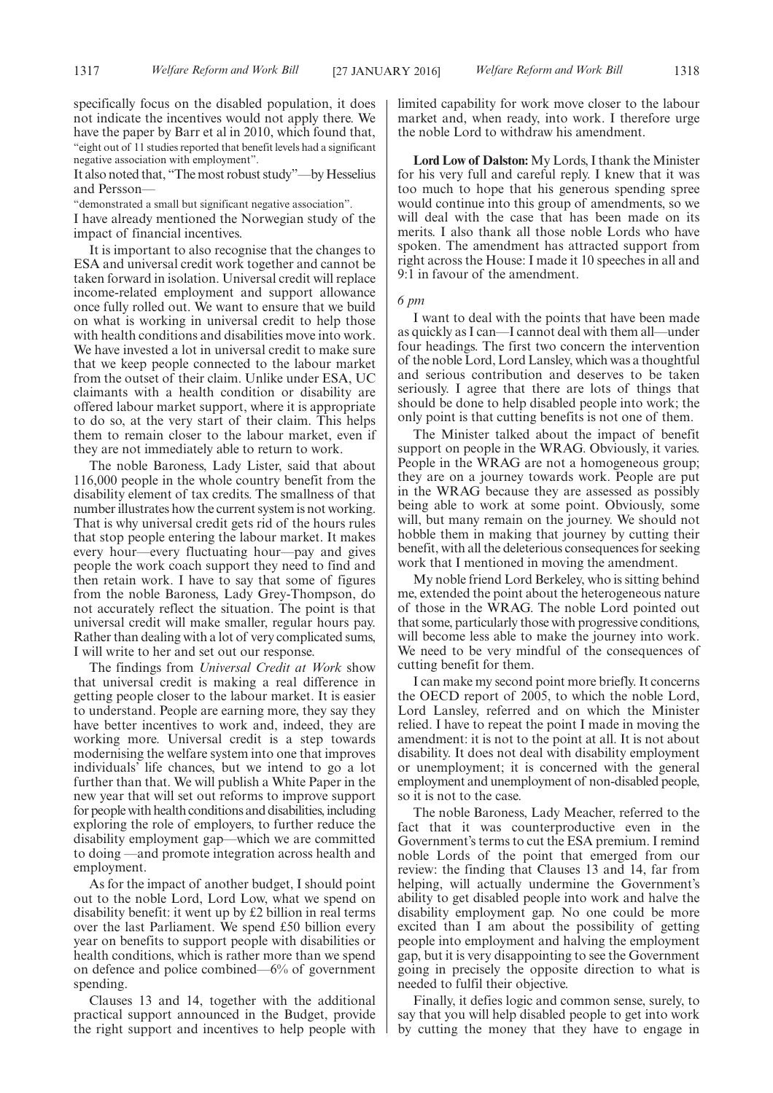specifically focus on the disabled population, it does not indicate the incentives would not apply there. We have the paper by Barr et al in 2010, which found that, "eight out of 11 studies reported that benefit levels had a significant negative association with employment".

It also noted that, "The most robust study"—by Hesselius and Persson—

"demonstrated a small but significant negative association".

I have already mentioned the Norwegian study of the impact of financial incentives.

It is important to also recognise that the changes to ESA and universal credit work together and cannot be taken forward in isolation. Universal credit will replace income-related employment and support allowance once fully rolled out. We want to ensure that we build on what is working in universal credit to help those with health conditions and disabilities move into work. We have invested a lot in universal credit to make sure that we keep people connected to the labour market from the outset of their claim. Unlike under ESA, UC claimants with a health condition or disability are offered labour market support, where it is appropriate to do so, at the very start of their claim. This helps them to remain closer to the labour market, even if they are not immediately able to return to work.

The noble Baroness, Lady Lister, said that about 116,000 people in the whole country benefit from the disability element of tax credits. The smallness of that number illustrates how the current system is not working. That is why universal credit gets rid of the hours rules that stop people entering the labour market. It makes every hour—every fluctuating hour—pay and gives people the work coach support they need to find and then retain work. I have to say that some of figures from the noble Baroness, Lady Grey-Thompson, do not accurately reflect the situation. The point is that universal credit will make smaller, regular hours pay. Rather than dealing with a lot of very complicated sums, I will write to her and set out our response.

The findings from *Universal Credit at Work* show that universal credit is making a real difference in getting people closer to the labour market. It is easier to understand. People are earning more, they say they have better incentives to work and, indeed, they are working more. Universal credit is a step towards modernising the welfare system into one that improves individuals' life chances, but we intend to go a lot further than that. We will publish a White Paper in the new year that will set out reforms to improve support for people with health conditions and disabilities, including exploring the role of employers, to further reduce the disability employment gap—which we are committed to doing —and promote integration across health and employment.

As for the impact of another budget, I should point out to the noble Lord, Lord Low, what we spend on disability benefit: it went up by £2 billion in real terms over the last Parliament. We spend £50 billion every year on benefits to support people with disabilities or health conditions, which is rather more than we spend on defence and police combined—6% of government spending.

Clauses 13 and 14, together with the additional practical support announced in the Budget, provide the right support and incentives to help people with limited capability for work move closer to the labour market and, when ready, into work. I therefore urge the noble Lord to withdraw his amendment.

**Lord Low of Dalston:** My Lords, I thank the Minister for his very full and careful reply. I knew that it was too much to hope that his generous spending spree would continue into this group of amendments, so we will deal with the case that has been made on its merits. I also thank all those noble Lords who have spoken. The amendment has attracted support from right across the House: I made it 10 speeches in all and 9:1 in favour of the amendment.

#### *6 pm*

I want to deal with the points that have been made as quickly as I can—I cannot deal with them all—under four headings. The first two concern the intervention of the noble Lord, Lord Lansley, which was a thoughtful and serious contribution and deserves to be taken seriously. I agree that there are lots of things that should be done to help disabled people into work; the only point is that cutting benefits is not one of them.

The Minister talked about the impact of benefit support on people in the WRAG. Obviously, it varies. People in the WRAG are not a homogeneous group; they are on a journey towards work. People are put in the WRAG because they are assessed as possibly being able to work at some point. Obviously, some will, but many remain on the journey. We should not hobble them in making that journey by cutting their benefit, with all the deleterious consequences for seeking work that I mentioned in moving the amendment.

My noble friend Lord Berkeley, who is sitting behind me, extended the point about the heterogeneous nature of those in the WRAG. The noble Lord pointed out that some, particularly those with progressive conditions, will become less able to make the journey into work. We need to be very mindful of the consequences of cutting benefit for them.

I can make my second point more briefly. It concerns the OECD report of 2005, to which the noble Lord, Lord Lansley, referred and on which the Minister relied. I have to repeat the point I made in moving the amendment: it is not to the point at all. It is not about disability. It does not deal with disability employment or unemployment; it is concerned with the general employment and unemployment of non-disabled people, so it is not to the case.

The noble Baroness, Lady Meacher, referred to the fact that it was counterproductive even in the Government's terms to cut the ESA premium. I remind noble Lords of the point that emerged from our review: the finding that Clauses 13 and 14, far from helping, will actually undermine the Government's ability to get disabled people into work and halve the disability employment gap. No one could be more excited than I am about the possibility of getting people into employment and halving the employment gap, but it is very disappointing to see the Government going in precisely the opposite direction to what is needed to fulfil their objective.

Finally, it defies logic and common sense, surely, to say that you will help disabled people to get into work by cutting the money that they have to engage in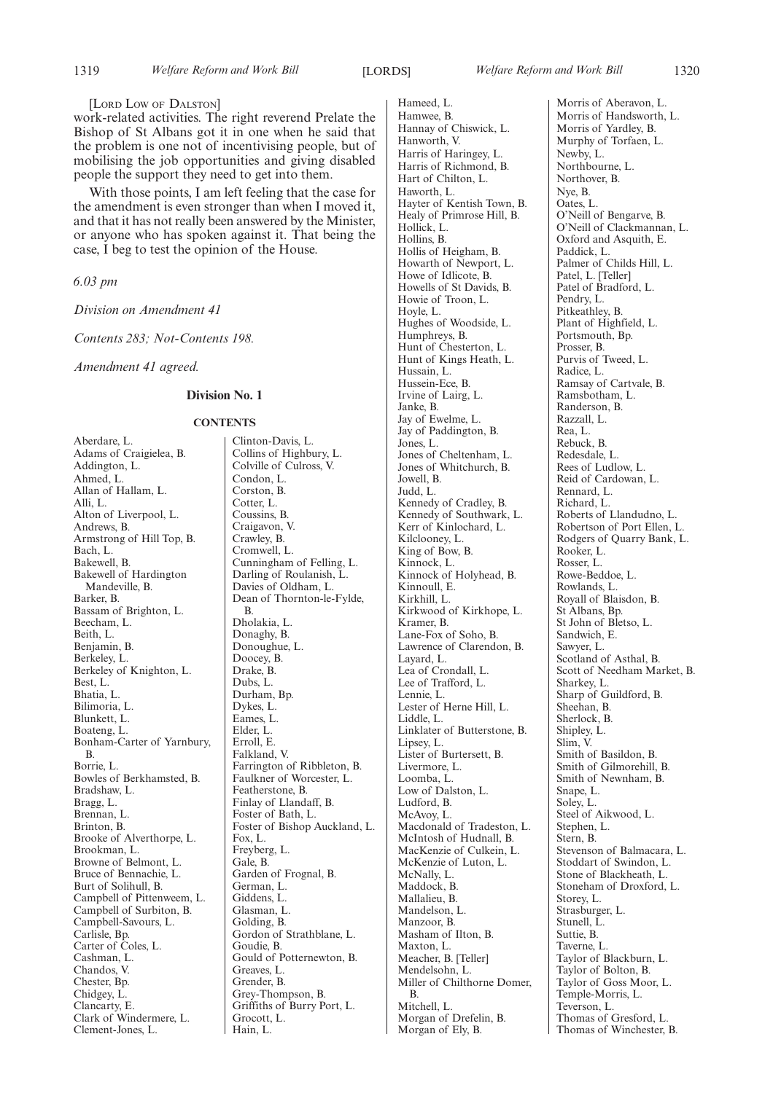[LORD LOW OF DALSTON]

work-related activities. The right reverend Prelate the Bishop of St Albans got it in one when he said that the problem is one not of incentivising people, but of mobilising the job opportunities and giving disabled people the support they need to get into them.

With those points, I am left feeling that the case for the amendment is even stronger than when I moved it, and that it has not really been answered by the Minister, or anyone who has spoken against it. That being the case, I beg to test the opinion of the House.

*6.03 pm*

*Division on Amendment 41*

*Contents 283; Not-Contents 198.*

*Amendment 41 agreed.*

#### **Division No. 1**

#### **CONTENTS**

Aberdare, L. Adams of Craigielea, B. Addington, L. Ahmed, L. Allan of Hallam, L. Alli, L. Alton of Liverpool, L. Andrews, B. Armstrong of Hill Top, B. Bach, L. Bakewell, B. Bakewell of Hardington Mandeville, B. Barker, B. Bassam of Brighton, L. Beecham, L. Beith, L. Benjamin, B. Berkeley, L. Berkeley of Knighton, L. Best, L. Bhatia, L. Bilimoria, L. Blunkett, L. Boateng, L. Bonham-Carter of Yarnbury, B. Borrie, L. Bowles of Berkhamsted, B. Bradshaw, L. Bragg, L. Brennan, L. Brinton, B. Brooke of Alverthorpe, L. Brookman, L. Browne of Belmont, L. Bruce of Bennachie, L. Burt of Solihull, B. Campbell of Pittenweem, L. Campbell of Surbiton, B. Campbell-Savours, L. Carlisle, Bp. Carter of Coles, L. Cashman, L. Chandos, V. Chester, Bp. Chidgey, L. Clancarty, E. Clark of Windermere, L. Clement-Jones, L.

Clinton-Davis, L. Collins of Highbury, L. Colville of Culross, V. Condon, L. Corston, B. Cotter, L. Coussins, B. Craigavon, V. Crawley, B. Cromwell, L. Cunningham of Felling, L. Darling of Roulanish, L. Davies of Oldham, L. Dean of Thornton-le-Fylde, B. Dholakia, L. Donaghy, B. Donoughue, L. Doocey, B. Drake, B. Dubs, L. Durham, Bp. Dykes, L. Eames, L. Elder, L. Erroll, E. Falkland, V. Farrington of Ribbleton, B. Faulkner of Worcester, L. Featherstone, B. Finlay of Llandaff, B. Foster of Bath, L. Foster of Bishop Auckland, L. Fox, L. Freyberg, L. Gale, B. Garden of Frognal, B. German, L. Giddens, L. Glasman, L. Golding, B. Gordon of Strathblane, L. Goudie, B. Gould of Potternewton, B. Greaves, L. Grender, B. Grey-Thompson, B. Griffiths of Burry Port, L. Grocott, L. Hain, L.

Hameed, L. Hamwee, B. Hannay of Chiswick, L. Hanworth, V. Harris of Haringey, L. Harris of Richmond, B. Hart of Chilton, L. Haworth, L. Hayter of Kentish Town, B. Healy of Primrose Hill, B. Hollick, L. Hollins, B. Hollis of Heigham, B. Howarth of Newport, L. Howe of Idlicote, B. Howells of St Davids, B. Howie of Troon, L. Hoyle, L. Hughes of Woodside, L. Humphreys, B. Hunt of Chesterton, L. Hunt of Kings Heath, L. Hussain, L. Hussein-Ece, B. Irvine of Lairg, L. Janke, B. Jay of Ewelme, L. Jay of Paddington, B. Jones, L. Jones of Cheltenham, L. Jones of Whitchurch, B. Jowell, B. Judd, L. Kennedy of Cradley, B. Kennedy of Southwark, L. Kerr of Kinlochard, L. Kilclooney, L. King of Bow, B. Kinnock, L. Kinnock of Holyhead, B. Kinnoull, E. Kirkhill, L. Kirkwood of Kirkhope, L. Kramer, B. Lane-Fox of Soho, B. Lawrence of Clarendon, B. Layard, L. Lea of Crondall, L. Lee of Trafford, L. Lennie, L. Lester of Herne Hill, L. Liddle, L. Linklater of Butterstone, B. Lipsey, L. Lister of Burtersett, B. Livermore, L. Loomba, L. Low of Dalston, L. Ludford, B. McAvoy, L. Macdonald of Tradeston, L. McIntosh of Hudnall, B. MacKenzie of Culkein, L. McKenzie of Luton, L. McNally, L. Maddock, B. Mallalieu, B. Mandelson, L. Manzoor, B. Masham of Ilton, B. Maxton, L. Meacher, B. [Teller] Mendelsohn, L. Miller of Chilthorne Domer, B. Mitchell, L. Morgan of Drefelin, B. Morgan of Ely, B.

Morris of Aberavon, L. Morris of Handsworth, L. Morris of Yardley, B. Murphy of Torfaen, L. Newby, L. Northbourne, L. Northover, B. Nye, B. Oates, L. O'Neill of Bengarve, B. O'Neill of Clackmannan, L. Oxford and Asquith, E. Paddick, L. Palmer of Childs Hill, L. Patel, L. [Teller] Patel of Bradford, L. Pendry, L. Pitkeathley, B. Plant of Highfield, L. Portsmouth, Bp. Prosser, B. Purvis of Tweed, L. Radice, L. Ramsay of Cartvale, B. Ramsbotham, L. Randerson, B. Razzall, L. Rea, L. Rebuck, B. Redesdale, L. Rees of Ludlow, L. Reid of Cardowan, L. Rennard, L. Richard, L. Roberts of Llandudno, L. Robertson of Port Ellen, L. Rodgers of Quarry Bank, L. Rooker, L. Rosser, L. Rowe-Beddoe, L. Rowlands, L. Royall of Blaisdon, B. St Albans, Bp. St John of Bletso, L. Sandwich, E. Sawyer, L. Scotland of Asthal, B. Scott of Needham Market, B. Sharkey, L. Sharp of Guildford, B. Sheehan, B. Sherlock, B. Shipley, L. Slim, V. Smith of Basildon, B. Smith of Gilmorehill, B. Smith of Newnham, B. Snape, L. Solev, L. Steel of Aikwood, L. Stephen, L. Stern, B. Stevenson of Balmacara, L. Stoddart of Swindon, L. Stone of Blackheath, L. Stoneham of Droxford, L. Storey, L. Strasburger, L. Stunell, L. Suttie, B. Taverne, L. Taylor of Blackburn, L. Taylor of Bolton, B. Taylor of Goss Moor, L. Temple-Morris, L. Teverson, L. Thomas of Gresford, L. Thomas of Winchester, B.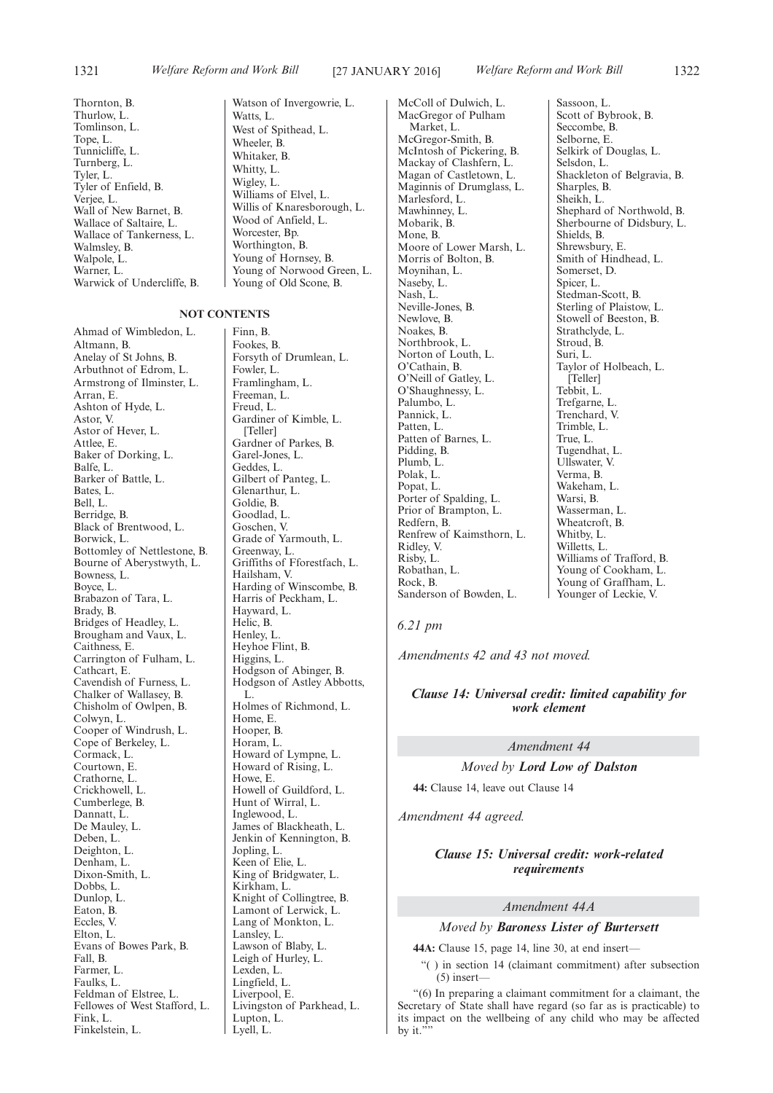Thornton, B. Thurlow, L. Tomlinson, L. Tope, L. Tunnicliffe, L. Turnberg, L. Tyler, L. Tyler of Enfield, B. Verjee, L. Wall of New Barnet, B. Wallace of Saltaire, L. Wallace of Tankerness, L. Walmsley, B. Walpole, L. Warner, L. Warwick of Undercliffe, B.

#### Watts, L. West of Spithead, L. Wheeler, B. Whitaker, B. Whitty, L. Wigley, L. Williams of Elvel, L. Willis of Knaresborough, L. Wood of Anfield, L. Worcester, Bp. Worthington, B. Young of Hornsey, B. Young of Old Scone, B.

#### **NOT CONTENTS**

Ahmad of Wimbledon, L. Altmann, B. Anelay of St Johns, B. Arbuthnot of Edrom, L. Armstrong of Ilminster, L. Arran, E. Ashton of Hyde, L. Astor, V. Astor of Hever, L. Attlee, E. Baker of Dorking, L. Balfe, L. Barker of Battle, L. Bates, L. Bell, L. Berridge, B. Black of Brentwood, L. Borwick, L. Bottomley of Nettlestone, B. Bourne of Aberystwyth, L. Bowness, L. Boyce, L. Brabazon of Tara, L. Brady, B. Bridges of Headley, L. Brougham and Vaux, L. Caithness, E. Carrington of Fulham, L. Cathcart, E. Cavendish of Furness, L. Chalker of Wallasey, B. Chisholm of Owlpen, B. Colwyn, L. Cooper of Windrush, L. Cope of Berkeley, L. Cormack, L. Courtown, E. Crathorne, L. Crickhowell, L. Cumberlege, B. Dannatt, L. De Mauley, L. Deben, L. Deighton, L. Denham, L. Dixon-Smith, L. Dobbs, L. Dunlop, L. Eaton, B. Eccles, V. Elton, L. Evans of Bowes Park, B. Fall, B. Farmer, L. Faulks, L. Feldman of Elstree, L. Fellowes of West Stafford, L. Fink, L. Finkelstein, L.

Watson of Invergowrie, L. Young of Norwood Green, L.

Finn, B. Fookes, B. Forsyth of Drumlean, L. Fowler, L. Framlingham, L. Freeman, L. Freud, L. Gardiner of Kimble, L. [Teller] Gardner of Parkes, B. Garel-Jones, L. Geddes, L. Gilbert of Panteg, L. Glenarthur, L. Goldie, B. Goodlad, L. Goschen, V. Grade of Yarmouth, L. Greenway, L. Griffiths of Fforestfach, L. Hailsham, V. Harding of Winscombe, B. Harris of Peckham, L. Hayward, L. Helic, B. Henley, L. Heyhoe Flint, B. Higgins, L. Hodgson of Abinger, B. Hodgson of Astley Abbotts, L. Holmes of Richmond, L. Home, E. Hooper, B. Horam, L. Howard of Lympne, L. Howard of Rising, L. Howe, E. Howell of Guildford, L. Hunt of Wirral, L. Inglewood, L. James of Blackheath, L. Jenkin of Kennington, B. Jopling, L. Keen of Elie, L. King of Bridgwater, L. Kirkham, L. Knight of Collingtree, B. Lamont of Lerwick, L. Lang of Monkton, L. Lansley, L.

Lawson of Blaby, L. Leigh of Hurley, L. Lexden, L. Lingfield, L. Liverpool, E.

Lupton, L. Lyell, L.

Livingston of Parkhead, L.

MacGregor of Pulham Market, L. McGregor-Smith, B. McIntosh of Pickering, B. Mackay of Clashfern, L. Magan of Castletown, L. Maginnis of Drumglass, L. Marlesford, L. Mawhinney, L. Mobarik, B. Mone, B. Moore of Lower Marsh, L. Morris of Bolton, B. Moynihan, L. Naseby, L. Nash, L. Neville-Jones, B. Newlove, B. Noakes, B. Northbrook, L. Norton of Louth, L. O'Cathain, B. O'Neill of Gatley, L. O'Shaughnessy, L. Palumbo, L. Pannick, L. Patten, L. Patten of Barnes, L. Pidding, B. Plumb, L. Polak, L. Popat, L. Porter of Spalding, L. Prior of Brampton, L. Redfern, B. Renfrew of Kaimsthorn, L. Ridley, V. Risby, L. Robathan, L. Rock, B. Sanderson of Bowden, L.

McColl of Dulwich, L.

Sassoon, L. Scott of Bybrook, B. Seccombe, B. Selborne, E. Selkirk of Douglas, L. Selsdon, L. Shackleton of Belgravia, B. Sharples, B. Sheikh, L. Shephard of Northwold, B. Sherbourne of Didsbury, L. Shields, B. Shrewsbury, E. Smith of Hindhead, L. Somerset, D. Spicer, L. Stedman-Scott, B. Sterling of Plaistow, L. Stowell of Beeston, B. Strathclyde, L. Stroud, B. Suri, L. Taylor of Holbeach, L. [Teller] Tebbit, L. Trefgarne, L. Trenchard, V. Trimble, L. True, L. Tugendhat, L. Ullswater, V. Verma, B. Wakeham, L. Warsi, B. Wasserman, L. Wheatcroft, B. Whitby, L. Willetts, L. Williams of Trafford, B. Young of Cookham, L. Young of Graffham, L. Younger of Leckie, V.

#### *6.21 pm*

*Amendments 42 and 43 not moved.*

#### *Clause 14: Universal credit: limited capability for work element*

#### *Amendment 44*

*Moved by Lord Low of Dalston*

**44:** Clause 14, leave out Clause 14

*Amendment 44 agreed.*

#### *Clause 15: Universal credit: work-related requirements*

#### *Amendment 44A*

#### *Moved by Baroness Lister of Burtersett*

**44A:** Clause 15, page 14, line 30, at end insert—

"( ) in section 14 (claimant commitment) after subsection  $(5)$  insert-

"(6) In preparing a claimant commitment for a claimant, the Secretary of State shall have regard (so far as is practicable) to its impact on the wellbeing of any child who may be affected by it.'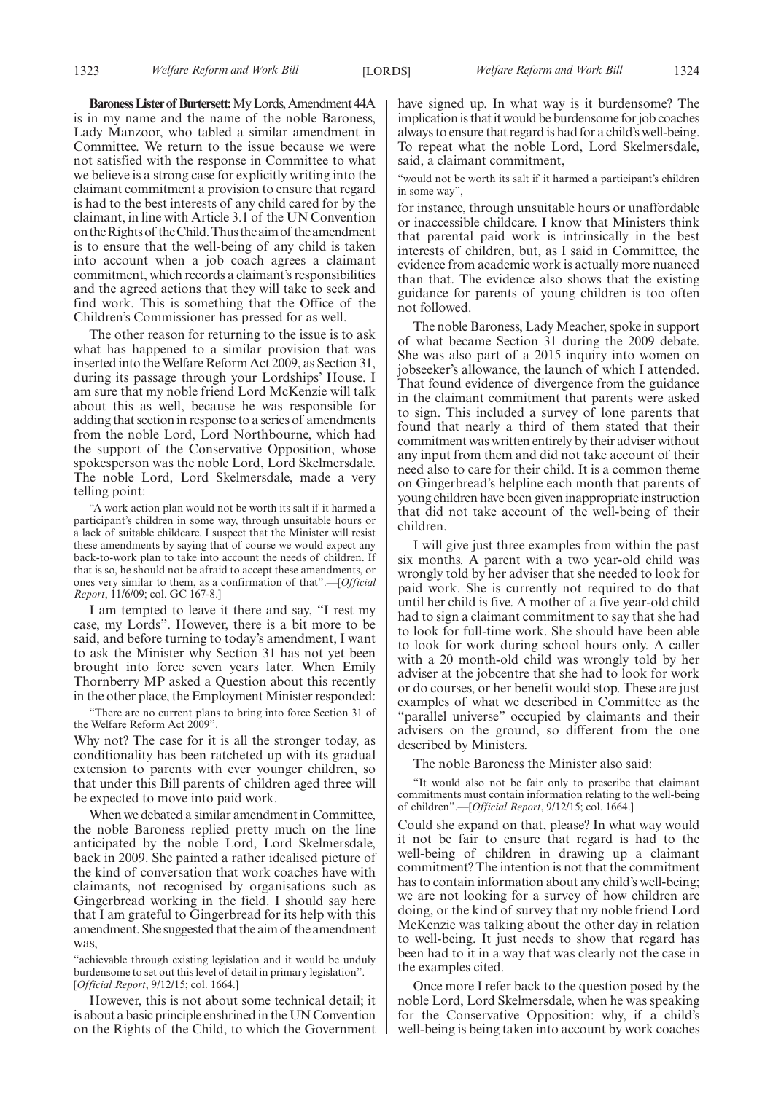**Baroness Lister of Burtersett:** My Lords, Amendment 44A is in my name and the name of the noble Baroness, Lady Manzoor, who tabled a similar amendment in Committee. We return to the issue because we were not satisfied with the response in Committee to what we believe is a strong case for explicitly writing into the claimant commitment a provision to ensure that regard is had to the best interests of any child cared for by the claimant, in line with Article 3.1 of the UN Convention on the Rights of the Child. Thus the aim of the amendment is to ensure that the well-being of any child is taken into account when a job coach agrees a claimant commitment, which records a claimant's responsibilities and the agreed actions that they will take to seek and find work. This is something that the Office of the Children's Commissioner has pressed for as well.

The other reason for returning to the issue is to ask what has happened to a similar provision that was inserted into the Welfare Reform Act 2009, as Section 31, during its passage through your Lordships' House. I am sure that my noble friend Lord McKenzie will talk about this as well, because he was responsible for adding that section in response to a series of amendments from the noble Lord, Lord Northbourne, which had the support of the Conservative Opposition, whose spokesperson was the noble Lord, Lord Skelmersdale. The noble Lord, Lord Skelmersdale, made a very telling point:

"A work action plan would not be worth its salt if it harmed a participant's children in some way, through unsuitable hours or a lack of suitable childcare. I suspect that the Minister will resist these amendments by saying that of course we would expect any back-to-work plan to take into account the needs of children. If that is so, he should not be afraid to accept these amendments, or ones very similar to them, as a confirmation of that".—[*Official Report*, 11/6/09; col. GC 167-8.]

I am tempted to leave it there and say, "I rest my case, my Lords". However, there is a bit more to be said, and before turning to today's amendment, I want to ask the Minister why Section 31 has not yet been brought into force seven years later. When Emily Thornberry MP asked a Question about this recently in the other place, the Employment Minister responded:

"There are no current plans to bring into force Section 31 of the Welfare Reform Act 2009".

Why not? The case for it is all the stronger today, as conditionality has been ratcheted up with its gradual extension to parents with ever younger children, so that under this Bill parents of children aged three will be expected to move into paid work.

When we debated a similar amendment in Committee, the noble Baroness replied pretty much on the line anticipated by the noble Lord, Lord Skelmersdale, back in 2009. She painted a rather idealised picture of the kind of conversation that work coaches have with claimants, not recognised by organisations such as Gingerbread working in the field. I should say here that I am grateful to Gingerbread for its help with this amendment. She suggested that the aim of the amendment was,

"achievable through existing legislation and it would be unduly burdensome to set out this level of detail in primary legislation". [*Official Report*, 9/12/15; col. 1664.]

However, this is not about some technical detail; it is about a basic principle enshrined in the UN Convention on the Rights of the Child, to which the Government have signed up. In what way is it burdensome? The implication is that it would be burdensome for job coaches always to ensure that regard is had for a child's well-being. To repeat what the noble Lord, Lord Skelmersdale, said, a claimant commitment,

"would not be worth its salt if it harmed a participant's children in some way",

for instance, through unsuitable hours or unaffordable or inaccessible childcare. I know that Ministers think that parental paid work is intrinsically in the best interests of children, but, as I said in Committee, the evidence from academic work is actually more nuanced than that. The evidence also shows that the existing guidance for parents of young children is too often not followed.

The noble Baroness, Lady Meacher, spoke in support of what became Section 31 during the 2009 debate. She was also part of a 2015 inquiry into women on jobseeker's allowance, the launch of which I attended. That found evidence of divergence from the guidance in the claimant commitment that parents were asked to sign. This included a survey of lone parents that found that nearly a third of them stated that their commitment was written entirely by their adviser without any input from them and did not take account of their need also to care for their child. It is a common theme on Gingerbread's helpline each month that parents of young children have been given inappropriate instruction that did not take account of the well-being of their children.

I will give just three examples from within the past six months. A parent with a two year-old child was wrongly told by her adviser that she needed to look for paid work. She is currently not required to do that until her child is five. A mother of a five year-old child had to sign a claimant commitment to say that she had to look for full-time work. She should have been able to look for work during school hours only. A caller with a 20 month-old child was wrongly told by her adviser at the jobcentre that she had to look for work or do courses, or her benefit would stop. These are just examples of what we described in Committee as the "parallel universe" occupied by claimants and their advisers on the ground, so different from the one described by Ministers.

The noble Baroness the Minister also said:

"It would also not be fair only to prescribe that claimant commitments must contain information relating to the well-being of children".—[*Official Report*, 9/12/15; col. 1664.]

Could she expand on that, please? In what way would it not be fair to ensure that regard is had to the well-being of children in drawing up a claimant commitment? The intention is not that the commitment has to contain information about any child's well-being; we are not looking for a survey of how children are doing, or the kind of survey that my noble friend Lord McKenzie was talking about the other day in relation to well-being. It just needs to show that regard has been had to it in a way that was clearly not the case in the examples cited.

Once more I refer back to the question posed by the noble Lord, Lord Skelmersdale, when he was speaking for the Conservative Opposition: why, if a child's well-being is being taken into account by work coaches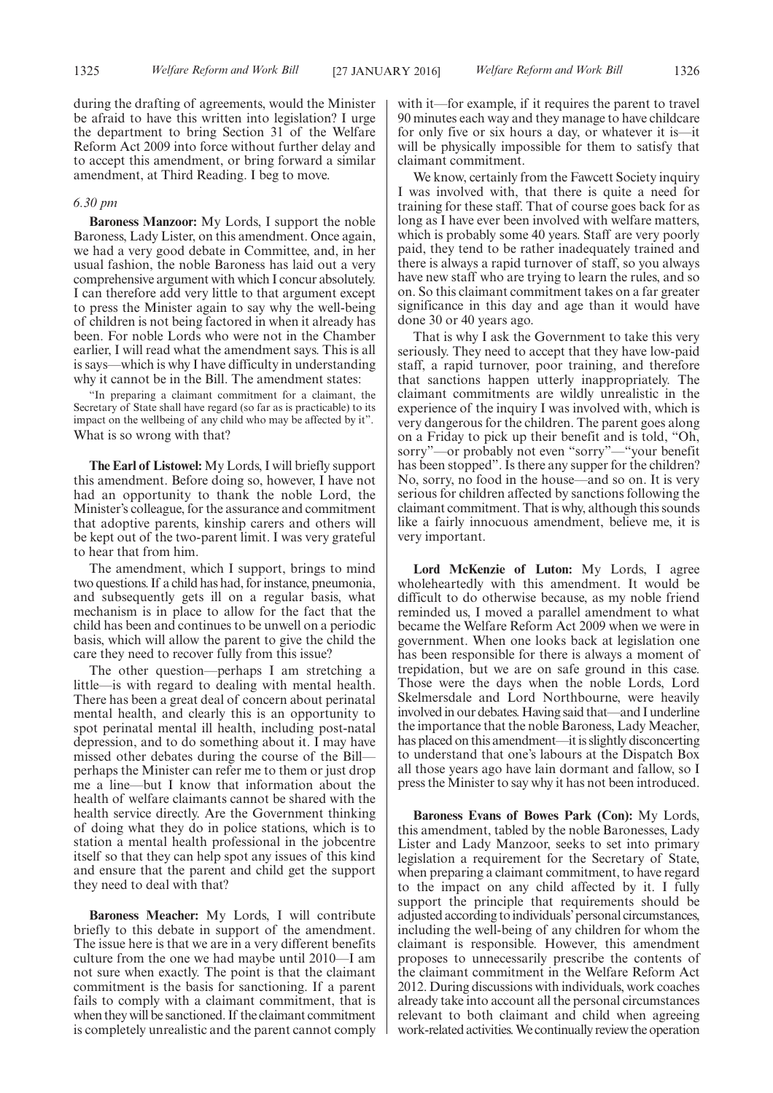during the drafting of agreements, would the Minister be afraid to have this written into legislation? I urge the department to bring Section 31 of the Welfare Reform Act 2009 into force without further delay and to accept this amendment, or bring forward a similar amendment, at Third Reading. I beg to move.

#### *6.30 pm*

**Baroness Manzoor:** My Lords, I support the noble Baroness, Lady Lister, on this amendment. Once again, we had a very good debate in Committee, and, in her usual fashion, the noble Baroness has laid out a very comprehensive argument with which I concur absolutely. I can therefore add very little to that argument except to press the Minister again to say why the well-being of children is not being factored in when it already has been. For noble Lords who were not in the Chamber earlier, I will read what the amendment says. This is all is says—which is why I have difficulty in understanding why it cannot be in the Bill. The amendment states:

"In preparing a claimant commitment for a claimant, the Secretary of State shall have regard (so far as is practicable) to its impact on the wellbeing of any child who may be affected by it". What is so wrong with that?

**The Earl of Listowel:** My Lords, I will briefly support this amendment. Before doing so, however, I have not had an opportunity to thank the noble Lord, the Minister's colleague, for the assurance and commitment that adoptive parents, kinship carers and others will be kept out of the two-parent limit. I was very grateful to hear that from him.

The amendment, which I support, brings to mind two questions. If a child has had, for instance, pneumonia, and subsequently gets ill on a regular basis, what mechanism is in place to allow for the fact that the child has been and continues to be unwell on a periodic basis, which will allow the parent to give the child the care they need to recover fully from this issue?

The other question—perhaps I am stretching a little—is with regard to dealing with mental health. There has been a great deal of concern about perinatal mental health, and clearly this is an opportunity to spot perinatal mental ill health, including post-natal depression, and to do something about it. I may have missed other debates during the course of the Bill perhaps the Minister can refer me to them or just drop me a line—but I know that information about the health of welfare claimants cannot be shared with the health service directly. Are the Government thinking of doing what they do in police stations, which is to station a mental health professional in the jobcentre itself so that they can help spot any issues of this kind and ensure that the parent and child get the support they need to deal with that?

**Baroness Meacher:** My Lords, I will contribute briefly to this debate in support of the amendment. The issue here is that we are in a very different benefits culture from the one we had maybe until 2010—I am not sure when exactly. The point is that the claimant commitment is the basis for sanctioning. If a parent fails to comply with a claimant commitment, that is when they will be sanctioned. If the claimant commitment is completely unrealistic and the parent cannot comply with it—for example, if it requires the parent to travel 90 minutes each way and they manage to have childcare for only five or six hours a day, or whatever it is—it will be physically impossible for them to satisfy that claimant commitment.

We know, certainly from the Fawcett Society inquiry I was involved with, that there is quite a need for training for these staff. That of course goes back for as long as I have ever been involved with welfare matters, which is probably some 40 years. Staff are very poorly paid, they tend to be rather inadequately trained and there is always a rapid turnover of staff, so you always have new staff who are trying to learn the rules, and so on. So this claimant commitment takes on a far greater significance in this day and age than it would have done 30 or 40 years ago.

That is why I ask the Government to take this very seriously. They need to accept that they have low-paid staff, a rapid turnover, poor training, and therefore that sanctions happen utterly inappropriately. The claimant commitments are wildly unrealistic in the experience of the inquiry I was involved with, which is very dangerous for the children. The parent goes along on a Friday to pick up their benefit and is told, "Oh, sorry"—or probably not even "sorry"—"your benefit has been stopped". Is there any supper for the children? No, sorry, no food in the house—and so on. It is very serious for children affected by sanctions following the claimant commitment. That is why, although this sounds like a fairly innocuous amendment, believe me, it is very important.

**Lord McKenzie of Luton:** My Lords, I agree wholeheartedly with this amendment. It would be difficult to do otherwise because, as my noble friend reminded us, I moved a parallel amendment to what became the Welfare Reform Act 2009 when we were in government. When one looks back at legislation one has been responsible for there is always a moment of trepidation, but we are on safe ground in this case. Those were the days when the noble Lords, Lord Skelmersdale and Lord Northbourne, were heavily involved in our debates. Having said that—and I underline the importance that the noble Baroness, Lady Meacher, has placed on this amendment—it is slightly disconcerting to understand that one's labours at the Dispatch Box all those years ago have lain dormant and fallow, so I press the Minister to say why it has not been introduced.

**Baroness Evans of Bowes Park (Con):** My Lords, this amendment, tabled by the noble Baronesses, Lady Lister and Lady Manzoor, seeks to set into primary legislation a requirement for the Secretary of State, when preparing a claimant commitment, to have regard to the impact on any child affected by it. I fully support the principle that requirements should be adjusted according to individuals'personal circumstances, including the well-being of any children for whom the claimant is responsible. However, this amendment proposes to unnecessarily prescribe the contents of the claimant commitment in the Welfare Reform Act 2012. During discussions with individuals, work coaches already take into account all the personal circumstances relevant to both claimant and child when agreeing work-related activities.We continually review the operation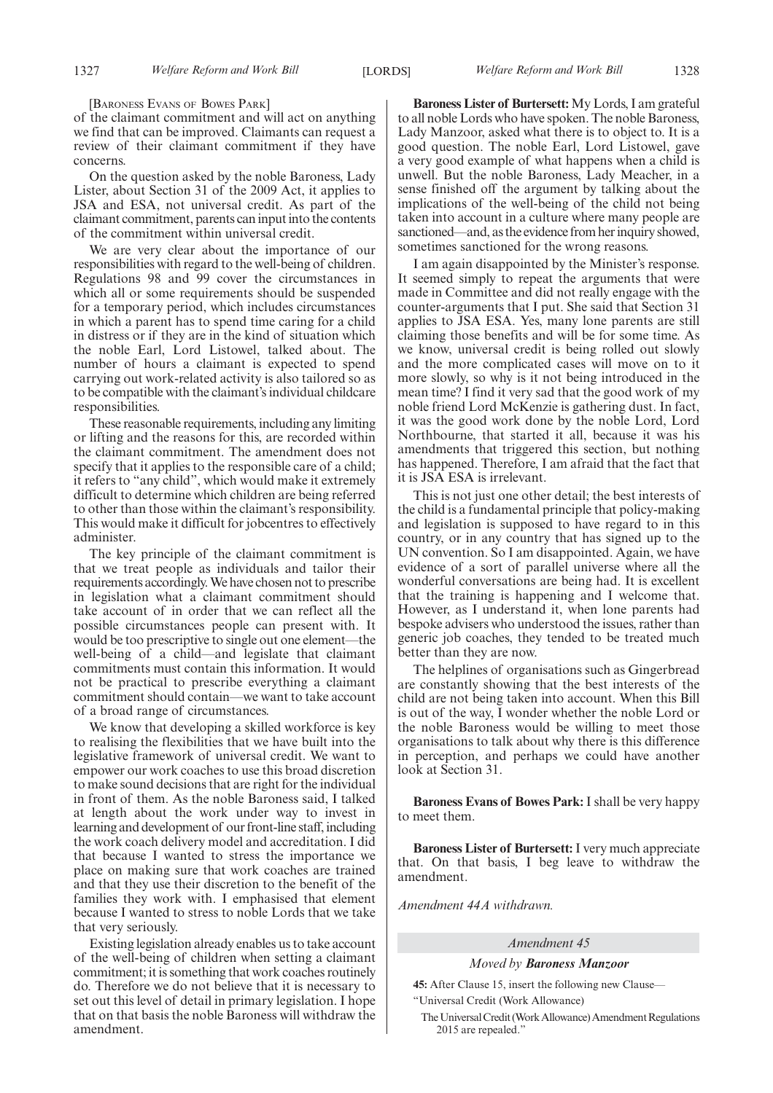[BARONESS EVANS OF BOWES PARK]

of the claimant commitment and will act on anything we find that can be improved. Claimants can request a review of their claimant commitment if they have concerns.

On the question asked by the noble Baroness, Lady Lister, about Section 31 of the 2009 Act, it applies to JSA and ESA, not universal credit. As part of the claimant commitment, parents can input into the contents of the commitment within universal credit.

We are very clear about the importance of our responsibilities with regard to the well-being of children. Regulations 98 and 99 cover the circumstances in which all or some requirements should be suspended for a temporary period, which includes circumstances in which a parent has to spend time caring for a child in distress or if they are in the kind of situation which the noble Earl, Lord Listowel, talked about. The number of hours a claimant is expected to spend carrying out work-related activity is also tailored so as to be compatible with the claimant's individual childcare responsibilities.

These reasonable requirements, including any limiting or lifting and the reasons for this, are recorded within the claimant commitment. The amendment does not specify that it applies to the responsible care of a child; it refers to "any child", which would make it extremely difficult to determine which children are being referred to other than those within the claimant's responsibility. This would make it difficult for jobcentres to effectively administer.

The key principle of the claimant commitment is that we treat people as individuals and tailor their requirements accordingly.We have chosen not to prescribe in legislation what a claimant commitment should take account of in order that we can reflect all the possible circumstances people can present with. It would be too prescriptive to single out one element—the well-being of a child—and legislate that claimant commitments must contain this information. It would not be practical to prescribe everything a claimant commitment should contain—we want to take account of a broad range of circumstances.

We know that developing a skilled workforce is key to realising the flexibilities that we have built into the legislative framework of universal credit. We want to empower our work coaches to use this broad discretion to make sound decisions that are right for the individual in front of them. As the noble Baroness said, I talked at length about the work under way to invest in learning and development of our front-line staff, including the work coach delivery model and accreditation. I did that because I wanted to stress the importance we place on making sure that work coaches are trained and that they use their discretion to the benefit of the families they work with. I emphasised that element because I wanted to stress to noble Lords that we take that very seriously.

Existing legislation already enables us to take account of the well-being of children when setting a claimant commitment; it is something that work coaches routinely do. Therefore we do not believe that it is necessary to set out this level of detail in primary legislation. I hope that on that basis the noble Baroness will withdraw the amendment.

**Baroness Lister of Burtersett:** My Lords, I am grateful to all noble Lords who have spoken. The noble Baroness, Lady Manzoor, asked what there is to object to. It is a good question. The noble Earl, Lord Listowel, gave a very good example of what happens when a child is unwell. But the noble Baroness, Lady Meacher, in a sense finished off the argument by talking about the implications of the well-being of the child not being taken into account in a culture where many people are sanctioned—and, as the evidence from her inquiry showed, sometimes sanctioned for the wrong reasons.

I am again disappointed by the Minister's response. It seemed simply to repeat the arguments that were made in Committee and did not really engage with the counter-arguments that I put. She said that Section 31 applies to JSA ESA. Yes, many lone parents are still claiming those benefits and will be for some time. As we know, universal credit is being rolled out slowly and the more complicated cases will move on to it more slowly, so why is it not being introduced in the mean time? I find it very sad that the good work of my noble friend Lord McKenzie is gathering dust. In fact, it was the good work done by the noble Lord, Lord Northbourne, that started it all, because it was his amendments that triggered this section, but nothing has happened. Therefore, I am afraid that the fact that it is JSA ESA is irrelevant.

This is not just one other detail; the best interests of the child is a fundamental principle that policy-making and legislation is supposed to have regard to in this country, or in any country that has signed up to the UN convention. So I am disappointed. Again, we have evidence of a sort of parallel universe where all the wonderful conversations are being had. It is excellent that the training is happening and I welcome that. However, as I understand it, when lone parents had bespoke advisers who understood the issues, rather than generic job coaches, they tended to be treated much better than they are now.

The helplines of organisations such as Gingerbread are constantly showing that the best interests of the child are not being taken into account. When this Bill is out of the way, I wonder whether the noble Lord or the noble Baroness would be willing to meet those organisations to talk about why there is this difference in perception, and perhaps we could have another look at Section 31.

**Baroness Evans of Bowes Park:** I shall be very happy to meet them.

**Baroness Lister of Burtersett:**I very much appreciate that. On that basis, I beg leave to withdraw the amendment.

*Amendment 44A withdrawn.*

#### *Amendment 45*

#### *Moved by Baroness Manzoor*

**45:** After Clause 15, insert the following new Clause— "Universal Credit (Work Allowance)

The Universal Credit (Work Allowance) Amendment Regulations 2015 are repealed."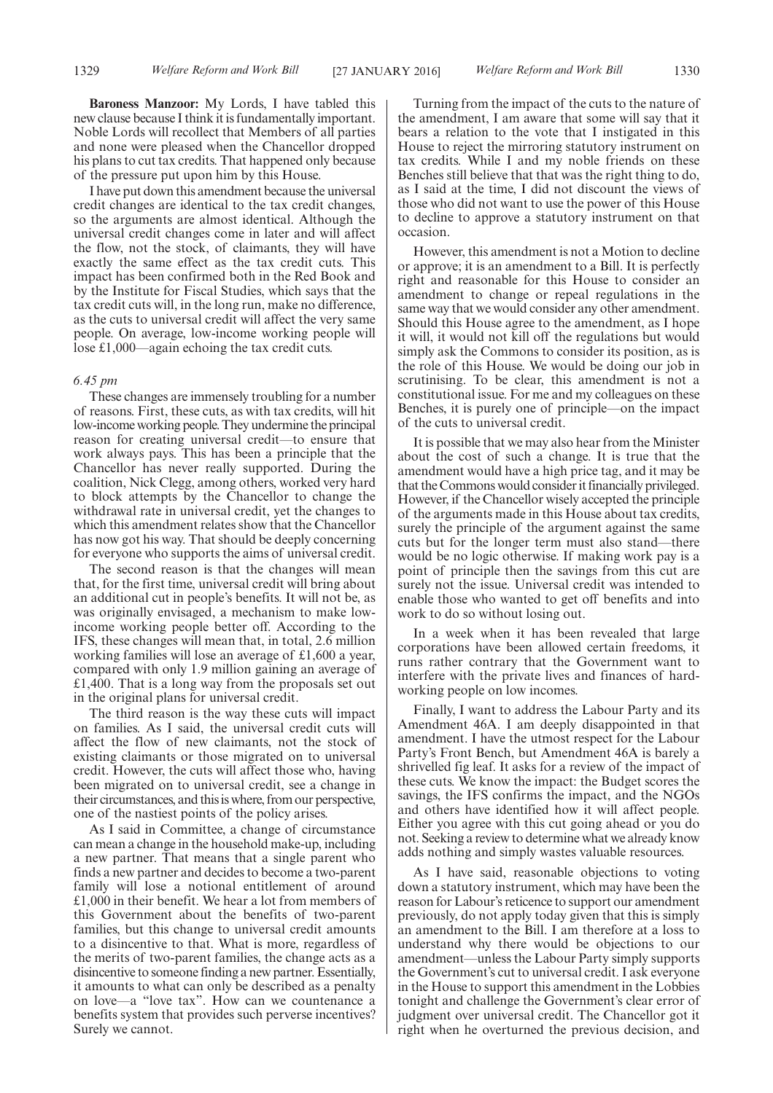**Baroness Manzoor:** My Lords, I have tabled this new clause because I think it is fundamentally important. Noble Lords will recollect that Members of all parties and none were pleased when the Chancellor dropped his plans to cut tax credits. That happened only because of the pressure put upon him by this House.

I have put down this amendment because the universal credit changes are identical to the tax credit changes, so the arguments are almost identical. Although the universal credit changes come in later and will affect the flow, not the stock, of claimants, they will have exactly the same effect as the tax credit cuts. This impact has been confirmed both in the Red Book and by the Institute for Fiscal Studies, which says that the tax credit cuts will, in the long run, make no difference, as the cuts to universal credit will affect the very same people. On average, low-income working people will lose £1,000—again echoing the tax credit cuts.

#### *6.45 pm*

These changes are immensely troubling for a number of reasons. First, these cuts, as with tax credits, will hit low-income working people. They undermine the principal reason for creating universal credit—to ensure that work always pays. This has been a principle that the Chancellor has never really supported. During the coalition, Nick Clegg, among others, worked very hard to block attempts by the Chancellor to change the withdrawal rate in universal credit, yet the changes to which this amendment relates show that the Chancellor has now got his way. That should be deeply concerning for everyone who supports the aims of universal credit.

The second reason is that the changes will mean that, for the first time, universal credit will bring about an additional cut in people's benefits. It will not be, as was originally envisaged, a mechanism to make lowincome working people better off. According to the IFS, these changes will mean that, in total, 2.6 million working families will lose an average of £1,600 a year, compared with only 1.9 million gaining an average of £1,400. That is a long way from the proposals set out in the original plans for universal credit.

The third reason is the way these cuts will impact on families. As I said, the universal credit cuts will affect the flow of new claimants, not the stock of existing claimants or those migrated on to universal credit. However, the cuts will affect those who, having been migrated on to universal credit, see a change in their circumstances, and thisis where, from our perspective, one of the nastiest points of the policy arises.

As I said in Committee, a change of circumstance can mean a change in the household make-up, including a new partner. That means that a single parent who finds a new partner and decides to become a two-parent family will lose a notional entitlement of around £1,000 in their benefit. We hear a lot from members of this Government about the benefits of two-parent families, but this change to universal credit amounts to a disincentive to that. What is more, regardless of the merits of two-parent families, the change acts as a disincentive to someone finding a new partner. Essentially, it amounts to what can only be described as a penalty on love—a "love tax". How can we countenance a benefits system that provides such perverse incentives? Surely we cannot.

Turning from the impact of the cuts to the nature of the amendment, I am aware that some will say that it bears a relation to the vote that I instigated in this House to reject the mirroring statutory instrument on tax credits. While I and my noble friends on these Benches still believe that that was the right thing to do, as I said at the time, I did not discount the views of those who did not want to use the power of this House to decline to approve a statutory instrument on that occasion.

However, this amendment is not a Motion to decline or approve; it is an amendment to a Bill. It is perfectly right and reasonable for this House to consider an amendment to change or repeal regulations in the same way that we would consider any other amendment. Should this House agree to the amendment, as I hope it will, it would not kill off the regulations but would simply ask the Commons to consider its position, as is the role of this House. We would be doing our job in scrutinising. To be clear, this amendment is not a constitutional issue. For me and my colleagues on these Benches, it is purely one of principle—on the impact of the cuts to universal credit.

It is possible that we may also hear from the Minister about the cost of such a change. It is true that the amendment would have a high price tag, and it may be that the Commons would consider it financially privileged. However, if the Chancellor wisely accepted the principle of the arguments made in this House about tax credits, surely the principle of the argument against the same cuts but for the longer term must also stand—there would be no logic otherwise. If making work pay is a point of principle then the savings from this cut are surely not the issue. Universal credit was intended to enable those who wanted to get off benefits and into work to do so without losing out.

In a week when it has been revealed that large corporations have been allowed certain freedoms, it runs rather contrary that the Government want to interfere with the private lives and finances of hardworking people on low incomes.

Finally, I want to address the Labour Party and its Amendment 46A. I am deeply disappointed in that amendment. I have the utmost respect for the Labour Party's Front Bench, but Amendment 46A is barely a shrivelled fig leaf. It asks for a review of the impact of these cuts. We know the impact: the Budget scores the savings, the IFS confirms the impact, and the NGOs and others have identified how it will affect people. Either you agree with this cut going ahead or you do not. Seeking a review to determine what we already know adds nothing and simply wastes valuable resources.

As I have said, reasonable objections to voting down a statutory instrument, which may have been the reason for Labour's reticence to support our amendment previously, do not apply today given that this is simply an amendment to the Bill. I am therefore at a loss to understand why there would be objections to our amendment—unless the Labour Party simply supports the Government's cut to universal credit. I ask everyone in the House to support this amendment in the Lobbies tonight and challenge the Government's clear error of judgment over universal credit. The Chancellor got it right when he overturned the previous decision, and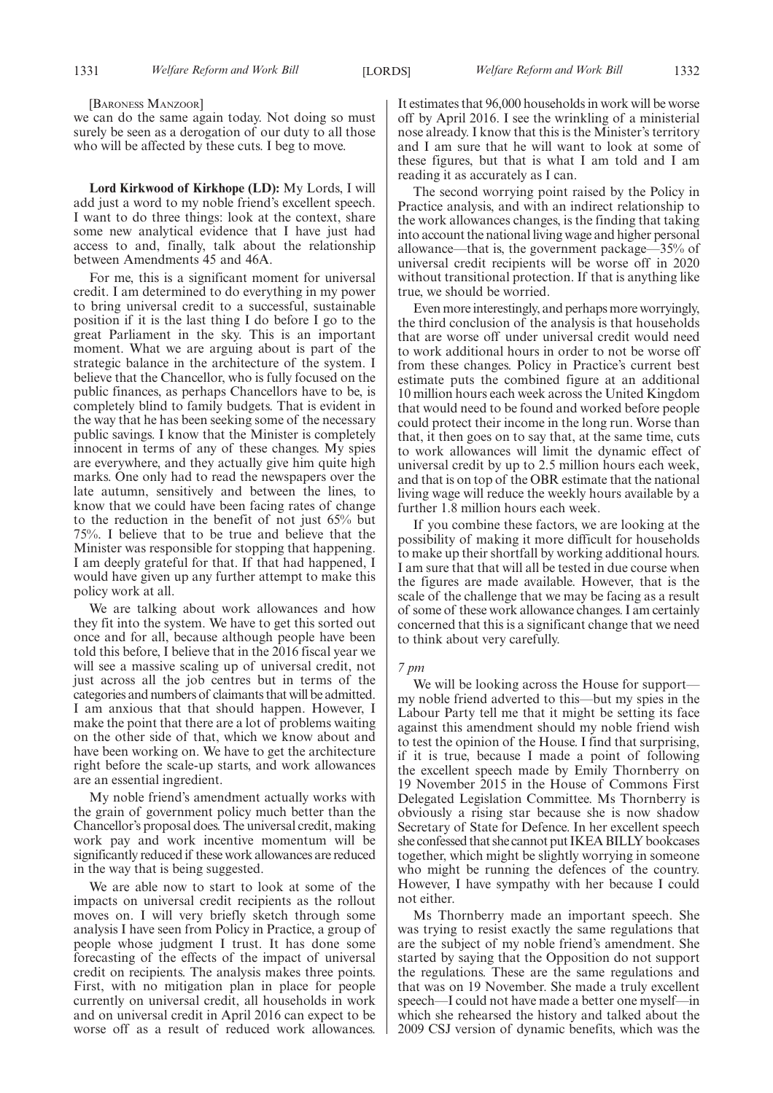[BARONESS MANZOOR]

we can do the same again today. Not doing so must surely be seen as a derogation of our duty to all those who will be affected by these cuts. I beg to move.

**Lord Kirkwood of Kirkhope (LD):** My Lords, I will add just a word to my noble friend's excellent speech. I want to do three things: look at the context, share some new analytical evidence that I have just had access to and, finally, talk about the relationship between Amendments 45 and 46A.

For me, this is a significant moment for universal credit. I am determined to do everything in my power to bring universal credit to a successful, sustainable position if it is the last thing I do before I go to the great Parliament in the sky. This is an important moment. What we are arguing about is part of the strategic balance in the architecture of the system. I believe that the Chancellor, who is fully focused on the public finances, as perhaps Chancellors have to be, is completely blind to family budgets. That is evident in the way that he has been seeking some of the necessary public savings. I know that the Minister is completely innocent in terms of any of these changes. My spies are everywhere, and they actually give him quite high marks. One only had to read the newspapers over the late autumn, sensitively and between the lines, to know that we could have been facing rates of change to the reduction in the benefit of not just 65% but 75%. I believe that to be true and believe that the Minister was responsible for stopping that happening. I am deeply grateful for that. If that had happened, I would have given up any further attempt to make this policy work at all.

We are talking about work allowances and how they fit into the system. We have to get this sorted out once and for all, because although people have been told this before, I believe that in the 2016 fiscal year we will see a massive scaling up of universal credit, not just across all the job centres but in terms of the categories and numbers of claimants that will be admitted. I am anxious that that should happen. However, I make the point that there are a lot of problems waiting on the other side of that, which we know about and have been working on. We have to get the architecture right before the scale-up starts, and work allowances are an essential ingredient.

My noble friend's amendment actually works with the grain of government policy much better than the Chancellor's proposal does. The universal credit, making work pay and work incentive momentum will be significantly reduced if these work allowances are reduced in the way that is being suggested.

We are able now to start to look at some of the impacts on universal credit recipients as the rollout moves on. I will very briefly sketch through some analysis I have seen from Policy in Practice, a group of people whose judgment I trust. It has done some forecasting of the effects of the impact of universal credit on recipients. The analysis makes three points. First, with no mitigation plan in place for people currently on universal credit, all households in work and on universal credit in April 2016 can expect to be worse off as a result of reduced work allowances.

It estimates that 96,000 households in work will be worse off by April 2016. I see the wrinkling of a ministerial nose already. I know that this is the Minister's territory and I am sure that he will want to look at some of these figures, but that is what I am told and I am reading it as accurately as I can.

The second worrying point raised by the Policy in Practice analysis, and with an indirect relationship to the work allowances changes, is the finding that taking into account the national living wage and higher personal allowance—that is, the government package—35% of universal credit recipients will be worse off in 2020 without transitional protection. If that is anything like true, we should be worried.

Even more interestingly, and perhaps more worryingly, the third conclusion of the analysis is that households that are worse off under universal credit would need to work additional hours in order to not be worse off from these changes. Policy in Practice's current best estimate puts the combined figure at an additional 10 million hours each week across the United Kingdom that would need to be found and worked before people could protect their income in the long run. Worse than that, it then goes on to say that, at the same time, cuts to work allowances will limit the dynamic effect of universal credit by up to 2.5 million hours each week, and that is on top of the OBR estimate that the national living wage will reduce the weekly hours available by a further 1.8 million hours each week.

If you combine these factors, we are looking at the possibility of making it more difficult for households to make up their shortfall by working additional hours. I am sure that that will all be tested in due course when the figures are made available. However, that is the scale of the challenge that we may be facing as a result of some of these work allowance changes. I am certainly concerned that this is a significant change that we need to think about very carefully.

#### *7 pm*

We will be looking across the House for support my noble friend adverted to this—but my spies in the Labour Party tell me that it might be setting its face against this amendment should my noble friend wish to test the opinion of the House. I find that surprising, if it is true, because I made a point of following the excellent speech made by Emily Thornberry on 19 November 2015 in the House of Commons First Delegated Legislation Committee. Ms Thornberry is obviously a rising star because she is now shadow Secretary of State for Defence. In her excellent speech she confessed that she cannot put IKEABILLY bookcases together, which might be slightly worrying in someone who might be running the defences of the country. However, I have sympathy with her because I could not either.

Ms Thornberry made an important speech. She was trying to resist exactly the same regulations that are the subject of my noble friend's amendment. She started by saying that the Opposition do not support the regulations. These are the same regulations and that was on 19 November. She made a truly excellent speech—I could not have made a better one myself—in which she rehearsed the history and talked about the 2009 CSJ version of dynamic benefits, which was the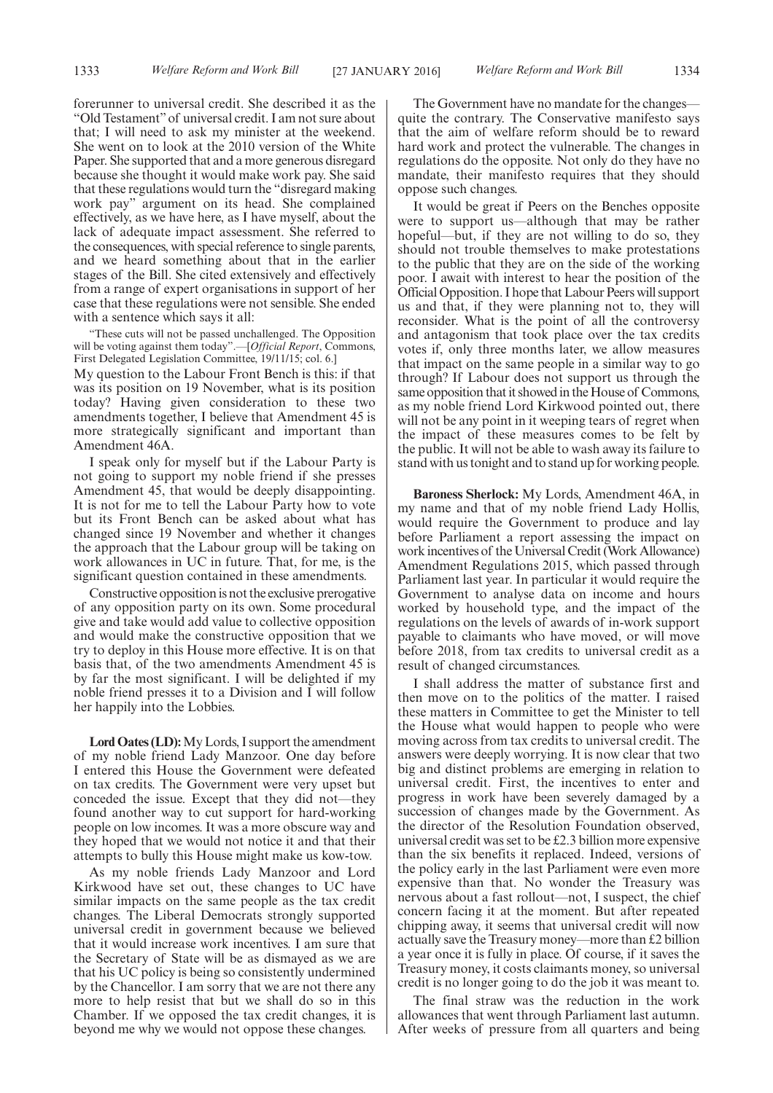forerunner to universal credit. She described it as the "Old Testament" of universal credit. I am not sure about that; I will need to ask my minister at the weekend. She went on to look at the 2010 version of the White Paper. She supported that and a more generous disregard because she thought it would make work pay. She said that these regulations would turn the "disregard making work pay" argument on its head. She complained effectively, as we have here, as I have myself, about the lack of adequate impact assessment. She referred to the consequences, with special reference to single parents, and we heard something about that in the earlier stages of the Bill. She cited extensively and effectively from a range of expert organisations in support of her case that these regulations were not sensible. She ended with a sentence which says it all:

"These cuts will not be passed unchallenged. The Opposition will be voting against them today".—[*Official Report*, Commons, First Delegated Legislation Committee, 19/11/15; col. 6.]

My question to the Labour Front Bench is this: if that was its position on 19 November, what is its position today? Having given consideration to these two amendments together, I believe that Amendment 45 is more strategically significant and important than Amendment 46A.

I speak only for myself but if the Labour Party is not going to support my noble friend if she presses Amendment 45, that would be deeply disappointing. It is not for me to tell the Labour Party how to vote but its Front Bench can be asked about what has changed since 19 November and whether it changes the approach that the Labour group will be taking on work allowances in UC in future. That, for me, is the significant question contained in these amendments.

Constructive opposition is not the exclusive prerogative of any opposition party on its own. Some procedural give and take would add value to collective opposition and would make the constructive opposition that we try to deploy in this House more effective. It is on that basis that, of the two amendments Amendment 45 is by far the most significant. I will be delighted if my noble friend presses it to a Division and I will follow her happily into the Lobbies.

**Lord Oates (LD):**My Lords, I support the amendment of my noble friend Lady Manzoor. One day before I entered this House the Government were defeated on tax credits. The Government were very upset but conceded the issue. Except that they did not—they found another way to cut support for hard-working people on low incomes. It was a more obscure way and they hoped that we would not notice it and that their attempts to bully this House might make us kow-tow.

As my noble friends Lady Manzoor and Lord Kirkwood have set out, these changes to UC have similar impacts on the same people as the tax credit changes. The Liberal Democrats strongly supported universal credit in government because we believed that it would increase work incentives. I am sure that the Secretary of State will be as dismayed as we are that his UC policy is being so consistently undermined by the Chancellor. I am sorry that we are not there any more to help resist that but we shall do so in this Chamber. If we opposed the tax credit changes, it is beyond me why we would not oppose these changes.

The Government have no mandate for the changes quite the contrary. The Conservative manifesto says that the aim of welfare reform should be to reward hard work and protect the vulnerable. The changes in regulations do the opposite. Not only do they have no mandate, their manifesto requires that they should oppose such changes.

It would be great if Peers on the Benches opposite were to support us—although that may be rather hopeful—but, if they are not willing to do so, they should not trouble themselves to make protestations to the public that they are on the side of the working poor. I await with interest to hear the position of the Official Opposition. I hope that Labour Peers will support us and that, if they were planning not to, they will reconsider. What is the point of all the controversy and antagonism that took place over the tax credits votes if, only three months later, we allow measures that impact on the same people in a similar way to go through? If Labour does not support us through the same opposition that it showed in the House of Commons, as my noble friend Lord Kirkwood pointed out, there will not be any point in it weeping tears of regret when the impact of these measures comes to be felt by the public. It will not be able to wash away its failure to stand with us tonight and to stand up for working people.

**Baroness Sherlock:** My Lords, Amendment 46A, in my name and that of my noble friend Lady Hollis, would require the Government to produce and lay before Parliament a report assessing the impact on work incentives of the Universal Credit (Work Allowance) Amendment Regulations 2015, which passed through Parliament last year. In particular it would require the Government to analyse data on income and hours worked by household type, and the impact of the regulations on the levels of awards of in-work support payable to claimants who have moved, or will move before 2018, from tax credits to universal credit as a result of changed circumstances.

I shall address the matter of substance first and then move on to the politics of the matter. I raised these matters in Committee to get the Minister to tell the House what would happen to people who were moving across from tax credits to universal credit. The answers were deeply worrying. It is now clear that two big and distinct problems are emerging in relation to universal credit. First, the incentives to enter and progress in work have been severely damaged by a succession of changes made by the Government. As the director of the Resolution Foundation observed, universal credit was set to be £2.3 billion more expensive than the six benefits it replaced. Indeed, versions of the policy early in the last Parliament were even more expensive than that. No wonder the Treasury was nervous about a fast rollout—not, I suspect, the chief concern facing it at the moment. But after repeated chipping away, it seems that universal credit will now actually save the Treasury money—more than £2 billion a year once it is fully in place. Of course, if it saves the Treasury money, it costs claimants money, so universal credit is no longer going to do the job it was meant to.

The final straw was the reduction in the work allowances that went through Parliament last autumn. After weeks of pressure from all quarters and being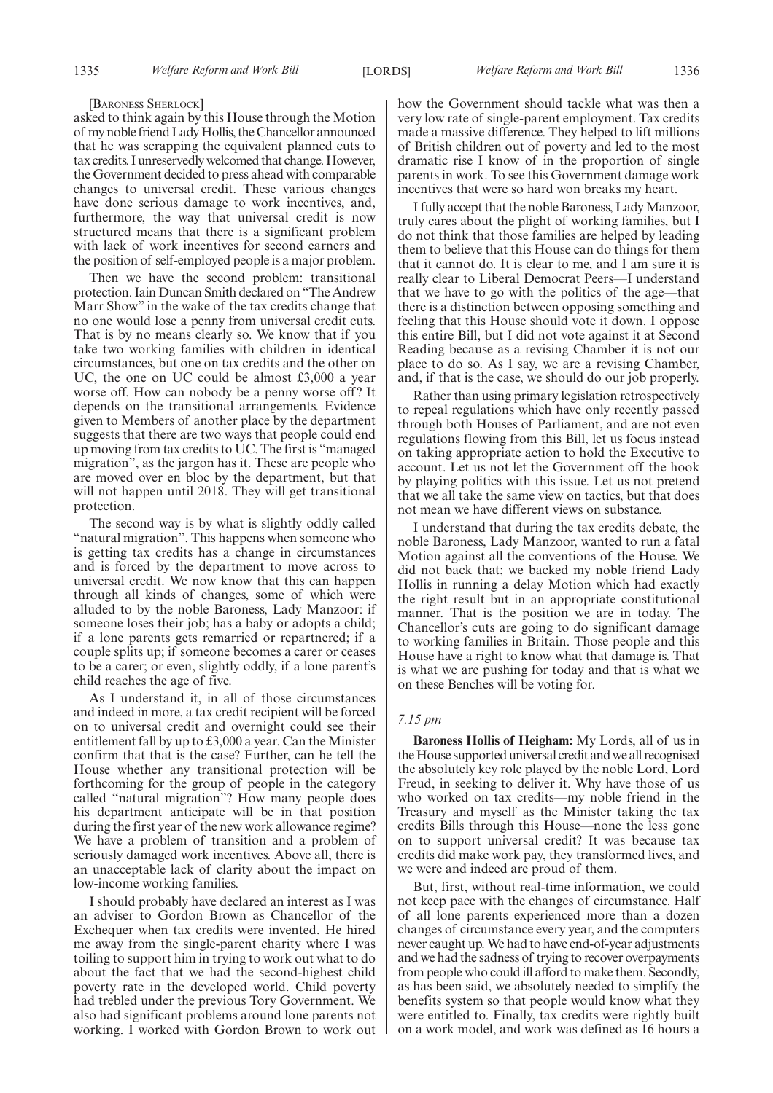#### [BARONESS SHERLOCK]

asked to think again by this House through the Motion of my noble friend Lady Hollis, the Chancellor announced that he was scrapping the equivalent planned cuts to tax credits. I unreservedly welcomed that change.However, the Government decided to press ahead with comparable changes to universal credit. These various changes have done serious damage to work incentives, and, furthermore, the way that universal credit is now structured means that there is a significant problem with lack of work incentives for second earners and the position of self-employed people is a major problem.

Then we have the second problem: transitional protection. Iain Duncan Smith declared on "The Andrew Marr Show" in the wake of the tax credits change that no one would lose a penny from universal credit cuts. That is by no means clearly so. We know that if you take two working families with children in identical circumstances, but one on tax credits and the other on UC, the one on UC could be almost £3,000 a year worse off. How can nobody be a penny worse off? It depends on the transitional arrangements. Evidence given to Members of another place by the department suggests that there are two ways that people could end up moving from tax credits to UC. The first is "managed migration", as the jargon has it. These are people who are moved over en bloc by the department, but that will not happen until 2018. They will get transitional protection.

The second way is by what is slightly oddly called "natural migration". This happens when someone who is getting tax credits has a change in circumstances and is forced by the department to move across to universal credit. We now know that this can happen through all kinds of changes, some of which were alluded to by the noble Baroness, Lady Manzoor: if someone loses their job; has a baby or adopts a child; if a lone parents gets remarried or repartnered; if a couple splits up; if someone becomes a carer or ceases to be a carer; or even, slightly oddly, if a lone parent's child reaches the age of five.

As I understand it, in all of those circumstances and indeed in more, a tax credit recipient will be forced on to universal credit and overnight could see their entitlement fall by up to £3,000 a year. Can the Minister confirm that that is the case? Further, can he tell the House whether any transitional protection will be forthcoming for the group of people in the category called "natural migration"? How many people does his department anticipate will be in that position during the first year of the new work allowance regime? We have a problem of transition and a problem of seriously damaged work incentives. Above all, there is an unacceptable lack of clarity about the impact on low-income working families.

I should probably have declared an interest as I was an adviser to Gordon Brown as Chancellor of the Exchequer when tax credits were invented. He hired me away from the single-parent charity where I was toiling to support him in trying to work out what to do about the fact that we had the second-highest child poverty rate in the developed world. Child poverty had trebled under the previous Tory Government. We also had significant problems around lone parents not working. I worked with Gordon Brown to work out how the Government should tackle what was then a very low rate of single-parent employment. Tax credits made a massive difference. They helped to lift millions of British children out of poverty and led to the most dramatic rise I know of in the proportion of single parents in work. To see this Government damage work incentives that were so hard won breaks my heart.

I fully accept that the noble Baroness, Lady Manzoor, truly cares about the plight of working families, but I do not think that those families are helped by leading them to believe that this House can do things for them that it cannot do. It is clear to me, and I am sure it is really clear to Liberal Democrat Peers—I understand that we have to go with the politics of the age—that there is a distinction between opposing something and feeling that this House should vote it down. I oppose this entire Bill, but I did not vote against it at Second Reading because as a revising Chamber it is not our place to do so. As I say, we are a revising Chamber, and, if that is the case, we should do our job properly.

Rather than using primary legislation retrospectively to repeal regulations which have only recently passed through both Houses of Parliament, and are not even regulations flowing from this Bill, let us focus instead on taking appropriate action to hold the Executive to account. Let us not let the Government off the hook by playing politics with this issue. Let us not pretend that we all take the same view on tactics, but that does not mean we have different views on substance.

I understand that during the tax credits debate, the noble Baroness, Lady Manzoor, wanted to run a fatal Motion against all the conventions of the House. We did not back that; we backed my noble friend Lady Hollis in running a delay Motion which had exactly the right result but in an appropriate constitutional manner. That is the position we are in today. The Chancellor's cuts are going to do significant damage to working families in Britain. Those people and this House have a right to know what that damage is. That is what we are pushing for today and that is what we on these Benches will be voting for.

#### *7.15 pm*

**Baroness Hollis of Heigham:** My Lords, all of us in the House supported universal credit and we all recognised the absolutely key role played by the noble Lord, Lord Freud, in seeking to deliver it. Why have those of us who worked on tax credits—my noble friend in the Treasury and myself as the Minister taking the tax credits Bills through this House—none the less gone on to support universal credit? It was because tax credits did make work pay, they transformed lives, and we were and indeed are proud of them.

But, first, without real-time information, we could not keep pace with the changes of circumstance. Half of all lone parents experienced more than a dozen changes of circumstance every year, and the computers never caught up.We had to have end-of-year adjustments and we had the sadness of trying to recover overpayments from people who could ill afford to make them. Secondly, as has been said, we absolutely needed to simplify the benefits system so that people would know what they were entitled to. Finally, tax credits were rightly built on a work model, and work was defined as 16 hours a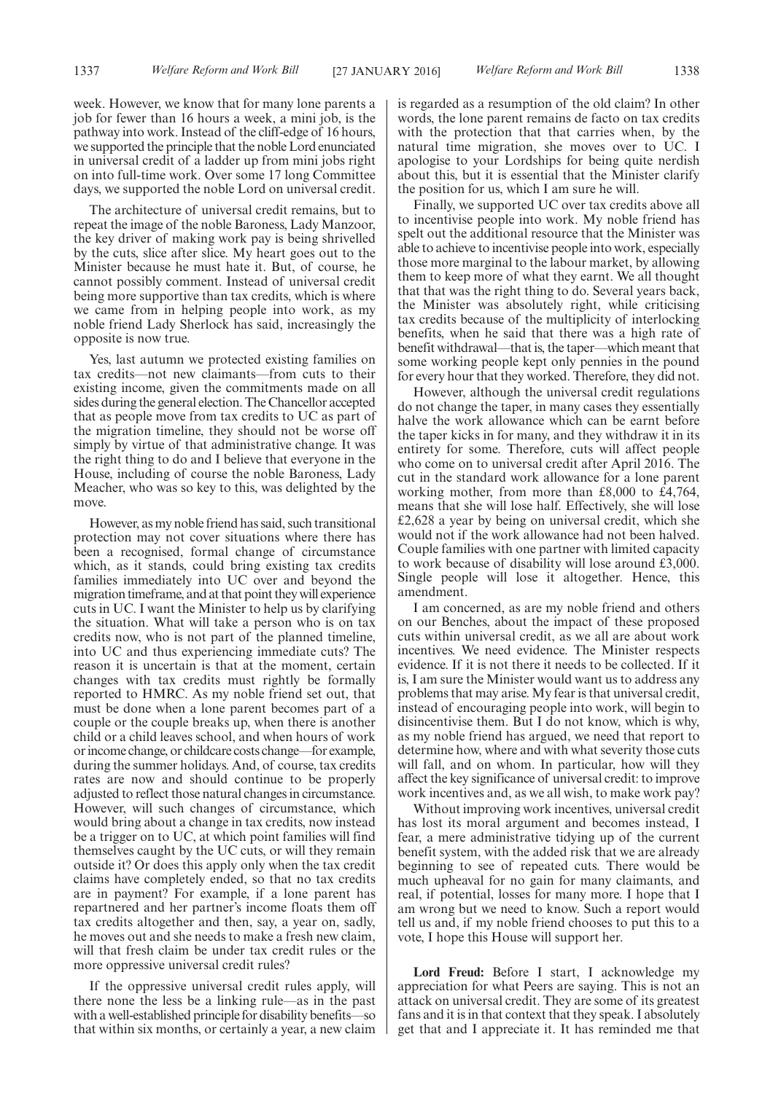The architecture of universal credit remains, but to repeat the image of the noble Baroness, Lady Manzoor, the key driver of making work pay is being shrivelled by the cuts, slice after slice. My heart goes out to the Minister because he must hate it. But, of course, he cannot possibly comment. Instead of universal credit being more supportive than tax credits, which is where we came from in helping people into work, as my noble friend Lady Sherlock has said, increasingly the opposite is now true.

Yes, last autumn we protected existing families on tax credits—not new claimants—from cuts to their existing income, given the commitments made on all sides during the general election. The Chancellor accepted that as people move from tax credits to UC as part of the migration timeline, they should not be worse off simply by virtue of that administrative change. It was the right thing to do and I believe that everyone in the House, including of course the noble Baroness, Lady Meacher, who was so key to this, was delighted by the move.

However, as my noble friend has said, such transitional protection may not cover situations where there has been a recognised, formal change of circumstance which, as it stands, could bring existing tax credits families immediately into UC over and beyond the migration timeframe, and at that point they will experience cuts in UC. I want the Minister to help us by clarifying the situation. What will take a person who is on tax credits now, who is not part of the planned timeline, into UC and thus experiencing immediate cuts? The reason it is uncertain is that at the moment, certain changes with tax credits must rightly be formally reported to HMRC. As my noble friend set out, that must be done when a lone parent becomes part of a couple or the couple breaks up, when there is another child or a child leaves school, and when hours of work or income change, or childcare costs change—for example, during the summer holidays. And, of course, tax credits rates are now and should continue to be properly adjusted to reflect those natural changes in circumstance. However, will such changes of circumstance, which would bring about a change in tax credits, now instead be a trigger on to UC, at which point families will find themselves caught by the UC cuts, or will they remain outside it? Or does this apply only when the tax credit claims have completely ended, so that no tax credits are in payment? For example, if a lone parent has repartnered and her partner's income floats them off tax credits altogether and then, say, a year on, sadly, he moves out and she needs to make a fresh new claim, will that fresh claim be under tax credit rules or the more oppressive universal credit rules?

If the oppressive universal credit rules apply, will there none the less be a linking rule—as in the past with a well-established principle for disability benefits—so that within six months, or certainly a year, a new claim is regarded as a resumption of the old claim? In other words, the lone parent remains de facto on tax credits with the protection that that carries when, by the natural time migration, she moves over to UC. I apologise to your Lordships for being quite nerdish about this, but it is essential that the Minister clarify the position for us, which I am sure he will.

Finally, we supported UC over tax credits above all to incentivise people into work. My noble friend has spelt out the additional resource that the Minister was able to achieve to incentivise people into work, especially those more marginal to the labour market, by allowing them to keep more of what they earnt. We all thought that that was the right thing to do. Several years back, the Minister was absolutely right, while criticising tax credits because of the multiplicity of interlocking benefits, when he said that there was a high rate of benefit withdrawal—that is, the taper—which meant that some working people kept only pennies in the pound for every hour that they worked. Therefore, they did not.

However, although the universal credit regulations do not change the taper, in many cases they essentially halve the work allowance which can be earnt before the taper kicks in for many, and they withdraw it in its entirety for some. Therefore, cuts will affect people who come on to universal credit after April 2016. The cut in the standard work allowance for a lone parent working mother, from more than £8,000 to £4,764, means that she will lose half. Effectively, she will lose £2,628 a year by being on universal credit, which she would not if the work allowance had not been halved. Couple families with one partner with limited capacity to work because of disability will lose around £3,000. Single people will lose it altogether. Hence, this amendment.

I am concerned, as are my noble friend and others on our Benches, about the impact of these proposed cuts within universal credit, as we all are about work incentives. We need evidence. The Minister respects evidence. If it is not there it needs to be collected. If it is, I am sure the Minister would want us to address any problems that may arise. My fear is that universal credit, instead of encouraging people into work, will begin to disincentivise them. But I do not know, which is why, as my noble friend has argued, we need that report to determine how, where and with what severity those cuts will fall, and on whom. In particular, how will they affect the key significance of universal credit: to improve work incentives and, as we all wish, to make work pay?

Without improving work incentives, universal credit has lost its moral argument and becomes instead, I fear, a mere administrative tidying up of the current benefit system, with the added risk that we are already beginning to see of repeated cuts. There would be much upheaval for no gain for many claimants, and real, if potential, losses for many more. I hope that I am wrong but we need to know. Such a report would tell us and, if my noble friend chooses to put this to a vote, I hope this House will support her.

**Lord Freud:** Before I start, I acknowledge my appreciation for what Peers are saying. This is not an attack on universal credit. They are some of its greatest fans and it is in that context that they speak. I absolutely get that and I appreciate it. It has reminded me that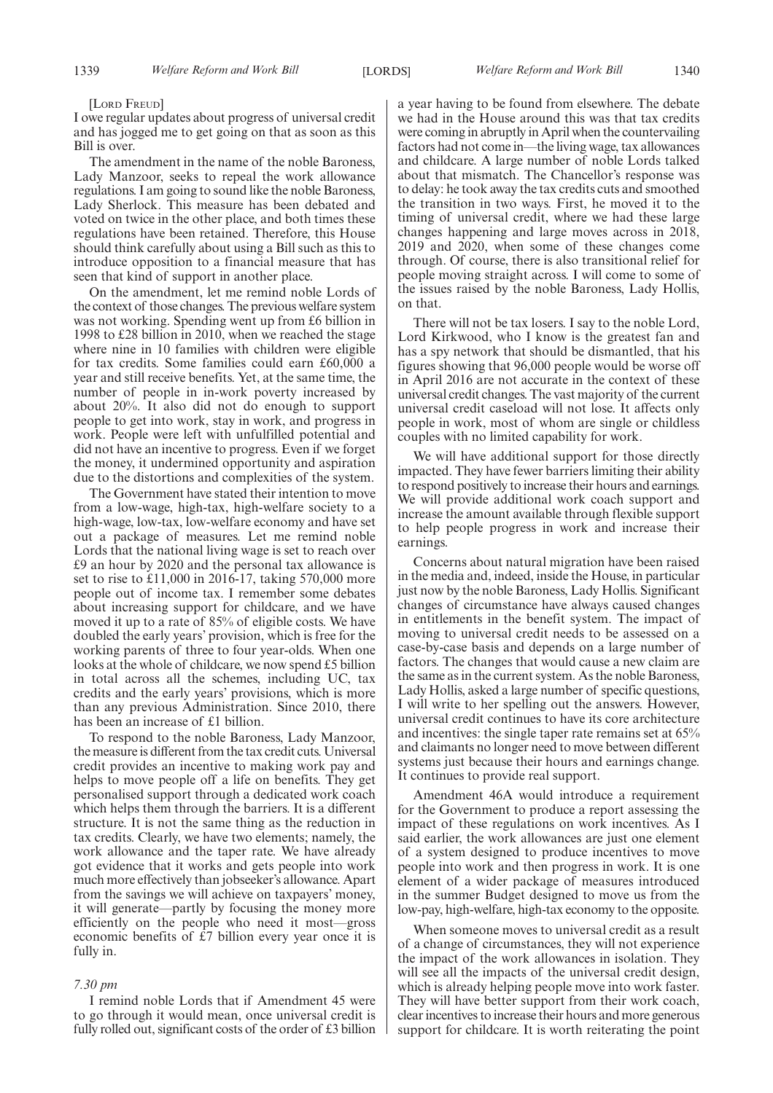[LORD FREUD]

I owe regular updates about progress of universal credit and has jogged me to get going on that as soon as this Bill is over.

The amendment in the name of the noble Baroness, Lady Manzoor, seeks to repeal the work allowance regulations. I am going to sound like the noble Baroness, Lady Sherlock. This measure has been debated and voted on twice in the other place, and both times these regulations have been retained. Therefore, this House should think carefully about using a Bill such as this to introduce opposition to a financial measure that has seen that kind of support in another place.

On the amendment, let me remind noble Lords of the context of those changes. The previous welfare system was not working. Spending went up from £6 billion in 1998 to £28 billion in 2010, when we reached the stage where nine in 10 families with children were eligible for tax credits. Some families could earn £60,000 a year and still receive benefits. Yet, at the same time, the number of people in in-work poverty increased by about 20%. It also did not do enough to support people to get into work, stay in work, and progress in work. People were left with unfulfilled potential and did not have an incentive to progress. Even if we forget the money, it undermined opportunity and aspiration due to the distortions and complexities of the system.

The Government have stated their intention to move from a low-wage, high-tax, high-welfare society to a high-wage, low-tax, low-welfare economy and have set out a package of measures. Let me remind noble Lords that the national living wage is set to reach over £9 an hour by 2020 and the personal tax allowance is set to rise to £11,000 in 2016-17, taking 570,000 more people out of income tax. I remember some debates about increasing support for childcare, and we have moved it up to a rate of 85% of eligible costs. We have doubled the early years' provision, which is free for the working parents of three to four year-olds. When one looks at the whole of childcare, we now spend £5 billion in total across all the schemes, including UC, tax credits and the early years' provisions, which is more than any previous Administration. Since 2010, there has been an increase of £1 billion.

To respond to the noble Baroness, Lady Manzoor, the measure is different from the tax credit cuts. Universal credit provides an incentive to making work pay and helps to move people off a life on benefits. They get personalised support through a dedicated work coach which helps them through the barriers. It is a different structure. It is not the same thing as the reduction in tax credits. Clearly, we have two elements; namely, the work allowance and the taper rate. We have already got evidence that it works and gets people into work much more effectively than jobseeker's allowance. Apart from the savings we will achieve on taxpayers' money, it will generate—partly by focusing the money more efficiently on the people who need it most—gross economic benefits of £7 billion every year once it is fully in.

#### *7.30 pm*

I remind noble Lords that if Amendment 45 were to go through it would mean, once universal credit is fully rolled out, significant costs of the order of £3 billion a year having to be found from elsewhere. The debate we had in the House around this was that tax credits were coming in abruptly in April when the countervailing factors had not come in—the living wage, tax allowances and childcare. A large number of noble Lords talked about that mismatch. The Chancellor's response was to delay: he took away the tax credits cuts and smoothed the transition in two ways. First, he moved it to the timing of universal credit, where we had these large changes happening and large moves across in 2018, 2019 and 2020, when some of these changes come through. Of course, there is also transitional relief for people moving straight across. I will come to some of the issues raised by the noble Baroness, Lady Hollis, on that.

There will not be tax losers. I say to the noble Lord, Lord Kirkwood, who I know is the greatest fan and has a spy network that should be dismantled, that his figures showing that 96,000 people would be worse off in April 2016 are not accurate in the context of these universal credit changes. The vast majority of the current universal credit caseload will not lose. It affects only people in work, most of whom are single or childless couples with no limited capability for work.

We will have additional support for those directly impacted. They have fewer barriers limiting their ability to respond positively to increase their hours and earnings. We will provide additional work coach support and increase the amount available through flexible support to help people progress in work and increase their earnings.

Concerns about natural migration have been raised in the media and, indeed, inside the House, in particular just now by the noble Baroness, Lady Hollis. Significant changes of circumstance have always caused changes in entitlements in the benefit system. The impact of moving to universal credit needs to be assessed on a case-by-case basis and depends on a large number of factors. The changes that would cause a new claim are the same as in the current system. As the noble Baroness, Lady Hollis, asked a large number of specific questions, I will write to her spelling out the answers. However, universal credit continues to have its core architecture and incentives: the single taper rate remains set at 65% and claimants no longer need to move between different systems just because their hours and earnings change. It continues to provide real support.

Amendment 46A would introduce a requirement for the Government to produce a report assessing the impact of these regulations on work incentives. As I said earlier, the work allowances are just one element of a system designed to produce incentives to move people into work and then progress in work. It is one element of a wider package of measures introduced in the summer Budget designed to move us from the low-pay, high-welfare, high-tax economy to the opposite.

When someone moves to universal credit as a result of a change of circumstances, they will not experience the impact of the work allowances in isolation. They will see all the impacts of the universal credit design, which is already helping people move into work faster. They will have better support from their work coach, clear incentives to increase their hours and more generous support for childcare. It is worth reiterating the point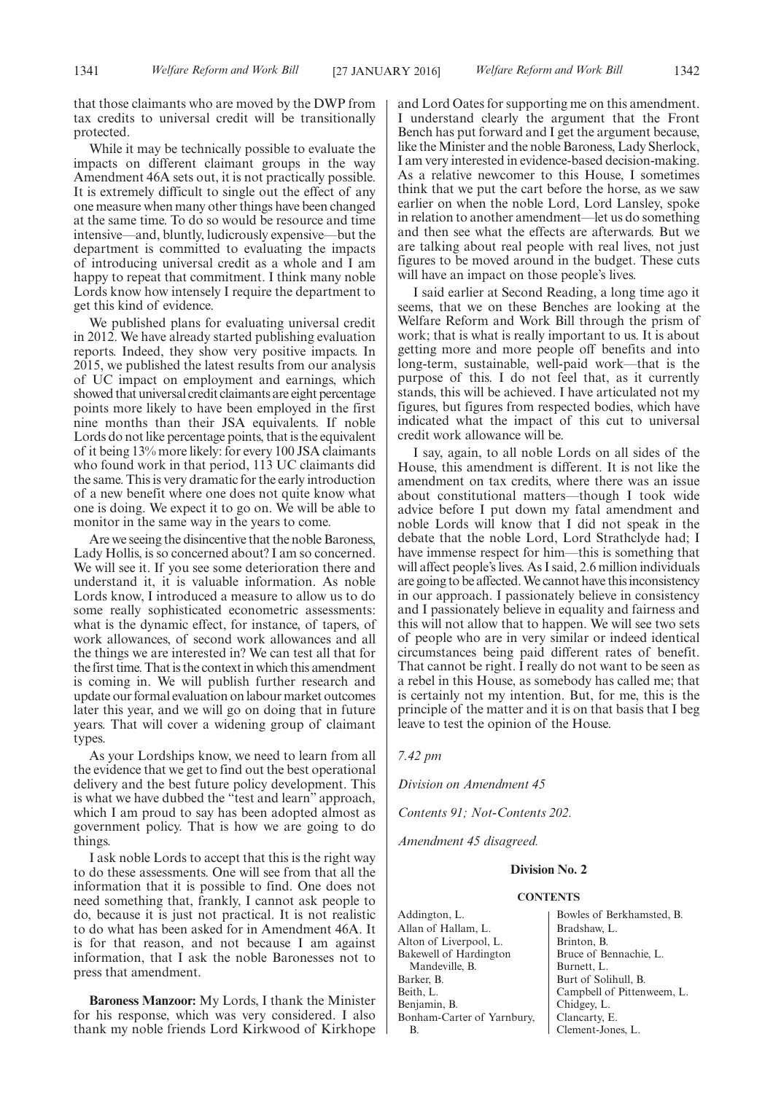that those claimants who are moved by the DWP from tax credits to universal credit will be transitionally protected.

While it may be technically possible to evaluate the impacts on different claimant groups in the way Amendment 46A sets out, it is not practically possible. It is extremely difficult to single out the effect of any one measure when many other things have been changed at the same time. To do so would be resource and time intensive—and, bluntly, ludicrously expensive—but the department is committed to evaluating the impacts of introducing universal credit as a whole and I am happy to repeat that commitment. I think many noble Lords know how intensely I require the department to get this kind of evidence.

We published plans for evaluating universal credit in 2012. We have already started publishing evaluation reports. Indeed, they show very positive impacts. In 2015, we published the latest results from our analysis of UC impact on employment and earnings, which showed that universal credit claimants are eight percentage points more likely to have been employed in the first nine months than their JSA equivalents. If noble Lords do not like percentage points, that is the equivalent of it being 13% more likely: for every 100 JSA claimants who found work in that period, 113 UC claimants did the same. This is very dramatic for the early introduction of a new benefit where one does not quite know what one is doing. We expect it to go on. We will be able to monitor in the same way in the years to come.

Are we seeing the disincentive that the noble Baroness, Lady Hollis, is so concerned about? I am so concerned. We will see it. If you see some deterioration there and understand it, it is valuable information. As noble Lords know, I introduced a measure to allow us to do some really sophisticated econometric assessments: what is the dynamic effect, for instance, of tapers, of work allowances, of second work allowances and all the things we are interested in? We can test all that for the first time. That is the context in which this amendment is coming in. We will publish further research and update our formal evaluation on labour market outcomes later this year, and we will go on doing that in future years. That will cover a widening group of claimant types.

As your Lordships know, we need to learn from all the evidence that we get to find out the best operational delivery and the best future policy development. This is what we have dubbed the "test and learn" approach, which I am proud to say has been adopted almost as government policy. That is how we are going to do things.

I ask noble Lords to accept that this is the right way to do these assessments. One will see from that all the information that it is possible to find. One does not need something that, frankly, I cannot ask people to do, because it is just not practical. It is not realistic to do what has been asked for in Amendment 46A. It is for that reason, and not because I am against information, that I ask the noble Baronesses not to press that amendment.

**Baroness Manzoor:** My Lords, I thank the Minister for his response, which was very considered. I also thank my noble friends Lord Kirkwood of Kirkhope and Lord Oates for supporting me on this amendment. I understand clearly the argument that the Front Bench has put forward and I get the argument because, like the Minister and the noble Baroness, Lady Sherlock, I am very interested in evidence-based decision-making. As a relative newcomer to this House, I sometimes think that we put the cart before the horse, as we saw earlier on when the noble Lord, Lord Lansley, spoke in relation to another amendment—let us do something and then see what the effects are afterwards. But we are talking about real people with real lives, not just figures to be moved around in the budget. These cuts will have an impact on those people's lives.

I said earlier at Second Reading, a long time ago it seems, that we on these Benches are looking at the Welfare Reform and Work Bill through the prism of work; that is what is really important to us. It is about getting more and more people off benefits and into long-term, sustainable, well-paid work—that is the purpose of this. I do not feel that, as it currently stands, this will be achieved. I have articulated not my figures, but figures from respected bodies, which have indicated what the impact of this cut to universal credit work allowance will be.

I say, again, to all noble Lords on all sides of the House, this amendment is different. It is not like the amendment on tax credits, where there was an issue about constitutional matters—though I took wide advice before I put down my fatal amendment and noble Lords will know that I did not speak in the debate that the noble Lord, Lord Strathclyde had; I have immense respect for him—this is something that will affect people's lives. As I said, 2.6 million individuals are going to be affected.We cannot have this inconsistency in our approach. I passionately believe in consistency and I passionately believe in equality and fairness and this will not allow that to happen. We will see two sets of people who are in very similar or indeed identical circumstances being paid different rates of benefit. That cannot be right.  $\overline{I}$  really do not want to be seen as a rebel in this House, as somebody has called me; that is certainly not my intention. But, for me, this is the principle of the matter and it is on that basis that I beg leave to test the opinion of the House.

*7.42 pm*

*Division on Amendment 45*

*Contents 91; Not-Contents 202.*

*Amendment 45 disagreed.*

#### **Division No. 2**

#### **CONTENTS**

Addington, L. Allan of Hallam, L. Alton of Liverpool, L. Bakewell of Hardington Mandeville, B. Barker, B. Beith, L. Benjamin, B. Bonham-Carter of Yarnbury, B.

Bowles of Berkhamsted, B. Bradshaw, L. Brinton, B. Bruce of Bennachie, L. Burnett, L. Burt of Solihull, B. Campbell of Pittenweem, L. Chidgey, L. Clancarty, E. Clement-Jones, L.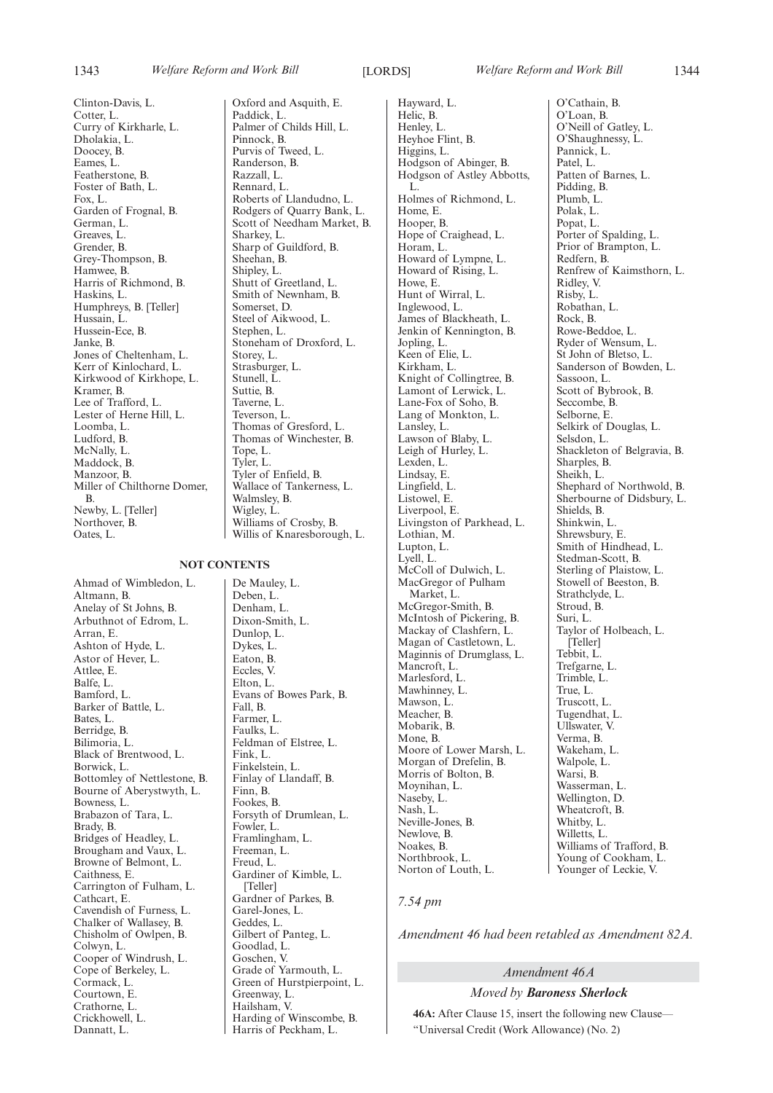Clinton-Davis, L. Cotter, L. Curry of Kirkharle, L. Dholakia, L. Doocey, B. Eames, L. Featherstone, B. Foster of Bath, L. Fox, L. Garden of Frognal, B. German, L. Greaves, L. Grender, B. Grey-Thompson, B. Hamwee, B. Harris of Richmond, B. Haskins, L. Humphreys, B. [Teller] Hussain, L. Hussein-Ece, B. Janke, B. Jones of Cheltenham, L. Kerr of Kinlochard, L. Kirkwood of Kirkhope, L. Kramer, B. Lee of Trafford, L. Lester of Herne Hill, L. Loomba, L. Ludford, B. McNally, L. Maddock, B. Manzoor, B. Miller of Chilthorne Domer, B. Newby, L. [Teller] Northover, B. Oates, L.

**NOT CONTENTS**

Ahmad of Wimbledon, L. Altmann, B. Anelay of St Johns, B. Arbuthnot of Edrom, L. Arran, E. Ashton of Hyde, L. Astor of Hever, L. Attlee, E. Balfe, L. Bamford, L. Barker of Battle, L. Bates, L. Berridge, B. Bilimoria, L. Black of Brentwood, L. Borwick, L. Bottomley of Nettlestone, B. Bourne of Aberystwyth, L. Bowness, L. Brabazon of Tara, L. Brady, B. Bridges of Headley, L. Brougham and Vaux, L. Browne of Belmont, L. Caithness, E. Carrington of Fulham, L. Cathcart, E. Cavendish of Furness, L. Chalker of Wallasey, B. Chisholm of Owlpen, B. Colwyn, L. Cooper of Windrush, L. Cope of Berkeley, L. Cormack, L. Courtown, E. Crathorne, L. Crickhowell, L. Dannatt, L.

Oxford and Asquith, E. Paddick, L. Palmer of Childs Hill, L. Pinnock, B. Purvis of Tweed, L. Randerson, B. Razzall, L. Rennard, L. Roberts of Llandudno, L. Rodgers of Quarry Bank, L. Scott of Needham Market, B. Sharkey, L. Sharp of Guildford, B. Sheehan, B. Shipley, L. Shutt of Greetland, L. Smith of Newnham, B. Somerset, D. Steel of Aikwood, L. Stephen, L. Stoneham of Droxford, L. Storey, L. Strasburger, L. Stunell, L. Suttie, B. Taverne, L. Teverson, L. Thomas of Gresford, L. Thomas of Winchester, B. Tope, L. Tyler, L. Tyler of Enfield, B. Wallace of Tankerness, L. Walmsley, B. Wigley, L. Williams of Crosby, B. Willis of Knaresborough, L.

De Mauley, L. Deben, L. Denham, L. Dixon-Smith, L. Dunlop, L. Dykes, L. Eaton, B. Eccles, V. Elton, L. Evans of Bowes Park, B. Fall, B. Farmer, L. Faulks, L. Feldman of Elstree, L. Fink, L. Finkelstein, L. Finlay of Llandaff, B. Finn, B. Fookes, B. Forsyth of Drumlean, L. Fowler, L. Framlingham, L. Freeman, L. Freud, L. Gardiner of Kimble, L. [Teller] Gardner of Parkes, B. Garel-Jones, L. Geddes, L. Gilbert of Panteg, L. Goodlad, L. Goschen, V. Grade of Yarmouth, L. Green of Hurstpierpoint, L. Greenway, L. Hailsham, V. Harding of Winscombe, B. Harris of Peckham, L.

Hayward, L. Helic, B. Henley, L. Heyhoe Flint, B. Higgins, L. Hodgson of Abinger, B. Hodgson of Astley Abbotts, L. Holmes of Richmond, L. Home, E. Hooper, B. Hope of Craighead, L. Horam, L. Howard of Lympne, L. Howard of Rising, L.  $HowP$  F. Hunt of Wirral, L. Inglewood, L. James of Blackheath, L. Jenkin of Kennington, B. Jopling, L. Keen of Elie, L. Kirkham, L. Knight of Collingtree, B. Lamont of Lerwick, L. Lane-Fox of Soho, B. Lang of Monkton, L. Lansley, L. Lawson of Blaby, L. Leigh of Hurley, L. Lexden, L. Lindsay, E. Lingfield, L. Listowel, E. Liverpool, E. Livingston of Parkhead, L. Lothian, M. Lupton, L. Lyell, L. McColl of Dulwich, L. MacGregor of Pulham Market, L. McGregor-Smith, B. McIntosh of Pickering, B. Mackay of Clashfern, L. Magan of Castletown, L. Maginnis of Drumglass, L. Mancroft, L. Marlesford, L. Mawhinney, L. Mawson, L. Meacher, B. Mobarik, B. Mone, B. Moore of Lower Marsh, L. Morgan of Drefelin, B. Morris of Bolton, B. Moynihan, L. Naseby, L. Nash, L. Neville-Jones, B. Newlove, B. Noakes, B. Northbrook, L. Norton of Louth, L.

O'Cathain, B. O'Loan, B. O'Neill of Gatley, L. O'Shaughnessy, L. Pannick, L. Patel, L. Patten of Barnes, L. Pidding, B. Plumb, L. Polak, L. Popat, L. Porter of Spalding, L. Prior of Brampton, L. Redfern, B. Renfrew of Kaimsthorn, L. Ridley, V. Risby, L. Robathan, L. Rock, B. Rowe-Beddoe, L. Ryder of Wensum, L. St John of Bletso, L. Sanderson of Bowden, L. Sassoon, L. Scott of Bybrook, B. Seccombe, B. Selborne, E. Selkirk of Douglas, L. Selsdon, L. Shackleton of Belgravia, B. Sharples, B. Sheikh, L. Shephard of Northwold, B. Sherbourne of Didsbury, L. Shields, B. Shinkwin, L. Shrewsbury, E. Smith of Hindhead, L. Stedman-Scott, B. Sterling of Plaistow, L. Stowell of Beeston, B. Strathclyde, L. Stroud, B. Suri, L. Taylor of Holbeach, L. [Teller] Tebbit, L. Trefgarne, L. Trimble, L. True, L. Truscott, L. Tugendhat, L. Ullswater, V. Verma, B. Wakeham, L. Walpole, L. Warsi, B. Wasserman, L. Wellington, D. Wheatcroft, B. Whitby, L. Willetts, L. Williams of Trafford, B. Young of Cookham, L. Younger of Leckie, V.

#### *7.54 pm*

*Amendment 46 had been retabled as Amendment 82A.*

#### *Amendment 46A*

*Moved by Baroness Sherlock*

**46A:** After Clause 15, insert the following new Clause— "Universal Credit (Work Allowance) (No. 2)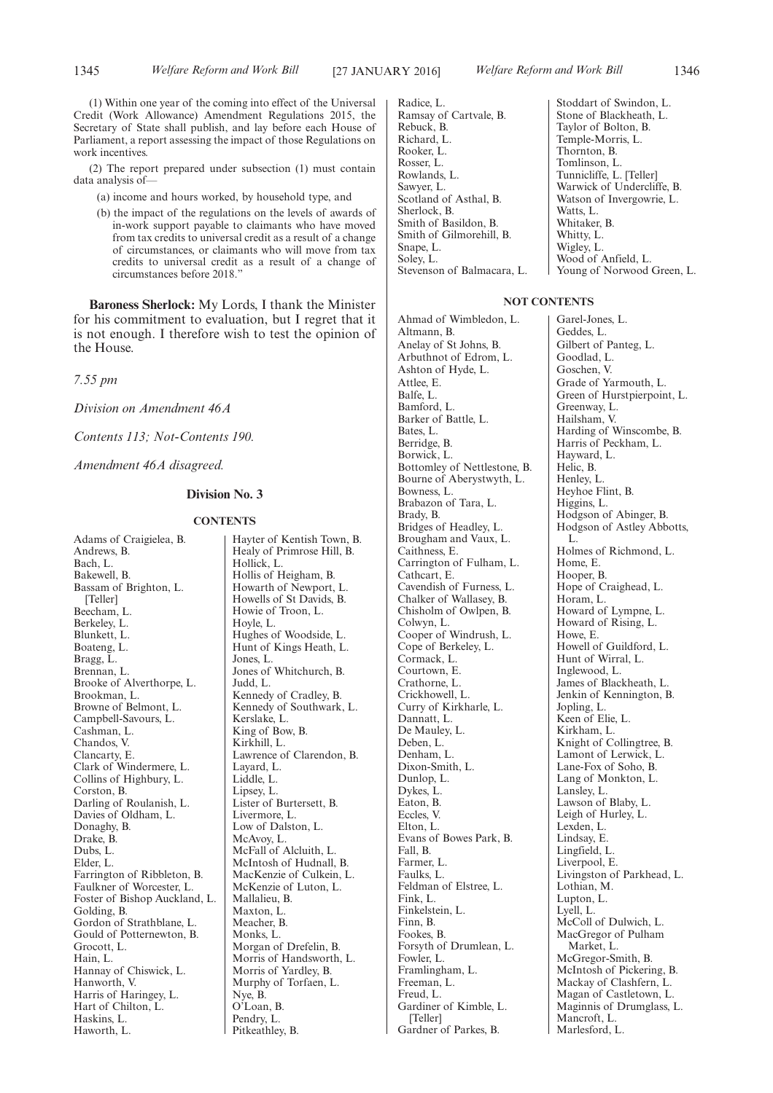Radice, L.

(2) The report prepared under subsection (1) must contain data analysis of—

- (a) income and hours worked, by household type, and
- (b) the impact of the regulations on the levels of awards of in-work support payable to claimants who have moved from tax credits to universal credit as a result of a change of circumstances, or claimants who will move from tax credits to universal credit as a result of a change of circumstances before 2018."

**Baroness Sherlock:** My Lords, I thank the Minister for his commitment to evaluation, but I regret that it is not enough. I therefore wish to test the opinion of the House.

*7.55 pm*

*Division on Amendment 46A*

*Contents 113; Not-Contents 190.*

*Amendment 46A disagreed.*

#### **Division No. 3**

#### **CONTENTS**

Adams of Craigielea, B. Andrews, B. Bach, L. Bakewell, B. Bassam of Brighton, L. [Teller] Beecham, L. Berkeley, L. Blunkett, L. Boateng, L. Bragg, L. Brennan, L. Brooke of Alverthorpe, L. Brookman, L. Browne of Belmont, L. Campbell-Savours, L. Cashman, L. Chandos, V. Clancarty, E. Clark of Windermere, L. Collins of Highbury, L. Corston, B. Darling of Roulanish, L. Davies of Oldham, L. Donaghy, B. Drake, B. Dubs, L. Elder, L. Farrington of Ribbleton, B. Faulkner of Worcester, L. Foster of Bishop Auckland, L. Golding, B. Gordon of Strathblane, L. Gould of Potternewton, B. Grocott, L. Hain, L. Hannay of Chiswick, L. Hanworth, V. Harris of Haringey, L. Hart of Chilton, L. Haskins, L. Haworth, L.

Hayter of Kentish Town, B. Healy of Primrose Hill, B. Hollick, L. Hollis of Heigham, B. Howarth of Newport, L. Howells of St Davids, B. Howie of Troon, L. Hoyle, L. Hughes of Woodside, L. Hunt of Kings Heath, L. Jones, L. Jones of Whitchurch, B. Judd, L. Kennedy of Cradley, B. Kennedy of Southwark, L. Kerslake, L. King of Bow, B. Kirkhill, L. Lawrence of Clarendon, B. Layard, L. Liddle, L. Lipsey, L. Lister of Burtersett, B. Livermore, L. Low of Dalston, L. McAvoy, L. McFall of Alcluith, L. McIntosh of Hudnall, B. MacKenzie of Culkein, L. McKenzie of Luton, L. Mallalieu, B. Maxton, L. Meacher, B. Monks, L. Morgan of Drefelin, B. Morris of Handsworth, L. Morris of Yardley, B. Murphy of Torfaen, L. Nye, B. O'Loan, B. Pendry, L. Pitkeathley, B.

Ramsay of Cartvale, B. Rebuck, B. Richard, L. Rooker, L. Rosser, L. Rowlands, L. Sawyer, L. Scotland of Asthal, B. Sherlock, B. Smith of Basildon, B. Smith of Gilmorehill, B. Snape, L. Soley, L. Stevenson of Balmacara, L. Stoddart of Swindon, L. Stone of Blackheath, L. Taylor of Bolton, B. Temple-Morris, L. Thornton, B. Tomlinson, L. Tunnicliffe, L. [Teller] Warwick of Undercliffe, B. Watson of Invergowrie, L. Watts, L. Whitaker, B. Whitty, L. Wigley, L. Wood of Anfield, L. Young of Norwood Green, L.

#### **NOT CONTENTS**

Ahmad of Wimbledon, L. Altmann, B. Anelay of St Johns, B. Arbuthnot of Edrom, L. Ashton of Hyde, L. Attlee, E. Balfe, L. Bamford, L. Barker of Battle, L. Bates, L. Berridge, B. Borwick, L. Bottomley of Nettlestone, B. Bourne of Aberystwyth, L. Bowness, L. Brabazon of Tara, L. Brady, B. Bridges of Headley, L. Brougham and Vaux, L. Caithness, E. Carrington of Fulham, L. Cathcart, E. Cavendish of Furness, L. Chalker of Wallasey, B. Chisholm of Owlpen, B. Colwyn, L. Cooper of Windrush, L. Cope of Berkeley, L. Cormack, L. Courtown, E. Crathorne, L. Crickhowell, L. Curry of Kirkharle, L. Dannatt, L. De Mauley, L. Deben, L. Denham, L. Dixon-Smith, L. Dunlop, L. Dykes, L. Eaton, B. Eccles, V. Elton, L. Evans of Bowes Park, B. Fall, B. Farmer, L. Faulks, L. Feldman of Elstree, L. Fink, L. Finkelstein, L. Finn, B. Fookes, B. Forsyth of Drumlean, L. Fowler, L. Framlingham, L. Freeman, L. Freud, L. Gardiner of Kimble, L. [Teller] Gardner of Parkes, B.

Garel-Jones, L. Geddes, L. Gilbert of Panteg, L. Goodlad, L. Goschen, V. Grade of Yarmouth, L. Green of Hurstpierpoint, L. Greenway, L. Hailsham, V. Harding of Winscombe, B. Harris of Peckham, L. Hayward, L. Helic, B. Henley, L. Heyhoe Flint, B. Higgins, L. Hodgson of Abinger, B. Hodgson of Astley Abbotts, L. Holmes of Richmond, L. Home, E. Hooper, B. Hope of Craighead, L. Horam, L. Howard of Lympne, L. Howard of Rising, L. Howe, E. Howell of Guildford, L. Hunt of Wirral, L. Inglewood, L. James of Blackheath, L. Jenkin of Kennington, B. Jopling, L. Keen of Elie, L. Kirkham, L. Knight of Collingtree, B. Lamont of Lerwick, L. Lane-Fox of Soho, B. Lang of Monkton, L. Lansley, L. Lawson of Blaby, L. Leigh of Hurley, L. Lexden, L. Lindsay, E. Lingfield, L. Liverpool, E. Livingston of Parkhead, L. Lothian, M. Lupton, L. Lyell, L. McColl of Dulwich, L. MacGregor of Pulham Market, L. McGregor-Smith, B. McIntosh of Pickering, B. Mackay of Clashfern, L. Magan of Castletown, L. Maginnis of Drumglass, L. Mancroft<sub>L</sub> Marlesford, L.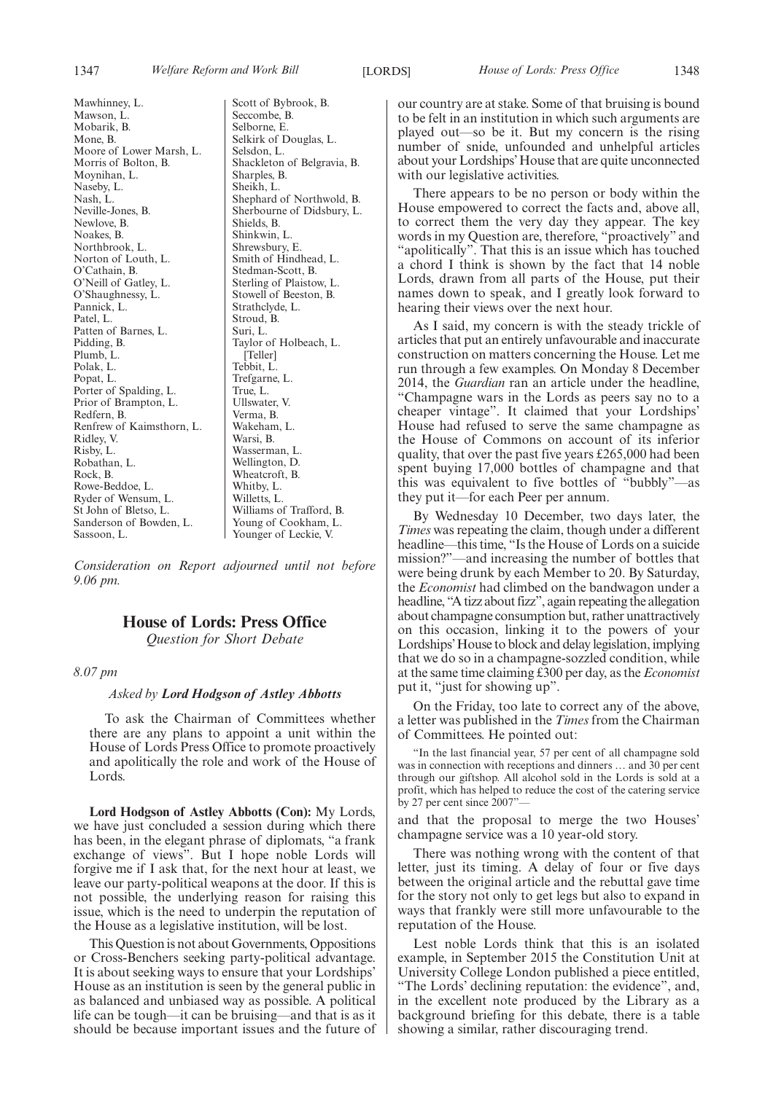Mawhinney, L. Mawson, L. Mobarik, B. Mone, B. Moore of Lower Marsh, L. Morris of Bolton, B. Moynihan, L. Naseby, L. Nash, L. Neville-Jones, B. Newlove, B. Noakes, B. Northbrook, L. Norton of Louth, L. O'Cathain, B. O'Neill of Gatley, L. O'Shaughnessy, L. Pannick, L. Patel, L. Patten of Barnes, L. Pidding, B. Plumb, L. Polak, L. Popat, L. Porter of Spalding, L. Prior of Brampton, L. Redfern, B. Renfrew of Kaimsthorn, L. Ridley, V. Risby, L. Robathan, L. Rock, B. Rowe-Beddoe, L. Ryder of Wensum, L. St John of Bletso, L. Sanderson of Bowden, L. Sassoon, L.

Scott of Bybrook, B. Seccombe, B. Selborne, E. Selkirk of Douglas, L. Selsdon, L. Shackleton of Belgravia, B. Sharples, B. Sheikh, L. Shephard of Northwold, B. Sherbourne of Didsbury, L. Shields, B. Shinkwin, L. Shrewsbury, E. Smith of Hindhead, L. Stedman-Scott, B. Sterling of Plaistow, L. Stowell of Beeston, B. Strathclyde, L. Stroud, B. Suri, L. Taylor of Holbeach, L. [Teller] Tebbit, L. Trefgarne, L. True, L. Ullswater, V. Verma, B. Wakeham, L. Warsi, B. Wasserman, L. Wellington, D. Wheatcroft, B. Whitby, L. Willetts, L. Williams of Trafford, B. Young of Cookham, L. Younger of Leckie, V.

*Consideration on Report adjourned until not before 9.06 pm.*

### **House of Lords: Press Office**

*Question for Short Debate*

#### *8.07 pm*

#### *Asked by Lord Hodgson of Astley Abbotts*

To ask the Chairman of Committees whether there are any plans to appoint a unit within the House of Lords Press Office to promote proactively and apolitically the role and work of the House of Lords.

**Lord Hodgson of Astley Abbotts (Con):** My Lords, we have just concluded a session during which there has been, in the elegant phrase of diplomats, "a frank exchange of views". But I hope noble Lords will forgive me if I ask that, for the next hour at least, we leave our party-political weapons at the door. If this is not possible, the underlying reason for raising this issue, which is the need to underpin the reputation of the House as a legislative institution, will be lost.

This Question is not about Governments, Oppositions or Cross-Benchers seeking party-political advantage. It is about seeking ways to ensure that your Lordships' House as an institution is seen by the general public in as balanced and unbiased way as possible. A political life can be tough—it can be bruising—and that is as it should be because important issues and the future of our country are at stake. Some of that bruising is bound to be felt in an institution in which such arguments are played out—so be it. But my concern is the rising number of snide, unfounded and unhelpful articles about your Lordships'House that are quite unconnected with our legislative activities.

There appears to be no person or body within the House empowered to correct the facts and, above all, to correct them the very day they appear. The key words in my Question are, therefore, "proactively" and "apolitically". That this is an issue which has touched a chord I think is shown by the fact that 14 noble Lords, drawn from all parts of the House, put their names down to speak, and I greatly look forward to hearing their views over the next hour.

As I said, my concern is with the steady trickle of articles that put an entirely unfavourable and inaccurate construction on matters concerning the House. Let me run through a few examples. On Monday 8 December 2014, the *Guardian* ran an article under the headline, "Champagne wars in the Lords as peers say no to a cheaper vintage". It claimed that your Lordships' House had refused to serve the same champagne as the House of Commons on account of its inferior quality, that over the past five years £265,000 had been spent buying 17,000 bottles of champagne and that this was equivalent to five bottles of "bubbly"—as they put it—for each Peer per annum.

By Wednesday 10 December, two days later, the *Times* was repeating the claim, though under a different headline—this time, "Is the House of Lords on a suicide mission?"—and increasing the number of bottles that were being drunk by each Member to 20. By Saturday, the *Economist* had climbed on the bandwagon under a headline, "A tizz about fizz", again repeating the allegation about champagne consumption but, rather unattractively on this occasion, linking it to the powers of your Lordships'House to block and delay legislation, implying that we do so in a champagne-sozzled condition, while at the same time claiming £300 per day, as the *Economist* put it, "just for showing up".

On the Friday, too late to correct any of the above, a letter was published in the *Times* from the Chairman of Committees. He pointed out:

"In the last financial year, 57 per cent of all champagne sold was in connection with receptions and dinners … and 30 per cent through our giftshop. All alcohol sold in the Lords is sold at a profit, which has helped to reduce the cost of the catering service by 27 per cent since 2007"-

and that the proposal to merge the two Houses' champagne service was a 10 year-old story.

There was nothing wrong with the content of that letter, just its timing. A delay of four or five days between the original article and the rebuttal gave time for the story not only to get legs but also to expand in ways that frankly were still more unfavourable to the reputation of the House.

Lest noble Lords think that this is an isolated example, in September 2015 the Constitution Unit at University College London published a piece entitled, "The Lords' declining reputation: the evidence", and, in the excellent note produced by the Library as a background briefing for this debate, there is a table showing a similar, rather discouraging trend.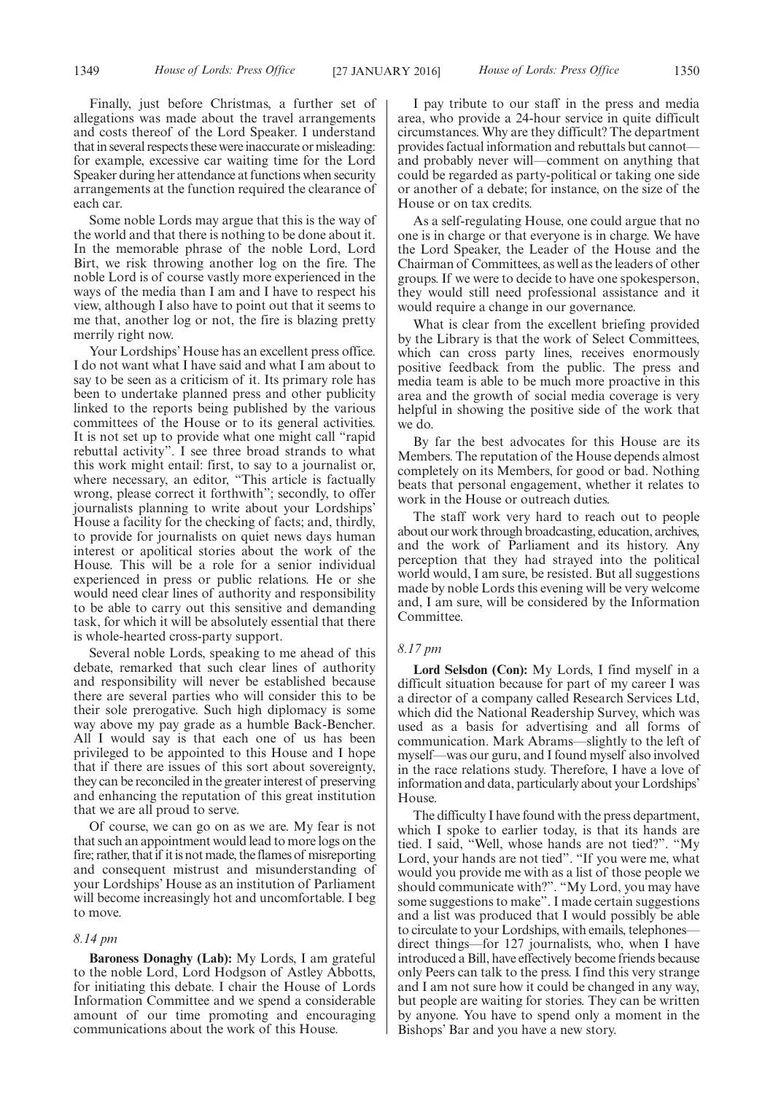Finally, just before Christmas, a further set of allegations was made about the travel arrangements and costs thereof of the Lord Speaker. I understand that in several respects these were inaccurate or misleading: for example, excessive car waiting time for the Lord Speaker during her attendance at functions when security arrangements at the function required the clearance of each car.

Some noble Lords may argue that this is the way of the world and that there is nothing to be done about it. In the memorable phrase of the noble Lord, Lord Birt, we risk throwing another log on the fire. The noble Lord is of course vastly more experienced in the ways of the media than I am and I have to respect his view, although I also have to point out that it seems to me that, another log or not, the fire is blazing pretty merrily right now.

Your Lordships' House has an excellent press office. I do not want what I have said and what I am about to say to be seen as a criticism of it. Its primary role has been to undertake planned press and other publicity linked to the reports being published by the various committees of the House or to its general activities. It is not set up to provide what one might call "rapid rebuttal activity". I see three broad strands to what this work might entail: first, to say to a journalist or, where necessary, an editor, "This article is factually wrong, please correct it forthwith"; secondly, to offer journalists planning to write about your Lordships' House a facility for the checking of facts; and, thirdly, to provide for journalists on quiet news days human interest or apolitical stories about the work of the House. This will be a role for a senior individual experienced in press or public relations. He or she would need clear lines of authority and responsibility to be able to carry out this sensitive and demanding task, for which it will be absolutely essential that there is whole-hearted cross-party support.

Several noble Lords, speaking to me ahead of this debate, remarked that such clear lines of authority and responsibility will never be established because there are several parties who will consider this to be their sole prerogative. Such high diplomacy is some way above my pay grade as a humble Back-Bencher. All I would say is that each one of us has been privileged to be appointed to this House and I hope that if there are issues of this sort about sovereignty, they can be reconciled in the greater interest of preserving and enhancing the reputation of this great institution that we are all proud to serve.

Of course, we can go on as we are. My fear is not that such an appointment would lead to more logs on the fire; rather, that if it is notmade, the flames of misreporting and consequent mistrust and misunderstanding of your Lordships' House as an institution of Parliament will become increasingly hot and uncomfortable. I beg to move.

#### *8.14 pm*

**Baroness Donaghy (Lab):** My Lords, I am grateful to the noble Lord, Lord Hodgson of Astley Abbotts, for initiating this debate. I chair the House of Lords Information Committee and we spend a considerable amount of our time promoting and encouraging communications about the work of this House.

I pay tribute to our staff in the press and media area, who provide a 24-hour service in quite difficult circumstances. Why are they difficult? The department provides factual information and rebuttals but cannot and probably never will—comment on anything that could be regarded as party-political or taking one side or another of a debate; for instance, on the size of the House or on tax credits.

As a self-regulating House, one could argue that no one is in charge or that everyone is in charge. We have the Lord Speaker, the Leader of the House and the Chairman of Committees, as well as the leaders of other groups. If we were to decide to have one spokesperson, they would still need professional assistance and it would require a change in our governance.

What is clear from the excellent briefing provided by the Library is that the work of Select Committees, which can cross party lines, receives enormously positive feedback from the public. The press and media team is able to be much more proactive in this area and the growth of social media coverage is very helpful in showing the positive side of the work that we do.

By far the best advocates for this House are its Members. The reputation of the House depends almost completely on its Members, for good or bad. Nothing beats that personal engagement, whether it relates to work in the House or outreach duties.

The staff work very hard to reach out to people about our work through broadcasting, education, archives, and the work of Parliament and its history. Any perception that they had strayed into the political world would, I am sure, be resisted. But all suggestions made by noble Lords this evening will be very welcome and, I am sure, will be considered by the Information **Committee** 

#### *8.17 pm*

**Lord Selsdon (Con):** My Lords, I find myself in a difficult situation because for part of my career I was a director of a company called Research Services Ltd, which did the National Readership Survey, which was used as a basis for advertising and all forms of communication. Mark Abrams—slightly to the left of myself—was our guru, and I found myself also involved in the race relations study. Therefore, I have a love of information and data, particularly about your Lordships' House.

The difficulty I have found with the press department, which I spoke to earlier today, is that its hands are tied. I said, "Well, whose hands are not tied?". "My Lord, your hands are not tied". "If you were me, what would you provide me with as a list of those people we should communicate with?". "My Lord, you may have some suggestions to make". I made certain suggestions and a list was produced that I would possibly be able to circulate to your Lordships, with emails, telephones direct things—for 127 journalists, who, when I have introduced a Bill, have effectively become friends because only Peers can talk to the press. I find this very strange and I am not sure how it could be changed in any way, but people are waiting for stories. They can be written by anyone. You have to spend only a moment in the Bishops' Bar and you have a new story.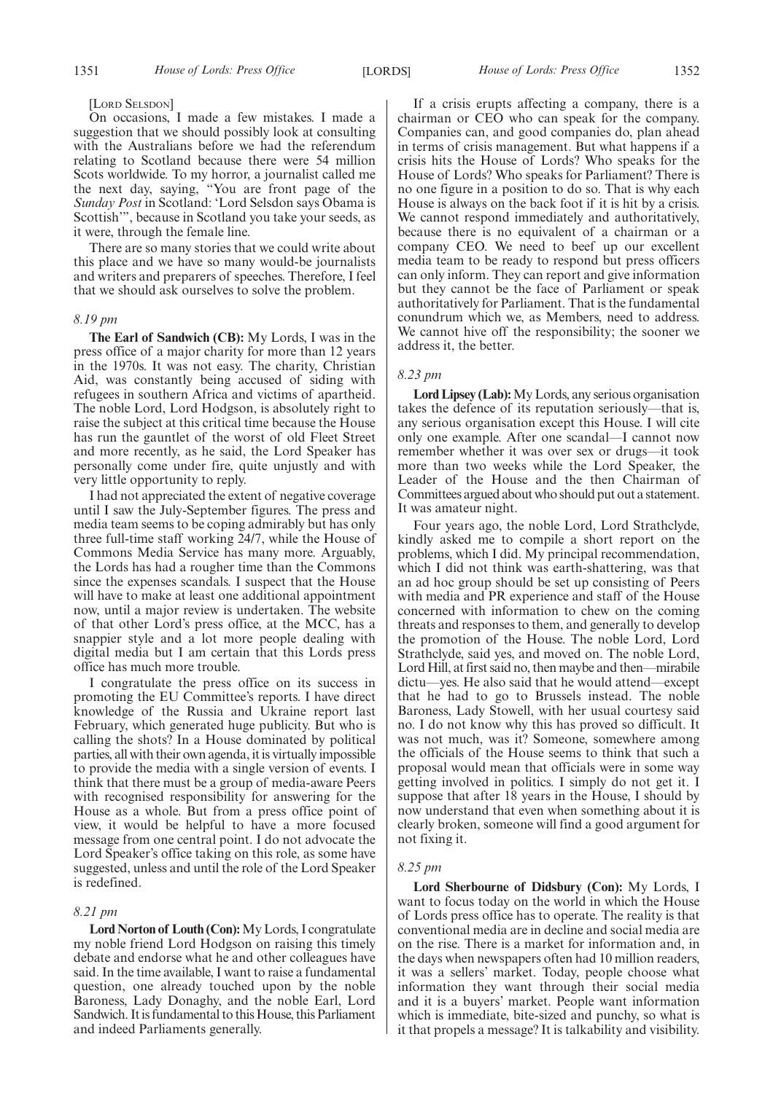#### [LORD SELSDON]

On occasions, I made a few mistakes. I made a suggestion that we should possibly look at consulting with the Australians before we had the referendum relating to Scotland because there were 54 million Scots worldwide. To my horror, a journalist called me the next day, saying, "You are front page of the *Sunday Post* in Scotland: 'Lord Selsdon says Obama is Scottish'", because in Scotland you take your seeds, as it were, through the female line.

There are so many stories that we could write about this place and we have so many would-be journalists and writers and preparers of speeches. Therefore, I feel that we should ask ourselves to solve the problem.

#### *8.19 pm*

**The Earl of Sandwich (CB):** My Lords, I was in the press office of a major charity for more than 12 years in the 1970s. It was not easy. The charity, Christian Aid, was constantly being accused of siding with refugees in southern Africa and victims of apartheid. The noble Lord, Lord Hodgson, is absolutely right to raise the subject at this critical time because the House has run the gauntlet of the worst of old Fleet Street and more recently, as he said, the Lord Speaker has personally come under fire, quite unjustly and with very little opportunity to reply.

I had not appreciated the extent of negative coverage until I saw the July-September figures. The press and media team seems to be coping admirably but has only three full-time staff working 24/7, while the House of Commons Media Service has many more. Arguably, the Lords has had a rougher time than the Commons since the expenses scandals. I suspect that the House will have to make at least one additional appointment now, until a major review is undertaken. The website of that other Lord's press office, at the MCC, has a snappier style and a lot more people dealing with digital media but I am certain that this Lords press office has much more trouble.

I congratulate the press office on its success in promoting the EU Committee's reports. I have direct knowledge of the Russia and Ukraine report last February, which generated huge publicity. But who is calling the shots? In a House dominated by political parties, all with their own agenda, it is virtually impossible to provide the media with a single version of events. I think that there must be a group of media-aware Peers with recognised responsibility for answering for the House as a whole. But from a press office point of view, it would be helpful to have a more focused message from one central point. I do not advocate the Lord Speaker's office taking on this role, as some have suggested, unless and until the role of the Lord Speaker is redefined.

#### *8.21 pm*

**Lord Norton of Louth (Con):**My Lords, I congratulate my noble friend Lord Hodgson on raising this timely debate and endorse what he and other colleagues have said. In the time available, I want to raise a fundamental question, one already touched upon by the noble Baroness, Lady Donaghy, and the noble Earl, Lord Sandwich. It is fundamental to this House, this Parliament and indeed Parliaments generally.

If a crisis erupts affecting a company, there is a chairman or CEO who can speak for the company. Companies can, and good companies do, plan ahead in terms of crisis management. But what happens if a crisis hits the House of Lords? Who speaks for the House of Lords? Who speaks for Parliament? There is no one figure in a position to do so. That is why each House is always on the back foot if it is hit by a crisis. We cannot respond immediately and authoritatively, because there is no equivalent of a chairman or a company CEO. We need to beef up our excellent media team to be ready to respond but press officers can only inform. They can report and give information but they cannot be the face of Parliament or speak authoritatively for Parliament. That is the fundamental conundrum which we, as Members, need to address. We cannot hive off the responsibility; the sooner we address it, the better.

#### *8.23 pm*

**Lord Lipsey (Lab):**My Lords, any serious organisation takes the defence of its reputation seriously—that is, any serious organisation except this House. I will cite only one example. After one scandal—I cannot now remember whether it was over sex or drugs—it took more than two weeks while the Lord Speaker, the Leader of the House and the then Chairman of Committees argued about who should put out a statement. It was amateur night.

Four years ago, the noble Lord, Lord Strathclyde, kindly asked me to compile a short report on the problems, which I did. My principal recommendation, which I did not think was earth-shattering, was that an ad hoc group should be set up consisting of Peers with media and PR experience and staff of the House concerned with information to chew on the coming threats and responses to them, and generally to develop the promotion of the House. The noble Lord, Lord Strathclyde, said yes, and moved on. The noble Lord, Lord Hill, at first said no, then maybe and then—mirabile dictu—yes. He also said that he would attend—except that he had to go to Brussels instead. The noble Baroness, Lady Stowell, with her usual courtesy said no. I do not know why this has proved so difficult. It was not much, was it? Someone, somewhere among the officials of the House seems to think that such a proposal would mean that officials were in some way getting involved in politics. I simply do not get it. I suppose that after 18 years in the House, I should by now understand that even when something about it is clearly broken, someone will find a good argument for not fixing it.

#### *8.25 pm*

**Lord Sherbourne of Didsbury (Con):** My Lords, I want to focus today on the world in which the House of Lords press office has to operate. The reality is that conventional media are in decline and social media are on the rise. There is a market for information and, in the days when newspapers often had 10 million readers, it was a sellers' market. Today, people choose what information they want through their social media and it is a buyers' market. People want information which is immediate, bite-sized and punchy, so what is it that propels a message? It is talkability and visibility.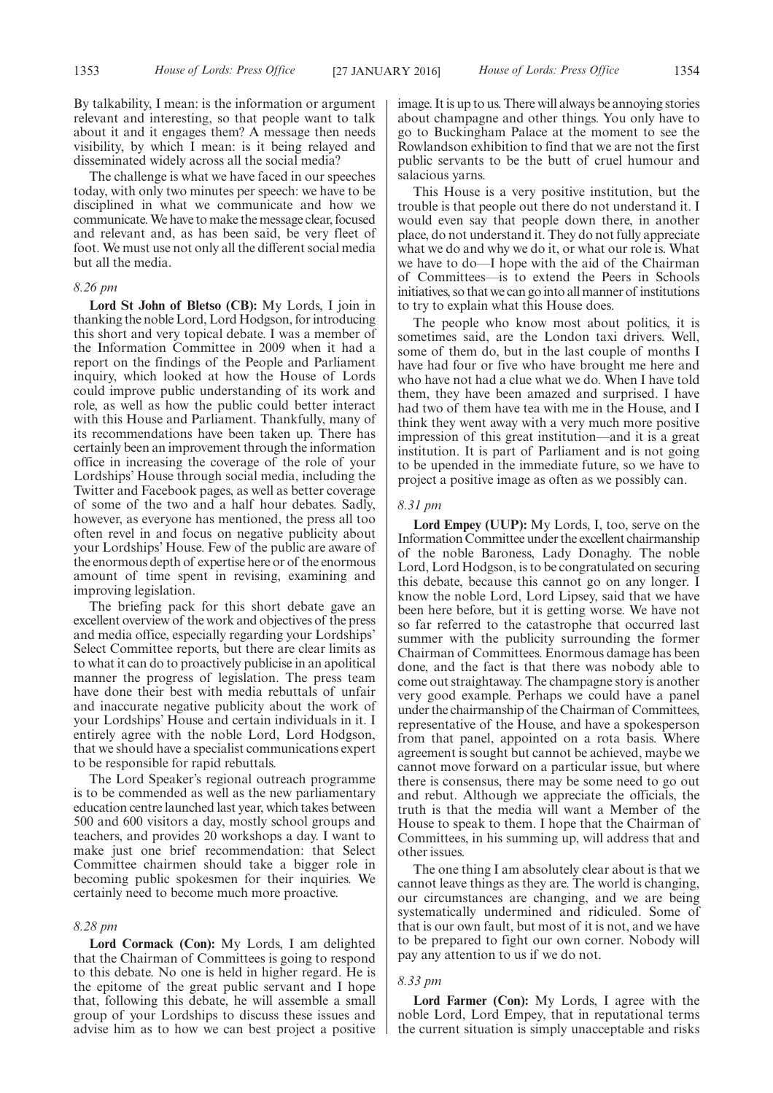By talkability, I mean: is the information or argument relevant and interesting, so that people want to talk about it and it engages them? A message then needs visibility, by which I mean: is it being relayed and disseminated widely across all the social media?

The challenge is what we have faced in our speeches today, with only two minutes per speech: we have to be disciplined in what we communicate and how we communicate.We have to make the message clear, focused and relevant and, as has been said, be very fleet of foot. We must use not only all the different social media but all the media.

#### *8.26 pm*

**Lord St John of Bletso (CB):** My Lords, I join in thanking the noble Lord, Lord Hodgson, for introducing this short and very topical debate. I was a member of the Information Committee in 2009 when it had a report on the findings of the People and Parliament inquiry, which looked at how the House of Lords could improve public understanding of its work and role, as well as how the public could better interact with this House and Parliament. Thankfully, many of its recommendations have been taken up. There has certainly been an improvement through the information office in increasing the coverage of the role of your Lordships' House through social media, including the Twitter and Facebook pages, as well as better coverage of some of the two and a half hour debates. Sadly, however, as everyone has mentioned, the press all too often revel in and focus on negative publicity about your Lordships' House. Few of the public are aware of the enormous depth of expertise here or of the enormous amount of time spent in revising, examining and improving legislation.

The briefing pack for this short debate gave an excellent overview of the work and objectives of the press and media office, especially regarding your Lordships' Select Committee reports, but there are clear limits as to what it can do to proactively publicise in an apolitical manner the progress of legislation. The press team have done their best with media rebuttals of unfair and inaccurate negative publicity about the work of your Lordships' House and certain individuals in it. I entirely agree with the noble Lord, Lord Hodgson, that we should have a specialist communications expert to be responsible for rapid rebuttals.

The Lord Speaker's regional outreach programme is to be commended as well as the new parliamentary education centre launched last year, which takes between 500 and 600 visitors a day, mostly school groups and teachers, and provides 20 workshops a day. I want to make just one brief recommendation: that Select Committee chairmen should take a bigger role in becoming public spokesmen for their inquiries. We certainly need to become much more proactive.

#### *8.28 pm*

**Lord Cormack (Con):** My Lords, I am delighted that the Chairman of Committees is going to respond to this debate. No one is held in higher regard. He is the epitome of the great public servant and I hope that, following this debate, he will assemble a small group of your Lordships to discuss these issues and advise him as to how we can best project a positive image. It is up to us. There will always be annoying stories about champagne and other things. You only have to go to Buckingham Palace at the moment to see the Rowlandson exhibition to find that we are not the first public servants to be the butt of cruel humour and salacious yarns.

This House is a very positive institution, but the trouble is that people out there do not understand it. I would even say that people down there, in another place, do not understand it. They do not fully appreciate what we do and why we do it, or what our role is. What we have to do—I hope with the aid of the Chairman of Committees—is to extend the Peers in Schools initiatives, so that we can go into all manner of institutions to try to explain what this House does.

The people who know most about politics, it is sometimes said, are the London taxi drivers. Well, some of them do, but in the last couple of months I have had four or five who have brought me here and who have not had a clue what we do. When I have told them, they have been amazed and surprised. I have had two of them have tea with me in the House, and I think they went away with a very much more positive impression of this great institution—and it is a great institution. It is part of Parliament and is not going to be upended in the immediate future, so we have to project a positive image as often as we possibly can.

#### *8.31 pm*

**Lord Empey (UUP):** My Lords, I, too, serve on the Information Committee under the excellent chairmanship of the noble Baroness, Lady Donaghy. The noble Lord, Lord Hodgson, is to be congratulated on securing this debate, because this cannot go on any longer. I know the noble Lord, Lord Lipsey, said that we have been here before, but it is getting worse. We have not so far referred to the catastrophe that occurred last summer with the publicity surrounding the former Chairman of Committees. Enormous damage has been done, and the fact is that there was nobody able to come out straightaway. The champagne story is another very good example. Perhaps we could have a panel under the chairmanship of the Chairman of Committees, representative of the House, and have a spokesperson from that panel, appointed on a rota basis. Where agreement is sought but cannot be achieved, maybe we cannot move forward on a particular issue, but where there is consensus, there may be some need to go out and rebut. Although we appreciate the officials, the truth is that the media will want a Member of the House to speak to them. I hope that the Chairman of Committees, in his summing up, will address that and other issues.

The one thing I am absolutely clear about is that we cannot leave things as they are. The world is changing, our circumstances are changing, and we are being systematically undermined and ridiculed. Some of that is our own fault, but most of it is not, and we have to be prepared to fight our own corner. Nobody will pay any attention to us if we do not.

#### *8.33 pm*

**Lord Farmer (Con):** My Lords, I agree with the noble Lord, Lord Empey, that in reputational terms the current situation is simply unacceptable and risks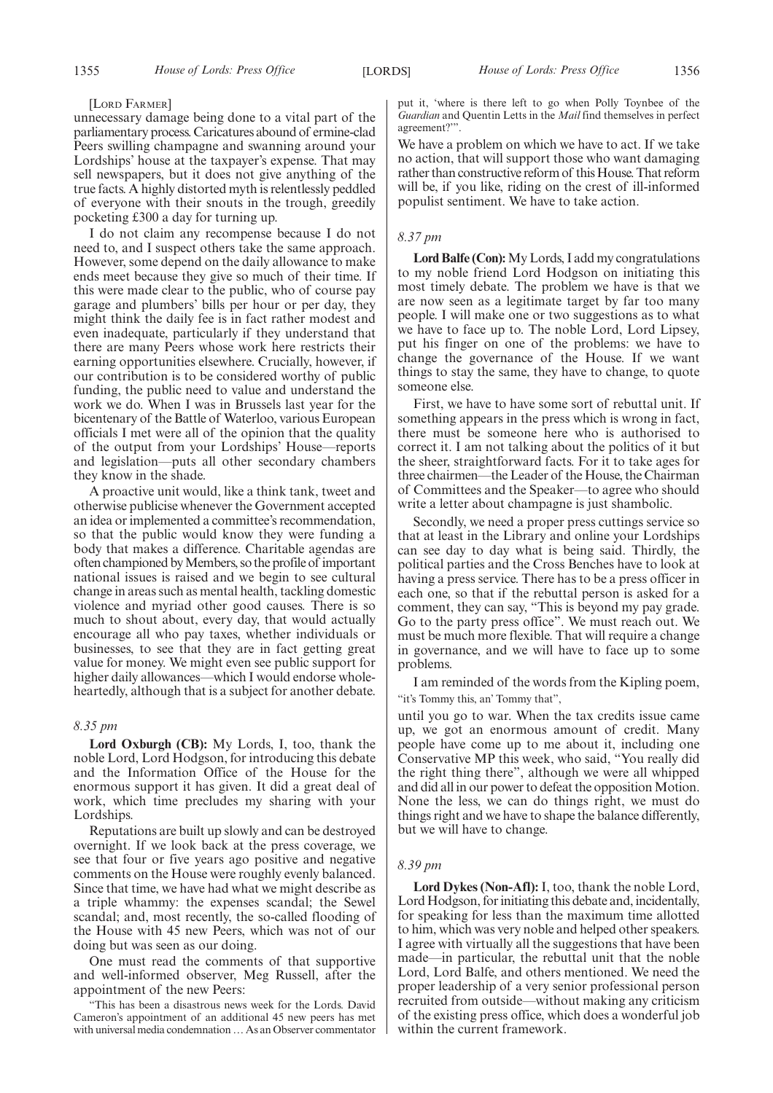#### [LORD FARMER]

unnecessary damage being done to a vital part of the parliamentary process. Caricatures abound of ermine-clad Peers swilling champagne and swanning around your Lordships' house at the taxpayer's expense. That may sell newspapers, but it does not give anything of the true facts. A highly distorted myth is relentlessly peddled of everyone with their snouts in the trough, greedily pocketing £300 a day for turning up.

I do not claim any recompense because I do not need to, and I suspect others take the same approach. However, some depend on the daily allowance to make ends meet because they give so much of their time. If this were made clear to the public, who of course pay garage and plumbers' bills per hour or per day, they might think the daily fee is in fact rather modest and even inadequate, particularly if they understand that there are many Peers whose work here restricts their earning opportunities elsewhere. Crucially, however, if our contribution is to be considered worthy of public funding, the public need to value and understand the work we do. When I was in Brussels last year for the bicentenary of the Battle of Waterloo, various European officials I met were all of the opinion that the quality of the output from your Lordships' House—reports and legislation—puts all other secondary chambers they know in the shade.

A proactive unit would, like a think tank, tweet and otherwise publicise whenever the Government accepted an idea or implemented a committee's recommendation, so that the public would know they were funding a body that makes a difference. Charitable agendas are often championed byMembers, so the profile of important national issues is raised and we begin to see cultural change in areas such as mental health, tackling domestic violence and myriad other good causes. There is so much to shout about, every day, that would actually encourage all who pay taxes, whether individuals or businesses, to see that they are in fact getting great value for money. We might even see public support for higher daily allowances—which I would endorse wholeheartedly, although that is a subject for another debate.

#### *8.35 pm*

**Lord Oxburgh (CB):** My Lords, I, too, thank the noble Lord, Lord Hodgson, for introducing this debate and the Information Office of the House for the enormous support it has given. It did a great deal of work, which time precludes my sharing with your Lordships.

Reputations are built up slowly and can be destroyed overnight. If we look back at the press coverage, we see that four or five years ago positive and negative comments on the House were roughly evenly balanced. Since that time, we have had what we might describe as a triple whammy: the expenses scandal; the Sewel scandal; and, most recently, the so-called flooding of the House with 45 new Peers, which was not of our doing but was seen as our doing.

One must read the comments of that supportive and well-informed observer, Meg Russell, after the appointment of the new Peers:

"This has been a disastrous news week for the Lords. David Cameron's appointment of an additional 45 new peers has met with universal media condemnation… As an Observer commentator put it, 'where is there left to go when Polly Toynbee of the *Guardian* and Quentin Letts in the *Mail* find themselves in perfect agreement?'".

We have a problem on which we have to act. If we take no action, that will support those who want damaging rather than constructive reform of this House. That reform will be, if you like, riding on the crest of ill-informed populist sentiment. We have to take action.

#### *8.37 pm*

**Lord Balfe (Con):**My Lords, I add my congratulations to my noble friend Lord Hodgson on initiating this most timely debate. The problem we have is that we are now seen as a legitimate target by far too many people. I will make one or two suggestions as to what we have to face up to. The noble Lord, Lord Lipsey, put his finger on one of the problems: we have to change the governance of the House. If we want things to stay the same, they have to change, to quote someone else.

First, we have to have some sort of rebuttal unit. If something appears in the press which is wrong in fact, there must be someone here who is authorised to correct it. I am not talking about the politics of it but the sheer, straightforward facts. For it to take ages for three chairmen—the Leader of the House, the Chairman of Committees and the Speaker—to agree who should write a letter about champagne is just shambolic.

Secondly, we need a proper press cuttings service so that at least in the Library and online your Lordships can see day to day what is being said. Thirdly, the political parties and the Cross Benches have to look at having a press service. There has to be a press officer in each one, so that if the rebuttal person is asked for a comment, they can say, "This is beyond my pay grade. Go to the party press office". We must reach out. We must be much more flexible. That will require a change in governance, and we will have to face up to some problems.

I am reminded of the words from the Kipling poem, "it's Tommy this, an' Tommy that",

until you go to war. When the tax credits issue came up, we got an enormous amount of credit. Many people have come up to me about it, including one Conservative MP this week, who said, "You really did the right thing there", although we were all whipped and did all in our power to defeat the opposition Motion. None the less, we can do things right, we must do things right and we have to shape the balance differently, but we will have to change.

#### *8.39 pm*

**Lord Dykes (Non-Afl):** I, too, thank the noble Lord, Lord Hodgson, for initiating this debate and, incidentally, for speaking for less than the maximum time allotted to him, which was very noble and helped other speakers. I agree with virtually all the suggestions that have been made—in particular, the rebuttal unit that the noble Lord, Lord Balfe, and others mentioned. We need the proper leadership of a very senior professional person recruited from outside—without making any criticism of the existing press office, which does a wonderful job within the current framework.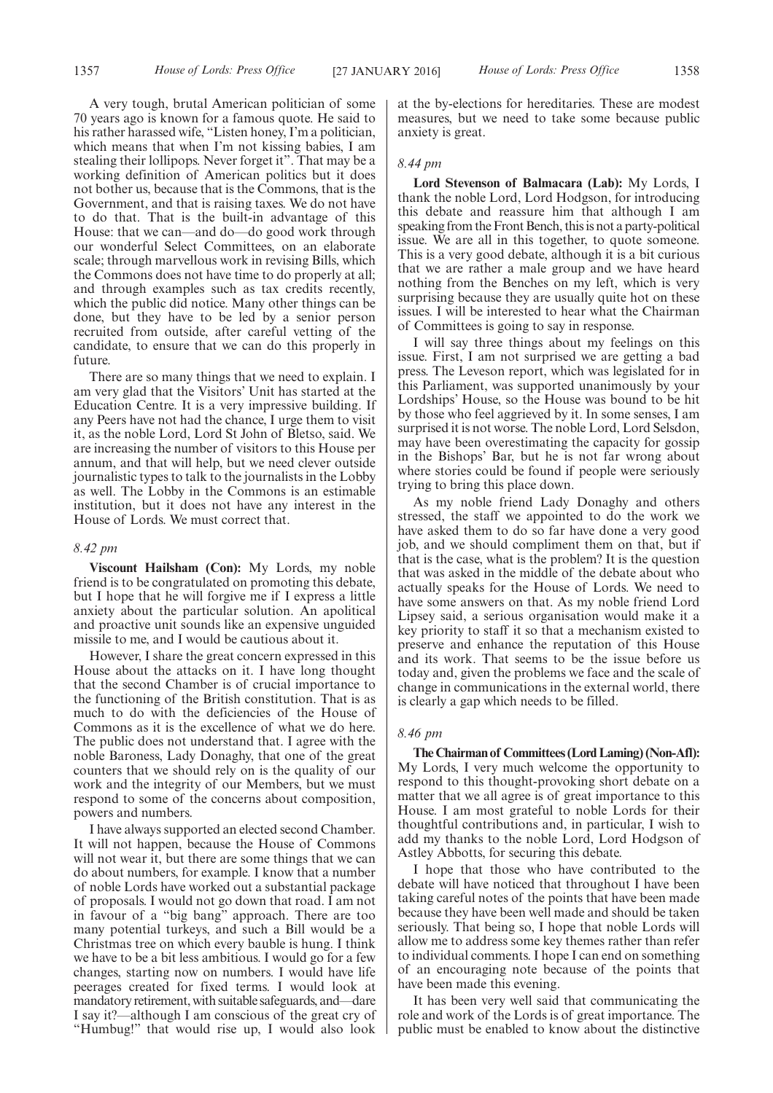A very tough, brutal American politician of some 70 years ago is known for a famous quote. He said to his rather harassed wife, "Listen honey, I'm a politician, which means that when I'm not kissing babies, I am stealing their lollipops. Never forget it". That may be a working definition of American politics but it does not bother us, because that is the Commons, that is the Government, and that is raising taxes. We do not have to do that. That is the built-in advantage of this House: that we can—and do—do good work through our wonderful Select Committees, on an elaborate scale; through marvellous work in revising Bills, which the Commons does not have time to do properly at all; and through examples such as tax credits recently, which the public did notice. Many other things can be done, but they have to be led by a senior person recruited from outside, after careful vetting of the candidate, to ensure that we can do this properly in future.

There are so many things that we need to explain. I am very glad that the Visitors' Unit has started at the Education Centre. It is a very impressive building. If any Peers have not had the chance, I urge them to visit it, as the noble Lord, Lord St John of Bletso, said. We are increasing the number of visitors to this House per annum, and that will help, but we need clever outside journalistic types to talk to the journalists in the Lobby as well. The Lobby in the Commons is an estimable institution, but it does not have any interest in the House of Lords. We must correct that.

#### *8.42 pm*

**Viscount Hailsham (Con):** My Lords, my noble friend is to be congratulated on promoting this debate, but I hope that he will forgive me if I express a little anxiety about the particular solution. An apolitical and proactive unit sounds like an expensive unguided missile to me, and I would be cautious about it.

However, I share the great concern expressed in this House about the attacks on it. I have long thought that the second Chamber is of crucial importance to the functioning of the British constitution. That is as much to do with the deficiencies of the House of Commons as it is the excellence of what we do here. The public does not understand that. I agree with the noble Baroness, Lady Donaghy, that one of the great counters that we should rely on is the quality of our work and the integrity of our Members, but we must respond to some of the concerns about composition, powers and numbers.

I have always supported an elected second Chamber. It will not happen, because the House of Commons will not wear it, but there are some things that we can do about numbers, for example. I know that a number of noble Lords have worked out a substantial package of proposals. I would not go down that road. I am not in favour of a "big bang" approach. There are too many potential turkeys, and such a Bill would be a Christmas tree on which every bauble is hung. I think we have to be a bit less ambitious. I would go for a few changes, starting now on numbers. I would have life peerages created for fixed terms. I would look at mandatory retirement, with suitable safeguards, and—dare I say it?—although I am conscious of the great cry of "Humbug!" that would rise up, I would also look at the by-elections for hereditaries. These are modest measures, but we need to take some because public anxiety is great.

#### *8.44 pm*

**Lord Stevenson of Balmacara (Lab):** My Lords, I thank the noble Lord, Lord Hodgson, for introducing this debate and reassure him that although I am speaking from the Front Bench, this is not a party-political issue. We are all in this together, to quote someone. This is a very good debate, although it is a bit curious that we are rather a male group and we have heard nothing from the Benches on my left, which is very surprising because they are usually quite hot on these issues. I will be interested to hear what the Chairman of Committees is going to say in response.

I will say three things about my feelings on this issue. First, I am not surprised we are getting a bad press. The Leveson report, which was legislated for in this Parliament, was supported unanimously by your Lordships' House, so the House was bound to be hit by those who feel aggrieved by it. In some senses, I am surprised it is not worse. The noble Lord, Lord Selsdon, may have been overestimating the capacity for gossip in the Bishops' Bar, but he is not far wrong about where stories could be found if people were seriously trying to bring this place down.

As my noble friend Lady Donaghy and others stressed, the staff we appointed to do the work we have asked them to do so far have done a very good job, and we should compliment them on that, but if that is the case, what is the problem? It is the question that was asked in the middle of the debate about who actually speaks for the House of Lords. We need to have some answers on that. As my noble friend Lord Lipsey said, a serious organisation would make it a key priority to staff it so that a mechanism existed to preserve and enhance the reputation of this House and its work. That seems to be the issue before us today and, given the problems we face and the scale of change in communications in the external world, there is clearly a gap which needs to be filled.

#### *8.46 pm*

**The Chairman of Committees (Lord Laming) (Non-Afl):** My Lords, I very much welcome the opportunity to respond to this thought-provoking short debate on a matter that we all agree is of great importance to this House. I am most grateful to noble Lords for their thoughtful contributions and, in particular, I wish to add my thanks to the noble Lord, Lord Hodgson of Astley Abbotts, for securing this debate.

I hope that those who have contributed to the debate will have noticed that throughout I have been taking careful notes of the points that have been made because they have been well made and should be taken seriously. That being so, I hope that noble Lords will allow me to address some key themes rather than refer to individual comments. I hope I can end on something of an encouraging note because of the points that have been made this evening.

It has been very well said that communicating the role and work of the Lords is of great importance. The public must be enabled to know about the distinctive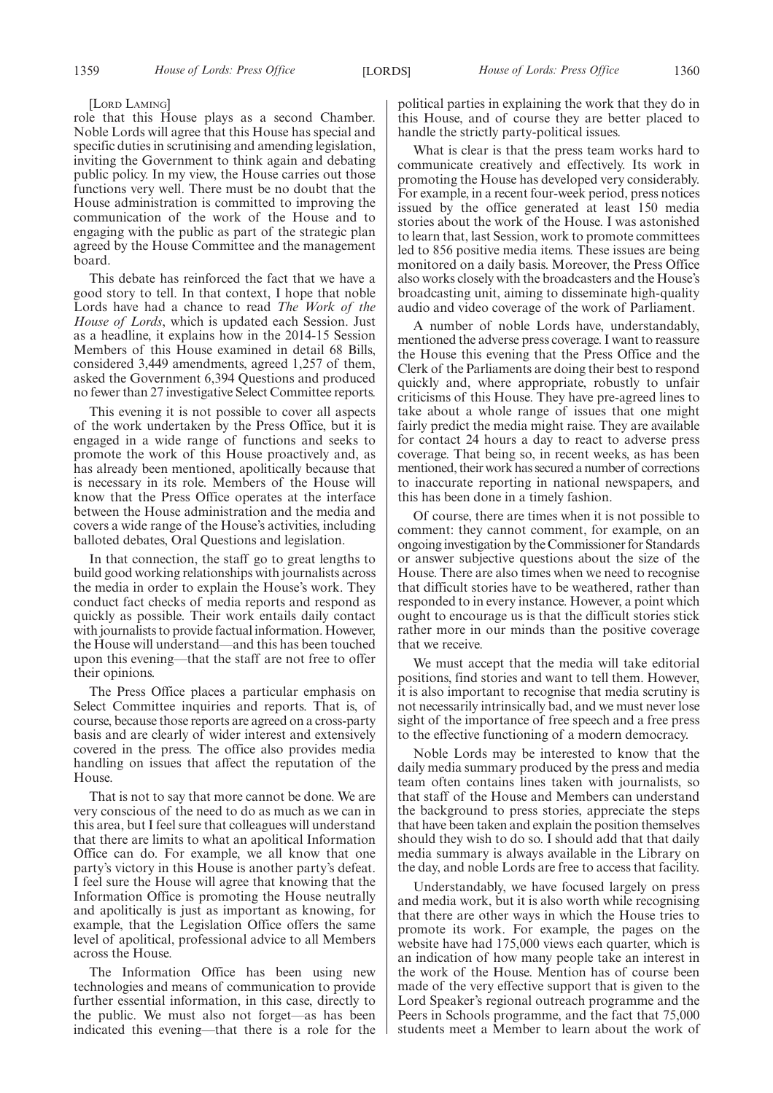#### [LORD LAMING]

role that this House plays as a second Chamber. Noble Lords will agree that this House has special and specific duties in scrutinising and amending legislation, inviting the Government to think again and debating public policy. In my view, the House carries out those functions very well. There must be no doubt that the House administration is committed to improving the communication of the work of the House and to engaging with the public as part of the strategic plan agreed by the House Committee and the management board.

This debate has reinforced the fact that we have a good story to tell. In that context, I hope that noble Lords have had a chance to read *The Work of the House of Lords*, which is updated each Session. Just as a headline, it explains how in the 2014-15 Session Members of this House examined in detail 68 Bills, considered 3,449 amendments, agreed 1,257 of them, asked the Government 6,394 Questions and produced no fewer than 27 investigative Select Committee reports.

This evening it is not possible to cover all aspects of the work undertaken by the Press Office, but it is engaged in a wide range of functions and seeks to promote the work of this House proactively and, as has already been mentioned, apolitically because that is necessary in its role. Members of the House will know that the Press Office operates at the interface between the House administration and the media and covers a wide range of the House's activities, including balloted debates, Oral Questions and legislation.

In that connection, the staff go to great lengths to build good working relationships with journalists across the media in order to explain the House's work. They conduct fact checks of media reports and respond as quickly as possible. Their work entails daily contact with journalists to provide factual information. However, the House will understand—and this has been touched upon this evening—that the staff are not free to offer their opinions.

The Press Office places a particular emphasis on Select Committee inquiries and reports. That is, of course, because those reports are agreed on a cross-party basis and are clearly of wider interest and extensively covered in the press. The office also provides media handling on issues that affect the reputation of the House.

That is not to say that more cannot be done. We are very conscious of the need to do as much as we can in this area, but I feel sure that colleagues will understand that there are limits to what an apolitical Information Office can do. For example, we all know that one party's victory in this House is another party's defeat. I feel sure the House will agree that knowing that the Information Office is promoting the House neutrally and apolitically is just as important as knowing, for example, that the Legislation Office offers the same level of apolitical, professional advice to all Members across the House.

The Information Office has been using new technologies and means of communication to provide further essential information, in this case, directly to the public. We must also not forget—as has been indicated this evening—that there is a role for the political parties in explaining the work that they do in this House, and of course they are better placed to handle the strictly party-political issues.

What is clear is that the press team works hard to communicate creatively and effectively. Its work in promoting the House has developed very considerably. For example, in a recent four-week period, press notices issued by the office generated at least 150 media stories about the work of the House. I was astonished to learn that, last Session, work to promote committees led to 856 positive media items. These issues are being monitored on a daily basis. Moreover, the Press Office also works closely with the broadcasters and the House's broadcasting unit, aiming to disseminate high-quality audio and video coverage of the work of Parliament.

A number of noble Lords have, understandably, mentioned the adverse press coverage. I want to reassure the House this evening that the Press Office and the Clerk of the Parliaments are doing their best to respond quickly and, where appropriate, robustly to unfair criticisms of this House. They have pre-agreed lines to take about a whole range of issues that one might fairly predict the media might raise. They are available for contact 24 hours a day to react to adverse press coverage. That being so, in recent weeks, as has been mentioned, their work has secured a number of corrections to inaccurate reporting in national newspapers, and this has been done in a timely fashion.

Of course, there are times when it is not possible to comment: they cannot comment, for example, on an ongoing investigation by the Commissioner for Standards or answer subjective questions about the size of the House. There are also times when we need to recognise that difficult stories have to be weathered, rather than responded to in every instance. However, a point which ought to encourage us is that the difficult stories stick rather more in our minds than the positive coverage that we receive.

We must accept that the media will take editorial positions, find stories and want to tell them. However, it is also important to recognise that media scrutiny is not necessarily intrinsically bad, and we must never lose sight of the importance of free speech and a free press to the effective functioning of a modern democracy.

Noble Lords may be interested to know that the daily media summary produced by the press and media team often contains lines taken with journalists, so that staff of the House and Members can understand the background to press stories, appreciate the steps that have been taken and explain the position themselves should they wish to do so. I should add that that daily media summary is always available in the Library on the day, and noble Lords are free to access that facility.

Understandably, we have focused largely on press and media work, but it is also worth while recognising that there are other ways in which the House tries to promote its work. For example, the pages on the website have had 175,000 views each quarter, which is an indication of how many people take an interest in the work of the House. Mention has of course been made of the very effective support that is given to the Lord Speaker's regional outreach programme and the Peers in Schools programme, and the fact that 75,000 students meet a Member to learn about the work of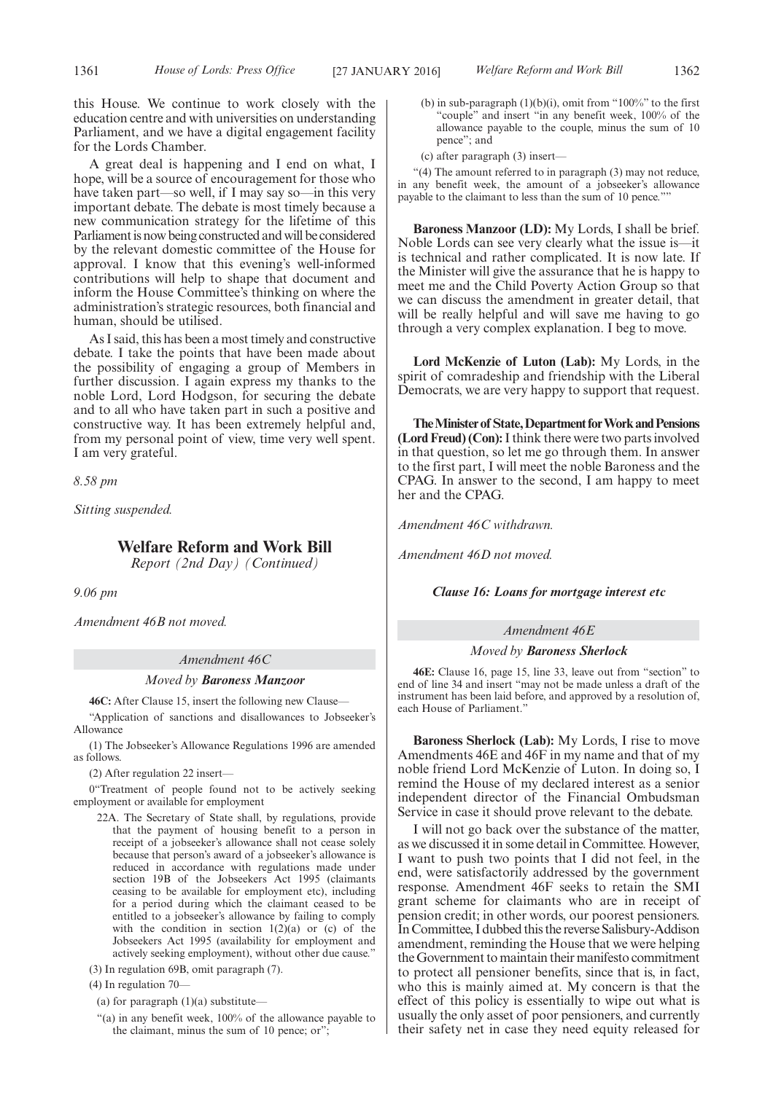this House. We continue to work closely with the education centre and with universities on understanding Parliament, and we have a digital engagement facility for the Lords Chamber.

A great deal is happening and I end on what, I hope, will be a source of encouragement for those who have taken part—so well, if I may say so—in this very important debate. The debate is most timely because a new communication strategy for the lifetime of this Parliament is now being constructed and will be considered by the relevant domestic committee of the House for approval. I know that this evening's well-informed contributions will help to shape that document and inform the House Committee's thinking on where the administration's strategic resources, both financial and human, should be utilised.

As I said, this has been a most timely and constructive debate. I take the points that have been made about the possibility of engaging a group of Members in further discussion. I again express my thanks to the noble Lord, Lord Hodgson, for securing the debate and to all who have taken part in such a positive and constructive way. It has been extremely helpful and, from my personal point of view, time very well spent. I am very grateful.

*8.58 pm*

*Sitting suspended.*

#### **Welfare Reform and Work Bill**

*Report (2nd Day) (Continued)*

*9.06 pm*

*Amendment 46B not moved.*

#### *Amendment 46C*

#### *Moved by Baroness Manzoor*

**46C:** After Clause 15, insert the following new Clause—

"Application of sanctions and disallowances to Jobseeker's Allowance

(1) The Jobseeker's Allowance Regulations 1996 are amended as follows.

(2) After regulation 22 insert—

0"Treatment of people found not to be actively seeking employment or available for employment

- 22A. The Secretary of State shall, by regulations, provide that the payment of housing benefit to a person in receipt of a jobseeker's allowance shall not cease solely because that person's award of a jobseeker's allowance is reduced in accordance with regulations made under section 19B of the Jobseekers Act 1995 (claimants ceasing to be available for employment etc), including for a period during which the claimant ceased to be entitled to a jobseeker's allowance by failing to comply with the condition in section  $1(2)(a)$  or  $(c)$  of the Jobseekers Act 1995 (availability for employment and actively seeking employment), without other due cause.'
- (3) In regulation 69B, omit paragraph (7).

(4) In regulation 70—

- (a) for paragraph (1)(a) substitute—
- "(a) in any benefit week, 100% of the allowance payable to the claimant, minus the sum of 10 pence; or";
- (b) in sub-paragraph  $(1)(b)(i)$ , omit from "100%" to the first "couple" and insert "in any benefit week, 100% of the allowance payable to the couple, minus the sum of 10 pence"; and
- (c) after paragraph (3) insert—

"(4) The amount referred to in paragraph (3) may not reduce, in any benefit week, the amount of a jobseeker's allowance payable to the claimant to less than the sum of 10 pence.""

**Baroness Manzoor (LD):** My Lords, I shall be brief. Noble Lords can see very clearly what the issue is—it is technical and rather complicated. It is now late. If the Minister will give the assurance that he is happy to meet me and the Child Poverty Action Group so that we can discuss the amendment in greater detail, that will be really helpful and will save me having to go through a very complex explanation. I beg to move.

**Lord McKenzie of Luton (Lab):** My Lords, in the spirit of comradeship and friendship with the Liberal Democrats, we are very happy to support that request.

**TheMinister of State,Department forWork andPensions (Lord Freud) (Con):**I think there were two parts involved in that question, so let me go through them. In answer to the first part, I will meet the noble Baroness and the CPAG. In answer to the second, I am happy to meet her and the CPAG.

*Amendment 46C withdrawn.*

*Amendment 46D not moved.*

#### *Clause 16: Loans for mortgage interest etc*

#### *Amendment 46E*

#### *Moved by Baroness Sherlock*

**46E:** Clause 16, page 15, line 33, leave out from "section" to end of line 34 and insert "may not be made unless a draft of the instrument has been laid before, and approved by a resolution of, each House of Parliament."

**Baroness Sherlock (Lab):** My Lords, I rise to move Amendments 46E and 46F in my name and that of my noble friend Lord McKenzie of Luton. In doing so, I remind the House of my declared interest as a senior independent director of the Financial Ombudsman Service in case it should prove relevant to the debate.

I will not go back over the substance of the matter, as we discussed it in some detail in Committee. However, I want to push two points that I did not feel, in the end, were satisfactorily addressed by the government response. Amendment 46F seeks to retain the SMI grant scheme for claimants who are in receipt of pension credit; in other words, our poorest pensioners. In Committee, I dubbed this the reverse Salisbury-Addison amendment, reminding the House that we were helping the Government to maintain their manifesto commitment to protect all pensioner benefits, since that is, in fact, who this is mainly aimed at. My concern is that the effect of this policy is essentially to wipe out what is usually the only asset of poor pensioners, and currently their safety net in case they need equity released for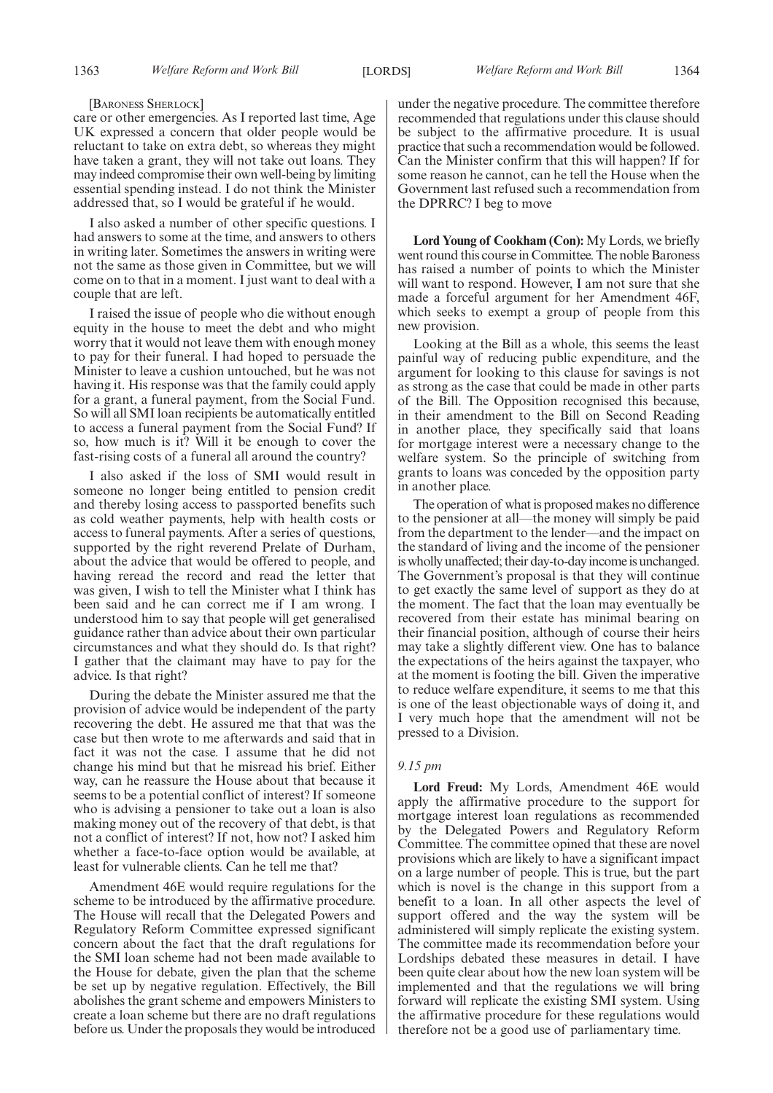#### [BARONESS SHERLOCK]

care or other emergencies. As I reported last time, Age UK expressed a concern that older people would be reluctant to take on extra debt, so whereas they might have taken a grant, they will not take out loans. They may indeed compromise their own well-being by limiting essential spending instead. I do not think the Minister addressed that, so I would be grateful if he would.

I also asked a number of other specific questions. I had answers to some at the time, and answers to others in writing later. Sometimes the answers in writing were not the same as those given in Committee, but we will come on to that in a moment. I just want to deal with a couple that are left.

I raised the issue of people who die without enough equity in the house to meet the debt and who might worry that it would not leave them with enough money to pay for their funeral. I had hoped to persuade the Minister to leave a cushion untouched, but he was not having it. His response was that the family could apply for a grant, a funeral payment, from the Social Fund. So will all SMI loan recipients be automatically entitled to access a funeral payment from the Social Fund? If so, how much is it? Will it be enough to cover the fast-rising costs of a funeral all around the country?

I also asked if the loss of SMI would result in someone no longer being entitled to pension credit and thereby losing access to passported benefits such as cold weather payments, help with health costs or access to funeral payments. After a series of questions, supported by the right reverend Prelate of Durham, about the advice that would be offered to people, and having reread the record and read the letter that was given, I wish to tell the Minister what I think has been said and he can correct me if I am wrong. I understood him to say that people will get generalised guidance rather than advice about their own particular circumstances and what they should do. Is that right? I gather that the claimant may have to pay for the advice. Is that right?

During the debate the Minister assured me that the provision of advice would be independent of the party recovering the debt. He assured me that that was the case but then wrote to me afterwards and said that in fact it was not the case. I assume that he did not change his mind but that he misread his brief. Either way, can he reassure the House about that because it seems to be a potential conflict of interest? If someone who is advising a pensioner to take out a loan is also making money out of the recovery of that debt, is that not a conflict of interest? If not, how not? I asked him whether a face-to-face option would be available, at least for vulnerable clients. Can he tell me that?

Amendment 46E would require regulations for the scheme to be introduced by the affirmative procedure. The House will recall that the Delegated Powers and Regulatory Reform Committee expressed significant concern about the fact that the draft regulations for the SMI loan scheme had not been made available to the House for debate, given the plan that the scheme be set up by negative regulation. Effectively, the Bill abolishes the grant scheme and empowers Ministers to create a loan scheme but there are no draft regulations before us. Under the proposals they would be introduced under the negative procedure. The committee therefore recommended that regulations under this clause should be subject to the affirmative procedure. It is usual practice that such a recommendation would be followed. Can the Minister confirm that this will happen? If for some reason he cannot, can he tell the House when the Government last refused such a recommendation from the DPRRC? I beg to move

**Lord Young of Cookham (Con):** My Lords, we briefly went round this course in Committee. The noble Baroness has raised a number of points to which the Minister will want to respond. However, I am not sure that she made a forceful argument for her Amendment 46F, which seeks to exempt a group of people from this new provision.

Looking at the Bill as a whole, this seems the least painful way of reducing public expenditure, and the argument for looking to this clause for savings is not as strong as the case that could be made in other parts of the Bill. The Opposition recognised this because, in their amendment to the Bill on Second Reading in another place, they specifically said that loans for mortgage interest were a necessary change to the welfare system. So the principle of switching from grants to loans was conceded by the opposition party in another place.

The operation of what is proposed makes no difference to the pensioner at all—the money will simply be paid from the department to the lender—and the impact on the standard of living and the income of the pensioner is wholly unaffected; their day-to-day income is unchanged. The Government's proposal is that they will continue to get exactly the same level of support as they do at the moment. The fact that the loan may eventually be recovered from their estate has minimal bearing on their financial position, although of course their heirs may take a slightly different view. One has to balance the expectations of the heirs against the taxpayer, who at the moment is footing the bill. Given the imperative to reduce welfare expenditure, it seems to me that this is one of the least objectionable ways of doing it, and I very much hope that the amendment will not be pressed to a Division.

#### *9.15 pm*

**Lord Freud:** My Lords, Amendment 46E would apply the affirmative procedure to the support for mortgage interest loan regulations as recommended by the Delegated Powers and Regulatory Reform Committee. The committee opined that these are novel provisions which are likely to have a significant impact on a large number of people. This is true, but the part which is novel is the change in this support from a benefit to a loan. In all other aspects the level of support offered and the way the system will be administered will simply replicate the existing system. The committee made its recommendation before your Lordships debated these measures in detail. I have been quite clear about how the new loan system will be implemented and that the regulations we will bring forward will replicate the existing SMI system. Using the affirmative procedure for these regulations would therefore not be a good use of parliamentary time.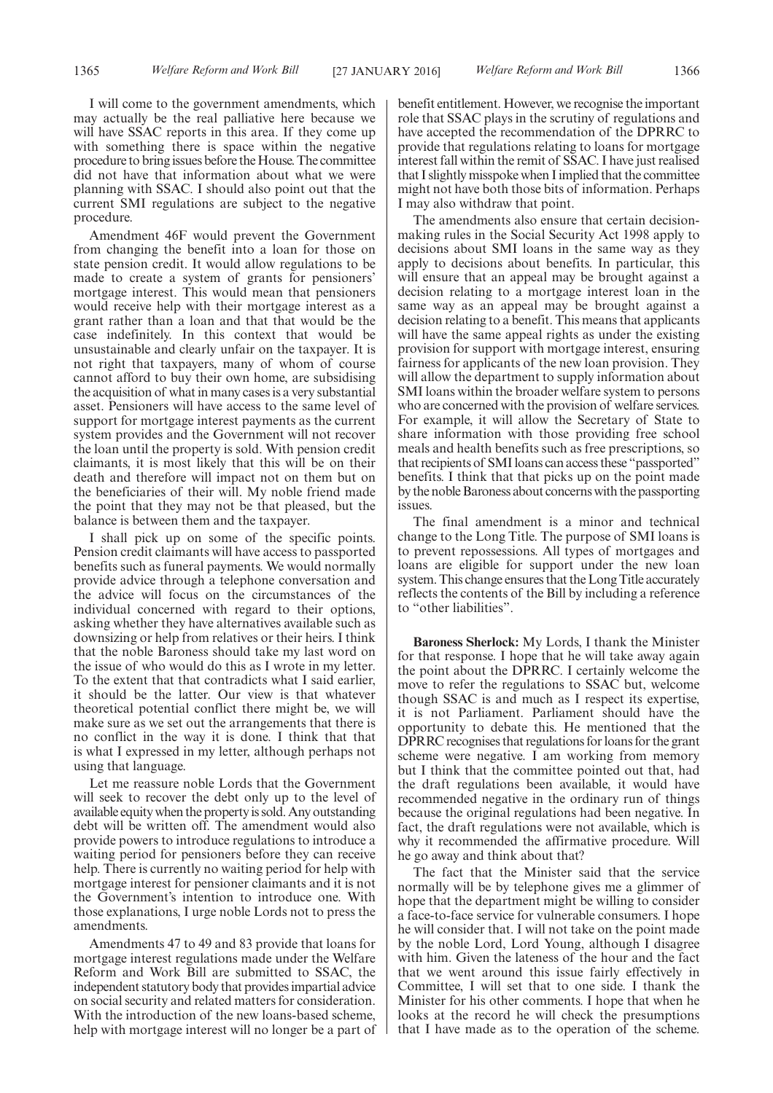I will come to the government amendments, which may actually be the real palliative here because we will have SSAC reports in this area. If they come up with something there is space within the negative procedure to bring issues before the House. The committee did not have that information about what we were planning with SSAC. I should also point out that the current SMI regulations are subject to the negative procedure.

Amendment 46F would prevent the Government from changing the benefit into a loan for those on state pension credit. It would allow regulations to be made to create a system of grants for pensioners' mortgage interest. This would mean that pensioners would receive help with their mortgage interest as a grant rather than a loan and that that would be the case indefinitely. In this context that would be unsustainable and clearly unfair on the taxpayer. It is not right that taxpayers, many of whom of course cannot afford to buy their own home, are subsidising the acquisition of what in many cases is a very substantial asset. Pensioners will have access to the same level of support for mortgage interest payments as the current system provides and the Government will not recover the loan until the property is sold. With pension credit claimants, it is most likely that this will be on their death and therefore will impact not on them but on the beneficiaries of their will. My noble friend made the point that they may not be that pleased, but the balance is between them and the taxpayer.

I shall pick up on some of the specific points. Pension credit claimants will have access to passported benefits such as funeral payments. We would normally provide advice through a telephone conversation and the advice will focus on the circumstances of the individual concerned with regard to their options, asking whether they have alternatives available such as downsizing or help from relatives or their heirs. I think that the noble Baroness should take my last word on the issue of who would do this as I wrote in my letter. To the extent that that contradicts what I said earlier, it should be the latter. Our view is that whatever theoretical potential conflict there might be, we will make sure as we set out the arrangements that there is no conflict in the way it is done. I think that that is what I expressed in my letter, although perhaps not using that language.

Let me reassure noble Lords that the Government will seek to recover the debt only up to the level of available equity when the propertyis sold. Any outstanding debt will be written off. The amendment would also provide powers to introduce regulations to introduce a waiting period for pensioners before they can receive help. There is currently no waiting period for help with mortgage interest for pensioner claimants and it is not the Government's intention to introduce one. With those explanations, I urge noble Lords not to press the amendments.

Amendments 47 to 49 and 83 provide that loans for mortgage interest regulations made under the Welfare Reform and Work Bill are submitted to SSAC, the independent statutory body that provides impartial advice on social security and related matters for consideration. With the introduction of the new loans-based scheme, help with mortgage interest will no longer be a part of benefit entitlement. However, we recognise the important role that SSAC plays in the scrutiny of regulations and have accepted the recommendation of the DPRRC to provide that regulations relating to loans for mortgage interest fall within the remit of SSAC. I have just realised that I slightly misspoke when I implied that the committee might not have both those bits of information. Perhaps I may also withdraw that point.

The amendments also ensure that certain decisionmaking rules in the Social Security Act 1998 apply to decisions about SMI loans in the same way as they apply to decisions about benefits. In particular, this will ensure that an appeal may be brought against a decision relating to a mortgage interest loan in the same way as an appeal may be brought against a decision relating to a benefit. This means that applicants will have the same appeal rights as under the existing provision for support with mortgage interest, ensuring fairness for applicants of the new loan provision. They will allow the department to supply information about SMI loans within the broader welfare system to persons who are concerned with the provision of welfare services. For example, it will allow the Secretary of State to share information with those providing free school meals and health benefits such as free prescriptions, so that recipients of SMI loans can access these "passported" benefits. I think that that picks up on the point made by the noble Baroness about concerns with the passporting issues.

The final amendment is a minor and technical change to the Long Title. The purpose of SMI loans is to prevent repossessions. All types of mortgages and loans are eligible for support under the new loan system. This change ensures that the Long Title accurately reflects the contents of the Bill by including a reference to "other liabilities".

**Baroness Sherlock:** My Lords, I thank the Minister for that response. I hope that he will take away again the point about the DPRRC. I certainly welcome the move to refer the regulations to SSAC but, welcome though SSAC is and much as I respect its expertise, it is not Parliament. Parliament should have the opportunity to debate this. He mentioned that the DPRRC recognises that regulations for loans for the grant scheme were negative. I am working from memory but I think that the committee pointed out that, had the draft regulations been available, it would have recommended negative in the ordinary run of things because the original regulations had been negative. In fact, the draft regulations were not available, which is why it recommended the affirmative procedure. Will he go away and think about that?

The fact that the Minister said that the service normally will be by telephone gives me a glimmer of hope that the department might be willing to consider a face-to-face service for vulnerable consumers. I hope he will consider that. I will not take on the point made by the noble Lord, Lord Young, although I disagree with him. Given the lateness of the hour and the fact that we went around this issue fairly effectively in Committee, I will set that to one side. I thank the Minister for his other comments. I hope that when he looks at the record he will check the presumptions that I have made as to the operation of the scheme.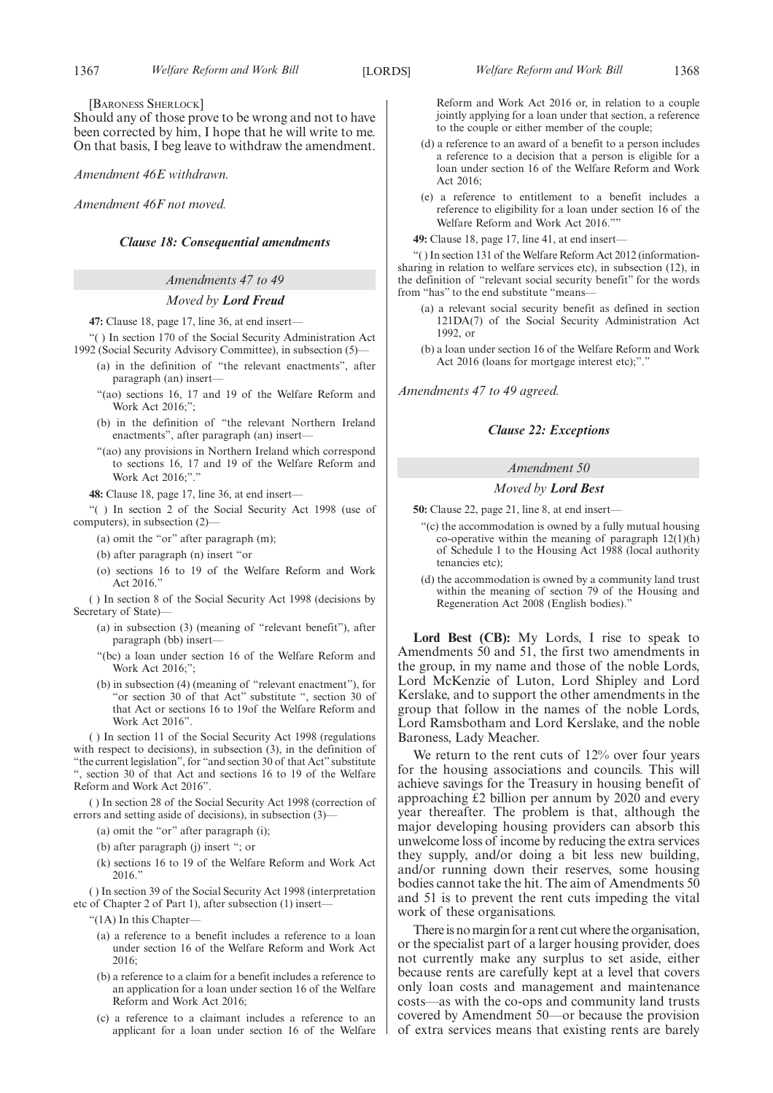#### [BARONESS SHERLOCK]

Should any of those prove to be wrong and not to have been corrected by him, I hope that he will write to me. On that basis, I beg leave to withdraw the amendment.

*Amendment 46E withdrawn.*

*Amendment 46F not moved.*

#### *Clause 18: Consequential amendments*

#### *Amendments 47 to 49*

#### *Moved by Lord Freud*

**47:** Clause 18, page 17, line 36, at end insert—

"( ) In section 170 of the Social Security Administration Act 1992 (Social Security Advisory Committee), in subsection (5)—

- (a) in the definition of "the relevant enactments", after paragraph (an) insert—
- "(ao) sections 16, 17 and 19 of the Welfare Reform and Work Act 2016;";
- (b) in the definition of "the relevant Northern Ireland enactments", after paragraph (an) insert—
- "(ao) any provisions in Northern Ireland which correspond to sections 16, 17 and 19 of the Welfare Reform and Work Act 2016:"."

**48:** Clause 18, page 17, line 36, at end insert—

"( ) In section 2 of the Social Security Act 1998 (use of computers), in subsection (2)—

- (a) omit the "or" after paragraph (m);
- (b) after paragraph (n) insert "or
- (o) sections 16 to 19 of the Welfare Reform and Work Act 2016."

( ) In section 8 of the Social Security Act 1998 (decisions by Secretary of State)—

- (a) in subsection (3) (meaning of "relevant benefit"), after paragraph (bb) insert—
- "(bc) a loan under section 16 of the Welfare Reform and Work Act 2016;";
- (b) in subsection (4) (meaning of "relevant enactment"), for "or section 30 of that Act" substitute ", section 30 of that Act or sections 16 to 19of the Welfare Reform and Work Act 2016".

( ) In section 11 of the Social Security Act 1998 (regulations with respect to decisions), in subsection (3), in the definition of "the current legislation", for "and section 30 of that Act" substitute ", section 30 of that Act and sections 16 to 19 of the Welfare Reform and Work Act 2016".

( ) In section 28 of the Social Security Act 1998 (correction of errors and setting aside of decisions), in subsection (3)—

- (a) omit the "or" after paragraph (i);
- (b) after paragraph (j) insert "; or
- (k) sections 16 to 19 of the Welfare Reform and Work Act 2016."

( ) In section 39 of the Social Security Act 1998 (interpretation etc of Chapter 2 of Part 1), after subsection (1) insert—

- "(1A) In this Chapter—
	- (a) a reference to a benefit includes a reference to a loan under section 16 of the Welfare Reform and Work Act 2016;
	- (b) a reference to a claim for a benefit includes a reference to an application for a loan under section 16 of the Welfare Reform and Work Act 2016;
	- (c) a reference to a claimant includes a reference to an applicant for a loan under section 16 of the Welfare

Reform and Work Act 2016 or, in relation to a couple jointly applying for a loan under that section, a reference to the couple or either member of the couple;

- (d) a reference to an award of a benefit to a person includes a reference to a decision that a person is eligible for a loan under section 16 of the Welfare Reform and Work Act 2016;
- (e) a reference to entitlement to a benefit includes a reference to eligibility for a loan under section 16 of the Welfare Reform and Work Act 2016.""

**49:** Clause 18, page 17, line 41, at end insert—

"( ) In section 131 of the Welfare Reform Act 2012 (informationsharing in relation to welfare services etc), in subsection (12), in the definition of "relevant social security benefit" for the words from "has" to the end substitute "means—

- (a) a relevant social security benefit as defined in section 121DA(7) of the Social Security Administration Act 1992, or
- (b) a loan under section 16 of the Welfare Reform and Work Act 2016 (loans for mortgage interest etc);"."

*Amendments 47 to 49 agreed.*

#### *Clause 22: Exceptions*

#### *Amendment 50*

#### *Moved by Lord Best*

**50:** Clause 22, page 21, line 8, at end insert—

- "(c) the accommodation is owned by a fully mutual housing co-operative within the meaning of paragraph  $12(1)(h)$ of Schedule 1 to the Housing Act 1988 (local authority tenancies etc);
- (d) the accommodation is owned by a community land trust within the meaning of section 79 of the Housing and Regeneration Act 2008 (English bodies)."

**Lord Best (CB):** My Lords, I rise to speak to Amendments 50 and 51, the first two amendments in the group, in my name and those of the noble Lords, Lord McKenzie of Luton, Lord Shipley and Lord Kerslake, and to support the other amendments in the group that follow in the names of the noble Lords, Lord Ramsbotham and Lord Kerslake, and the noble Baroness, Lady Meacher.

We return to the rent cuts of 12% over four years for the housing associations and councils. This will achieve savings for the Treasury in housing benefit of approaching £2 billion per annum by 2020 and every year thereafter. The problem is that, although the major developing housing providers can absorb this unwelcome loss of income by reducing the extra services they supply, and/or doing a bit less new building, and/or running down their reserves, some housing bodies cannot take the hit. The aim of Amendments 50 and 51 is to prevent the rent cuts impeding the vital work of these organisations.

There is no margin for a rent cut where the organisation, or the specialist part of a larger housing provider, does not currently make any surplus to set aside, either because rents are carefully kept at a level that covers only loan costs and management and maintenance costs—as with the co-ops and community land trusts covered by Amendment 50—or because the provision of extra services means that existing rents are barely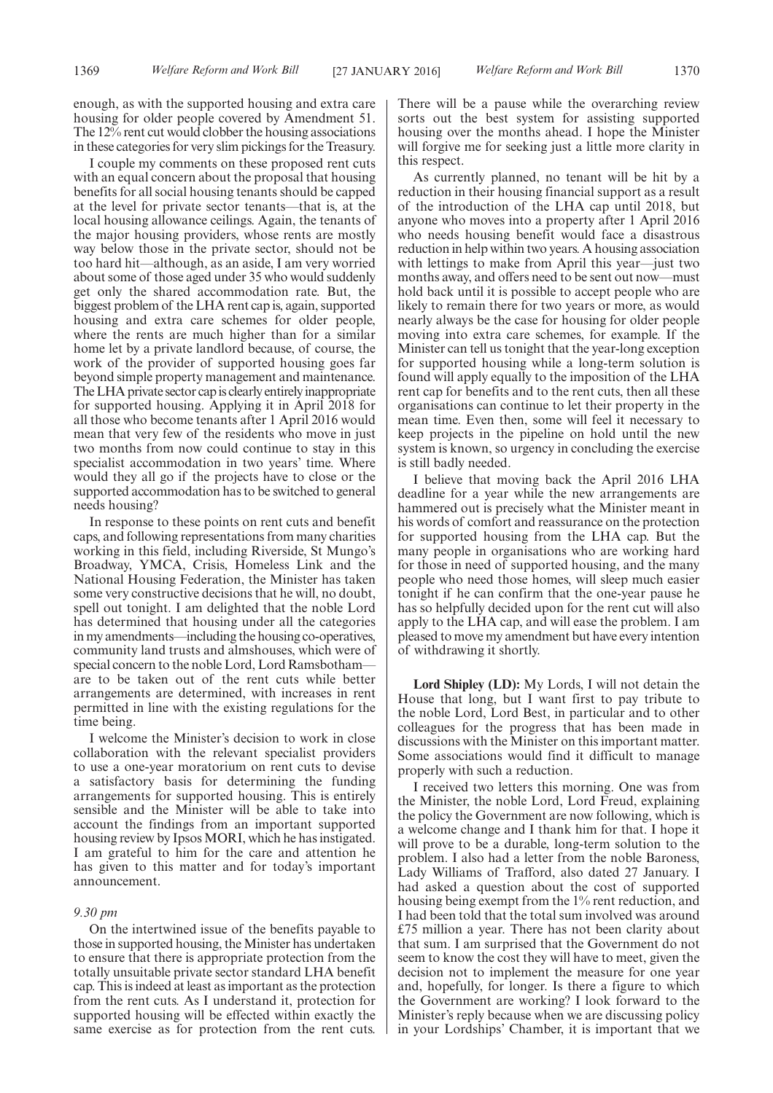enough, as with the supported housing and extra care housing for older people covered by Amendment 51. The 12% rent cut would clobber the housing associations in these categories for very slim pickings for the Treasury.

I couple my comments on these proposed rent cuts with an equal concern about the proposal that housing benefits for all social housing tenants should be capped at the level for private sector tenants—that is, at the local housing allowance ceilings. Again, the tenants of the major housing providers, whose rents are mostly way below those in the private sector, should not be too hard hit—although, as an aside, I am very worried about some of those aged under 35 who would suddenly get only the shared accommodation rate. But, the biggest problem of the LHA rent cap is, again, supported housing and extra care schemes for older people, where the rents are much higher than for a similar home let by a private landlord because, of course, the work of the provider of supported housing goes far beyond simple property management and maintenance. The LHA private sector cap is clearly entirely inappropriate for supported housing. Applying it in April 2018 for all those who become tenants after 1 April 2016 would mean that very few of the residents who move in just two months from now could continue to stay in this specialist accommodation in two years' time. Where would they all go if the projects have to close or the supported accommodation has to be switched to general needs housing?

In response to these points on rent cuts and benefit caps, and following representations from many charities working in this field, including Riverside, St Mungo's Broadway, YMCA, Crisis, Homeless Link and the National Housing Federation, the Minister has taken some very constructive decisions that he will, no doubt, spell out tonight. I am delighted that the noble Lord has determined that housing under all the categories in my amendments—including the housing co-operatives, community land trusts and almshouses, which were of special concern to the noble Lord, Lord Ramsbotham are to be taken out of the rent cuts while better arrangements are determined, with increases in rent permitted in line with the existing regulations for the time being.

I welcome the Minister's decision to work in close collaboration with the relevant specialist providers to use a one-year moratorium on rent cuts to devise a satisfactory basis for determining the funding arrangements for supported housing. This is entirely sensible and the Minister will be able to take into account the findings from an important supported housing review by Ipsos MORI, which he has instigated. I am grateful to him for the care and attention he has given to this matter and for today's important announcement.

#### *9.30 pm*

On the intertwined issue of the benefits payable to those in supported housing, the Minister has undertaken to ensure that there is appropriate protection from the totally unsuitable private sector standard LHA benefit cap. This is indeed at least as important as the protection from the rent cuts. As I understand it, protection for supported housing will be effected within exactly the same exercise as for protection from the rent cuts. There will be a pause while the overarching review sorts out the best system for assisting supported housing over the months ahead. I hope the Minister will forgive me for seeking just a little more clarity in this respect.

As currently planned, no tenant will be hit by a reduction in their housing financial support as a result of the introduction of the LHA cap until 2018, but anyone who moves into a property after 1 April 2016 who needs housing benefit would face a disastrous reduction in help within two years. A housing association with lettings to make from April this year—just two months away, and offers need to be sent out now—must hold back until it is possible to accept people who are likely to remain there for two years or more, as would nearly always be the case for housing for older people moving into extra care schemes, for example. If the Minister can tell us tonight that the year-long exception for supported housing while a long-term solution is found will apply equally to the imposition of the LHA rent cap for benefits and to the rent cuts, then all these organisations can continue to let their property in the mean time. Even then, some will feel it necessary to keep projects in the pipeline on hold until the new system is known, so urgency in concluding the exercise is still badly needed.

I believe that moving back the April 2016 LHA deadline for a year while the new arrangements are hammered out is precisely what the Minister meant in his words of comfort and reassurance on the protection for supported housing from the LHA cap. But the many people in organisations who are working hard for those in need of supported housing, and the many people who need those homes, will sleep much easier tonight if he can confirm that the one-year pause he has so helpfully decided upon for the rent cut will also apply to the LHA cap, and will ease the problem. I am pleased to move my amendment but have every intention of withdrawing it shortly.

**Lord Shipley (LD):** My Lords, I will not detain the House that long, but I want first to pay tribute to the noble Lord, Lord Best, in particular and to other colleagues for the progress that has been made in discussions with the Minister on this important matter. Some associations would find it difficult to manage properly with such a reduction.

I received two letters this morning. One was from the Minister, the noble Lord, Lord Freud, explaining the policy the Government are now following, which is a welcome change and I thank him for that. I hope it will prove to be a durable, long-term solution to the problem. I also had a letter from the noble Baroness, Lady Williams of Trafford, also dated 27 January. I had asked a question about the cost of supported housing being exempt from the 1% rent reduction, and I had been told that the total sum involved was around £75 million a year. There has not been clarity about that sum. I am surprised that the Government do not seem to know the cost they will have to meet, given the decision not to implement the measure for one year and, hopefully, for longer. Is there a figure to which the Government are working? I look forward to the Minister's reply because when we are discussing policy in your Lordships' Chamber, it is important that we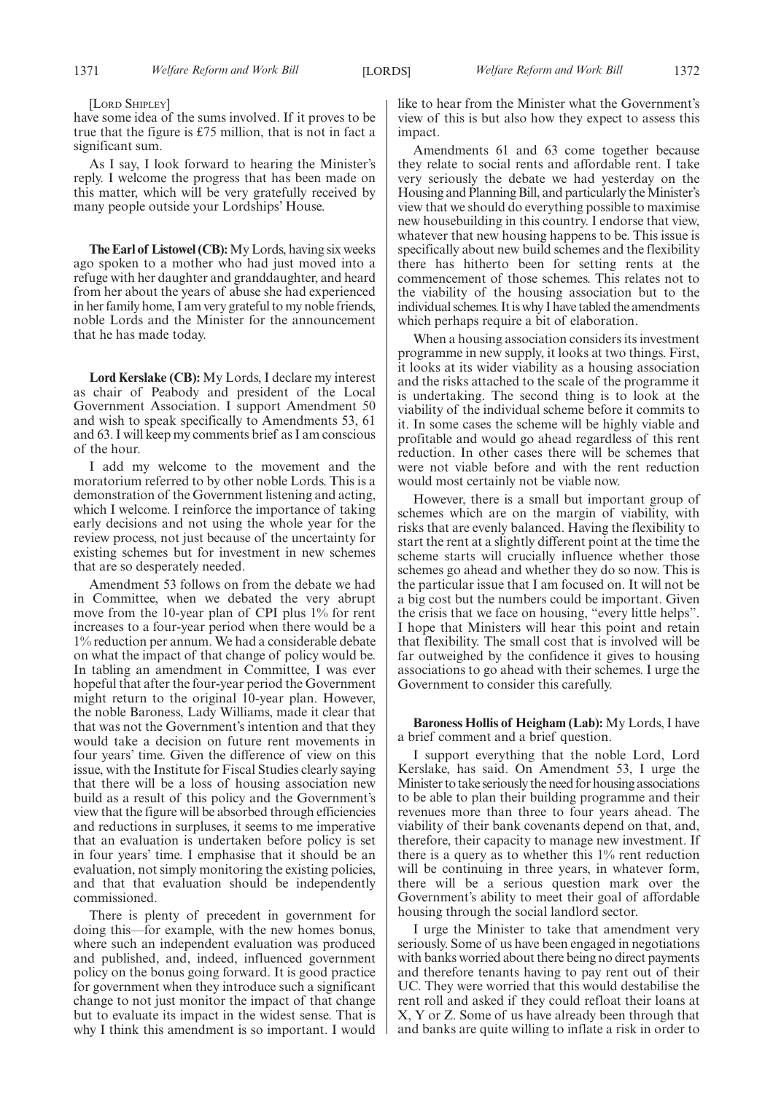[LORD SHIPLEY]

have some idea of the sums involved. If it proves to be true that the figure is £75 million, that is not in fact a significant sum.

As I say, I look forward to hearing the Minister's reply. I welcome the progress that has been made on this matter, which will be very gratefully received by many people outside your Lordships' House.

**The Earl of Listowel (CB):**My Lords, having six weeks ago spoken to a mother who had just moved into a refuge with her daughter and granddaughter, and heard from her about the years of abuse she had experienced in her family home, I am very grateful to my noble friends, noble Lords and the Minister for the announcement that he has made today.

**Lord Kerslake (CB):** My Lords, I declare my interest as chair of Peabody and president of the Local Government Association. I support Amendment 50 and wish to speak specifically to Amendments 53, 61 and 63. I will keep my comments brief as I am conscious of the hour.

I add my welcome to the movement and the moratorium referred to by other noble Lords. This is a demonstration of the Government listening and acting, which I welcome. I reinforce the importance of taking early decisions and not using the whole year for the review process, not just because of the uncertainty for existing schemes but for investment in new schemes that are so desperately needed.

Amendment 53 follows on from the debate we had in Committee, when we debated the very abrupt move from the 10-year plan of CPI plus 1% for rent increases to a four-year period when there would be a 1% reduction per annum. We had a considerable debate on what the impact of that change of policy would be. In tabling an amendment in Committee, I was ever hopeful that after the four-year period the Government might return to the original 10-year plan. However, the noble Baroness, Lady Williams, made it clear that that was not the Government's intention and that they would take a decision on future rent movements in four years' time. Given the difference of view on this issue, with the Institute for Fiscal Studies clearly saying that there will be a loss of housing association new build as a result of this policy and the Government's view that the figure will be absorbed through efficiencies and reductions in surpluses, it seems to me imperative that an evaluation is undertaken before policy is set in four years' time. I emphasise that it should be an evaluation, not simply monitoring the existing policies, and that that evaluation should be independently commissioned.

There is plenty of precedent in government for doing this—for example, with the new homes bonus, where such an independent evaluation was produced and published, and, indeed, influenced government policy on the bonus going forward. It is good practice for government when they introduce such a significant change to not just monitor the impact of that change but to evaluate its impact in the widest sense. That is why I think this amendment is so important. I would like to hear from the Minister what the Government's view of this is but also how they expect to assess this impact.

Amendments 61 and 63 come together because they relate to social rents and affordable rent. I take very seriously the debate we had yesterday on the Housing and Planning Bill, and particularly the Minister's view that we should do everything possible to maximise new housebuilding in this country. I endorse that view, whatever that new housing happens to be. This issue is specifically about new build schemes and the flexibility there has hitherto been for setting rents at the commencement of those schemes. This relates not to the viability of the housing association but to the individual schemes. It is why I have tabled the amendments which perhaps require a bit of elaboration.

When a housing association considers its investment programme in new supply, it looks at two things. First, it looks at its wider viability as a housing association and the risks attached to the scale of the programme it is undertaking. The second thing is to look at the viability of the individual scheme before it commits to it. In some cases the scheme will be highly viable and profitable and would go ahead regardless of this rent reduction. In other cases there will be schemes that were not viable before and with the rent reduction would most certainly not be viable now.

However, there is a small but important group of schemes which are on the margin of viability, with risks that are evenly balanced. Having the flexibility to start the rent at a slightly different point at the time the scheme starts will crucially influence whether those schemes go ahead and whether they do so now. This is the particular issue that I am focused on. It will not be a big cost but the numbers could be important. Given the crisis that we face on housing, "every little helps". I hope that Ministers will hear this point and retain that flexibility. The small cost that is involved will be far outweighed by the confidence it gives to housing associations to go ahead with their schemes. I urge the Government to consider this carefully.

**Baroness Hollis of Heigham (Lab):** My Lords, I have a brief comment and a brief question.

I support everything that the noble Lord, Lord Kerslake, has said. On Amendment 53, I urge the Minister to take seriously the need for housing associations to be able to plan their building programme and their revenues more than three to four years ahead. The viability of their bank covenants depend on that, and, therefore, their capacity to manage new investment. If there is a query as to whether this 1% rent reduction will be continuing in three years, in whatever form, there will be a serious question mark over the Government's ability to meet their goal of affordable housing through the social landlord sector.

I urge the Minister to take that amendment very seriously. Some of us have been engaged in negotiations with banks worried about there being no direct payments and therefore tenants having to pay rent out of their UC. They were worried that this would destabilise the rent roll and asked if they could refloat their loans at X, Y or Z. Some of us have already been through that and banks are quite willing to inflate a risk in order to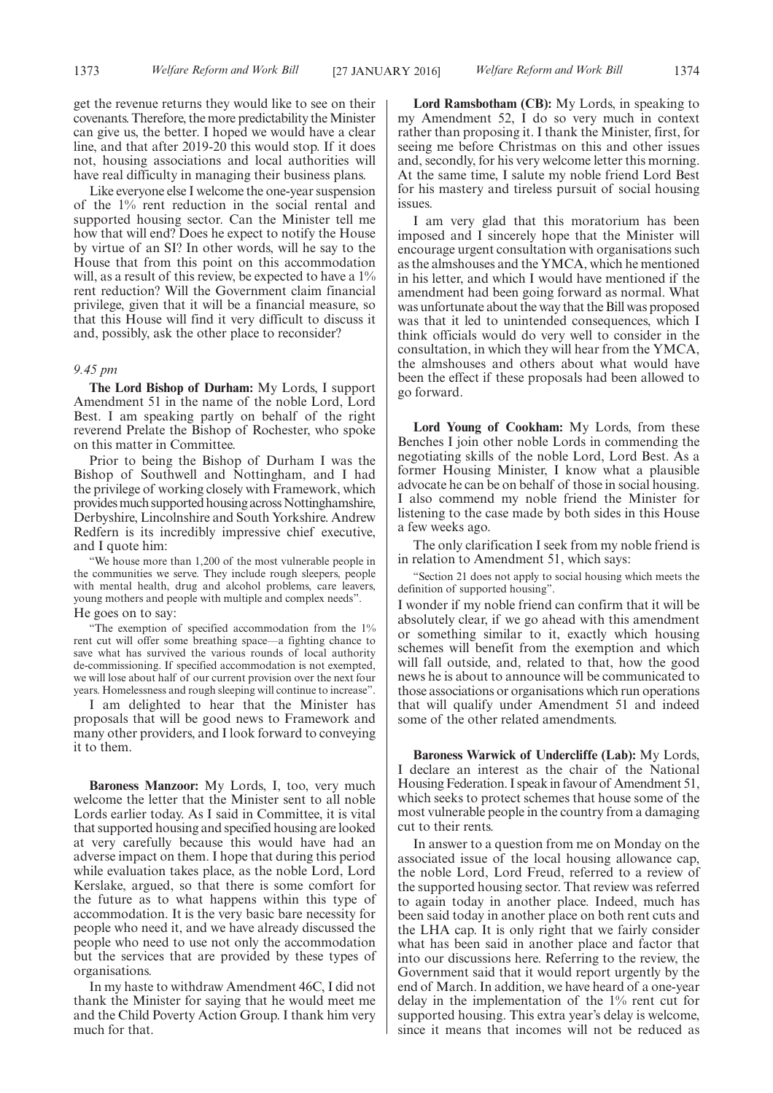get the revenue returns they would like to see on their covenants. Therefore, the more predictability the Minister can give us, the better. I hoped we would have a clear line, and that after 2019-20 this would stop. If it does not, housing associations and local authorities will have real difficulty in managing their business plans.

Like everyone else I welcome the one-year suspension of the 1% rent reduction in the social rental and supported housing sector. Can the Minister tell me how that will end? Does he expect to notify the House by virtue of an SI? In other words, will he say to the House that from this point on this accommodation will, as a result of this review, be expected to have a  $1\%$ rent reduction? Will the Government claim financial privilege, given that it will be a financial measure, so that this House will find it very difficult to discuss it and, possibly, ask the other place to reconsider?

#### *9.45 pm*

**The Lord Bishop of Durham:** My Lords, I support Amendment 51 in the name of the noble Lord, Lord Best. I am speaking partly on behalf of the right reverend Prelate the Bishop of Rochester, who spoke on this matter in Committee.

Prior to being the Bishop of Durham I was the Bishop of Southwell and Nottingham, and I had the privilege of working closely with Framework, which provides much supported housing across Nottinghamshire, Derbyshire, Lincolnshire and South Yorkshire. Andrew Redfern is its incredibly impressive chief executive, and I quote him:

"We house more than 1,200 of the most vulnerable people in the communities we serve. They include rough sleepers, people with mental health, drug and alcohol problems, care leavers, young mothers and people with multiple and complex needs". He goes on to say:

"The exemption of specified accommodation from the 1% rent cut will offer some breathing space—a fighting chance to save what has survived the various rounds of local authority de-commissioning. If specified accommodation is not exempted, we will lose about half of our current provision over the next four years. Homelessness and rough sleeping will continue to increase".

I am delighted to hear that the Minister has proposals that will be good news to Framework and many other providers, and I look forward to conveying it to them.

**Baroness Manzoor:** My Lords, I, too, very much welcome the letter that the Minister sent to all noble Lords earlier today. As I said in Committee, it is vital that supported housing and specified housing are looked at very carefully because this would have had an adverse impact on them. I hope that during this period while evaluation takes place, as the noble Lord, Lord Kerslake, argued, so that there is some comfort for the future as to what happens within this type of accommodation. It is the very basic bare necessity for people who need it, and we have already discussed the people who need to use not only the accommodation but the services that are provided by these types of organisations.

In my haste to withdraw Amendment 46C, I did not thank the Minister for saying that he would meet me and the Child Poverty Action Group. I thank him very much for that.

**Lord Ramsbotham (CB):** My Lords, in speaking to my Amendment 52, I do so very much in context rather than proposing it. I thank the Minister, first, for seeing me before Christmas on this and other issues and, secondly, for his very welcome letter this morning. At the same time, I salute my noble friend Lord Best for his mastery and tireless pursuit of social housing issues.

I am very glad that this moratorium has been imposed and I sincerely hope that the Minister will encourage urgent consultation with organisations such as the almshouses and the YMCA, which he mentioned in his letter, and which I would have mentioned if the amendment had been going forward as normal. What was unfortunate about the way that the Bill was proposed was that it led to unintended consequences, which I think officials would do very well to consider in the consultation, in which they will hear from the YMCA, the almshouses and others about what would have been the effect if these proposals had been allowed to go forward.

**Lord Young of Cookham:** My Lords, from these Benches I join other noble Lords in commending the negotiating skills of the noble Lord, Lord Best. As a former Housing Minister, I know what a plausible advocate he can be on behalf of those in social housing. I also commend my noble friend the Minister for listening to the case made by both sides in this House a few weeks ago.

The only clarification I seek from my noble friend is in relation to Amendment 51, which says:

"Section 21 does not apply to social housing which meets the definition of supported housing".

I wonder if my noble friend can confirm that it will be absolutely clear, if we go ahead with this amendment or something similar to it, exactly which housing schemes will benefit from the exemption and which will fall outside, and, related to that, how the good news he is about to announce will be communicated to those associations or organisations which run operations that will qualify under Amendment 51 and indeed some of the other related amendments.

**Baroness Warwick of Undercliffe (Lab):** My Lords, I declare an interest as the chair of the National Housing Federation. I speak in favour of Amendment 51, which seeks to protect schemes that house some of the most vulnerable people in the country from a damaging cut to their rents.

In answer to a question from me on Monday on the associated issue of the local housing allowance cap, the noble Lord, Lord Freud, referred to a review of the supported housing sector. That review was referred to again today in another place. Indeed, much has been said today in another place on both rent cuts and the LHA cap. It is only right that we fairly consider what has been said in another place and factor that into our discussions here. Referring to the review, the Government said that it would report urgently by the end of March. In addition, we have heard of a one-year delay in the implementation of the 1% rent cut for supported housing. This extra year's delay is welcome, since it means that incomes will not be reduced as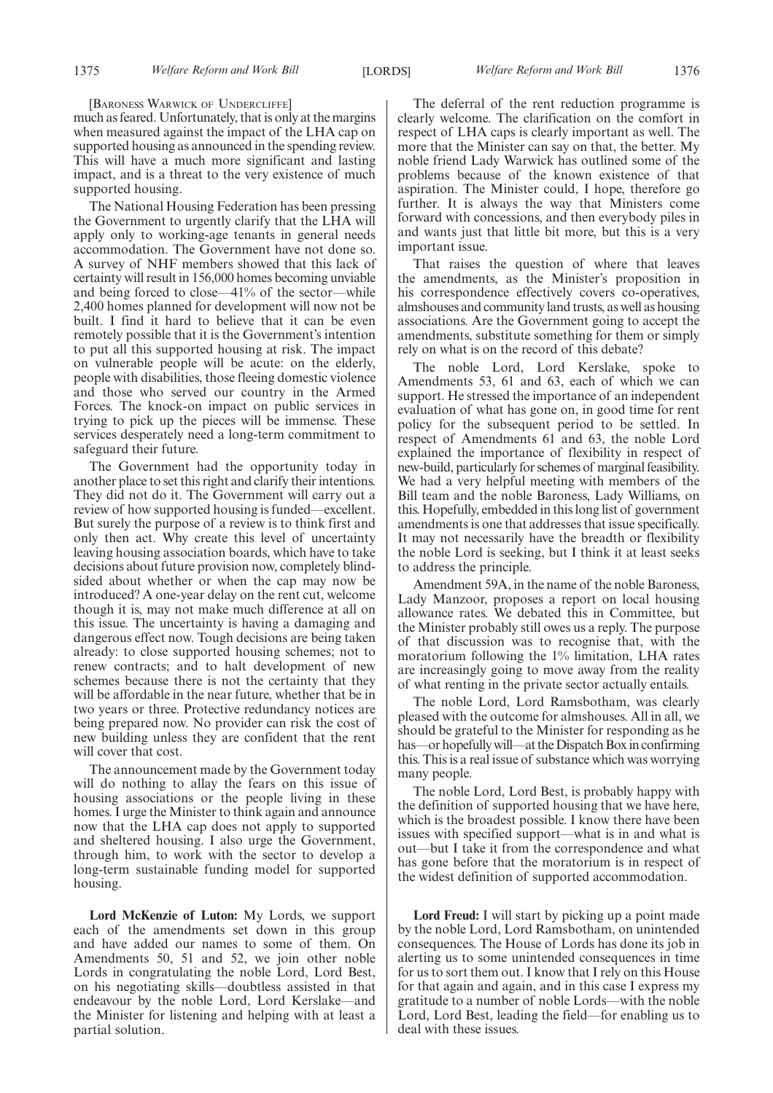[BARONESS WARWICK OF UNDERCLIFFE]

much as feared. Unfortunately, that is only at the margins when measured against the impact of the LHA cap on supported housing as announced in the spending review. This will have a much more significant and lasting impact, and is a threat to the very existence of much supported housing.

The National Housing Federation has been pressing the Government to urgently clarify that the LHA will apply only to working-age tenants in general needs accommodation. The Government have not done so. A survey of NHF members showed that this lack of certainty will result in 156,000 homes becoming unviable and being forced to close—41% of the sector—while 2,400 homes planned for development will now not be built. I find it hard to believe that it can be even remotely possible that it is the Government's intention to put all this supported housing at risk. The impact on vulnerable people will be acute: on the elderly, people with disabilities, those fleeing domestic violence and those who served our country in the Armed Forces. The knock-on impact on public services in trying to pick up the pieces will be immense. These services desperately need a long-term commitment to safeguard their future.

The Government had the opportunity today in another place to set this right and clarify their intentions. They did not do it. The Government will carry out a review of how supported housing is funded—excellent. But surely the purpose of a review is to think first and only then act. Why create this level of uncertainty leaving housing association boards, which have to take decisions about future provision now, completely blindsided about whether or when the cap may now be introduced? A one-year delay on the rent cut, welcome though it is, may not make much difference at all on this issue. The uncertainty is having a damaging and dangerous effect now. Tough decisions are being taken already: to close supported housing schemes; not to renew contracts; and to halt development of new schemes because there is not the certainty that they will be affordable in the near future, whether that be in two years or three. Protective redundancy notices are being prepared now. No provider can risk the cost of new building unless they are confident that the rent will cover that cost.

The announcement made by the Government today will do nothing to allay the fears on this issue of housing associations or the people living in these homes. I urge the Minister to think again and announce now that the LHA cap does not apply to supported and sheltered housing. I also urge the Government, through him, to work with the sector to develop a long-term sustainable funding model for supported housing.

**Lord McKenzie of Luton:** My Lords, we support each of the amendments set down in this group and have added our names to some of them. On Amendments 50, 51 and 52, we join other noble Lords in congratulating the noble Lord, Lord Best, on his negotiating skills—doubtless assisted in that endeavour by the noble Lord, Lord Kerslake—and the Minister for listening and helping with at least a partial solution.

The deferral of the rent reduction programme is clearly welcome. The clarification on the comfort in respect of LHA caps is clearly important as well. The more that the Minister can say on that, the better. My noble friend Lady Warwick has outlined some of the problems because of the known existence of that aspiration. The Minister could, I hope, therefore go further. It is always the way that Ministers come forward with concessions, and then everybody piles in and wants just that little bit more, but this is a very important issue.

That raises the question of where that leaves the amendments, as the Minister's proposition in his correspondence effectively covers co-operatives, almshouses and community land trusts, as well as housing associations. Are the Government going to accept the amendments, substitute something for them or simply rely on what is on the record of this debate?

The noble Lord, Lord Kerslake, spoke to Amendments 53, 61 and 63, each of which we can support. He stressed the importance of an independent evaluation of what has gone on, in good time for rent policy for the subsequent period to be settled. In respect of Amendments 61 and 63, the noble Lord explained the importance of flexibility in respect of new-build, particularly for schemes of marginal feasibility. We had a very helpful meeting with members of the Bill team and the noble Baroness, Lady Williams, on this. Hopefully, embedded in this long list of government amendments is one that addresses that issue specifically. It may not necessarily have the breadth or flexibility the noble Lord is seeking, but I think it at least seeks to address the principle.

Amendment 59A, in the name of the noble Baroness, Lady Manzoor, proposes a report on local housing allowance rates. We debated this in Committee, but the Minister probably still owes us a reply. The purpose of that discussion was to recognise that, with the moratorium following the 1% limitation, LHA rates are increasingly going to move away from the reality of what renting in the private sector actually entails.

The noble Lord, Lord Ramsbotham, was clearly pleased with the outcome for almshouses. All in all, we should be grateful to the Minister for responding as he has—or hopefully will—at the Dispatch Box in confirming this. This is a real issue of substance which was worrying many people.

The noble Lord, Lord Best, is probably happy with the definition of supported housing that we have here, which is the broadest possible. I know there have been issues with specified support—what is in and what is out—but I take it from the correspondence and what has gone before that the moratorium is in respect of the widest definition of supported accommodation.

**Lord Freud:** I will start by picking up a point made by the noble Lord, Lord Ramsbotham, on unintended consequences. The House of Lords has done its job in alerting us to some unintended consequences in time for us to sort them out. I know that I rely on this House for that again and again, and in this case I express my gratitude to a number of noble Lords—with the noble Lord, Lord Best, leading the field—for enabling us to deal with these issues.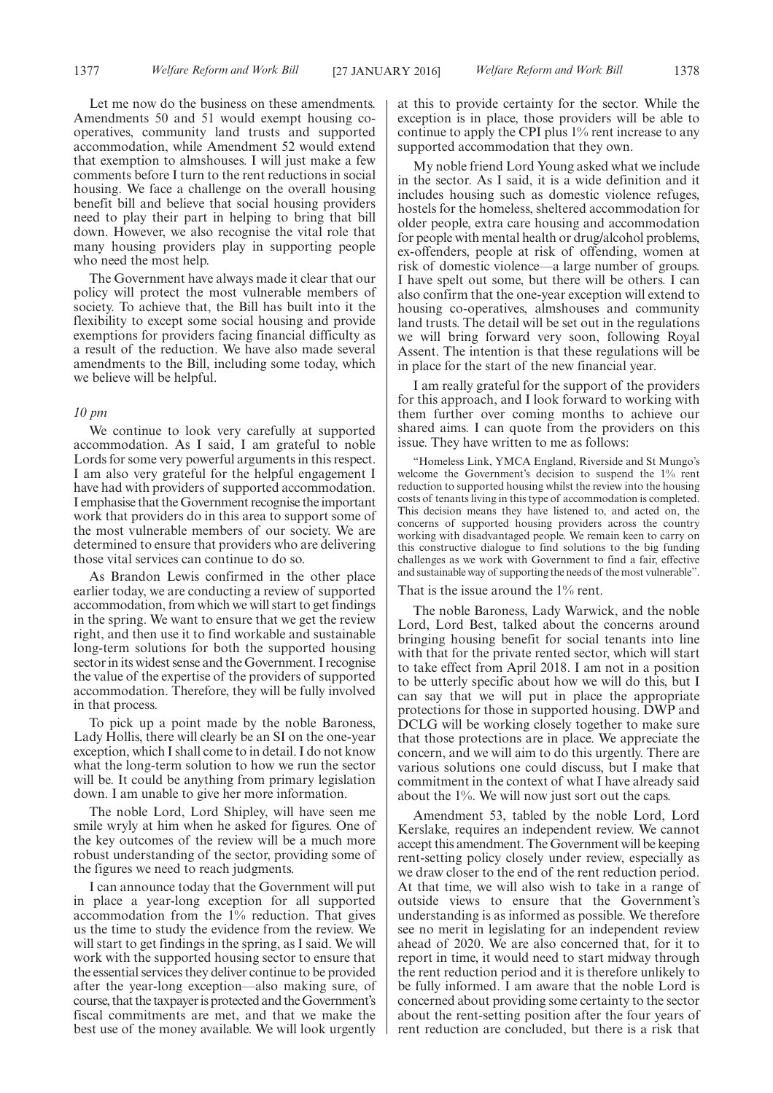Let me now do the business on these amendments. Amendments 50 and 51 would exempt housing cooperatives, community land trusts and supported accommodation, while Amendment 52 would extend that exemption to almshouses. I will just make a few comments before I turn to the rent reductions in social housing. We face a challenge on the overall housing benefit bill and believe that social housing providers need to play their part in helping to bring that bill down. However, we also recognise the vital role that many housing providers play in supporting people who need the most help.

The Government have always made it clear that our policy will protect the most vulnerable members of society. To achieve that, the Bill has built into it the flexibility to except some social housing and provide exemptions for providers facing financial difficulty as a result of the reduction. We have also made several amendments to the Bill, including some today, which we believe will be helpful.

#### *10 pm*

We continue to look very carefully at supported accommodation. As I said, I am grateful to noble Lords for some very powerful arguments in this respect. I am also very grateful for the helpful engagement I have had with providers of supported accommodation. I emphasise that the Government recognise the important work that providers do in this area to support some of the most vulnerable members of our society. We are determined to ensure that providers who are delivering those vital services can continue to do so.

As Brandon Lewis confirmed in the other place earlier today, we are conducting a review of supported accommodation, from which we will start to get findings in the spring. We want to ensure that we get the review right, and then use it to find workable and sustainable long-term solutions for both the supported housing sector in its widest sense and the Government. I recognise the value of the expertise of the providers of supported accommodation. Therefore, they will be fully involved in that process.

To pick up a point made by the noble Baroness, Lady Hollis, there will clearly be an SI on the one-year exception, which I shall come to in detail. I do not know what the long-term solution to how we run the sector will be. It could be anything from primary legislation down. I am unable to give her more information.

The noble Lord, Lord Shipley, will have seen me smile wryly at him when he asked for figures. One of the key outcomes of the review will be a much more robust understanding of the sector, providing some of the figures we need to reach judgments.

I can announce today that the Government will put in place a year-long exception for all supported accommodation from the 1% reduction. That gives us the time to study the evidence from the review. We will start to get findings in the spring, as I said. We will work with the supported housing sector to ensure that the essential services they deliver continue to be provided after the year-long exception—also making sure, of course, that the taxpayer is protected and the Government's fiscal commitments are met, and that we make the best use of the money available. We will look urgently at this to provide certainty for the sector. While the exception is in place, those providers will be able to continue to apply the CPI plus 1% rent increase to any supported accommodation that they own.

My noble friend Lord Young asked what we include in the sector. As I said, it is a wide definition and it includes housing such as domestic violence refuges, hostels for the homeless, sheltered accommodation for older people, extra care housing and accommodation for people with mental health or drug/alcohol problems, ex-offenders, people at risk of offending, women at risk of domestic violence—a large number of groups. I have spelt out some, but there will be others. I can also confirm that the one-year exception will extend to housing co-operatives, almshouses and community land trusts. The detail will be set out in the regulations we will bring forward very soon, following Royal Assent. The intention is that these regulations will be in place for the start of the new financial year.

I am really grateful for the support of the providers for this approach, and I look forward to working with them further over coming months to achieve our shared aims. I can quote from the providers on this issue. They have written to me as follows:

"Homeless Link, YMCA England, Riverside and St Mungo's welcome the Government's decision to suspend the 1% rent reduction to supported housing whilst the review into the housing costs of tenants living in this type of accommodation is completed. This decision means they have listened to, and acted on, the concerns of supported housing providers across the country working with disadvantaged people. We remain keen to carry on this constructive dialogue to find solutions to the big funding challenges as we work with Government to find a fair, effective and sustainable way of supporting the needs of the most vulnerable".

That is the issue around the 1% rent.

The noble Baroness, Lady Warwick, and the noble Lord, Lord Best, talked about the concerns around bringing housing benefit for social tenants into line with that for the private rented sector, which will start to take effect from April 2018. I am not in a position to be utterly specific about how we will do this, but I can say that we will put in place the appropriate protections for those in supported housing. DWP and DCLG will be working closely together to make sure that those protections are in place. We appreciate the concern, and we will aim to do this urgently. There are various solutions one could discuss, but I make that commitment in the context of what I have already said about the 1%. We will now just sort out the caps.

Amendment 53, tabled by the noble Lord, Lord Kerslake, requires an independent review. We cannot accept this amendment. The Government will be keeping rent-setting policy closely under review, especially as we draw closer to the end of the rent reduction period. At that time, we will also wish to take in a range of outside views to ensure that the Government's understanding is as informed as possible. We therefore see no merit in legislating for an independent review ahead of 2020. We are also concerned that, for it to report in time, it would need to start midway through the rent reduction period and it is therefore unlikely to be fully informed. I am aware that the noble Lord is concerned about providing some certainty to the sector about the rent-setting position after the four years of rent reduction are concluded, but there is a risk that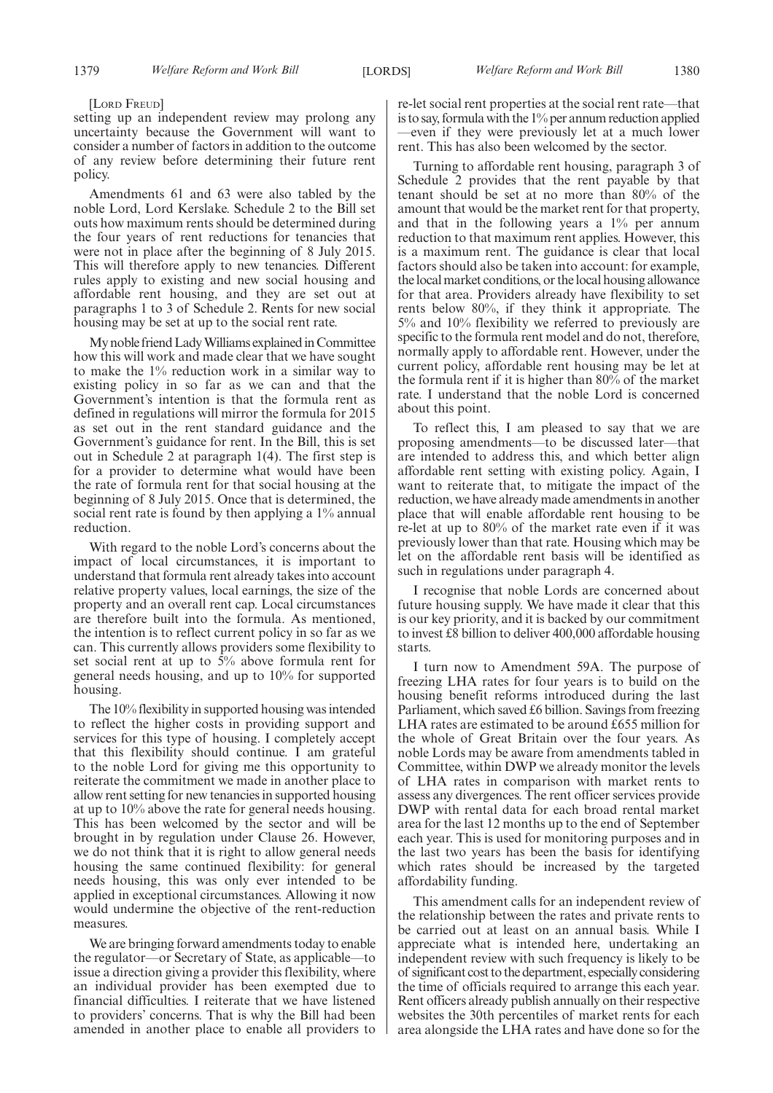[LORD FREUD]

setting up an independent review may prolong any uncertainty because the Government will want to consider a number of factors in addition to the outcome of any review before determining their future rent policy.

Amendments 61 and 63 were also tabled by the noble Lord, Lord Kerslake. Schedule 2 to the Bill set outs how maximum rents should be determined during the four years of rent reductions for tenancies that were not in place after the beginning of 8 July 2015. This will therefore apply to new tenancies. Different rules apply to existing and new social housing and affordable rent housing, and they are set out at paragraphs 1 to 3 of Schedule 2. Rents for new social housing may be set at up to the social rent rate.

My noble friend Lady Williams explained in Committee how this will work and made clear that we have sought to make the 1% reduction work in a similar way to existing policy in so far as we can and that the Government's intention is that the formula rent as defined in regulations will mirror the formula for 2015 as set out in the rent standard guidance and the Government's guidance for rent. In the Bill, this is set out in Schedule 2 at paragraph 1(4). The first step is for a provider to determine what would have been the rate of formula rent for that social housing at the beginning of 8 July 2015. Once that is determined, the social rent rate is found by then applying a 1% annual reduction.

With regard to the noble Lord's concerns about the impact of local circumstances, it is important to understand that formula rent already takes into account relative property values, local earnings, the size of the property and an overall rent cap. Local circumstances are therefore built into the formula. As mentioned, the intention is to reflect current policy in so far as we can. This currently allows providers some flexibility to set social rent at up to 5% above formula rent for general needs housing, and up to 10% for supported housing.

The 10% flexibility in supported housing was intended to reflect the higher costs in providing support and services for this type of housing. I completely accept that this flexibility should continue. I am grateful to the noble Lord for giving me this opportunity to reiterate the commitment we made in another place to allow rent setting for new tenancies in supported housing at up to 10% above the rate for general needs housing. This has been welcomed by the sector and will be brought in by regulation under Clause 26. However, we do not think that it is right to allow general needs housing the same continued flexibility: for general needs housing, this was only ever intended to be applied in exceptional circumstances. Allowing it now would undermine the objective of the rent-reduction measures.

We are bringing forward amendments today to enable the regulator—or Secretary of State, as applicable—to issue a direction giving a provider this flexibility, where an individual provider has been exempted due to financial difficulties. I reiterate that we have listened to providers' concerns. That is why the Bill had been amended in another place to enable all providers to re-let social rent properties at the social rent rate—that is to say, formula with the 1% per annum reduction applied —even if they were previously let at a much lower rent. This has also been welcomed by the sector.

Turning to affordable rent housing, paragraph 3 of Schedule 2 provides that the rent payable by that tenant should be set at no more than 80% of the amount that would be the market rent for that property, and that in the following years a 1% per annum reduction to that maximum rent applies. However, this is a maximum rent. The guidance is clear that local factors should also be taken into account: for example, the local market conditions, or the local housing allowance for that area. Providers already have flexibility to set rents below 80%, if they think it appropriate. The 5% and 10% flexibility we referred to previously are specific to the formula rent model and do not, therefore, normally apply to affordable rent. However, under the current policy, affordable rent housing may be let at the formula rent if it is higher than 80% of the market rate. I understand that the noble Lord is concerned about this point.

To reflect this, I am pleased to say that we are proposing amendments—to be discussed later—that are intended to address this, and which better align affordable rent setting with existing policy. Again, I want to reiterate that, to mitigate the impact of the reduction, we have already made amendments in another place that will enable affordable rent housing to be re-let at up to 80% of the market rate even if it was previously lower than that rate. Housing which may be let on the affordable rent basis will be identified as such in regulations under paragraph 4.

I recognise that noble Lords are concerned about future housing supply. We have made it clear that this is our key priority, and it is backed by our commitment to invest £8 billion to deliver 400,000 affordable housing starts.

I turn now to Amendment 59A. The purpose of freezing LHA rates for four years is to build on the housing benefit reforms introduced during the last Parliament, which saved £6 billion. Savings from freezing LHA rates are estimated to be around £655 million for the whole of Great Britain over the four years. As noble Lords may be aware from amendments tabled in Committee, within DWP we already monitor the levels of LHA rates in comparison with market rents to assess any divergences. The rent officer services provide DWP with rental data for each broad rental market area for the last 12 months up to the end of September each year. This is used for monitoring purposes and in the last two years has been the basis for identifying which rates should be increased by the targeted affordability funding.

This amendment calls for an independent review of the relationship between the rates and private rents to be carried out at least on an annual basis. While I appreciate what is intended here, undertaking an independent review with such frequency is likely to be of significant cost to the department, especially considering the time of officials required to arrange this each year. Rent officers already publish annually on their respective websites the 30th percentiles of market rents for each area alongside the LHA rates and have done so for the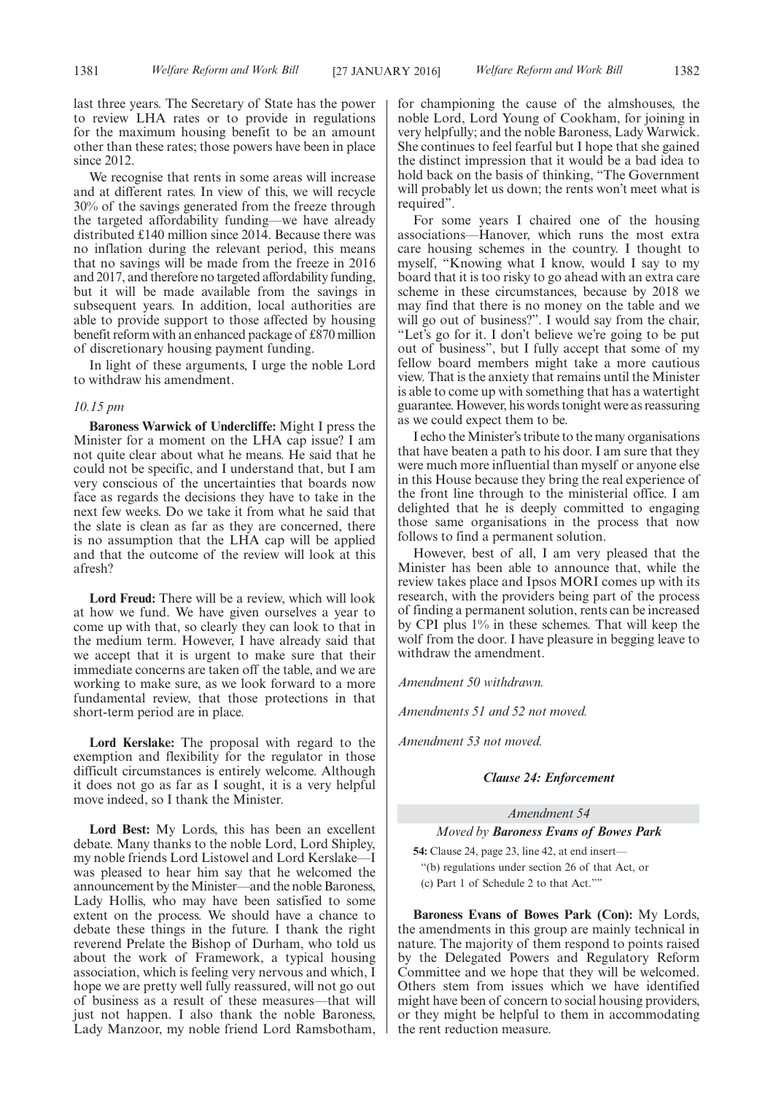We recognise that rents in some areas will increase and at different rates. In view of this, we will recycle 30% of the savings generated from the freeze through the targeted affordability funding—we have already distributed £140 million since 2014. Because there was no inflation during the relevant period, this means that no savings will be made from the freeze in 2016 and 2017, and therefore no targeted affordability funding, but it will be made available from the savings in subsequent years. In addition, local authorities are able to provide support to those affected by housing benefit reform with an enhanced package of £870 million of discretionary housing payment funding.

In light of these arguments, I urge the noble Lord to withdraw his amendment.

#### *10.15 pm*

**Baroness Warwick of Undercliffe:** Might I press the Minister for a moment on the LHA cap issue? I am not quite clear about what he means. He said that he could not be specific, and I understand that, but I am very conscious of the uncertainties that boards now face as regards the decisions they have to take in the next few weeks. Do we take it from what he said that the slate is clean as far as they are concerned, there is no assumption that the LHA cap will be applied and that the outcome of the review will look at this afresh?

**Lord Freud:** There will be a review, which will look at how we fund. We have given ourselves a year to come up with that, so clearly they can look to that in the medium term. However, I have already said that we accept that it is urgent to make sure that their immediate concerns are taken off the table, and we are working to make sure, as we look forward to a more fundamental review, that those protections in that short-term period are in place.

**Lord Kerslake:** The proposal with regard to the exemption and flexibility for the regulator in those difficult circumstances is entirely welcome. Although it does not go as far as I sought, it is a very helpful move indeed, so I thank the Minister.

**Lord Best:** My Lords, this has been an excellent debate. Many thanks to the noble Lord, Lord Shipley, my noble friends Lord Listowel and Lord Kerslake was pleased to hear him say that he welcomed the announcement by theMinister—and the noble Baroness, Lady Hollis, who may have been satisfied to some extent on the process. We should have a chance to debate these things in the future. I thank the right reverend Prelate the Bishop of Durham, who told us about the work of Framework, a typical housing association, which is feeling very nervous and which, I hope we are pretty well fully reassured, will not go out of business as a result of these measures—that will just not happen. I also thank the noble Baroness, Lady Manzoor, my noble friend Lord Ramsbotham,

for championing the cause of the almshouses, the noble Lord, Lord Young of Cookham, for joining in very helpfully; and the noble Baroness, Lady Warwick. She continues to feel fearful but I hope that she gained the distinct impression that it would be a bad idea to

hold back on the basis of thinking, "The Government will probably let us down; the rents won't meet what is required".

For some years I chaired one of the housing associations—Hanover, which runs the most extra care housing schemes in the country. I thought to myself, "Knowing what I know, would I say to my board that it is too risky to go ahead with an extra care scheme in these circumstances, because by 2018 we may find that there is no money on the table and we will go out of business?". I would say from the chair, "Let's go for it. I don't believe we're going to be put out of business", but I fully accept that some of my fellow board members might take a more cautious view. That is the anxiety that remains until the Minister is able to come up with something that has a watertight guarantee. However, his words tonight were as reassuring as we could expect them to be.

I echo theMinister's tribute to the many organisations that have beaten a path to his door. I am sure that they were much more influential than myself or anyone else in this House because they bring the real experience of the front line through to the ministerial office. I am delighted that he is deeply committed to engaging those same organisations in the process that now follows to find a permanent solution.

However, best of all, I am very pleased that the Minister has been able to announce that, while the review takes place and Ipsos MORI comes up with its research, with the providers being part of the process of finding a permanent solution, rents can be increased by CPI plus 1% in these schemes. That will keep the wolf from the door. I have pleasure in begging leave to withdraw the amendment.

*Amendment 50 withdrawn.*

*Amendments 51 and 52 not moved.*

*Amendment 53 not moved.*

#### *Clause 24: Enforcement*

### *Amendment 54*

#### *Moved by Baroness Evans of Bowes Park*

**54:** Clause 24, page 23, line 42, at end insert— "(b) regulations under section 26 of that Act, or (c) Part 1 of Schedule 2 to that Act.""

**Baroness Evans of Bowes Park (Con):** My Lords, the amendments in this group are mainly technical in nature. The majority of them respond to points raised by the Delegated Powers and Regulatory Reform Committee and we hope that they will be welcomed. Others stem from issues which we have identified might have been of concern to social housing providers, or they might be helpful to them in accommodating the rent reduction measure.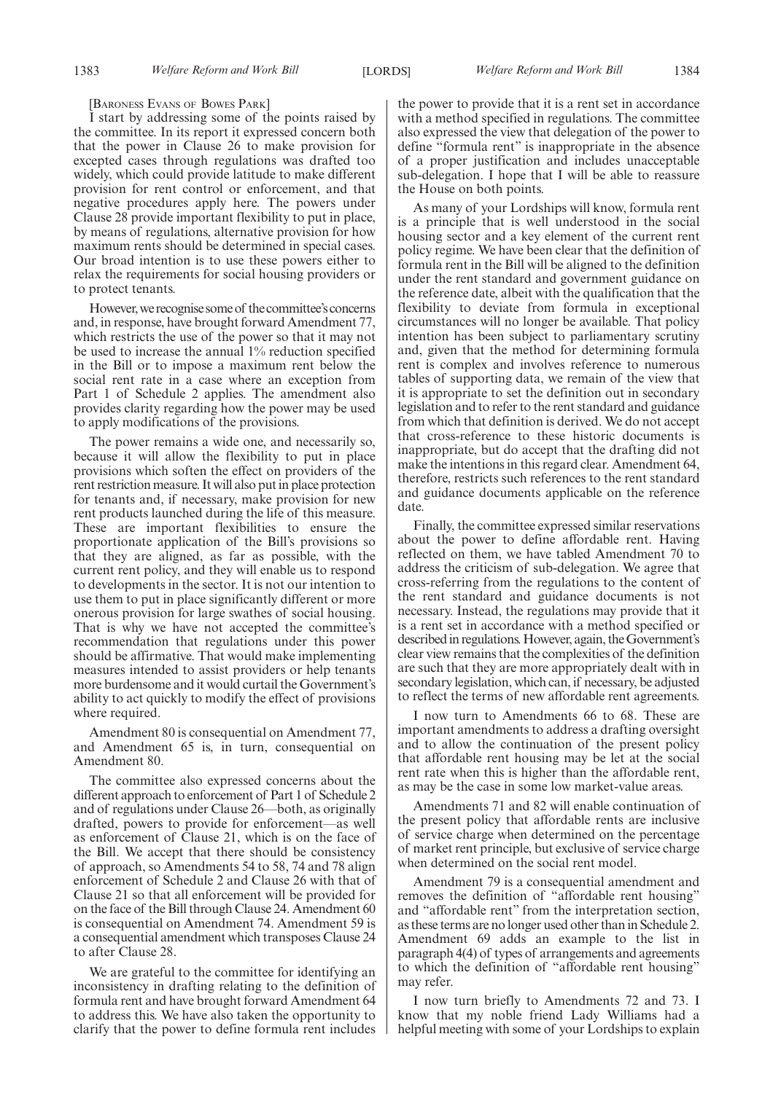#### [BARONESS EVANS OF BOWES PARK]

I start by addressing some of the points raised by the committee. In its report it expressed concern both that the power in Clause 26 to make provision for excepted cases through regulations was drafted too widely, which could provide latitude to make different provision for rent control or enforcement, and that negative procedures apply here. The powers under Clause 28 provide important flexibility to put in place, by means of regulations, alternative provision for how maximum rents should be determined in special cases. Our broad intention is to use these powers either to relax the requirements for social housing providers or to protect tenants.

However, we recognise some of the committee's concerns and, in response, have brought forward Amendment 77, which restricts the use of the power so that it may not be used to increase the annual 1% reduction specified in the Bill or to impose a maximum rent below the social rent rate in a case where an exception from Part 1 of Schedule 2 applies. The amendment also provides clarity regarding how the power may be used to apply modifications of the provisions.

The power remains a wide one, and necessarily so, because it will allow the flexibility to put in place provisions which soften the effect on providers of the rent restriction measure. It will also put in place protection for tenants and, if necessary, make provision for new rent products launched during the life of this measure. These are important flexibilities to ensure the proportionate application of the Bill's provisions so that they are aligned, as far as possible, with the current rent policy, and they will enable us to respond to developments in the sector. It is not our intention to use them to put in place significantly different or more onerous provision for large swathes of social housing. That is why we have not accepted the committee's recommendation that regulations under this power should be affirmative. That would make implementing measures intended to assist providers or help tenants more burdensome and it would curtail the Government's ability to act quickly to modify the effect of provisions where required.

Amendment 80 is consequential on Amendment 77, and Amendment 65 is, in turn, consequential on Amendment 80.

The committee also expressed concerns about the different approach to enforcement of Part 1 of Schedule 2 and of regulations under Clause 26—both, as originally drafted, powers to provide for enforcement—as well as enforcement of Clause 21, which is on the face of the Bill. We accept that there should be consistency of approach, so Amendments 54 to 58, 74 and 78 align enforcement of Schedule 2 and Clause 26 with that of Clause 21 so that all enforcement will be provided for on the face of the Bill through Clause 24. Amendment 60 is consequential on Amendment 74. Amendment 59 is a consequential amendment which transposes Clause 24 to after Clause 28.

We are grateful to the committee for identifying an inconsistency in drafting relating to the definition of formula rent and have brought forward Amendment 64 to address this. We have also taken the opportunity to clarify that the power to define formula rent includes

the power to provide that it is a rent set in accordance with a method specified in regulations. The committee also expressed the view that delegation of the power to define "formula rent" is inappropriate in the absence of a proper justification and includes unacceptable sub-delegation. I hope that I will be able to reassure the House on both points.

As many of your Lordships will know, formula rent is a principle that is well understood in the social housing sector and a key element of the current rent policy regime. We have been clear that the definition of formula rent in the Bill will be aligned to the definition under the rent standard and government guidance on the reference date, albeit with the qualification that the flexibility to deviate from formula in exceptional circumstances will no longer be available. That policy intention has been subject to parliamentary scrutiny and, given that the method for determining formula rent is complex and involves reference to numerous tables of supporting data, we remain of the view that it is appropriate to set the definition out in secondary legislation and to refer to the rent standard and guidance from which that definition is derived. We do not accept that cross-reference to these historic documents is inappropriate, but do accept that the drafting did not make the intentions in this regard clear. Amendment 64, therefore, restricts such references to the rent standard and guidance documents applicable on the reference date.

Finally, the committee expressed similar reservations about the power to define affordable rent. Having reflected on them, we have tabled Amendment 70 to address the criticism of sub-delegation. We agree that cross-referring from the regulations to the content of the rent standard and guidance documents is not necessary. Instead, the regulations may provide that it is a rent set in accordance with a method specified or described in regulations. However, again, the Government's clear view remains that the complexities of the definition are such that they are more appropriately dealt with in secondary legislation, which can, if necessary, be adjusted to reflect the terms of new affordable rent agreements.

I now turn to Amendments 66 to 68. These are important amendments to address a drafting oversight and to allow the continuation of the present policy that affordable rent housing may be let at the social rent rate when this is higher than the affordable rent, as may be the case in some low market-value areas.

Amendments 71 and 82 will enable continuation of the present policy that affordable rents are inclusive of service charge when determined on the percentage of market rent principle, but exclusive of service charge when determined on the social rent model.

Amendment 79 is a consequential amendment and removes the definition of "affordable rent housing" and "affordable rent" from the interpretation section, as these terms are no longer used other than in Schedule 2. Amendment 69 adds an example to the list in paragraph 4(4) of types of arrangements and agreements to which the definition of "affordable rent housing" may refer.

I now turn briefly to Amendments 72 and 73. I know that my noble friend Lady Williams had a helpful meeting with some of your Lordships to explain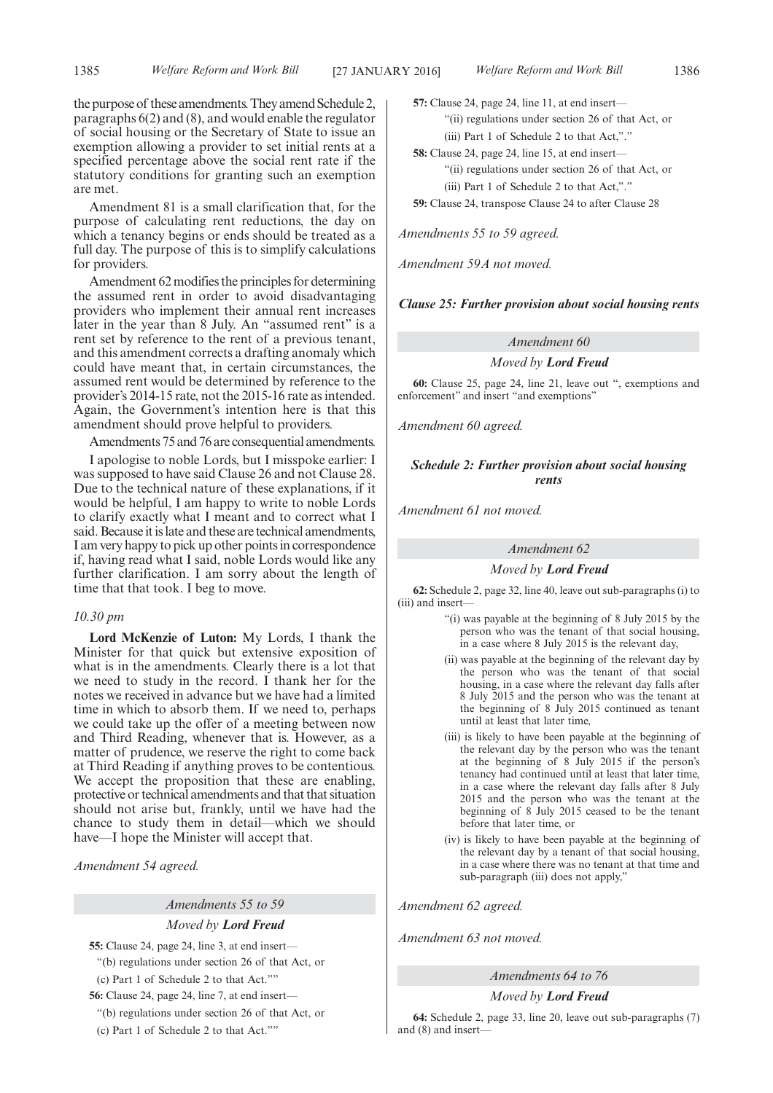the purpose of these amendments.They amend Schedule 2, paragraphs 6(2) and (8), and would enable the regulator of social housing or the Secretary of State to issue an exemption allowing a provider to set initial rents at a specified percentage above the social rent rate if the statutory conditions for granting such an exemption are met.

Amendment 81 is a small clarification that, for the purpose of calculating rent reductions, the day on which a tenancy begins or ends should be treated as a full day. The purpose of this is to simplify calculations for providers.

Amendment 62 modifies the principles for determining the assumed rent in order to avoid disadvantaging providers who implement their annual rent increases later in the year than 8 July. An "assumed rent" is a rent set by reference to the rent of a previous tenant, and this amendment corrects a drafting anomaly which could have meant that, in certain circumstances, the assumed rent would be determined by reference to the provider's 2014-15 rate, not the 2015-16 rate as intended. Again, the Government's intention here is that this amendment should prove helpful to providers.

Amendments 75 and 76 are consequential amendments.

I apologise to noble Lords, but I misspoke earlier: I was supposed to have said Clause 26 and not Clause 28. Due to the technical nature of these explanations, if it would be helpful, I am happy to write to noble Lords to clarify exactly what I meant and to correct what I said. Because it is late and these are technical amendments, I am very happy to pick up other points in correspondence if, having read what I said, noble Lords would like any further clarification. I am sorry about the length of time that that took. I beg to move.

#### *10.30 pm*

**Lord McKenzie of Luton:** My Lords, I thank the Minister for that quick but extensive exposition of what is in the amendments. Clearly there is a lot that we need to study in the record. I thank her for the notes we received in advance but we have had a limited time in which to absorb them. If we need to, perhaps we could take up the offer of a meeting between now and Third Reading, whenever that is. However, as a matter of prudence, we reserve the right to come back at Third Reading if anything proves to be contentious. We accept the proposition that these are enabling, protective or technical amendments and that that situation should not arise but, frankly, until we have had the chance to study them in detail—which we should have—I hope the Minister will accept that.

*Amendment 54 agreed.*

*Amendments 55 to 59*

#### *Moved by Lord Freud*

**55:** Clause 24, page 24, line 3, at end insert— "(b) regulations under section 26 of that Act, or

(c) Part 1 of Schedule 2 to that Act.""

**56:** Clause 24, page 24, line 7, at end insert—

"(b) regulations under section 26 of that Act, or

(c) Part 1 of Schedule 2 to that Act.""

**57:** Clause 24, page 24, line 11, at end insert— "(ii) regulations under section 26 of that Act, or (iii) Part 1 of Schedule 2 to that Act,"."

**58:** Clause 24, page 24, line 15, at end insert— "(ii) regulations under section 26 of that Act, or (iii) Part 1 of Schedule 2 to that Act,"." **59:** Clause 24, transpose Clause 24 to after Clause 28

*Amendments 55 to 59 agreed.*

*Amendment 59A not moved.*

*Clause 25: Further provision about social housing rents*

#### *Amendment 60*

*Moved by Lord Freud*

**60:** Clause 25, page 24, line 21, leave out ", exemptions and enforcement" and insert "and exemptions"

*Amendment 60 agreed.*

#### *Schedule 2: Further provision about social housing rents*

*Amendment 61 not moved.*

#### *Amendment 62*

*Moved by Lord Freud*

**62:** Schedule 2, page 32, line 40, leave out sub-paragraphs (i) to (iii) and insert-

- "(i) was payable at the beginning of 8 July 2015 by the person who was the tenant of that social housing, in a case where 8 July 2015 is the relevant day,
- (ii) was payable at the beginning of the relevant day by the person who was the tenant of that social housing, in a case where the relevant day falls after 8 July 2015 and the person who was the tenant at the beginning of 8 July 2015 continued as tenant until at least that later time,
- (iii) is likely to have been payable at the beginning of the relevant day by the person who was the tenant at the beginning of 8 July 2015 if the person's tenancy had continued until at least that later time, in a case where the relevant day falls after 8 July 2015 and the person who was the tenant at the beginning of 8 July 2015 ceased to be the tenant before that later time, or
- (iv) is likely to have been payable at the beginning of the relevant day by a tenant of that social housing, in a case where there was no tenant at that time and sub-paragraph (iii) does not apply,"

*Amendment 62 agreed.*

*Amendment 63 not moved.*

*Amendments 64 to 76*

*Moved by Lord Freud*

**64:** Schedule 2, page 33, line 20, leave out sub-paragraphs (7) and (8) and insert—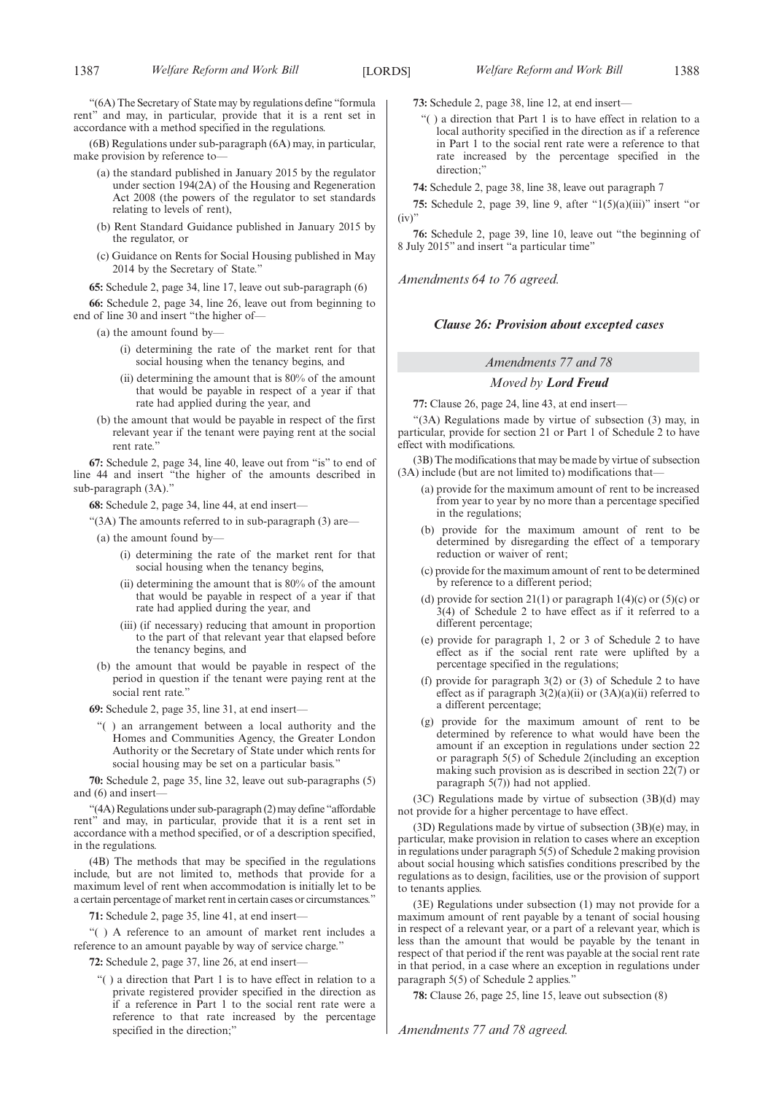"(6A) The Secretary of State may by regulations define "formula rent" and may, in particular, provide that it is a rent set in accordance with a method specified in the regulations.

(6B) Regulations under sub-paragraph (6A) may, in particular, make provision by reference to—

- (a) the standard published in January 2015 by the regulator under section 194(2A) of the Housing and Regeneration Act 2008 (the powers of the regulator to set standards relating to levels of rent),
- (b) Rent Standard Guidance published in January 2015 by the regulator, or
- (c) Guidance on Rents for Social Housing published in May 2014 by the Secretary of State."

**65:** Schedule 2, page 34, line 17, leave out sub-paragraph (6)

**66:** Schedule 2, page 34, line 26, leave out from beginning to end of line 30 and insert "the higher of—

(a) the amount found by-

- (i) determining the rate of the market rent for that social housing when the tenancy begins, and
- (ii) determining the amount that is 80% of the amount that would be payable in respect of a year if that rate had applied during the year, and
- (b) the amount that would be payable in respect of the first relevant year if the tenant were paying rent at the social rent rate."

**67:** Schedule 2, page 34, line 40, leave out from "is" to end of line 44 and insert "the higher of the amounts described in sub-paragraph (3A)."

**68:** Schedule 2, page 34, line 44, at end insert—

"(3A) The amounts referred to in sub-paragraph (3) are—

- $(a)$  the amount found by-
	- (i) determining the rate of the market rent for that social housing when the tenancy begins,
	- (ii) determining the amount that is 80% of the amount that would be payable in respect of a year if that rate had applied during the year, and
	- (iii) (if necessary) reducing that amount in proportion to the part of that relevant year that elapsed before the tenancy begins, and
- (b) the amount that would be payable in respect of the period in question if the tenant were paying rent at the social rent rate.'

**69:** Schedule 2, page 35, line 31, at end insert—

"( ) an arrangement between a local authority and the Homes and Communities Agency, the Greater London Authority or the Secretary of State under which rents for social housing may be set on a particular basis."

**70:** Schedule 2, page 35, line 32, leave out sub-paragraphs (5) and (6) and insert—

"(4A) Regulations under sub-paragraph (2) may define "affordable rent" and may, in particular, provide that it is a rent set in accordance with a method specified, or of a description specified, in the regulations.

(4B) The methods that may be specified in the regulations include, but are not limited to, methods that provide for a maximum level of rent when accommodation is initially let to be a certain percentage of market rent in certain cases or circumstances."

**71:** Schedule 2, page 35, line 41, at end insert—

"( ) A reference to an amount of market rent includes a reference to an amount payable by way of service charge."

**72:** Schedule 2, page 37, line 26, at end insert—

"( ) a direction that Part 1 is to have effect in relation to a private registered provider specified in the direction as if a reference in Part 1 to the social rent rate were a reference to that rate increased by the percentage specified in the direction;"

**73:** Schedule 2, page 38, line 12, at end insert—

"( ) a direction that Part 1 is to have effect in relation to a local authority specified in the direction as if a reference in Part 1 to the social rent rate were a reference to that rate increased by the percentage specified in the direction;"

**74:** Schedule 2, page 38, line 38, leave out paragraph 7

**75:** Schedule 2, page 39, line 9, after "1(5)(a)(iii)" insert "or  $(iv)'$ 

**76:** Schedule 2, page 39, line 10, leave out "the beginning of 8 July 2015" and insert "a particular time"

*Amendments 64 to 76 agreed.*

#### *Clause 26: Provision about excepted cases*

#### *Amendments 77 and 78*

#### *Moved by Lord Freud*

**77:** Clause 26, page 24, line 43, at end insert—

"(3A) Regulations made by virtue of subsection (3) may, in particular, provide for section 21 or Part 1 of Schedule 2 to have effect with modifications.

(3B) The modifications that may be made by virtue of subsection (3A) include (but are not limited to) modifications that—

- (a) provide for the maximum amount of rent to be increased from year to year by no more than a percentage specified in the regulations;
- (b) provide for the maximum amount of rent to be determined by disregarding the effect of a temporary reduction or waiver of rent;
- (c) provide for the maximum amount of rent to be determined by reference to a different period;
- (d) provide for section 21(1) or paragraph 1(4)(c) or (5)(c) or 3(4) of Schedule 2 to have effect as if it referred to a different percentage;
- (e) provide for paragraph 1, 2 or 3 of Schedule 2 to have effect as if the social rent rate were uplifted by a percentage specified in the regulations;
- (f) provide for paragraph 3(2) or (3) of Schedule 2 to have effect as if paragraph  $3(2)(a)(ii)$  or  $(3A)(a)(ii)$  referred to a different percentage;
- (g) provide for the maximum amount of rent to be determined by reference to what would have been the amount if an exception in regulations under section 22 or paragraph 5(5) of Schedule 2(including an exception making such provision as is described in section 22(7) or paragraph  $5(7)$ ) had not applied.

(3C) Regulations made by virtue of subsection (3B)(d) may not provide for a higher percentage to have effect.

(3D) Regulations made by virtue of subsection (3B)(e) may, in particular, make provision in relation to cases where an exception in regulations under paragraph 5(5) of Schedule 2 making provision about social housing which satisfies conditions prescribed by the regulations as to design, facilities, use or the provision of support to tenants applies.

(3E) Regulations under subsection (1) may not provide for a maximum amount of rent payable by a tenant of social housing in respect of a relevant year, or a part of a relevant year, which is less than the amount that would be payable by the tenant in respect of that period if the rent was payable at the social rent rate in that period, in a case where an exception in regulations under paragraph 5(5) of Schedule 2 applies."

**78:** Clause 26, page 25, line 15, leave out subsection (8)

*Amendments 77 and 78 agreed.*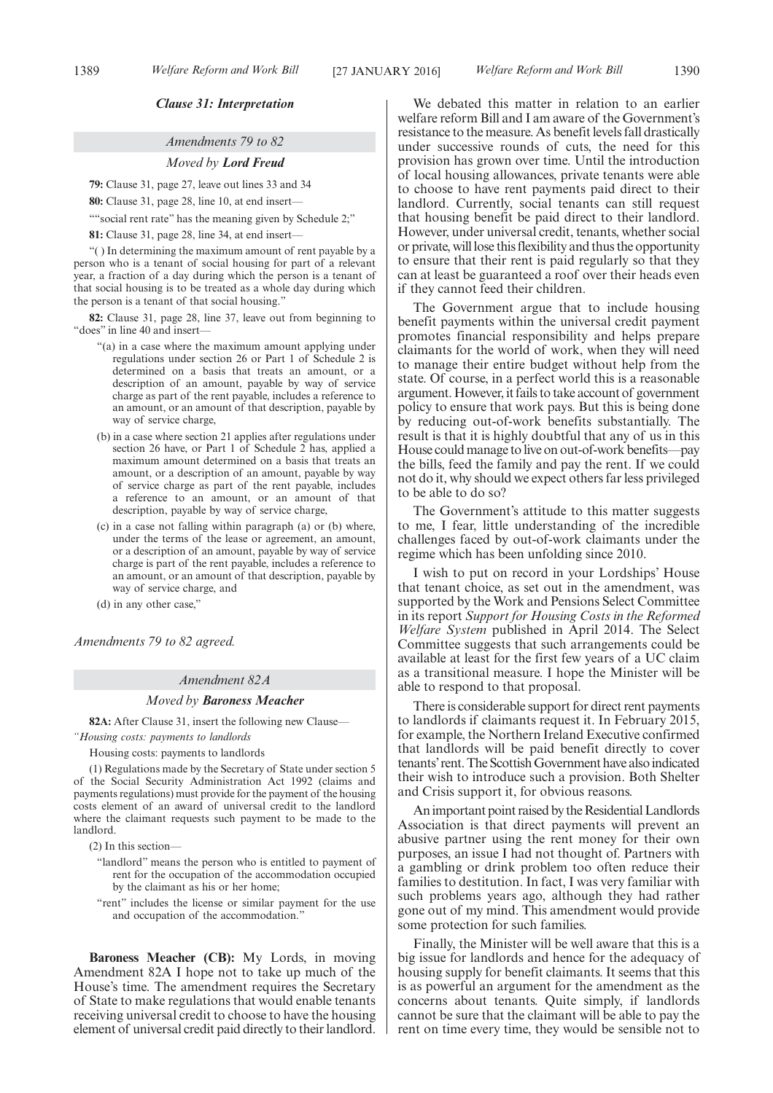#### *Clause 31: Interpretation*

#### *Amendments 79 to 82*

#### *Moved by Lord Freud*

**79:** Clause 31, page 27, leave out lines 33 and 34

**80:** Clause 31, page 28, line 10, at end insert—

""social rent rate" has the meaning given by Schedule 2;"

**81:** Clause 31, page 28, line 34, at end insert—

"( ) In determining the maximum amount of rent payable by a person who is a tenant of social housing for part of a relevant year, a fraction of a day during which the person is a tenant of that social housing is to be treated as a whole day during which the person is a tenant of that social housing."

**82:** Clause 31, page 28, line 37, leave out from beginning to "does" in line 40 and insert—

- "(a) in a case where the maximum amount applying under regulations under section 26 or Part 1 of Schedule 2 is determined on a basis that treats an amount, or a description of an amount, payable by way of service charge as part of the rent payable, includes a reference to an amount, or an amount of that description, payable by way of service charge.
- (b) in a case where section 21 applies after regulations under section 26 have, or Part 1 of Schedule 2 has, applied a maximum amount determined on a basis that treats an amount, or a description of an amount, payable by way of service charge as part of the rent payable, includes a reference to an amount, or an amount of that description, payable by way of service charge,
- (c) in a case not falling within paragraph (a) or (b) where, under the terms of the lease or agreement, an amount, or a description of an amount, payable by way of service charge is part of the rent payable, includes a reference to an amount, or an amount of that description, payable by way of service charge, and
- (d) in any other case,"

*Amendments 79 to 82 agreed.*

#### *Amendment 82A*

#### *Moved by Baroness Meacher*

**82A:** After Clause 31, insert the following new Clause—

*"Housing costs: payments to landlords*

Housing costs: payments to landlords

(1) Regulations made by the Secretary of State under section 5 of the Social Security Administration Act 1992 (claims and payments regulations) must provide for the payment of the housing costs element of an award of universal credit to the landlord where the claimant requests such payment to be made to the landlord.

(2) In this section—

- "landlord" means the person who is entitled to payment of rent for the occupation of the accommodation occupied by the claimant as his or her home;
- "rent" includes the license or similar payment for the use and occupation of the accommodation."

**Baroness Meacher (CB):** My Lords, in moving Amendment 82A I hope not to take up much of the House's time. The amendment requires the Secretary of State to make regulations that would enable tenants receiving universal credit to choose to have the housing element of universal credit paid directly to their landlord.

We debated this matter in relation to an earlier welfare reform Bill and I am aware of the Government's resistance to the measure. As benefit levels fall drastically under successive rounds of cuts, the need for this provision has grown over time. Until the introduction of local housing allowances, private tenants were able to choose to have rent payments paid direct to their landlord. Currently, social tenants can still request that housing benefit be paid direct to their landlord. However, under universal credit, tenants, whether social or private, will lose this flexibility and thus the opportunity to ensure that their rent is paid regularly so that they can at least be guaranteed a roof over their heads even if they cannot feed their children.

The Government argue that to include housing benefit payments within the universal credit payment promotes financial responsibility and helps prepare claimants for the world of work, when they will need to manage their entire budget without help from the state. Of course, in a perfect world this is a reasonable argument. However, it fails to take account of government policy to ensure that work pays. But this is being done by reducing out-of-work benefits substantially. The result is that it is highly doubtful that any of us in this House could manage to live on out-of-work benefits—pay the bills, feed the family and pay the rent. If we could not do it, why should we expect others far less privileged to be able to do so?

The Government's attitude to this matter suggests to me, I fear, little understanding of the incredible challenges faced by out-of-work claimants under the regime which has been unfolding since 2010.

I wish to put on record in your Lordships' House that tenant choice, as set out in the amendment, was supported by the Work and Pensions Select Committee in its report *Support for Housing Costs in the Reformed Welfare System* published in April 2014. The Select Committee suggests that such arrangements could be available at least for the first few years of a UC claim as a transitional measure. I hope the Minister will be able to respond to that proposal.

There is considerable support for direct rent payments to landlords if claimants request it. In February 2015, for example, the Northern Ireland Executive confirmed that landlords will be paid benefit directly to cover tenants' rent. The Scottish Government have also indicated their wish to introduce such a provision. Both Shelter and Crisis support it, for obvious reasons.

Animportant point raised by the Residential Landlords Association is that direct payments will prevent an abusive partner using the rent money for their own purposes, an issue I had not thought of. Partners with a gambling or drink problem too often reduce their families to destitution. In fact, I was very familiar with such problems years ago, although they had rather gone out of my mind. This amendment would provide some protection for such families.

Finally, the Minister will be well aware that this is a big issue for landlords and hence for the adequacy of housing supply for benefit claimants. It seems that this is as powerful an argument for the amendment as the concerns about tenants. Quite simply, if landlords cannot be sure that the claimant will be able to pay the rent on time every time, they would be sensible not to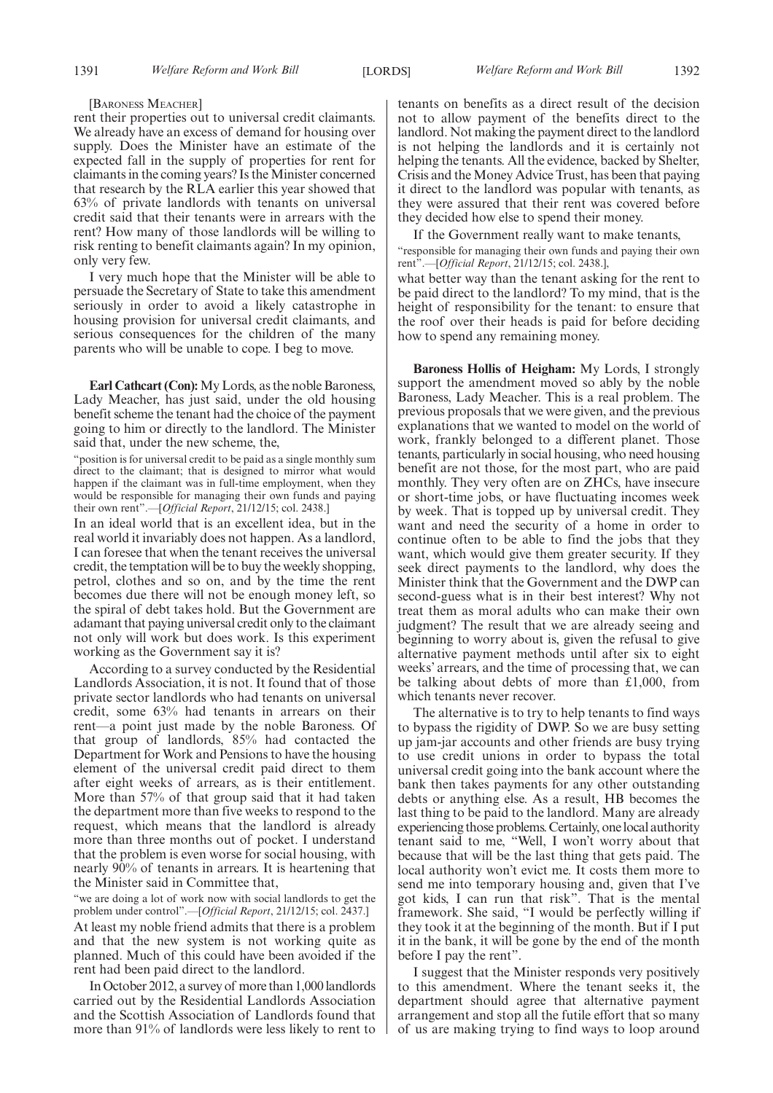#### [BARONESS MEACHER]

rent their properties out to universal credit claimants. We already have an excess of demand for housing over supply. Does the Minister have an estimate of the expected fall in the supply of properties for rent for claimants in the coming years? Is the Minister concerned that research by the RLA earlier this year showed that 63% of private landlords with tenants on universal credit said that their tenants were in arrears with the rent? How many of those landlords will be willing to risk renting to benefit claimants again? In my opinion, only very few.

I very much hope that the Minister will be able to persuade the Secretary of State to take this amendment seriously in order to avoid a likely catastrophe in housing provision for universal credit claimants, and serious consequences for the children of the many parents who will be unable to cope. I beg to move.

**Earl Cathcart (Con):**My Lords, as the noble Baroness, Lady Meacher, has just said, under the old housing benefit scheme the tenant had the choice of the payment going to him or directly to the landlord. The Minister said that, under the new scheme, the,

"position is for universal credit to be paid as a single monthly sum direct to the claimant; that is designed to mirror what would happen if the claimant was in full-time employment, when they would be responsible for managing their own funds and paying their own rent".—[*Official Report*, 21/12/15; col. 2438.]

In an ideal world that is an excellent idea, but in the real world it invariably does not happen. As a landlord, I can foresee that when the tenant receives the universal credit, the temptation will be to buy the weekly shopping, petrol, clothes and so on, and by the time the rent becomes due there will not be enough money left, so the spiral of debt takes hold. But the Government are adamant that paying universal credit only to the claimant not only will work but does work. Is this experiment working as the Government say it is?

According to a survey conducted by the Residential Landlords Association, it is not. It found that of those private sector landlords who had tenants on universal credit, some 63% had tenants in arrears on their rent—a point just made by the noble Baroness. Of that group of landlords, 85% had contacted the Department for Work and Pensions to have the housing element of the universal credit paid direct to them after eight weeks of arrears, as is their entitlement. More than 57% of that group said that it had taken the department more than five weeks to respond to the request, which means that the landlord is already more than three months out of pocket. I understand that the problem is even worse for social housing, with nearly 90% of tenants in arrears. It is heartening that the Minister said in Committee that,

"we are doing a lot of work now with social landlords to get the problem under control".—[*Official Report*, 21/12/15; col. 2437.] At least my noble friend admits that there is a problem and that the new system is not working quite as planned. Much of this could have been avoided if the rent had been paid direct to the landlord.

In October 2012, a survey of more than 1,000 landlords carried out by the Residential Landlords Association and the Scottish Association of Landlords found that more than 91% of landlords were less likely to rent to

tenants on benefits as a direct result of the decision not to allow payment of the benefits direct to the landlord. Not making the payment direct to the landlord is not helping the landlords and it is certainly not helping the tenants. All the evidence, backed by Shelter, Crisis and the Money Advice Trust, has been that paying it direct to the landlord was popular with tenants, as they were assured that their rent was covered before they decided how else to spend their money.

If the Government really want to make tenants,

"responsible for managing their own funds and paying their own rent".—[*Official Report*, 21/12/15; col. 2438.],

what better way than the tenant asking for the rent to be paid direct to the landlord? To my mind, that is the height of responsibility for the tenant: to ensure that the roof over their heads is paid for before deciding how to spend any remaining money.

**Baroness Hollis of Heigham:** My Lords, I strongly support the amendment moved so ably by the noble Baroness, Lady Meacher. This is a real problem. The previous proposals that we were given, and the previous explanations that we wanted to model on the world of work, frankly belonged to a different planet. Those tenants, particularly in social housing, who need housing benefit are not those, for the most part, who are paid monthly. They very often are on ZHCs, have insecure or short-time jobs, or have fluctuating incomes week by week. That is topped up by universal credit. They want and need the security of a home in order to continue often to be able to find the jobs that they want, which would give them greater security. If they seek direct payments to the landlord, why does the Minister think that the Government and the DWP can second-guess what is in their best interest? Why not treat them as moral adults who can make their own judgment? The result that we are already seeing and beginning to worry about is, given the refusal to give alternative payment methods until after six to eight weeks' arrears, and the time of processing that, we can be talking about debts of more than £1,000, from which tenants never recover.

The alternative is to try to help tenants to find ways to bypass the rigidity of DWP. So we are busy setting up jam-jar accounts and other friends are busy trying to use credit unions in order to bypass the total universal credit going into the bank account where the bank then takes payments for any other outstanding debts or anything else. As a result, HB becomes the last thing to be paid to the landlord. Many are already experiencing those problems. Certainly, one local authority tenant said to me, "Well, I won't worry about that because that will be the last thing that gets paid. The local authority won't evict me. It costs them more to send me into temporary housing and, given that I've got kids, I can run that risk". That is the mental framework. She said, "I would be perfectly willing if they took it at the beginning of the month. But if I put it in the bank, it will be gone by the end of the month before I pay the rent".

I suggest that the Minister responds very positively to this amendment. Where the tenant seeks it, the department should agree that alternative payment arrangement and stop all the futile effort that so many of us are making trying to find ways to loop around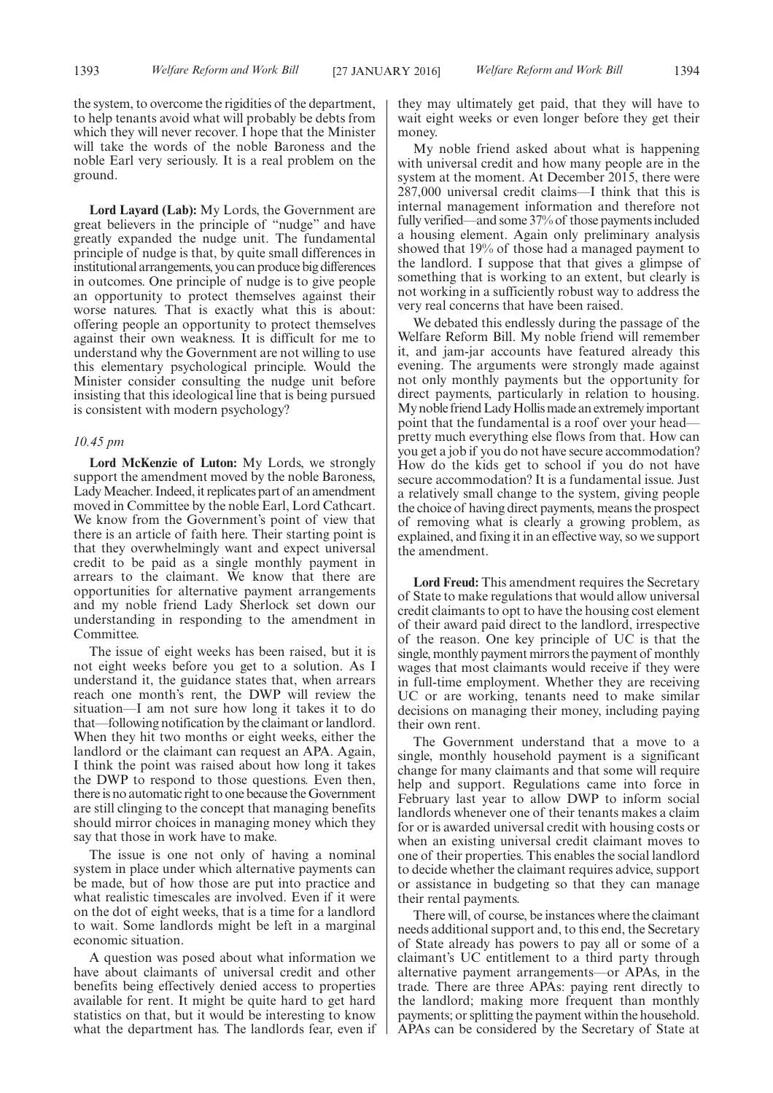the system, to overcome the rigidities of the department, to help tenants avoid what will probably be debts from which they will never recover. I hope that the Minister will take the words of the noble Baroness and the noble Earl very seriously. It is a real problem on the ground.

**Lord Layard (Lab):** My Lords, the Government are great believers in the principle of "nudge" and have greatly expanded the nudge unit. The fundamental principle of nudge is that, by quite small differences in institutional arrangements, you can produce big differences in outcomes. One principle of nudge is to give people an opportunity to protect themselves against their worse natures. That is exactly what this is about: offering people an opportunity to protect themselves against their own weakness. It is difficult for me to understand why the Government are not willing to use this elementary psychological principle. Would the Minister consider consulting the nudge unit before insisting that this ideological line that is being pursued is consistent with modern psychology?

#### *10.45 pm*

**Lord McKenzie of Luton:** My Lords, we strongly support the amendment moved by the noble Baroness, LadyMeacher. Indeed, it replicates part of an amendment moved in Committee by the noble Earl, Lord Cathcart. We know from the Government's point of view that there is an article of faith here. Their starting point is that they overwhelmingly want and expect universal credit to be paid as a single monthly payment in arrears to the claimant. We know that there are opportunities for alternative payment arrangements and my noble friend Lady Sherlock set down our understanding in responding to the amendment in Committee.

The issue of eight weeks has been raised, but it is not eight weeks before you get to a solution. As I understand it, the guidance states that, when arrears reach one month's rent, the DWP will review the situation—I am not sure how long it takes it to do that—following notification by the claimant or landlord. When they hit two months or eight weeks, either the landlord or the claimant can request an APA. Again, I think the point was raised about how long it takes the DWP to respond to those questions. Even then, there is no automatic right to one because the Government are still clinging to the concept that managing benefits should mirror choices in managing money which they say that those in work have to make.

The issue is one not only of having a nominal system in place under which alternative payments can be made, but of how those are put into practice and what realistic timescales are involved. Even if it were on the dot of eight weeks, that is a time for a landlord to wait. Some landlords might be left in a marginal economic situation.

A question was posed about what information we have about claimants of universal credit and other benefits being effectively denied access to properties available for rent. It might be quite hard to get hard statistics on that, but it would be interesting to know what the department has. The landlords fear, even if they may ultimately get paid, that they will have to wait eight weeks or even longer before they get their money.

My noble friend asked about what is happening with universal credit and how many people are in the system at the moment. At December 2015, there were 287,000 universal credit claims—I think that this is internal management information and therefore not fully verified—and some 37% of those payments included a housing element. Again only preliminary analysis showed that 19% of those had a managed payment to the landlord. I suppose that that gives a glimpse of something that is working to an extent, but clearly is not working in a sufficiently robust way to address the very real concerns that have been raised.

We debated this endlessly during the passage of the Welfare Reform Bill. My noble friend will remember it, and jam-jar accounts have featured already this evening. The arguments were strongly made against not only monthly payments but the opportunity for direct payments, particularly in relation to housing. My noble friend Lady Hollis made an extremely important point that the fundamental is a roof over your head pretty much everything else flows from that. How can you get a job if you do not have secure accommodation? How do the kids get to school if you do not have secure accommodation? It is a fundamental issue. Just a relatively small change to the system, giving people the choice of having direct payments, means the prospect of removing what is clearly a growing problem, as explained, and fixing it in an effective way, so we support the amendment.

**Lord Freud:** This amendment requires the Secretary of State to make regulations that would allow universal credit claimants to opt to have the housing cost element of their award paid direct to the landlord, irrespective of the reason. One key principle of UC is that the single, monthly payment mirrors the payment of monthly wages that most claimants would receive if they were in full-time employment. Whether they are receiving UC or are working, tenants need to make similar decisions on managing their money, including paying their own rent.

The Government understand that a move to a single, monthly household payment is a significant change for many claimants and that some will require help and support. Regulations came into force in February last year to allow DWP to inform social landlords whenever one of their tenants makes a claim for or is awarded universal credit with housing costs or when an existing universal credit claimant moves to one of their properties. This enables the social landlord to decide whether the claimant requires advice, support or assistance in budgeting so that they can manage their rental payments.

There will, of course, be instances where the claimant needs additional support and, to this end, the Secretary of State already has powers to pay all or some of a claimant's UC entitlement to a third party through alternative payment arrangements—or APAs, in the trade. There are three APAs: paying rent directly to the landlord; making more frequent than monthly payments; or splitting the payment within the household. APAs can be considered by the Secretary of State at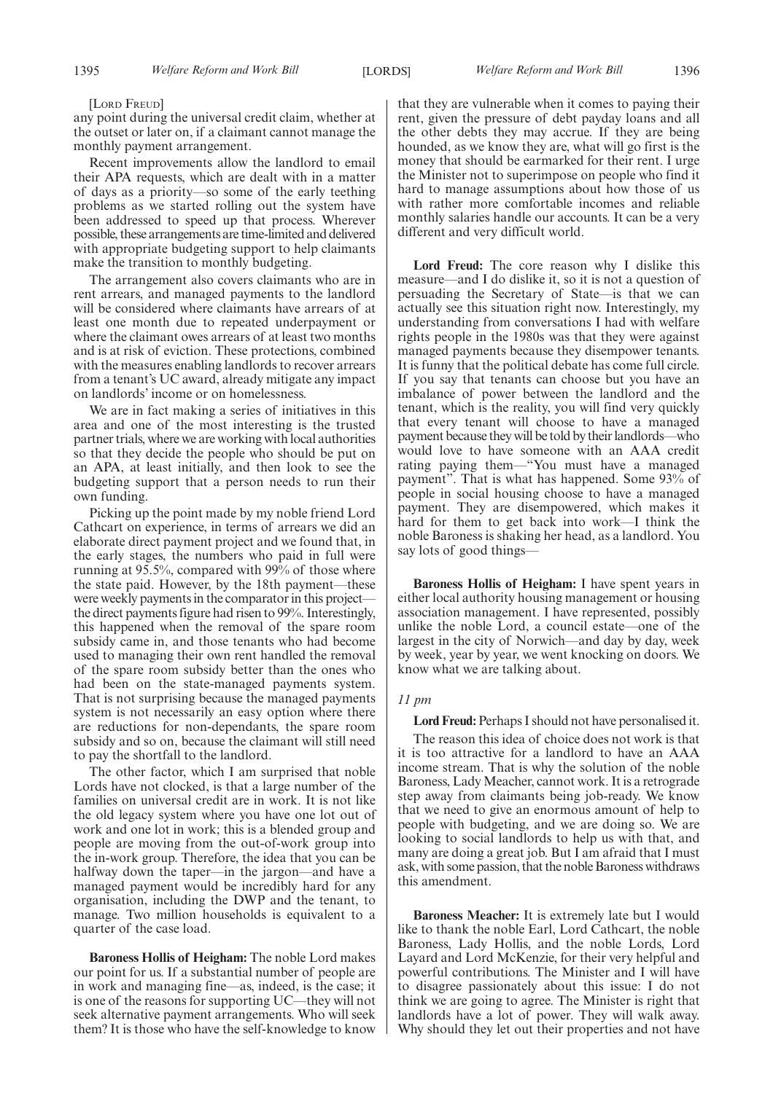[LORD FREUD]

any point during the universal credit claim, whether at the outset or later on, if a claimant cannot manage the monthly payment arrangement.

Recent improvements allow the landlord to email their APA requests, which are dealt with in a matter of days as a priority—so some of the early teething problems as we started rolling out the system have been addressed to speed up that process. Wherever possible, these arrangements are time-limited and delivered with appropriate budgeting support to help claimants make the transition to monthly budgeting.

The arrangement also covers claimants who are in rent arrears, and managed payments to the landlord will be considered where claimants have arrears of at least one month due to repeated underpayment or where the claimant owes arrears of at least two months and is at risk of eviction. These protections, combined with the measures enabling landlords to recover arrears from a tenant's UC award, already mitigate any impact on landlords' income or on homelessness.

We are in fact making a series of initiatives in this area and one of the most interesting is the trusted partner trials, where we are working with local authorities so that they decide the people who should be put on an APA, at least initially, and then look to see the budgeting support that a person needs to run their own funding.

Picking up the point made by my noble friend Lord Cathcart on experience, in terms of arrears we did an elaborate direct payment project and we found that, in the early stages, the numbers who paid in full were running at 95.5%, compared with 99% of those where the state paid. However, by the 18th payment—these were weekly payments in the comparator in this project the direct payments figure had risen to 99%. Interestingly, this happened when the removal of the spare room subsidy came in, and those tenants who had become used to managing their own rent handled the removal of the spare room subsidy better than the ones who had been on the state-managed payments system. That is not surprising because the managed payments system is not necessarily an easy option where there are reductions for non-dependants, the spare room subsidy and so on, because the claimant will still need to pay the shortfall to the landlord.

The other factor, which I am surprised that noble Lords have not clocked, is that a large number of the families on universal credit are in work. It is not like the old legacy system where you have one lot out of work and one lot in work; this is a blended group and people are moving from the out-of-work group into the in-work group. Therefore, the idea that you can be halfway down the taper—in the jargon—and have a managed payment would be incredibly hard for any organisation, including the DWP and the tenant, to manage. Two million households is equivalent to a quarter of the case load.

**Baroness Hollis of Heigham:** The noble Lord makes our point for us. If a substantial number of people are in work and managing fine—as, indeed, is the case; it is one of the reasons for supporting UC—they will not seek alternative payment arrangements. Who will seek them? It is those who have the self-knowledge to know

that they are vulnerable when it comes to paying their rent, given the pressure of debt payday loans and all the other debts they may accrue. If they are being hounded, as we know they are, what will go first is the money that should be earmarked for their rent. I urge the Minister not to superimpose on people who find it hard to manage assumptions about how those of us with rather more comfortable incomes and reliable monthly salaries handle our accounts. It can be a very different and very difficult world.

**Lord Freud:** The core reason why I dislike this measure—and I do dislike it, so it is not a question of persuading the Secretary of State—is that we can actually see this situation right now. Interestingly, my understanding from conversations I had with welfare rights people in the 1980s was that they were against managed payments because they disempower tenants. It is funny that the political debate has come full circle. If you say that tenants can choose but you have an imbalance of power between the landlord and the tenant, which is the reality, you will find very quickly that every tenant will choose to have a managed payment because they will be told by their landlords—who would love to have someone with an AAA credit rating paying them—"You must have a managed payment". That is what has happened. Some 93% of people in social housing choose to have a managed payment. They are disempowered, which makes it hard for them to get back into work—I think the noble Baroness is shaking her head, as a landlord. You say lots of good things—

**Baroness Hollis of Heigham:** I have spent years in either local authority housing management or housing association management. I have represented, possibly unlike the noble Lord, a council estate—one of the largest in the city of Norwich—and day by day, week by week, year by year, we went knocking on doors. We know what we are talking about.

#### *11 pm*

**Lord Freud:** Perhaps I should not have personalised it. The reason this idea of choice does not work is that it is too attractive for a landlord to have an AAA income stream. That is why the solution of the noble Baroness, Lady Meacher, cannot work. It is a retrograde step away from claimants being job-ready. We know that we need to give an enormous amount of help to people with budgeting, and we are doing so. We are looking to social landlords to help us with that, and many are doing a great job. But I am afraid that I must ask, with some passion, that the noble Baroness withdraws this amendment.

**Baroness Meacher:** It is extremely late but I would like to thank the noble Earl, Lord Cathcart, the noble Baroness, Lady Hollis, and the noble Lords, Lord Layard and Lord McKenzie, for their very helpful and powerful contributions. The Minister and I will have to disagree passionately about this issue: I do not think we are going to agree. The Minister is right that landlords have a lot of power. They will walk away. Why should they let out their properties and not have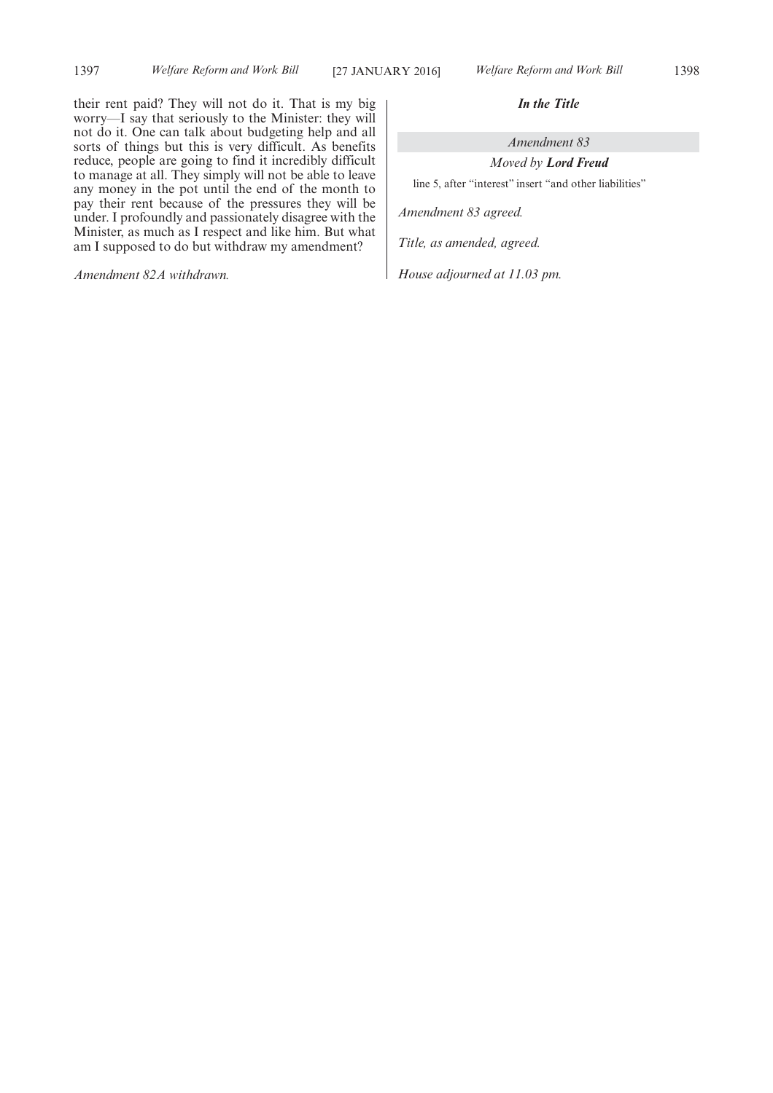their rent paid? They will not do it. That is my big worry—I say that seriously to the Minister: they will not do it. One can talk about budgeting help and all sorts of things but this is very difficult. As benefits reduce, people are going to find it incredibly difficult to manage at all. They simply will not be able to leave any money in the pot until the end of the month to pay their rent because of the pressures they will be under. I profoundly and passionately disagree with the Minister, as much as I respect and like him. But what am I supposed to do but withdraw my amendment?

*Amendment 82A withdrawn.*

#### *In the Title*

*Amendment 83*

*Moved by Lord Freud* line 5, after "interest" insert "and other liabilities"

*Amendment 83 agreed.*

*Title, as amended, agreed.*

*House adjourned at 11.03 pm.*